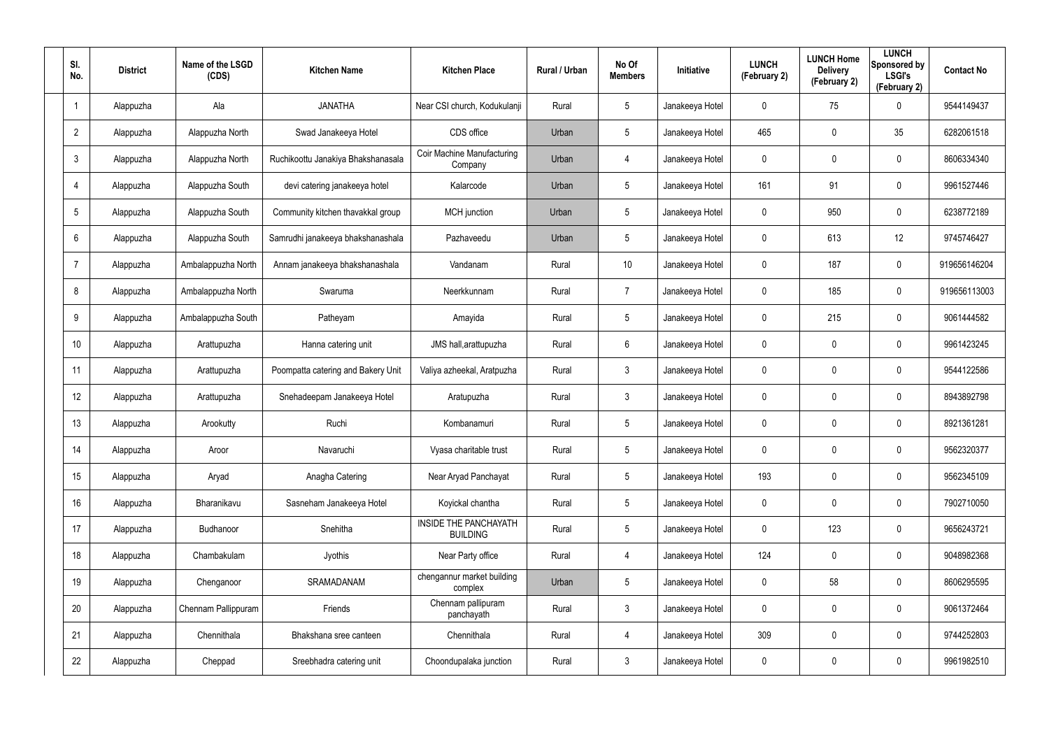| SI.<br>No.              | <b>District</b> | Name of the LSGD<br>(CDS) | <b>Kitchen Name</b>                | <b>Kitchen Place</b>                     | Rural / Urban | No Of<br><b>Members</b> | Initiative      | <b>LUNCH</b><br>(February 2) | <b>LUNCH Home</b><br><b>Delivery</b><br>(February 2) | <b>LUNCH</b><br>Sponsored by<br><b>LSGI's</b><br>(February 2) | <b>Contact No</b> |
|-------------------------|-----------------|---------------------------|------------------------------------|------------------------------------------|---------------|-------------------------|-----------------|------------------------------|------------------------------------------------------|---------------------------------------------------------------|-------------------|
| $\overline{\mathbf{1}}$ | Alappuzha       | Ala                       | <b>JANATHA</b>                     | Near CSI church, Kodukulanji             | Rural         | 5                       | Janakeeya Hotel | 0                            | 75                                                   | $\mathbf 0$                                                   | 9544149437        |
| $\overline{2}$          | Alappuzha       | Alappuzha North           | Swad Janakeeya Hotel               | CDS office                               | Urban         | 5                       | Janakeeya Hotel | 465                          | 0                                                    | 35                                                            | 6282061518        |
| $\mathfrak{Z}$          | Alappuzha       | Alappuzha North           | Ruchikoottu Janakiya Bhakshanasala | Coir Machine Manufacturing<br>Company    | Urban         | 4                       | Janakeeya Hotel | 0                            | 0                                                    | $\mathbf 0$                                                   | 8606334340        |
| $\overline{4}$          | Alappuzha       | Alappuzha South           | devi catering janakeeya hotel      | Kalarcode                                | Urban         | 5                       | Janakeeya Hotel | 161                          | 91                                                   | $\pmb{0}$                                                     | 9961527446        |
| $5\phantom{.0}$         | Alappuzha       | Alappuzha South           | Community kitchen thavakkal group  | <b>MCH</b> junction                      | Urban         | $5\phantom{.0}$         | Janakeeya Hotel | 0                            | 950                                                  | $\mathbf 0$                                                   | 6238772189        |
| 6                       | Alappuzha       | Alappuzha South           | Samrudhi janakeeya bhakshanashala  | Pazhaveedu                               | Urban         | 5                       | Janakeeya Hotel | 0                            | 613                                                  | 12                                                            | 9745746427        |
| $\overline{7}$          | Alappuzha       | Ambalappuzha North        | Annam janakeeya bhakshanashala     | Vandanam                                 | Rural         | 10                      | Janakeeya Hotel | 0                            | 187                                                  | $\pmb{0}$                                                     | 919656146204      |
| 8                       | Alappuzha       | Ambalappuzha North        | Swaruma                            | Neerkkunnam                              | Rural         | $\overline{7}$          | Janakeeya Hotel | 0                            | 185                                                  | $\mathbf 0$                                                   | 919656113003      |
| 9                       | Alappuzha       | Ambalappuzha South        | Patheyam                           | Amayida                                  | Rural         | $5\phantom{.0}$         | Janakeeya Hotel | 0                            | 215                                                  | $\mathbf 0$                                                   | 9061444582        |
| 10 <sup>°</sup>         | Alappuzha       | Arattupuzha               | Hanna catering unit                | JMS hall, arattupuzha                    | Rural         | 6                       | Janakeeya Hotel | 0                            | 0                                                    | $\mathbf 0$                                                   | 9961423245        |
| 11                      | Alappuzha       | Arattupuzha               | Poompatta catering and Bakery Unit | Valiya azheekal, Aratpuzha               | Rural         | $\mathbf{3}$            | Janakeeya Hotel | 0                            | 0                                                    | $\mathbf 0$                                                   | 9544122586        |
| 12                      | Alappuzha       | Arattupuzha               | Snehadeepam Janakeeya Hotel        | Aratupuzha                               | Rural         | $\mathbf{3}$            | Janakeeya Hotel | 0                            | 0                                                    | $\mathbf 0$                                                   | 8943892798        |
| 13                      | Alappuzha       | Arookutty                 | Ruchi                              | Kombanamuri                              | Rural         | $5\phantom{.0}$         | Janakeeya Hotel | 0                            | 0                                                    | $\mathbf 0$                                                   | 8921361281        |
| 14                      | Alappuzha       | Aroor                     | Navaruchi                          | Vyasa charitable trust                   | Rural         | 5                       | Janakeeya Hotel | 0                            | 0                                                    | $\mathbf 0$                                                   | 9562320377        |
| 15                      | Alappuzha       | Aryad                     | Anagha Catering                    | Near Aryad Panchayat                     | Rural         | $5\phantom{.0}$         | Janakeeya Hotel | 193                          | 0                                                    | $\mathbf 0$                                                   | 9562345109        |
| 16                      | Alappuzha       | Bharanikavu               | Sasneham Janakeeya Hotel           | Koyickal chantha                         | Rural         | $5\phantom{.0}$         | Janakeeya Hotel | $\mathbf 0$                  | 0                                                    | $\mathbf 0$                                                   | 7902710050        |
| 17                      | Alappuzha       | Budhanoor                 | Snehitha                           | INSIDE THE PANCHAYATH<br><b>BUILDING</b> | Rural         | $5\phantom{.0}$         | Janakeeya Hotel | 0                            | 123                                                  | $\mathbf 0$                                                   | 9656243721        |
| 18                      | Alappuzha       | Chambakulam               | Jyothis                            | Near Party office                        | Rural         | 4                       | Janakeeya Hotel | 124                          | 0                                                    | $\mathbf 0$                                                   | 9048982368        |
| 19                      | Alappuzha       | Chenganoor                | SRAMADANAM                         | chengannur market building<br>complex    | Urban         | $5\phantom{.0}$         | Janakeeya Hotel | 0                            | 58                                                   | $\mathbf 0$                                                   | 8606295595        |
| 20                      | Alappuzha       | Chennam Pallippuram       | Friends                            | Chennam pallipuram<br>panchayath         | Rural         | $\mathbf{3}$            | Janakeeya Hotel | 0                            | 0                                                    | $\mathbf 0$                                                   | 9061372464        |
| 21                      | Alappuzha       | Chennithala               | Bhakshana sree canteen             | Chennithala                              | Rural         | 4                       | Janakeeya Hotel | 309                          | 0                                                    | $\mathbf 0$                                                   | 9744252803        |
| 22                      | Alappuzha       | Cheppad                   | Sreebhadra catering unit           | Choondupalaka junction                   | Rural         | $\mathfrak{Z}$          | Janakeeya Hotel | 0                            | 0                                                    | $\mathsf{0}$                                                  | 9961982510        |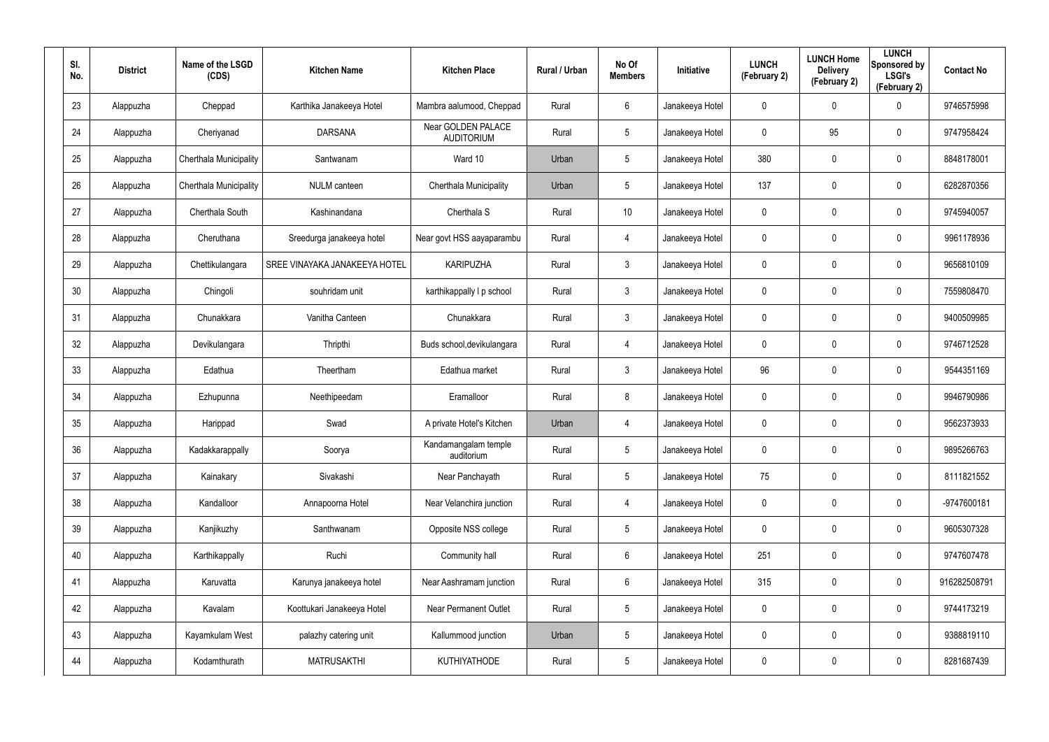| SI.<br>No. | <b>District</b> | Name of the LSGD<br>(CDS) | <b>Kitchen Name</b>           | <b>Kitchen Place</b>                    | Rural / Urban | No Of<br><b>Members</b> | <b>Initiative</b> | <b>LUNCH</b><br>(February 2) | <b>LUNCH Home</b><br><b>Delivery</b><br>(February 2) | <b>LUNCH</b><br>Sponsored by<br><b>LSGI's</b><br>(February 2) | <b>Contact No</b> |
|------------|-----------------|---------------------------|-------------------------------|-----------------------------------------|---------------|-------------------------|-------------------|------------------------------|------------------------------------------------------|---------------------------------------------------------------|-------------------|
| 23         | Alappuzha       | Cheppad                   | Karthika Janakeeya Hotel      | Mambra aalumood, Cheppad                | Rural         | 6                       | Janakeeya Hotel   | 0                            | 0                                                    | $\boldsymbol{0}$                                              | 9746575998        |
| 24         | Alappuzha       | Cheriyanad                | <b>DARSANA</b>                | Near GOLDEN PALACE<br><b>AUDITORIUM</b> | Rural         | $5\phantom{.0}$         | Janakeeya Hotel   | 0                            | 95                                                   | $\pmb{0}$                                                     | 9747958424        |
| 25         | Alappuzha       | Cherthala Municipality    | Santwanam                     | Ward 10                                 | Urban         | $5\phantom{.0}$         | Janakeeya Hotel   | 380                          | 0                                                    | $\pmb{0}$                                                     | 8848178001        |
| 26         | Alappuzha       | Cherthala Municipality    | <b>NULM</b> canteen           | Cherthala Municipality                  | Urban         | $5\phantom{.0}$         | Janakeeya Hotel   | 137                          | 0                                                    | $\pmb{0}$                                                     | 6282870356        |
| 27         | Alappuzha       | Cherthala South           | Kashinandana                  | Cherthala S                             | Rural         | 10 <sup>°</sup>         | Janakeeya Hotel   | 0                            | 0                                                    | $\pmb{0}$                                                     | 9745940057        |
| 28         | Alappuzha       | Cheruthana                | Sreedurga janakeeya hotel     | Near govt HSS aayaparambu               | Rural         | 4                       | Janakeeya Hotel   | 0                            | 0                                                    | $\mathbf 0$                                                   | 9961178936        |
| 29         | Alappuzha       | Chettikulangara           | SREE VINAYAKA JANAKEEYA HOTEL | <b>KARIPUZHA</b>                        | Rural         | $\mathbf{3}$            | Janakeeya Hotel   | 0                            | 0                                                    | $\pmb{0}$                                                     | 9656810109        |
| 30         | Alappuzha       | Chingoli                  | souhridam unit                | karthikappally I p school               | Rural         | $\mathbf{3}$            | Janakeeya Hotel   | 0                            | 0                                                    | $\mathbf 0$                                                   | 7559808470        |
| 31         | Alappuzha       | Chunakkara                | Vanitha Canteen               | Chunakkara                              | Rural         | $\mathbf{3}$            | Janakeeya Hotel   | 0                            | 0                                                    | $\pmb{0}$                                                     | 9400509985        |
| 32         | Alappuzha       | Devikulangara             | Thripthi                      | Buds school, devikulangara              | Rural         | 4                       | Janakeeya Hotel   | 0                            | 0                                                    | $\mathbf 0$                                                   | 9746712528        |
| 33         | Alappuzha       | Edathua                   | Theertham                     | Edathua market                          | Rural         | $\mathbf{3}$            | Janakeeya Hotel   | 96                           | 0                                                    | $\mathbf 0$                                                   | 9544351169        |
| 34         | Alappuzha       | Ezhupunna                 | Neethipeedam                  | Eramalloor                              | Rural         | 8                       | Janakeeya Hotel   | 0                            | 0                                                    | $\mathbf 0$                                                   | 9946790986        |
| 35         | Alappuzha       | Harippad                  | Swad                          | A private Hotel's Kitchen               | Urban         | 4                       | Janakeeya Hotel   | 0                            | 0                                                    | $\mathbf 0$                                                   | 9562373933        |
| 36         | Alappuzha       | Kadakkarappally           | Soorya                        | Kandamangalam temple<br>auditorium      | Rural         | 5                       | Janakeeya Hotel   | 0                            | 0                                                    | $\pmb{0}$                                                     | 9895266763        |
| 37         | Alappuzha       | Kainakary                 | Sivakashi                     | Near Panchayath                         | Rural         | $5\phantom{.0}$         | Janakeeya Hotel   | 75                           | 0                                                    | $\mathbf 0$                                                   | 8111821552        |
| 38         | Alappuzha       | Kandalloor                | Annapoorna Hotel              | Near Velanchira junction                | Rural         | 4                       | Janakeeya Hotel   | $\mathbf 0$                  | 0                                                    | $\mathbf 0$                                                   | -9747600181       |
| 39         | Alappuzha       | Kanjikuzhy                | Santhwanam                    | Opposite NSS college                    | Rural         | $5\phantom{.0}$         | Janakeeya Hotel   | 0                            | 0                                                    | $\mathbf 0$                                                   | 9605307328        |
| 40         | Alappuzha       | Karthikappally            | Ruchi                         | Community hall                          | Rural         | $6\phantom{.}6$         | Janakeeya Hotel   | 251                          | 0                                                    | $\mathbf 0$                                                   | 9747607478        |
| 41         | Alappuzha       | Karuvatta                 | Karunya janakeeya hotel       | Near Aashramam junction                 | Rural         | 6                       | Janakeeya Hotel   | 315                          | 0                                                    | $\mathbf 0$                                                   | 916282508791      |
| 42         | Alappuzha       | Kavalam                   | Koottukari Janakeeya Hotel    | <b>Near Permanent Outlet</b>            | Rural         | $5\phantom{.0}$         | Janakeeya Hotel   | 0                            | 0                                                    | $\mathbf 0$                                                   | 9744173219        |
| 43         | Alappuzha       | Kayamkulam West           | palazhy catering unit         | Kallummood junction                     | Urban         | $5\phantom{.0}$         | Janakeeya Hotel   | 0                            | 0                                                    | $\mathbf 0$                                                   | 9388819110        |
| 44         | Alappuzha       | Kodamthurath              | <b>MATRUSAKTHI</b>            | KUTHIYATHODE                            | Rural         | $5\phantom{.0}$         | Janakeeya Hotel   | 0                            | 0                                                    | $\pmb{0}$                                                     | 8281687439        |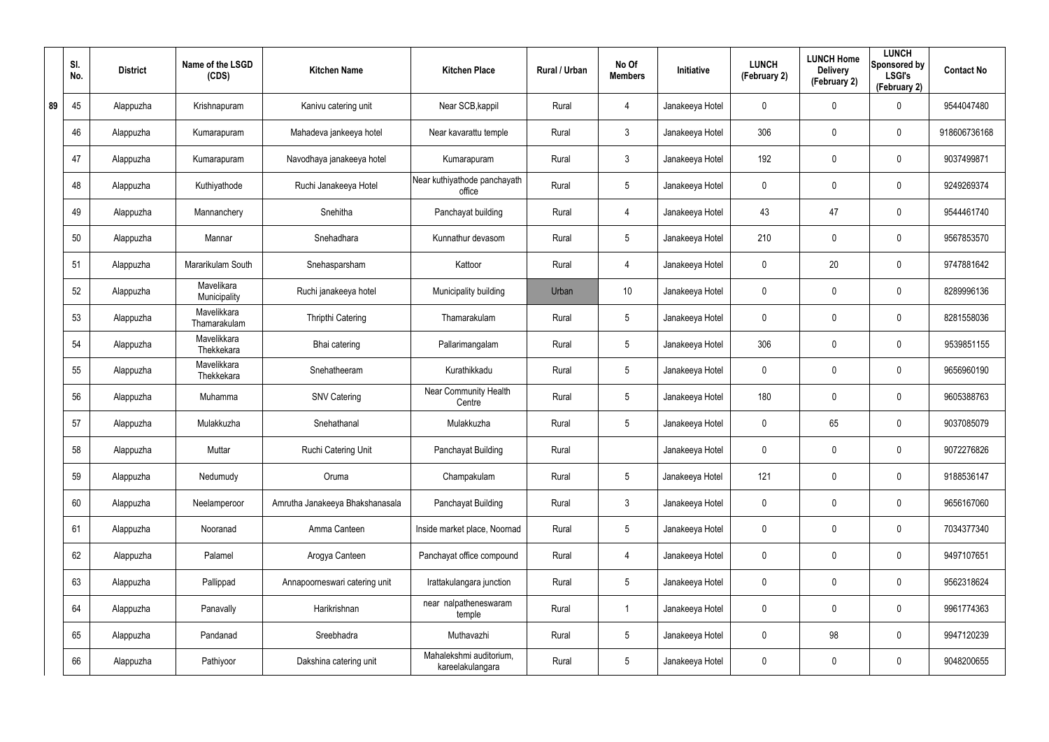|    | SI.<br>No. | <b>District</b> | Name of the LSGD<br>(CDS)   | <b>Kitchen Name</b>             | <b>Kitchen Place</b>                        | Rural / Urban | No Of<br><b>Members</b> | Initiative      | <b>LUNCH</b><br>(February 2) | <b>LUNCH Home</b><br><b>Delivery</b><br>(February 2) | <b>LUNCH</b><br>Sponsored by<br><b>LSGI's</b><br>(February 2) | <b>Contact No</b> |
|----|------------|-----------------|-----------------------------|---------------------------------|---------------------------------------------|---------------|-------------------------|-----------------|------------------------------|------------------------------------------------------|---------------------------------------------------------------|-------------------|
| 89 | 45         | Alappuzha       | Krishnapuram                | Kanivu catering unit            | Near SCB, kappil                            | Rural         | $\overline{4}$          | Janakeeya Hotel | 0                            | 0                                                    | 0                                                             | 9544047480        |
|    | 46         | Alappuzha       | Kumarapuram                 | Mahadeva jankeeya hotel         | Near kavarattu temple                       | Rural         | $\mathbf{3}$            | Janakeeya Hotel | 306                          | $\boldsymbol{0}$                                     | $\boldsymbol{0}$                                              | 918606736168      |
|    | 47         | Alappuzha       | Kumarapuram                 | Navodhaya janakeeya hotel       | Kumarapuram                                 | Rural         | $\mathbf{3}$            | Janakeeya Hotel | 192                          | $\mathbf 0$                                          | 0                                                             | 9037499871        |
|    | 48         | Alappuzha       | Kuthiyathode                | Ruchi Janakeeya Hotel           | Near kuthiyathode panchayath<br>office      | Rural         | $5\phantom{.0}$         | Janakeeya Hotel | 0                            | 0                                                    | $\boldsymbol{0}$                                              | 9249269374        |
|    | 49         | Alappuzha       | Mannanchery                 | Snehitha                        | Panchayat building                          | Rural         | $\overline{4}$          | Janakeeya Hotel | 43                           | 47                                                   | $\boldsymbol{0}$                                              | 9544461740        |
|    | 50         | Alappuzha       | Mannar                      | Snehadhara                      | Kunnathur devasom                           | Rural         | $5\phantom{.0}$         | Janakeeya Hotel | 210                          | 0                                                    | $\boldsymbol{0}$                                              | 9567853570        |
|    | 51         | Alappuzha       | Mararikulam South           | Snehasparsham                   | Kattoor                                     | Rural         | $\overline{4}$          | Janakeeya Hotel | 0                            | 20                                                   | $\boldsymbol{0}$                                              | 9747881642        |
|    | 52         | Alappuzha       | Mavelikara<br>Municipality  | Ruchi janakeeya hotel           | Municipality building                       | Urban         | 10                      | Janakeeya Hotel | 0                            | 0                                                    | $\boldsymbol{0}$                                              | 8289996136        |
|    | 53         | Alappuzha       | Mavelikkara<br>Thamarakulam | Thripthi Catering               | Thamarakulam                                | Rural         | $5\phantom{.0}$         | Janakeeya Hotel | 0                            | 0                                                    | $\boldsymbol{0}$                                              | 8281558036        |
|    | 54         | Alappuzha       | Mavelikkara<br>Thekkekara   | Bhai catering                   | Pallarimangalam                             | Rural         | $5\phantom{.0}$         | Janakeeya Hotel | 306                          | 0                                                    | $\boldsymbol{0}$                                              | 9539851155        |
|    | 55         | Alappuzha       | Mavelikkara<br>Thekkekara   | Snehatheeram                    | Kurathikkadu                                | Rural         | $5\phantom{.0}$         | Janakeeya Hotel | 0                            | 0                                                    | $\boldsymbol{0}$                                              | 9656960190        |
|    | 56         | Alappuzha       | Muhamma                     | <b>SNV Catering</b>             | <b>Near Community Health</b><br>Centre      | Rural         | $5\phantom{.0}$         | Janakeeya Hotel | 180                          | 0                                                    | $\boldsymbol{0}$                                              | 9605388763        |
|    | 57         | Alappuzha       | Mulakkuzha                  | Snehathanal                     | Mulakkuzha                                  | Rural         | $5\phantom{.0}$         | Janakeeya Hotel | 0                            | 65                                                   | $\boldsymbol{0}$                                              | 9037085079        |
|    | 58         | Alappuzha       | Muttar                      | Ruchi Catering Unit             | Panchayat Building                          | Rural         |                         | Janakeeya Hotel | 0                            | 0                                                    | $\mathbf 0$                                                   | 9072276826        |
|    | 59         | Alappuzha       | Nedumudy                    | Oruma                           | Champakulam                                 | Rural         | $5\phantom{.0}$         | Janakeeya Hotel | 121                          | $\mathbf 0$                                          | $\mathbf 0$                                                   | 9188536147        |
|    | 60         | Alappuzha       | Neelamperoor                | Amrutha Janakeeya Bhakshanasala | Panchayat Building                          | Rural         | 3 <sup>1</sup>          | Janakeeya Hotel | 0                            | 0                                                    | $\mathbf 0$                                                   | 9656167060        |
|    | 61         | Alappuzha       | Nooranad                    | Amma Canteen                    | Inside market place, Noornad                | Rural         | $5\phantom{.0}$         | Janakeeya Hotel | $\pmb{0}$                    | $\mathbf 0$                                          | $\mathbf 0$                                                   | 7034377340        |
|    | 62         | Alappuzha       | Palamel                     | Arogya Canteen                  | Panchayat office compound                   | Rural         | $\overline{4}$          | Janakeeya Hotel | 0                            | 0                                                    | $\mathbf 0$                                                   | 9497107651        |
|    | 63         | Alappuzha       | Pallippad                   | Annapoorneswari catering unit   | Irattakulangara junction                    | Rural         | $5\phantom{.0}$         | Janakeeya Hotel | $\mathbf 0$                  | $\boldsymbol{0}$                                     | $\mathbf 0$                                                   | 9562318624        |
|    | 64         | Alappuzha       | Panavally                   | Harikrishnan                    | near nalpatheneswaram<br>temple             | Rural         | $\mathbf{1}$            | Janakeeya Hotel | 0                            | 0                                                    | $\mathbf 0$                                                   | 9961774363        |
|    | 65         | Alappuzha       | Pandanad                    | Sreebhadra                      | Muthavazhi                                  | Rural         | $5\phantom{.0}$         | Janakeeya Hotel | $\mathbf 0$                  | 98                                                   | $\mathbf 0$                                                   | 9947120239        |
|    | 66         | Alappuzha       | Pathiyoor                   | Dakshina catering unit          | Mahalekshmi auditorium,<br>kareelakulangara | Rural         | $5\phantom{.0}$         | Janakeeya Hotel | 0                            | 0                                                    | $\boldsymbol{0}$                                              | 9048200655        |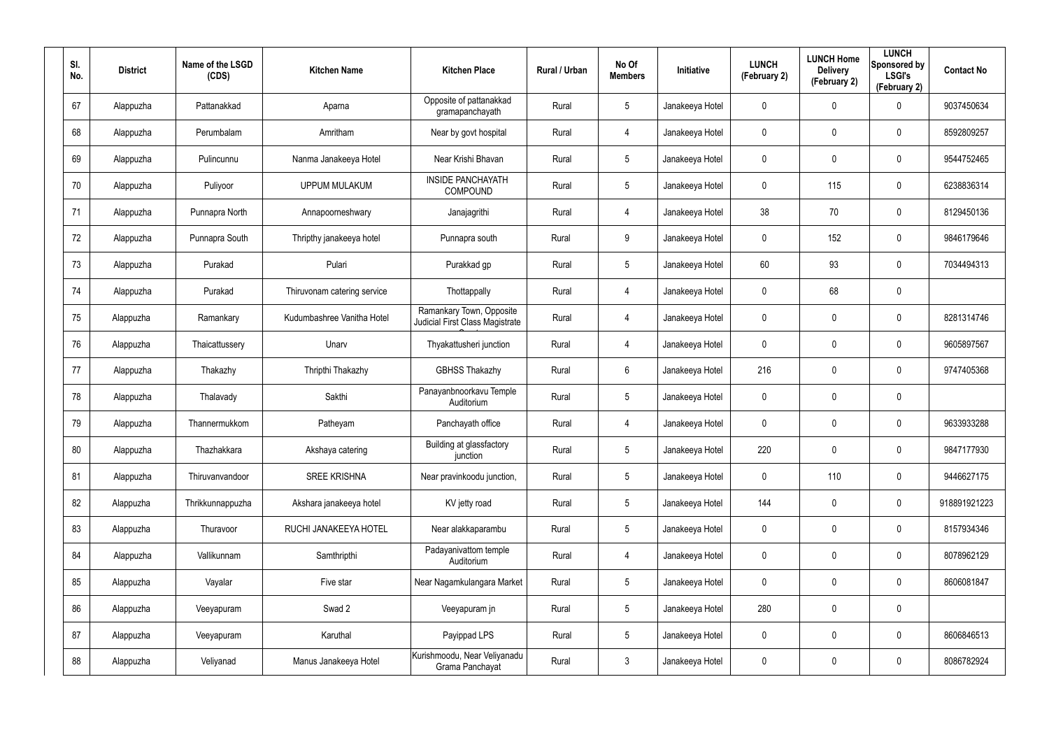| SI.<br>No. | <b>District</b> | Name of the LSGD<br>(CDS) | <b>Kitchen Name</b>         | <b>Kitchen Place</b>                                               | Rural / Urban | No Of<br><b>Members</b> | Initiative      | <b>LUNCH</b><br>(February 2) | <b>LUNCH Home</b><br><b>Delivery</b><br>(February 2) | <b>LUNCH</b><br>Sponsored by<br><b>LSGI's</b><br>(February 2) | <b>Contact No</b> |
|------------|-----------------|---------------------------|-----------------------------|--------------------------------------------------------------------|---------------|-------------------------|-----------------|------------------------------|------------------------------------------------------|---------------------------------------------------------------|-------------------|
| 67         | Alappuzha       | Pattanakkad               | Aparna                      | Opposite of pattanakkad<br>gramapanchayath                         | Rural         | $5\phantom{.0}$         | Janakeeya Hotel | $\mathbf 0$                  | 0                                                    | 0                                                             | 9037450634        |
| 68         | Alappuzha       | Perumbalam                | Amritham                    | Near by govt hospital                                              | Rural         | 4                       | Janakeeya Hotel | 0                            | 0                                                    | $\boldsymbol{0}$                                              | 8592809257        |
| 69         | Alappuzha       | Pulincunnu                | Nanma Janakeeya Hotel       | Near Krishi Bhavan                                                 | Rural         | $5\phantom{.0}$         | Janakeeya Hotel | $\mathbf 0$                  | $\mathbf 0$                                          | $\mathbf 0$                                                   | 9544752465        |
| 70         | Alappuzha       | Puliyoor                  | <b>UPPUM MULAKUM</b>        | <b>INSIDE PANCHAYATH</b><br><b>COMPOUND</b>                        | Rural         | $5\phantom{.0}$         | Janakeeya Hotel | 0                            | 115                                                  | $\mathbf 0$                                                   | 6238836314        |
| 71         | Alappuzha       | Punnapra North            | Annapoorneshwary            | Janajagrithi                                                       | Rural         | 4                       | Janakeeya Hotel | 38                           | 70                                                   | $\boldsymbol{0}$                                              | 8129450136        |
| 72         | Alappuzha       | Punnapra South            | Thripthy janakeeya hotel    | Punnapra south                                                     | Rural         | 9                       | Janakeeya Hotel | 0                            | 152                                                  | $\mathbf 0$                                                   | 9846179646        |
| 73         | Alappuzha       | Purakad                   | Pulari                      | Purakkad gp                                                        | Rural         | $5\phantom{.0}$         | Janakeeya Hotel | 60                           | 93                                                   | $\mathbf 0$                                                   | 7034494313        |
| 74         | Alappuzha       | Purakad                   | Thiruvonam catering service | Thottappally                                                       | Rural         | 4                       | Janakeeya Hotel | 0                            | 68                                                   | $\mathbf 0$                                                   |                   |
| 75         | Alappuzha       | Ramankary                 | Kudumbashree Vanitha Hotel  | Ramankary Town, Opposite<br><b>Judicial First Class Magistrate</b> | Rural         | 4                       | Janakeeya Hotel | 0                            | 0                                                    | $\pmb{0}$                                                     | 8281314746        |
| 76         | Alappuzha       | Thaicattussery            | Unarv                       | Thyakattusheri junction                                            | Rural         | 4                       | Janakeeya Hotel | 0                            | 0                                                    | $\mathbf 0$                                                   | 9605897567        |
| 77         | Alappuzha       | Thakazhy                  | Thripthi Thakazhy           | <b>GBHSS Thakazhy</b>                                              | Rural         | 6                       | Janakeeya Hotel | 216                          | 0                                                    | $\mathbf 0$                                                   | 9747405368        |
| 78         | Alappuzha       | Thalavady                 | Sakthi                      | Panayanbnoorkavu Temple<br>Auditorium                              | Rural         | $5\phantom{.0}$         | Janakeeya Hotel | 0                            | 0                                                    | $\mathbf 0$                                                   |                   |
| 79         | Alappuzha       | Thannermukkom             | Patheyam                    | Panchayath office                                                  | Rural         | 4                       | Janakeeya Hotel | 0                            | 0                                                    | $\mathbf 0$                                                   | 9633933288        |
| 80         | Alappuzha       | Thazhakkara               | Akshaya catering            | Building at glassfactory<br>junction                               | Rural         | $5\phantom{.0}$         | Janakeeya Hotel | 220                          | $\mathbf 0$                                          | $\pmb{0}$                                                     | 9847177930        |
| 81         | Alappuzha       | Thiruvanvandoor           | <b>SREE KRISHNA</b>         | Near pravinkoodu junction,                                         | Rural         | $5\phantom{.0}$         | Janakeeya Hotel | $\mathbf 0$                  | 110                                                  | $\mathbf 0$                                                   | 9446627175        |
| 82         | Alappuzha       | Thrikkunnappuzha          | Akshara janakeeya hotel     | KV jetty road                                                      | Rural         | $5\phantom{.0}$         | Janakeeya Hotel | 144                          | $\mathbf 0$                                          | $\mathbf 0$                                                   | 918891921223      |
| 83         | Alappuzha       | Thuravoor                 | RUCHI JANAKEEYA HOTEL       | Near alakkaparambu                                                 | Rural         | $5\phantom{.0}$         | Janakeeya Hotel | 0                            | $\mathbf 0$                                          | $\mathbf 0$                                                   | 8157934346        |
| 84         | Alappuzha       | Vallikunnam               | Samthripthi                 | Padayanivattom temple<br>Auditorium                                | Rural         | 4                       | Janakeeya Hotel | 0                            | 0                                                    | $\mathbf 0$                                                   | 8078962129        |
| 85         | Alappuzha       | Vayalar                   | Five star                   | Near Nagamkulangara Market                                         | Rural         | $5\phantom{.0}$         | Janakeeya Hotel | $\mathbf 0$                  | 0                                                    | $\mathbf 0$                                                   | 8606081847        |
| 86         | Alappuzha       | Veeyapuram                | Swad 2                      | Veeyapuram jn                                                      | Rural         | $5\phantom{.0}$         | Janakeeya Hotel | 280                          | $\mathbf 0$                                          | $\pmb{0}$                                                     |                   |
| 87         | Alappuzha       | Veeyapuram                | Karuthal                    | Payippad LPS                                                       | Rural         | $5\phantom{.0}$         | Janakeeya Hotel | 0                            | 0                                                    | $\mathbf 0$                                                   | 8606846513        |
| 88         | Alappuzha       | Veliyanad                 | Manus Janakeeya Hotel       | Kurishmoodu, Near Veliyanadu<br>Grama Panchayat                    | Rural         | $\mathfrak{Z}$          | Janakeeya Hotel | 0                            | 0                                                    | $\pmb{0}$                                                     | 8086782924        |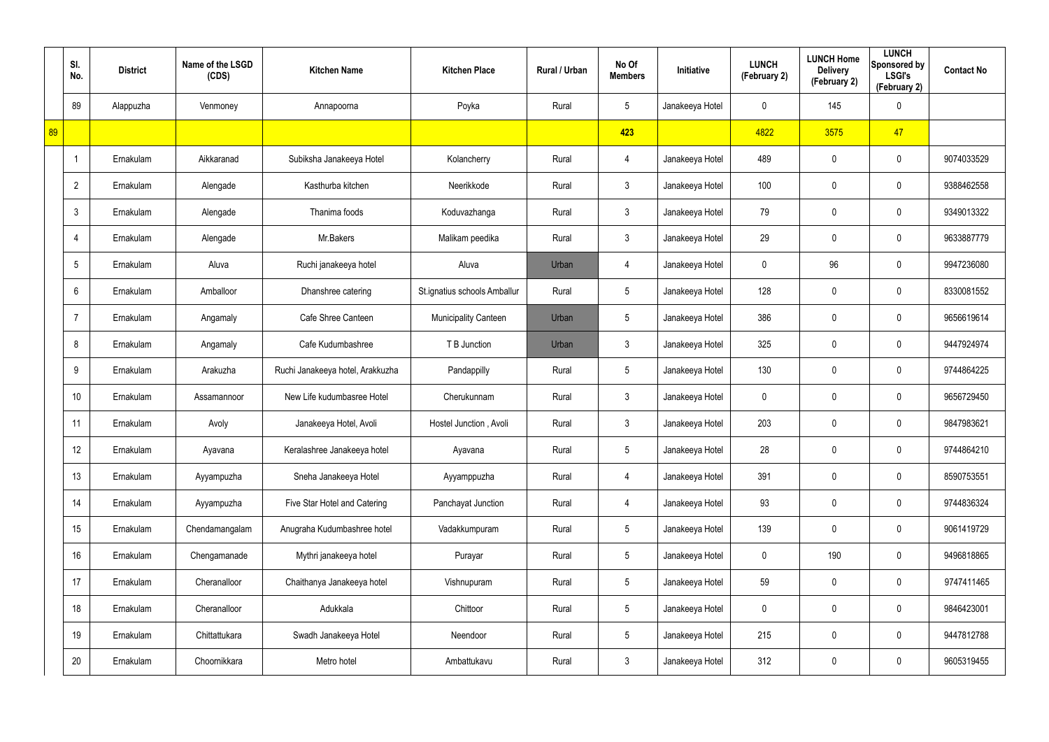|    | SI.<br>No.      | <b>District</b> | Name of the LSGD<br>(CDS) | <b>Kitchen Name</b>              | <b>Kitchen Place</b>         | Rural / Urban | No Of<br><b>Members</b> | Initiative      | <b>LUNCH</b><br>(February 2) | <b>LUNCH Home</b><br><b>Delivery</b><br>(February 2) | <b>LUNCH</b><br>Sponsored by<br><b>LSGI's</b><br>(February 2) | <b>Contact No</b> |
|----|-----------------|-----------------|---------------------------|----------------------------------|------------------------------|---------------|-------------------------|-----------------|------------------------------|------------------------------------------------------|---------------------------------------------------------------|-------------------|
|    | 89              | Alappuzha       | Venmoney                  | Annapoorna                       | Poyka                        | Rural         | $5\phantom{.0}$         | Janakeeya Hotel | 0                            | 145                                                  | $\mathbf 0$                                                   |                   |
| 89 |                 |                 |                           |                                  |                              |               | 423                     |                 | 4822                         | 3575                                                 | 47                                                            |                   |
|    |                 | Ernakulam       | Aikkaranad                | Subiksha Janakeeya Hotel         | Kolancherry                  | Rural         | $\overline{4}$          | Janakeeya Hotel | 489                          | 0                                                    | $\mathbf 0$                                                   | 9074033529        |
|    | $\overline{2}$  | Ernakulam       | Alengade                  | Kasthurba kitchen                | Neerikkode                   | Rural         | $\mathbf{3}$            | Janakeeya Hotel | 100                          | 0                                                    | $\mathbf 0$                                                   | 9388462558        |
|    | $\mathbf{3}$    | Ernakulam       | Alengade                  | Thanima foods                    | Koduvazhanga                 | Rural         | $\mathbf{3}$            | Janakeeya Hotel | 79                           | 0                                                    | $\mathbf 0$                                                   | 9349013322        |
|    | $\overline{4}$  | Ernakulam       | Alengade                  | Mr.Bakers                        | Malikam peedika              | Rural         | $\mathbf{3}$            | Janakeeya Hotel | 29                           | 0                                                    | $\mathbf 0$                                                   | 9633887779        |
|    | $5\phantom{.0}$ | Ernakulam       | Aluva                     | Ruchi janakeeya hotel            | Aluva                        | Urban         | $\overline{4}$          | Janakeeya Hotel | 0                            | 96                                                   | $\mathbf 0$                                                   | 9947236080        |
|    | $6^{\circ}$     | Ernakulam       | Amballoor                 | Dhanshree catering               | St.ignatius schools Amballur | Rural         | $5\overline{)}$         | Janakeeya Hotel | 128                          | 0                                                    | $\mathbf 0$                                                   | 8330081552        |
|    | $\overline{7}$  | Ernakulam       | Angamaly                  | Cafe Shree Canteen               | <b>Municipality Canteen</b>  | Urban         | $5\overline{)}$         | Janakeeya Hotel | 386                          | 0                                                    | $\mathbf 0$                                                   | 9656619614        |
|    | 8               | Ernakulam       | Angamaly                  | Cafe Kudumbashree                | T B Junction                 | Urban         | 3                       | Janakeeya Hotel | 325                          | 0                                                    | $\mathbf 0$                                                   | 9447924974        |
|    | 9               | Ernakulam       | Arakuzha                  | Ruchi Janakeeya hotel, Arakkuzha | Pandappilly                  | Rural         | $5\phantom{.0}$         | Janakeeya Hotel | 130                          | 0                                                    | $\mathbf 0$                                                   | 9744864225        |
|    | 10              | Ernakulam       | Assamannoor               | New Life kudumbasree Hotel       | Cherukunnam                  | Rural         | $\mathbf{3}$            | Janakeeya Hotel | 0                            | 0                                                    | $\mathbf 0$                                                   | 9656729450        |
|    | 11              | Ernakulam       | Avoly                     | Janakeeya Hotel, Avoli           | Hostel Junction, Avoli       | Rural         | $\mathbf{3}$            | Janakeeya Hotel | 203                          | 0                                                    | $\mathbf 0$                                                   | 9847983621        |
|    | 12              | Ernakulam       | Ayavana                   | Keralashree Janakeeya hotel      | Ayavana                      | Rural         | $\sqrt{5}$              | Janakeeya Hotel | 28                           | 0                                                    | $\pmb{0}$                                                     | 9744864210        |
|    | 13              | Ernakulam       | Ayyampuzha                | Sneha Janakeeya Hotel            | Ayyamppuzha                  | Rural         | $\overline{4}$          | Janakeeya Hotel | 391                          | $\mathbf 0$                                          | $\mathbf 0$                                                   | 8590753551        |
|    | 14              | Ernakulam       | Ayyampuzha                | Five Star Hotel and Catering     | Panchayat Junction           | Rural         | $\overline{4}$          | Janakeeya Hotel | 93                           | $\mathbf 0$                                          | $\pmb{0}$                                                     | 9744836324        |
|    | 15              | Ernakulam       | Chendamangalam            | Anugraha Kudumbashree hotel      | Vadakkumpuram                | Rural         | $5\phantom{.0}$         | Janakeeya Hotel | 139                          | $\mathbf 0$                                          | $\mathbf 0$                                                   | 9061419729        |
|    | 16              | Ernakulam       | Chengamanade              | Mythri janakeeya hotel           | Purayar                      | Rural         | $5\phantom{.0}$         | Janakeeya Hotel | 0                            | 190                                                  | $\mathbf 0$                                                   | 9496818865        |
|    | 17              | Ernakulam       | Cheranalloor              | Chaithanya Janakeeya hotel       | Vishnupuram                  | Rural         | $5\phantom{.0}$         | Janakeeya Hotel | 59                           | 0                                                    | $\mathbf 0$                                                   | 9747411465        |
|    | 18              | Ernakulam       | Cheranalloor              | Adukkala                         | Chittoor                     | Rural         | $5\phantom{.0}$         | Janakeeya Hotel | 0                            | 0                                                    | $\pmb{0}$                                                     | 9846423001        |
|    | 19              | Ernakulam       | Chittattukara             | Swadh Janakeeya Hotel            | Neendoor                     | Rural         | $5\phantom{.0}$         | Janakeeya Hotel | 215                          | 0                                                    | $\mathbf 0$                                                   | 9447812788        |
|    | 20              | Ernakulam       | Choornikkara              | Metro hotel                      | Ambattukavu                  | Rural         | $\mathfrak{Z}$          | Janakeeya Hotel | 312                          | 0                                                    | $\pmb{0}$                                                     | 9605319455        |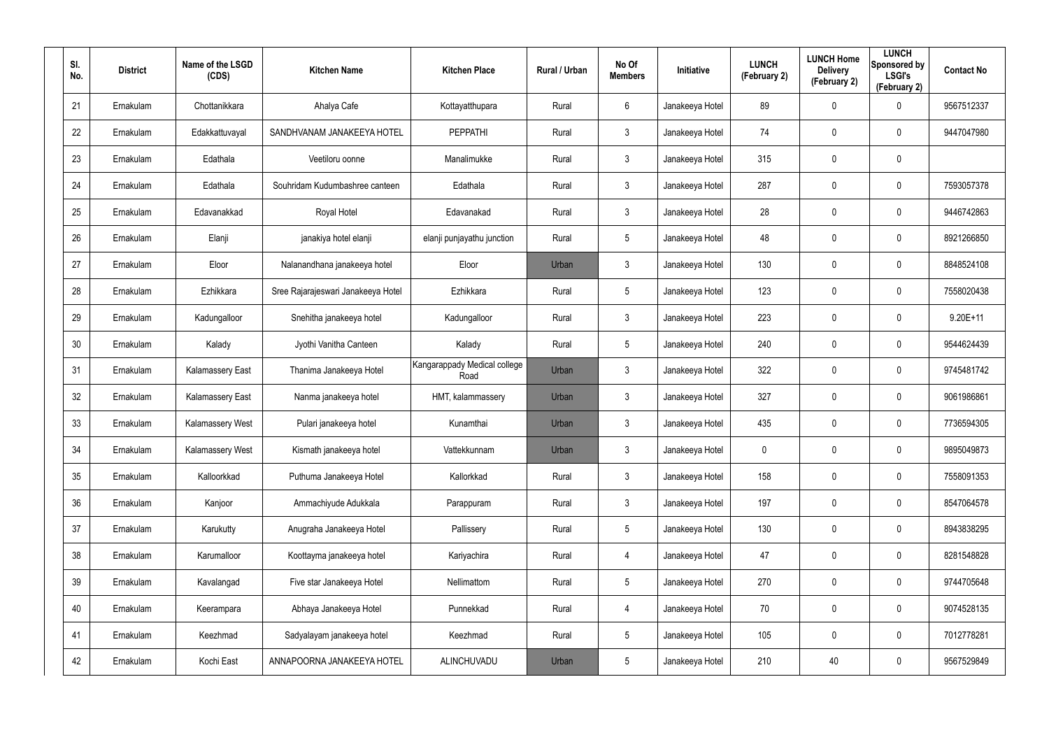| SI.<br>No. | <b>District</b> | Name of the LSGD<br>(CDS) | <b>Kitchen Name</b>                | <b>Kitchen Place</b>                 | Rural / Urban | No Of<br><b>Members</b> | <b>Initiative</b> | <b>LUNCH</b><br>(February 2) | <b>LUNCH Home</b><br><b>Delivery</b><br>(February 2) | <b>LUNCH</b><br>Sponsored by<br><b>LSGI's</b><br>(February 2) | <b>Contact No</b> |
|------------|-----------------|---------------------------|------------------------------------|--------------------------------------|---------------|-------------------------|-------------------|------------------------------|------------------------------------------------------|---------------------------------------------------------------|-------------------|
| 21         | Ernakulam       | Chottanikkara             | Ahalya Cafe                        | Kottayatthupara                      | Rural         | 6                       | Janakeeya Hotel   | 89                           | 0                                                    | $\mathbf 0$                                                   | 9567512337        |
| 22         | Ernakulam       | Edakkattuvayal            | SANDHVANAM JANAKEEYA HOTEL         | <b>PEPPATHI</b>                      | Rural         | $\mathbf{3}$            | Janakeeya Hotel   | 74                           | 0                                                    | $\mathbf 0$                                                   | 9447047980        |
| 23         | Ernakulam       | Edathala                  | Veetiloru oonne                    | Manalimukke                          | Rural         | $\mathbf{3}$            | Janakeeya Hotel   | 315                          | 0                                                    | $\pmb{0}$                                                     |                   |
| 24         | Ernakulam       | Edathala                  | Souhridam Kudumbashree canteen     | Edathala                             | Rural         | $\mathbf{3}$            | Janakeeya Hotel   | 287                          | 0                                                    | $\mathbf 0$                                                   | 7593057378        |
| 25         | Ernakulam       | Edavanakkad               | Royal Hotel                        | Edavanakad                           | Rural         | $\mathbf{3}$            | Janakeeya Hotel   | 28                           | 0                                                    | $\mathbf 0$                                                   | 9446742863        |
| 26         | Ernakulam       | Elanji                    | janakiya hotel elanji              | elanji punjayathu junction           | Rural         | $5\phantom{.0}$         | Janakeeya Hotel   | 48                           | 0                                                    | $\mathbf 0$                                                   | 8921266850        |
| 27         | Ernakulam       | Eloor                     | Nalanandhana janakeeya hotel       | Eloor                                | Urban         | $\mathbf{3}$            | Janakeeya Hotel   | 130                          | 0                                                    | $\mathbf 0$                                                   | 8848524108        |
| 28         | Ernakulam       | Ezhikkara                 | Sree Rajarajeswari Janakeeya Hotel | Ezhikkara                            | Rural         | $5\overline{)}$         | Janakeeya Hotel   | 123                          | 0                                                    | $\mathbf 0$                                                   | 7558020438        |
| 29         | Ernakulam       | Kadungalloor              | Snehitha janakeeya hotel           | Kadungalloor                         | Rural         | $\mathbf{3}$            | Janakeeya Hotel   | 223                          | 0                                                    | $\mathbf 0$                                                   | $9.20E+11$        |
| 30         | Ernakulam       | Kalady                    | Jyothi Vanitha Canteen             | Kalady                               | Rural         | $5\overline{)}$         | Janakeeya Hotel   | 240                          | 0                                                    | $\mathbf 0$                                                   | 9544624439        |
| 31         | Ernakulam       | Kalamassery East          | Thanima Janakeeya Hotel            | Kangarappady Medical college<br>Road | Urban         | $\mathbf{3}$            | Janakeeya Hotel   | 322                          | 0                                                    | $\mathbf 0$                                                   | 9745481742        |
| 32         | Ernakulam       | <b>Kalamassery East</b>   | Nanma janakeeya hotel              | HMT, kalammassery                    | Urban         | $\mathbf{3}$            | Janakeeya Hotel   | 327                          | 0                                                    | $\mathbf 0$                                                   | 9061986861        |
| 33         | Ernakulam       | Kalamassery West          | Pulari janakeeya hotel             | Kunamthai                            | Urban         | $\mathbf{3}$            | Janakeeya Hotel   | 435                          | $\mathbf 0$                                          | $\mathbf 0$                                                   | 7736594305        |
| 34         | Ernakulam       | Kalamassery West          | Kismath janakeeya hotel            | Vattekkunnam                         | Urban         | $\mathfrak{Z}$          | Janakeeya Hotel   | 0                            | 0                                                    | $\pmb{0}$                                                     | 9895049873        |
| 35         | Ernakulam       | Kalloorkkad               | Puthuma Janakeeya Hotel            | Kallorkkad                           | Rural         | $\mathbf{3}$            | Janakeeya Hotel   | 158                          | $\mathbf 0$                                          | $\mathbf 0$                                                   | 7558091353        |
| 36         | Ernakulam       | Kanjoor                   | Ammachiyude Adukkala               | Parappuram                           | Rural         | $\mathbf{3}$            | Janakeeya Hotel   | 197                          | 0                                                    | $\mathbf 0$                                                   | 8547064578        |
| 37         | Ernakulam       | Karukutty                 | Anugraha Janakeeya Hotel           | Pallissery                           | Rural         | $5\phantom{.0}$         | Janakeeya Hotel   | 130                          | 0                                                    | $\mathbf 0$                                                   | 8943838295        |
| 38         | Ernakulam       | Karumalloor               | Koottayma janakeeya hotel          | Kariyachira                          | Rural         | 4                       | Janakeeya Hotel   | 47                           | 0                                                    | $\mathbf 0$                                                   | 8281548828        |
| 39         | Ernakulam       | Kavalangad                | Five star Janakeeya Hotel          | Nellimattom                          | Rural         | $5\phantom{.0}$         | Janakeeya Hotel   | 270                          | 0                                                    | $\mathbf 0$                                                   | 9744705648        |
| 40         | Ernakulam       | Keerampara                | Abhaya Janakeeya Hotel             | Punnekkad                            | Rural         | 4                       | Janakeeya Hotel   | 70                           | 0                                                    | $\mathbf 0$                                                   | 9074528135        |
| 41         | Ernakulam       | Keezhmad                  | Sadyalayam janakeeya hotel         | Keezhmad                             | Rural         | $5\phantom{.0}$         | Janakeeya Hotel   | 105                          | 0                                                    | $\mathbf 0$                                                   | 7012778281        |
| 42         | Ernakulam       | Kochi East                | ANNAPOORNA JANAKEEYA HOTEL         | ALINCHUVADU                          | Urban         | $5\phantom{.0}$         | Janakeeya Hotel   | 210                          | 40                                                   | $\mathbf 0$                                                   | 9567529849        |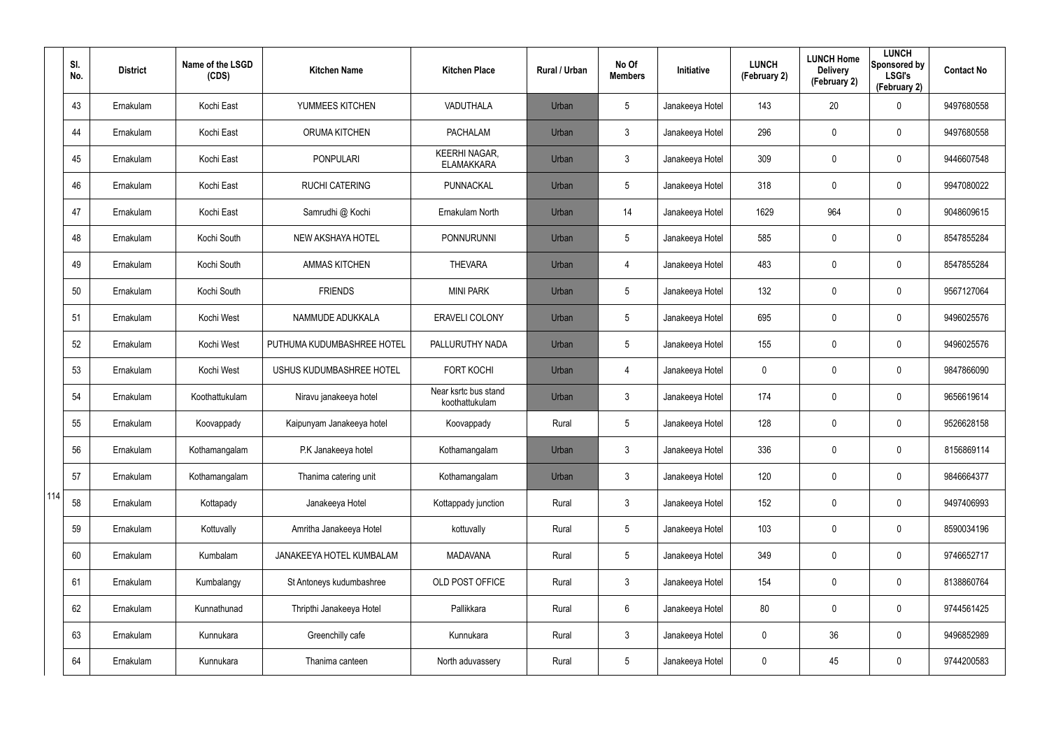|     | SI.<br>No. | <b>District</b> | Name of the LSGD<br>(CDS) | <b>Kitchen Name</b>        | <b>Kitchen Place</b>                      | Rural / Urban | No Of<br><b>Members</b> | Initiative      | <b>LUNCH</b><br>(February 2) | <b>LUNCH Home</b><br><b>Delivery</b><br>(February 2) | <b>LUNCH</b><br>Sponsored by<br><b>LSGI's</b><br>(February 2) | <b>Contact No</b> |
|-----|------------|-----------------|---------------------------|----------------------------|-------------------------------------------|---------------|-------------------------|-----------------|------------------------------|------------------------------------------------------|---------------------------------------------------------------|-------------------|
|     | 43         | Ernakulam       | Kochi East                | YUMMEES KITCHEN            | VADUTHALA                                 | Urban         | $5\overline{)}$         | Janakeeya Hotel | 143                          | 20                                                   | $\mathbf 0$                                                   | 9497680558        |
|     | 44         | Ernakulam       | Kochi East                | <b>ORUMA KITCHEN</b>       | <b>PACHALAM</b>                           | Urban         | 3                       | Janakeeya Hotel | 296                          | 0                                                    | $\mathbf 0$                                                   | 9497680558        |
|     | 45         | Ernakulam       | Kochi East                | <b>PONPULARI</b>           | <b>KEERHI NAGAR,</b><br><b>ELAMAKKARA</b> | Urban         | 3                       | Janakeeya Hotel | 309                          | 0                                                    | $\mathbf 0$                                                   | 9446607548        |
|     | 46         | Ernakulam       | Kochi East                | <b>RUCHI CATERING</b>      | PUNNACKAL                                 | Urban         | 5                       | Janakeeya Hotel | 318                          | $\mathbf 0$                                          | $\mathbf 0$                                                   | 9947080022        |
|     | 47         | Ernakulam       | Kochi East                | Samrudhi @ Kochi           | Ernakulam North                           | Urban         | 14                      | Janakeeya Hotel | 1629                         | 964                                                  | $\mathbf 0$                                                   | 9048609615        |
|     | 48         | Ernakulam       | Kochi South               | NEW AKSHAYA HOTEL          | <b>PONNURUNNI</b>                         | Urban         | 5                       | Janakeeya Hotel | 585                          | 0                                                    | $\mathbf 0$                                                   | 8547855284        |
|     | 49         | Ernakulam       | Kochi South               | <b>AMMAS KITCHEN</b>       | <b>THEVARA</b>                            | Urban         | 4                       | Janakeeya Hotel | 483                          | 0                                                    | $\mathbf 0$                                                   | 8547855284        |
|     | 50         | Ernakulam       | Kochi South               | <b>FRIENDS</b>             | <b>MINI PARK</b>                          | Urban         | $5\overline{)}$         | Janakeeya Hotel | 132                          | 0                                                    | $\mathbf 0$                                                   | 9567127064        |
|     | 51         | Ernakulam       | Kochi West                | NAMMUDE ADUKKALA           | <b>ERAVELI COLONY</b>                     | Urban         | $5\overline{)}$         | Janakeeya Hotel | 695                          | 0                                                    | $\mathbf 0$                                                   | 9496025576        |
|     | 52         | Ernakulam       | Kochi West                | PUTHUMA KUDUMBASHREE HOTEL | PALLURUTHY NADA                           | Urban         | $5\overline{)}$         | Janakeeya Hotel | 155                          | 0                                                    | $\mathbf 0$                                                   | 9496025576        |
|     | 53         | Ernakulam       | Kochi West                | USHUS KUDUMBASHREE HOTEL   | <b>FORT KOCHI</b>                         | Urban         | 4                       | Janakeeya Hotel | 0                            | 0                                                    | $\mathbf 0$                                                   | 9847866090        |
|     | 54         | Ernakulam       | Koothattukulam            | Niravu janakeeya hotel     | Near ksrtc bus stand<br>koothattukulam    | Urban         | 3                       | Janakeeya Hotel | 174                          | 0                                                    | $\mathbf 0$                                                   | 9656619614        |
|     | 55         | Ernakulam       | Koovappady                | Kaipunyam Janakeeya hotel  | Koovappady                                | Rural         | $5\overline{)}$         | Janakeeya Hotel | 128                          | 0                                                    | $\mathbf 0$                                                   | 9526628158        |
|     | 56         | Ernakulam       | Kothamangalam             | P.K Janakeeya hotel        | Kothamangalam                             | Urban         | 3                       | Janakeeya Hotel | 336                          | $\mathbf 0$                                          | $\pmb{0}$                                                     | 8156869114        |
|     | 57         | Ernakulam       | Kothamangalam             | Thanima catering unit      | Kothamangalam                             | Urban         | $\mathfrak{Z}$          | Janakeeya Hotel | 120                          | $\mathbf 0$                                          | $\mathbf 0$                                                   | 9846664377        |
| 114 | 58         | Ernakulam       | Kottapady                 | Janakeeya Hotel            | Kottappady junction                       | Rural         | $\mathbf{3}$            | Janakeeya Hotel | 152                          | $\mathbf 0$                                          | $\mathsf{0}$                                                  | 9497406993        |
|     | 59         | Ernakulam       | Kottuvally                | Amritha Janakeeya Hotel    | kottuvally                                | Rural         | $\sqrt{5}$              | Janakeeya Hotel | 103                          | $\mathbf 0$                                          | $\mathbf 0$                                                   | 8590034196        |
|     | 60         | Ernakulam       | Kumbalam                  | JANAKEEYA HOTEL KUMBALAM   | <b>MADAVANA</b>                           | Rural         | $5\phantom{.0}$         | Janakeeya Hotel | 349                          | 0                                                    | $\mathbf 0$                                                   | 9746652717        |
|     | 61         | Ernakulam       | Kumbalangy                | St Antoneys kudumbashree   | OLD POST OFFICE                           | Rural         | $\mathfrak{Z}$          | Janakeeya Hotel | 154                          | 0                                                    | $\pmb{0}$                                                     | 8138860764        |
|     | 62         | Ernakulam       | Kunnathunad               | Thripthi Janakeeya Hotel   | Pallikkara                                | Rural         | $6\overline{6}$         | Janakeeya Hotel | 80                           | 0                                                    | $\mathsf{0}$                                                  | 9744561425        |
|     | 63         | Ernakulam       | Kunnukara                 | Greenchilly cafe           | Kunnukara                                 | Rural         | $\mathfrak{Z}$          | Janakeeya Hotel | 0                            | 36                                                   | $\mathbf 0$                                                   | 9496852989        |
|     | 64         | Ernakulam       | Kunnukara                 | Thanima canteen            | North aduvassery                          | Rural         | $\sqrt{5}$              | Janakeeya Hotel | 0                            | 45                                                   | $\pmb{0}$                                                     | 9744200583        |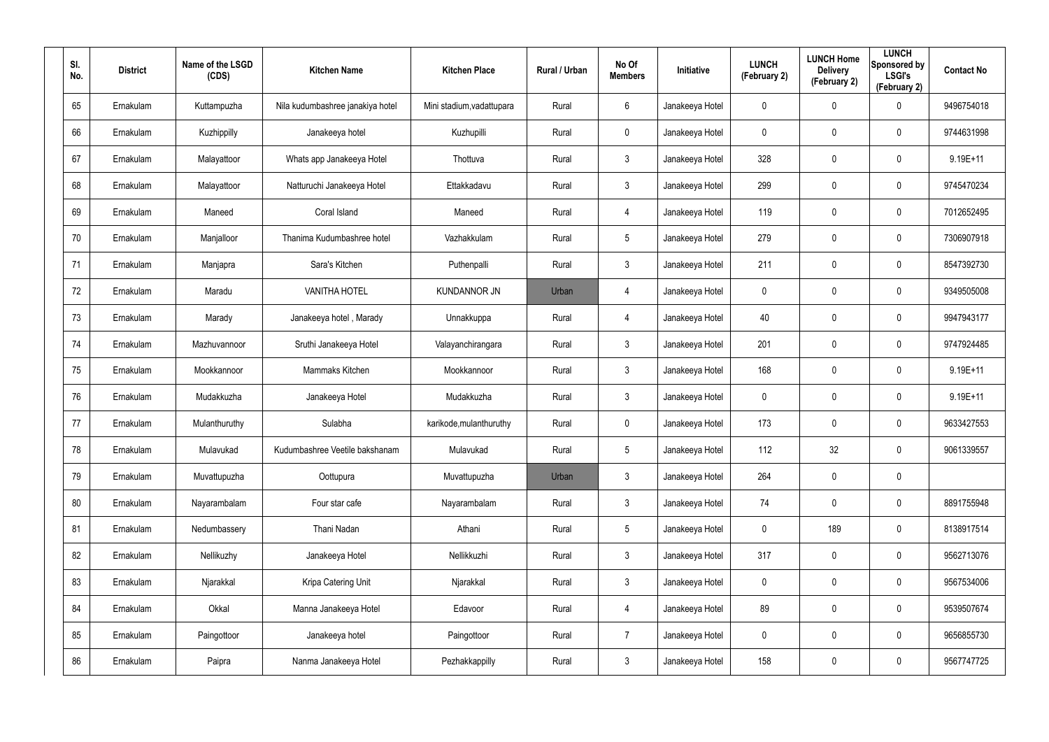| SI.<br>No. | <b>District</b> | Name of the LSGD<br>(CDS) | <b>Kitchen Name</b>              | <b>Kitchen Place</b>      | Rural / Urban | No Of<br><b>Members</b> | <b>Initiative</b> | <b>LUNCH</b><br>(February 2) | <b>LUNCH Home</b><br><b>Delivery</b><br>(February 2) | <b>LUNCH</b><br>Sponsored by<br><b>LSGI's</b><br>(February 2) | <b>Contact No</b> |
|------------|-----------------|---------------------------|----------------------------------|---------------------------|---------------|-------------------------|-------------------|------------------------------|------------------------------------------------------|---------------------------------------------------------------|-------------------|
| 65         | Ernakulam       | Kuttampuzha               | Nila kudumbashree janakiya hotel | Mini stadium, vadattupara | Rural         | 6                       | Janakeeya Hotel   | 0                            | 0                                                    | $\mathbf 0$                                                   | 9496754018        |
| 66         | Ernakulam       | Kuzhippilly               | Janakeeya hotel                  | Kuzhupilli                | Rural         | $\mathbf 0$             | Janakeeya Hotel   | 0                            | 0                                                    | $\mathbf 0$                                                   | 9744631998        |
| 67         | Ernakulam       | Malayattoor               | Whats app Janakeeya Hotel        | Thottuva                  | Rural         | $\mathbf{3}$            | Janakeeya Hotel   | 328                          | 0                                                    | $\mathbf 0$                                                   | $9.19E + 11$      |
| 68         | Ernakulam       | Malayattoor               | Natturuchi Janakeeya Hotel       | Ettakkadavu               | Rural         | $\mathbf{3}$            | Janakeeya Hotel   | 299                          | 0                                                    | $\mathbf 0$                                                   | 9745470234        |
| 69         | Ernakulam       | Maneed                    | Coral Island                     | Maneed                    | Rural         | $\overline{4}$          | Janakeeya Hotel   | 119                          | 0                                                    | $\pmb{0}$                                                     | 7012652495        |
| 70         | Ernakulam       | Manjalloor                | Thanima Kudumbashree hotel       | Vazhakkulam               | Rural         | $5\phantom{.0}$         | Janakeeya Hotel   | 279                          | 0                                                    | $\mathbf 0$                                                   | 7306907918        |
| 71         | Ernakulam       | Manjapra                  | Sara's Kitchen                   | Puthenpalli               | Rural         | $\mathbf{3}$            | Janakeeya Hotel   | 211                          | 0                                                    | $\pmb{0}$                                                     | 8547392730        |
| 72         | Ernakulam       | Maradu                    | <b>VANITHA HOTEL</b>             | <b>KUNDANNOR JN</b>       | Urban         | 4                       | Janakeeya Hotel   | 0                            | 0                                                    | $\mathbf 0$                                                   | 9349505008        |
| 73         | Ernakulam       | Marady                    | Janakeeya hotel, Marady          | Unnakkuppa                | Rural         | $\overline{4}$          | Janakeeya Hotel   | 40                           | 0                                                    | $\mathbf 0$                                                   | 9947943177        |
| 74         | Ernakulam       | Mazhuvannoor              | Sruthi Janakeeya Hotel           | Valayanchirangara         | Rural         | $\mathbf{3}$            | Janakeeya Hotel   | 201                          | 0                                                    | $\mathbf 0$                                                   | 9747924485        |
| 75         | Ernakulam       | Mookkannoor               | Mammaks Kitchen                  | Mookkannoor               | Rural         | $\mathbf{3}$            | Janakeeya Hotel   | 168                          | $\mathbf 0$                                          | $\mathbf 0$                                                   | $9.19E + 11$      |
| 76         | Ernakulam       | Mudakkuzha                | Janakeeya Hotel                  | Mudakkuzha                | Rural         | $\mathbf{3}$            | Janakeeya Hotel   | 0                            | 0                                                    | $\mathbf 0$                                                   | $9.19E + 11$      |
| 77         | Ernakulam       | Mulanthuruthy             | Sulabha                          | karikode, mulanthuruthy   | Rural         | $\mathbf 0$             | Janakeeya Hotel   | 173                          | $\mathbf 0$                                          | $\mathbf 0$                                                   | 9633427553        |
| 78         | Ernakulam       | Mulavukad                 | Kudumbashree Veetile bakshanam   | Mulavukad                 | Rural         | $5\phantom{.0}$         | Janakeeya Hotel   | 112                          | 32                                                   | $\pmb{0}$                                                     | 9061339557        |
| 79         | Ernakulam       | Muvattupuzha              | Oottupura                        | Muvattupuzha              | Urban         | $\mathbf{3}$            | Janakeeya Hotel   | 264                          | $\mathbf 0$                                          | $\pmb{0}$                                                     |                   |
| 80         | Ernakulam       | Nayarambalam              | Four star cafe                   | Nayarambalam              | Rural         | $\mathbf{3}$            | Janakeeya Hotel   | 74                           | $\mathbf 0$                                          | $\mathsf{0}$                                                  | 8891755948        |
| 81         | Ernakulam       | Nedumbassery              | Thani Nadan                      | Athani                    | Rural         | $5\phantom{.0}$         | Janakeeya Hotel   | $\mathbf 0$                  | 189                                                  | $\mathbf 0$                                                   | 8138917514        |
| 82         | Ernakulam       | Nellikuzhy                | Janakeeya Hotel                  | Nellikkuzhi               | Rural         | $\mathbf{3}$            | Janakeeya Hotel   | 317                          | $\mathbf 0$                                          | $\mathbf 0$                                                   | 9562713076        |
| 83         | Ernakulam       | Njarakkal                 | Kripa Catering Unit              | Njarakkal                 | Rural         | $\mathbf{3}$            | Janakeeya Hotel   | 0                            | 0                                                    | $\mathbf 0$                                                   | 9567534006        |
| 84         | Ernakulam       | Okkal                     | Manna Janakeeya Hotel            | Edavoor                   | Rural         | $\overline{4}$          | Janakeeya Hotel   | 89                           | 0                                                    | $\mathsf{0}$                                                  | 9539507674        |
| 85         | Ernakulam       | Paingottoor               | Janakeeya hotel                  | Paingottoor               | Rural         | $\overline{7}$          | Janakeeya Hotel   | 0                            | 0                                                    | $\mathbf 0$                                                   | 9656855730        |
| 86         | Ernakulam       | Paipra                    | Nanma Janakeeya Hotel            | Pezhakkappilly            | Rural         | $\mathfrak{Z}$          | Janakeeya Hotel   | 158                          | 0                                                    | $\mathbf 0$                                                   | 9567747725        |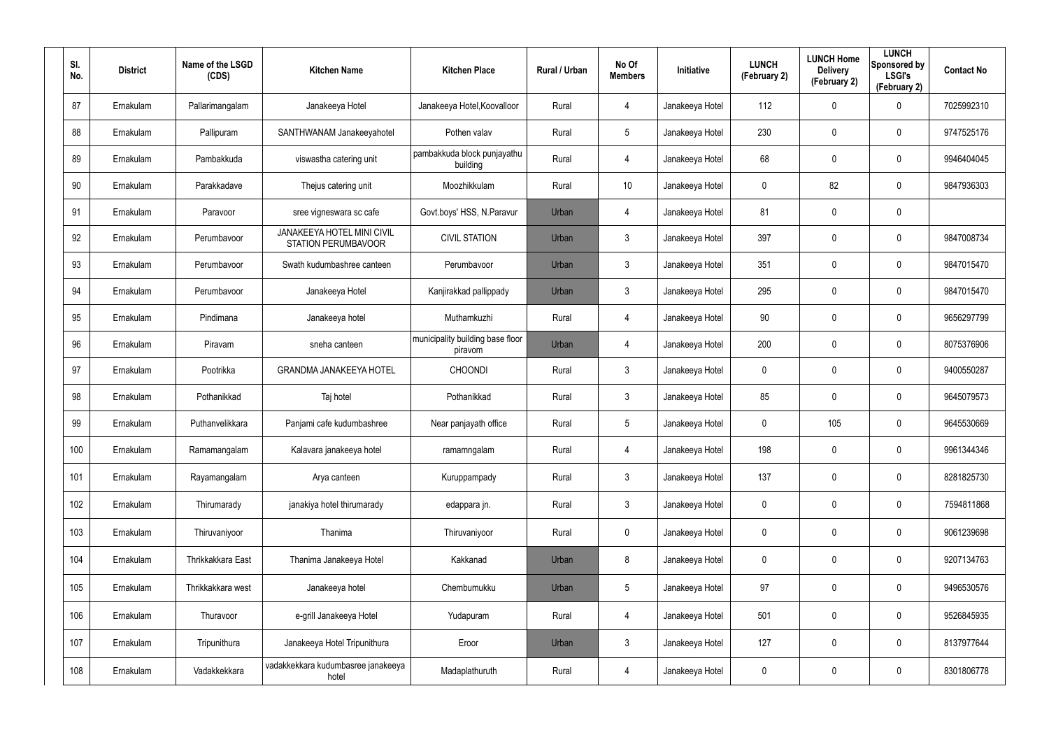| SI.<br>No. | <b>District</b> | Name of the LSGD<br>(CDS) | <b>Kitchen Name</b>                                             | <b>Kitchen Place</b>                        | Rural / Urban | No Of<br><b>Members</b> | Initiative      | <b>LUNCH</b><br>(February 2) | <b>LUNCH Home</b><br><b>Delivery</b><br>(February 2) | <b>LUNCH</b><br>Sponsored by<br><b>LSGI's</b><br>(February 2) | <b>Contact No</b> |
|------------|-----------------|---------------------------|-----------------------------------------------------------------|---------------------------------------------|---------------|-------------------------|-----------------|------------------------------|------------------------------------------------------|---------------------------------------------------------------|-------------------|
| 87         | Ernakulam       | Pallarimangalam           | Janakeeya Hotel                                                 | Janakeeya Hotel, Koovalloor                 | Rural         | 4                       | Janakeeya Hotel | 112                          | $\mathbf 0$                                          | $\mathbf 0$                                                   | 7025992310        |
| 88         | Ernakulam       | Pallipuram                | SANTHWANAM Janakeeyahotel                                       | Pothen valav                                | Rural         | 5                       | Janakeeya Hotel | 230                          | 0                                                    | $\mathbf 0$                                                   | 9747525176        |
| 89         | Ernakulam       | Pambakkuda                | viswastha catering unit                                         | pambakkuda block punjayathu<br>building     | Rural         | $\overline{4}$          | Janakeeya Hotel | 68                           | 0                                                    | $\mathbf 0$                                                   | 9946404045        |
| 90         | Ernakulam       | Parakkadave               | Thejus catering unit                                            | Moozhikkulam                                | Rural         | 10                      | Janakeeya Hotel | 0                            | 82                                                   | $\mathbf 0$                                                   | 9847936303        |
| 91         | Ernakulam       | Paravoor                  | sree vigneswara sc cafe                                         | Govt.boys' HSS, N.Paravur                   | Urban         | 4                       | Janakeeya Hotel | 81                           | 0                                                    | $\pmb{0}$                                                     |                   |
| 92         | Ernakulam       | Perumbavoor               | <b>JANAKEEYA HOTEL MINI CIVIL</b><br><b>STATION PERUMBAVOOR</b> | <b>CIVIL STATION</b>                        | Urban         | $\mathbf{3}$            | Janakeeya Hotel | 397                          | 0                                                    | $\mathbf 0$                                                   | 9847008734        |
| 93         | Ernakulam       | Perumbavoor               | Swath kudumbashree canteen                                      | Perumbavoor                                 | Urban         | $\mathbf{3}$            | Janakeeya Hotel | 351                          | $\mathbf 0$                                          | $\mathbf 0$                                                   | 9847015470        |
| 94         | Ernakulam       | Perumbayoor               | Janakeeya Hotel                                                 | Kanjirakkad pallippady                      | Urban         | $\mathbf{3}$            | Janakeeya Hotel | 295                          | 0                                                    | $\mathbf 0$                                                   | 9847015470        |
| 95         | Ernakulam       | Pindimana                 | Janakeeya hotel                                                 | Muthamkuzhi                                 | Rural         | $\overline{4}$          | Janakeeya Hotel | 90                           | $\mathbf 0$                                          | $\mathbf 0$                                                   | 9656297799        |
| 96         | Ernakulam       | Piravam                   | sneha canteen                                                   | municipality building base floor<br>piravom | Urban         | 4                       | Janakeeya Hotel | 200                          | 0                                                    | $\mathbf 0$                                                   | 8075376906        |
| 97         | Ernakulam       | Pootrikka                 | <b>GRANDMA JANAKEEYA HOTEL</b>                                  | <b>CHOONDI</b>                              | Rural         | $\mathbf{3}$            | Janakeeya Hotel | $\mathbf 0$                  | $\mathbf 0$                                          | $\mathbf 0$                                                   | 9400550287        |
| 98         | Ernakulam       | Pothanikkad               | Taj hotel                                                       | Pothanikkad                                 | Rural         | $\mathbf{3}$            | Janakeeya Hotel | 85                           | $\mathbf 0$                                          | $\mathbf 0$                                                   | 9645079573        |
| 99         | Ernakulam       | Puthanvelikkara           | Panjami cafe kudumbashree                                       | Near panjayath office                       | Rural         | 5                       | Janakeeya Hotel | 0                            | 105                                                  | $\mathbf 0$                                                   | 9645530669        |
| 100        | Ernakulam       | Ramamangalam              | Kalavara janakeeya hotel                                        | ramamngalam                                 | Rural         | 4                       | Janakeeya Hotel | 198                          | $\mathbf 0$                                          | $\pmb{0}$                                                     | 9961344346        |
| 101        | Ernakulam       | Rayamangalam              | Arya canteen                                                    | Kuruppampady                                | Rural         | $\mathbf{3}$            | Janakeeya Hotel | 137                          | $\mathbf 0$                                          | $\pmb{0}$                                                     | 8281825730        |
| 102        | Ernakulam       | Thirumarady               | janakiya hotel thirumarady                                      | edappara jn.                                | Rural         | $\mathfrak{Z}$          | Janakeeya Hotel | 0                            | $\mathbf 0$                                          | $\pmb{0}$                                                     | 7594811868        |
| 103        | Ernakulam       | Thiruvaniyoor             | Thanima                                                         | Thiruvaniyoor                               | Rural         | $\mathbf 0$             | Janakeeya Hotel | 0                            | $\mathbf 0$                                          | $\pmb{0}$                                                     | 9061239698        |
| 104        | Ernakulam       | Thrikkakkara East         | Thanima Janakeeya Hotel                                         | Kakkanad                                    | Urban         | 8                       | Janakeeya Hotel | 0                            | $\mathbf 0$                                          | $\pmb{0}$                                                     | 9207134763        |
| 105        | Ernakulam       | Thrikkakkara west         | Janakeeya hotel                                                 | Chembumukku                                 | Urban         | 5                       | Janakeeya Hotel | 97                           | $\mathbf 0$                                          | $\pmb{0}$                                                     | 9496530576        |
| 106        | Ernakulam       | Thuravoor                 | e-grill Janakeeya Hotel                                         | Yudapuram                                   | Rural         | 4                       | Janakeeya Hotel | 501                          | $\mathbf 0$                                          | $\pmb{0}$                                                     | 9526845935        |
| 107        | Ernakulam       | Tripunithura              | Janakeeya Hotel Tripunithura                                    | Eroor                                       | Urban         | 3                       | Janakeeya Hotel | 127                          | $\mathbf 0$                                          | $\mathsf{0}$                                                  | 8137977644        |
| 108        | Ernakulam       | Vadakkekkara              | vadakkekkara kudumbasree janakeeya<br>hotel                     | Madaplathuruth                              | Rural         | $\overline{4}$          | Janakeeya Hotel | 0                            | 0                                                    | $\pmb{0}$                                                     | 8301806778        |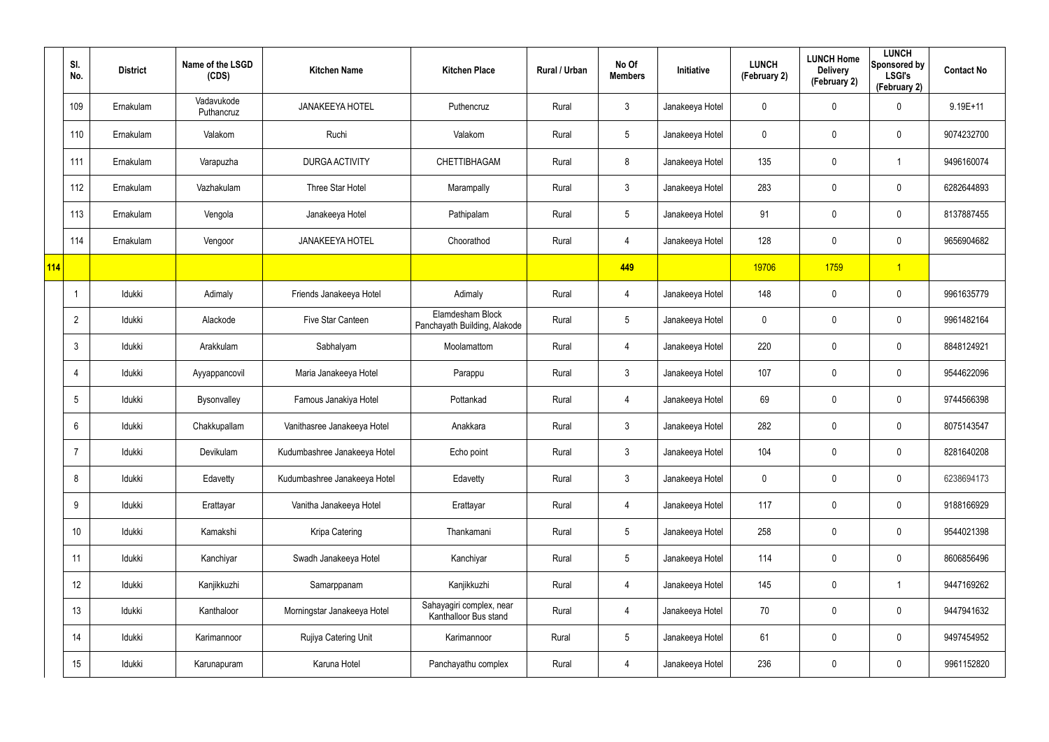|     | SI.<br>No.      | <b>District</b> | Name of the LSGD<br>(CDS) | <b>Kitchen Name</b>          | <b>Kitchen Place</b>                              | Rural / Urban | No Of<br><b>Members</b> | Initiative      | <b>LUNCH</b><br>(February 2) | <b>LUNCH Home</b><br><b>Delivery</b><br>(February 2) | <b>LUNCH</b><br>Sponsored by<br><b>LSGI's</b><br>(February 2) | <b>Contact No</b> |
|-----|-----------------|-----------------|---------------------------|------------------------------|---------------------------------------------------|---------------|-------------------------|-----------------|------------------------------|------------------------------------------------------|---------------------------------------------------------------|-------------------|
|     | 109             | Ernakulam       | Vadavukode<br>Puthancruz  | <b>JANAKEEYA HOTEL</b>       | Puthencruz                                        | Rural         | $\mathfrak{Z}$          | Janakeeya Hotel | 0                            | 0                                                    | $\mathbf 0$                                                   | $9.19E + 11$      |
|     | 110             | Ernakulam       | Valakom                   | Ruchi                        | Valakom                                           | Rural         | $5\phantom{.0}$         | Janakeeya Hotel | 0                            | 0                                                    | $\pmb{0}$                                                     | 9074232700        |
|     | 111             | Ernakulam       | Varapuzha                 | DURGA ACTIVITY               | CHETTIBHAGAM                                      | Rural         | 8                       | Janakeeya Hotel | 135                          | 0                                                    | -1                                                            | 9496160074        |
|     | 112             | Ernakulam       | Vazhakulam                | Three Star Hotel             | Marampally                                        | Rural         | $\mathbf{3}$            | Janakeeya Hotel | 283                          | 0                                                    | $\mathbf 0$                                                   | 6282644893        |
|     | 113             | Ernakulam       | Vengola                   | Janakeeya Hotel              | Pathipalam                                        | Rural         | $5\overline{)}$         | Janakeeya Hotel | 91                           | 0                                                    | $\pmb{0}$                                                     | 8137887455        |
|     | 114             | Ernakulam       | Vengoor                   | <b>JANAKEEYA HOTEL</b>       | Choorathod                                        | Rural         | 4                       | Janakeeya Hotel | 128                          | 0                                                    | $\pmb{0}$                                                     | 9656904682        |
| 114 |                 |                 |                           |                              |                                                   |               | 449                     |                 | 19706                        | 1759                                                 | $\overline{1}$                                                |                   |
|     |                 | Idukki          | Adimaly                   | Friends Janakeeya Hotel      | Adimaly                                           | Rural         | 4                       | Janakeeya Hotel | 148                          | 0                                                    | $\boldsymbol{0}$                                              | 9961635779        |
|     | $\overline{2}$  | Idukki          | Alackode                  | Five Star Canteen            | Elamdesham Block<br>Panchayath Building, Alakode  | Rural         | $\sqrt{5}$              | Janakeeya Hotel | $\mathbf 0$                  | 0                                                    | $\pmb{0}$                                                     | 9961482164        |
|     | $\mathbf{3}$    | Idukki          | Arakkulam                 | Sabhalyam                    | Moolamattom                                       | Rural         | 4                       | Janakeeya Hotel | 220                          | 0                                                    | $\pmb{0}$                                                     | 8848124921        |
|     | 4               | ldukki          | Ayyappancovil             | Maria Janakeeya Hotel        | Parappu                                           | Rural         | $\mathfrak{Z}$          | Janakeeya Hotel | 107                          | 0                                                    | $\mathbf 0$                                                   | 9544622096        |
|     | $5\phantom{.0}$ | Idukki          | Bysonvalley               | Famous Janakiya Hotel        | Pottankad                                         | Rural         | $\overline{4}$          | Janakeeya Hotel | 69                           | 0                                                    | $\mathbf 0$                                                   | 9744566398        |
|     | 6               | Idukki          | Chakkupallam              | Vanithasree Janakeeya Hotel  | Anakkara                                          | Rural         | $\mathbf{3}$            | Janakeeya Hotel | 282                          | 0                                                    | $\pmb{0}$                                                     | 8075143547        |
|     | $\overline{7}$  | Idukki          | Devikulam                 | Kudumbashree Janakeeya Hotel | Echo point                                        | Rural         | $\mathbf{3}$            | Janakeeya Hotel | 104                          | 0                                                    | $\pmb{0}$                                                     | 8281640208        |
|     | 8               | Idukki          | Edavetty                  | Kudumbashree Janakeeya Hotel | Edavetty                                          | Rural         | $\mathfrak{Z}$          | Janakeeya Hotel | 0                            | 0                                                    | $\mathbf 0$                                                   | 6238694173        |
|     | 9               | ldukki          | Erattayar                 | Vanitha Janakeeya Hotel      | Erattayar                                         | Rural         | $\overline{4}$          | Janakeeya Hotel | 117                          | 0                                                    | $\mathsf{0}$                                                  | 9188166929        |
|     | 10 <sup>°</sup> | Idukki          | Kamakshi                  | Kripa Catering               | Thankamani                                        | Rural         | $5\phantom{.0}$         | Janakeeya Hotel | 258                          | 0                                                    | $\mathbf 0$                                                   | 9544021398        |
|     | 11              | ldukki          | Kanchiyar                 | Swadh Janakeeya Hotel        | Kanchiyar                                         | Rural         | $5\phantom{.0}$         | Janakeeya Hotel | 114                          | 0                                                    | $\mathsf{0}$                                                  | 8606856496        |
|     | 12              | Idukki          | Kanjikkuzhi               | Samarppanam                  | Kanjikkuzhi                                       | Rural         | $\overline{4}$          | Janakeeya Hotel | 145                          | 0                                                    | $\overline{\mathbf{1}}$                                       | 9447169262        |
|     | 13              | ldukki          | Kanthaloor                | Morningstar Janakeeya Hotel  | Sahayagiri complex, near<br>Kanthalloor Bus stand | Rural         | $\overline{4}$          | Janakeeya Hotel | 70                           | 0                                                    | $\mathbf 0$                                                   | 9447941632        |
|     | 14              | ldukki          | Karimannoor               | Rujiya Catering Unit         | Karimannoor                                       | Rural         | $5\phantom{.0}$         | Janakeeya Hotel | 61                           | 0                                                    | $\mathbf 0$                                                   | 9497454952        |
|     | 15              | ldukki          | Karunapuram               | Karuna Hotel                 | Panchayathu complex                               | Rural         | 4                       | Janakeeya Hotel | 236                          | 0                                                    | $\mathsf{0}$                                                  | 9961152820        |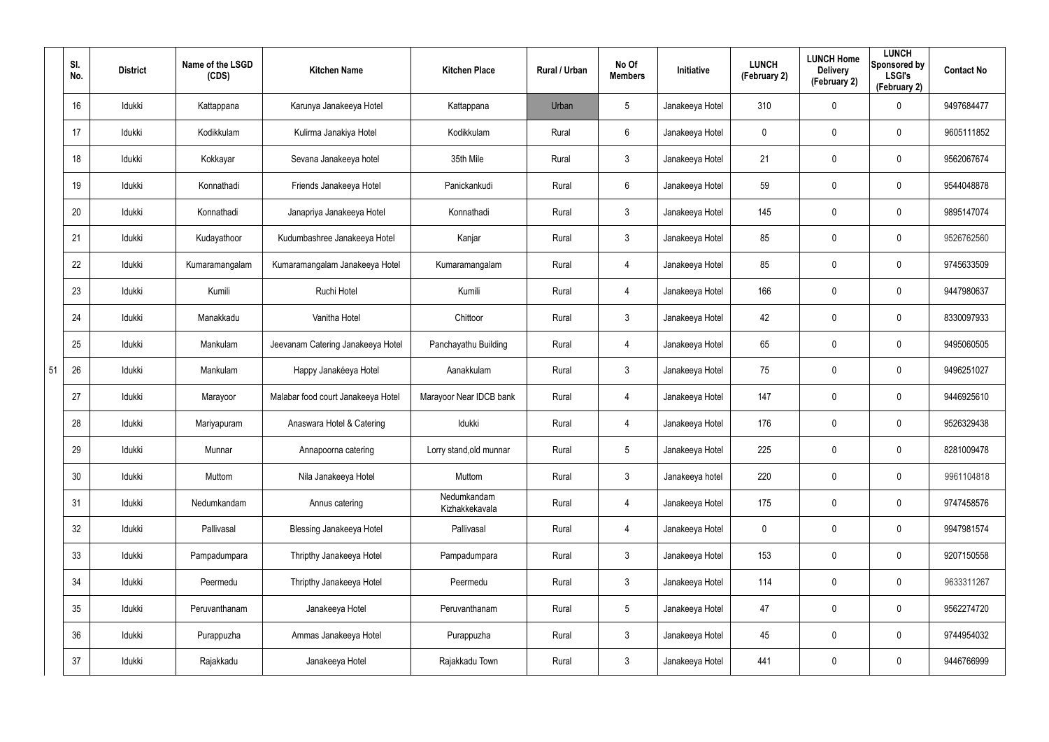|    | SI.<br>No. | <b>District</b> | Name of the LSGD<br>(CDS) | <b>Kitchen Name</b>                | <b>Kitchen Place</b>          | Rural / Urban | No Of<br><b>Members</b> | Initiative      | <b>LUNCH</b><br>(February 2) | <b>LUNCH Home</b><br><b>Delivery</b><br>(February 2) | <b>LUNCH</b><br>Sponsored by<br><b>LSGI's</b><br>(February 2) | <b>Contact No</b> |
|----|------------|-----------------|---------------------------|------------------------------------|-------------------------------|---------------|-------------------------|-----------------|------------------------------|------------------------------------------------------|---------------------------------------------------------------|-------------------|
|    | 16         | Idukki          | Kattappana                | Karunya Janakeeya Hotel            | Kattappana                    | Urban         | $5\phantom{.0}$         | Janakeeya Hotel | 310                          | 0                                                    | $\mathbf 0$                                                   | 9497684477        |
|    | 17         | Idukki          | Kodikkulam                | Kulirma Janakiya Hotel             | Kodikkulam                    | Rural         | 6                       | Janakeeya Hotel | 0                            | 0                                                    | $\mathbf 0$                                                   | 9605111852        |
|    | 18         | Idukki          | Kokkayar                  | Sevana Janakeeya hotel             | 35th Mile                     | Rural         | $\mathfrak{Z}$          | Janakeeya Hotel | 21                           | $\mathbf 0$                                          | $\pmb{0}$                                                     | 9562067674        |
|    | 19         | Idukki          | Konnathadi                | Friends Janakeeya Hotel            | Panickankudi                  | Rural         | 6                       | Janakeeya Hotel | 59                           | 0                                                    | $\mathbf 0$                                                   | 9544048878        |
|    | 20         | Idukki          | Konnathadi                | Janapriya Janakeeya Hotel          | Konnathadi                    | Rural         | $\mathfrak{Z}$          | Janakeeya Hotel | 145                          | $\mathbf 0$                                          | $\pmb{0}$                                                     | 9895147074        |
|    | 21         | Idukki          | Kudayathoor               | Kudumbashree Janakeeya Hotel       | Kanjar                        | Rural         | $\mathfrak{Z}$          | Janakeeya Hotel | 85                           | 0                                                    | $\pmb{0}$                                                     | 9526762560        |
|    | 22         | Idukki          | Kumaramangalam            | Kumaramangalam Janakeeya Hotel     | Kumaramangalam                | Rural         | 4                       | Janakeeya Hotel | 85                           | $\mathbf 0$                                          | $\pmb{0}$                                                     | 9745633509        |
|    | 23         | Idukki          | Kumili                    | Ruchi Hotel                        | Kumili                        | Rural         | 4                       | Janakeeya Hotel | 166                          | 0                                                    | $\pmb{0}$                                                     | 9447980637        |
|    | 24         | Idukki          | Manakkadu                 | Vanitha Hotel                      | Chittoor                      | Rural         | $\mathbf{3}$            | Janakeeya Hotel | 42                           | $\mathbf 0$                                          | $\pmb{0}$                                                     | 8330097933        |
|    | 25         | Idukki          | Mankulam                  | Jeevanam Catering Janakeeya Hotel  | Panchayathu Building          | Rural         | 4                       | Janakeeya Hotel | 65                           | 0                                                    | $\pmb{0}$                                                     | 9495060505        |
| 51 | 26         | Idukki          | Mankulam                  | Happy Janakéeya Hotel              | Aanakkulam                    | Rural         | $\mathbf{3}$            | Janakeeya Hotel | 75                           | $\mathbf 0$                                          | $\pmb{0}$                                                     | 9496251027        |
|    | 27         | Idukki          | Marayoor                  | Malabar food court Janakeeya Hotel | Marayoor Near IDCB bank       | Rural         | 4                       | Janakeeya Hotel | 147                          | 0                                                    | $\pmb{0}$                                                     | 9446925610        |
|    | 28         | Idukki          | Mariyapuram               | Anaswara Hotel & Catering          | Idukki                        | Rural         | 4                       | Janakeeya Hotel | 176                          | 0                                                    | $\mathbf 0$                                                   | 9526329438        |
|    | 29         | Idukki          | Munnar                    | Annapoorna catering                | Lorry stand, old munnar       | Rural         | $5\phantom{.0}$         | Janakeeya Hotel | 225                          | $\mathbf 0$                                          | $\pmb{0}$                                                     | 8281009478        |
|    | 30         | Idukki          | Muttom                    | Nila Janakeeya Hotel               | Muttom                        | Rural         | $\mathbf{3}$            | Janakeeya hotel | 220                          | $\mathbf 0$                                          | $\mathbf 0$                                                   | 9961104818        |
|    | 31         | Idukki          | Nedumkandam               | Annus catering                     | Nedumkandam<br>Kizhakkekavala | Rural         | 4                       | Janakeeya Hotel | 175                          | $\mathbf 0$                                          | $\mathbf 0$                                                   | 9747458576        |
|    | 32         | Idukki          | Pallivasal                | Blessing Janakeeya Hotel           | Pallivasal                    | Rural         | 4                       | Janakeeya Hotel | $\mathbf 0$                  | $\mathbf 0$                                          | $\mathbf 0$                                                   | 9947981574        |
|    | 33         | Idukki          | Pampadumpara              | Thripthy Janakeeya Hotel           | Pampadumpara                  | Rural         | $\mathbf{3}$            | Janakeeya Hotel | 153                          | $\mathbf 0$                                          | $\mathbf 0$                                                   | 9207150558        |
|    | 34         | Idukki          | Peermedu                  | Thripthy Janakeeya Hotel           | Peermedu                      | Rural         | $\mathbf{3}$            | Janakeeya Hotel | 114                          | $\mathbf 0$                                          | $\mathbf 0$                                                   | 9633311267        |
|    | 35         | Idukki          | Peruvanthanam             | Janakeeya Hotel                    | Peruvanthanam                 | Rural         | $5\phantom{.0}$         | Janakeeya Hotel | 47                           | $\mathbf 0$                                          | $\mathbf 0$                                                   | 9562274720        |
|    | 36         | Idukki          | Purappuzha                | Ammas Janakeeya Hotel              | Purappuzha                    | Rural         | $\mathfrak{Z}$          | Janakeeya Hotel | 45                           | 0                                                    | $\mathbf 0$                                                   | 9744954032        |
|    | 37         | Idukki          | Rajakkadu                 | Janakeeya Hotel                    | Rajakkadu Town                | Rural         | $\mathfrak{Z}$          | Janakeeya Hotel | 441                          | 0                                                    | $\mathsf{0}$                                                  | 9446766999        |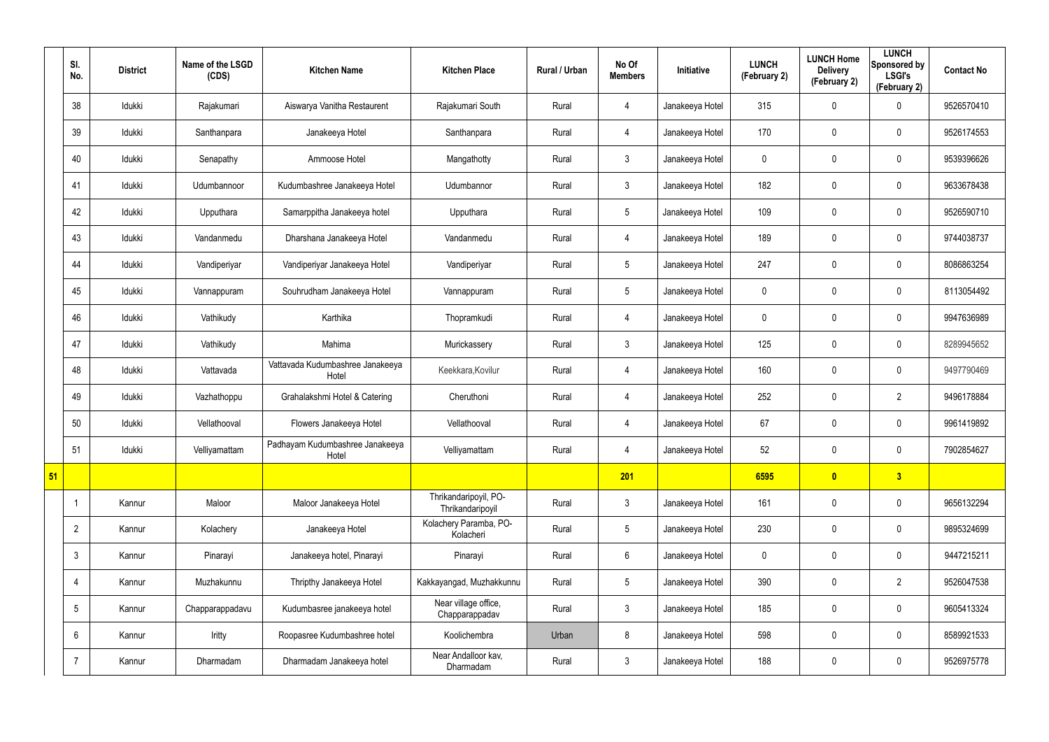|    | SI.<br>No.      | <b>District</b> | Name of the LSGD<br>(CDS) | <b>Kitchen Name</b>                       | <b>Kitchen Place</b>                      | Rural / Urban | No Of<br><b>Members</b> | Initiative      | <b>LUNCH</b><br>(February 2) | <b>LUNCH Home</b><br><b>Delivery</b><br>(February 2) | <b>LUNCH</b><br>Sponsored by<br><b>LSGI's</b><br>(February 2) | <b>Contact No</b> |
|----|-----------------|-----------------|---------------------------|-------------------------------------------|-------------------------------------------|---------------|-------------------------|-----------------|------------------------------|------------------------------------------------------|---------------------------------------------------------------|-------------------|
|    | 38              | Idukki          | Rajakumari                | Aiswarya Vanitha Restaurent               | Rajakumari South                          | Rural         | 4                       | Janakeeya Hotel | 315                          | 0                                                    | $\mathbf 0$                                                   | 9526570410        |
|    | 39              | Idukki          | Santhanpara               | Janakeeya Hotel                           | Santhanpara                               | Rural         | $\overline{4}$          | Janakeeya Hotel | 170                          | 0                                                    | $\pmb{0}$                                                     | 9526174553        |
|    | 40              | Idukki          | Senapathy                 | Ammoose Hotel                             | Mangathotty                               | Rural         | $\mathbf{3}$            | Janakeeya Hotel | 0                            | $\mathbf 0$                                          | $\mathbf 0$                                                   | 9539396626        |
|    | 41              | Idukki          | Udumbannoor               | Kudumbashree Janakeeya Hotel              | Udumbannor                                | Rural         | $\mathbf{3}$            | Janakeeya Hotel | 182                          | 0                                                    | $\pmb{0}$                                                     | 9633678438        |
|    | 42              | Idukki          | Upputhara                 | Samarppitha Janakeeya hotel               | Upputhara                                 | Rural         | $5\phantom{.0}$         | Janakeeya Hotel | 109                          | $\mathbf 0$                                          | $\mathbf 0$                                                   | 9526590710        |
|    | 43              | Idukki          | Vandanmedu                | Dharshana Janakeeya Hotel                 | Vandanmedu                                | Rural         | 4                       | Janakeeya Hotel | 189                          | 0                                                    | $\pmb{0}$                                                     | 9744038737        |
|    | 44              | Idukki          | Vandiperiyar              | Vandiperiyar Janakeeya Hotel              | Vandiperiyar                              | Rural         | $5\phantom{.0}$         | Janakeeya Hotel | 247                          | 0                                                    | $\mathbf 0$                                                   | 8086863254        |
|    | 45              | Idukki          | Vannappuram               | Souhrudham Janakeeya Hotel                | Vannappuram                               | Rural         | $5\phantom{.0}$         | Janakeeya Hotel | 0                            | 0                                                    | $\mathbf 0$                                                   | 8113054492        |
|    | 46              | Idukki          | Vathikudy                 | Karthika                                  | Thopramkudi                               | Rural         | $\overline{4}$          | Janakeeya Hotel | 0                            | 0                                                    | $\pmb{0}$                                                     | 9947636989        |
|    | 47              | Idukki          | Vathikudy                 | Mahima                                    | Murickassery                              | Rural         | $\mathbf{3}$            | Janakeeya Hotel | 125                          | 0                                                    | $\mathbf 0$                                                   | 8289945652        |
|    | 48              | Idukki          | Vattavada                 | Vattavada Kudumbashree Janakeeya<br>Hotel | Keekkara, Kovilur                         | Rural         | $\overline{4}$          | Janakeeya Hotel | 160                          | $\mathbf 0$                                          | $\pmb{0}$                                                     | 9497790469        |
|    | 49              | Idukki          | Vazhathoppu               | Grahalakshmi Hotel & Catering             | Cheruthoni                                | Rural         | 4                       | Janakeeya Hotel | 252                          | 0                                                    | $\overline{2}$                                                | 9496178884        |
|    | 50              | Idukki          | Vellathooval              | Flowers Janakeeya Hotel                   | Vellathooval                              | Rural         | 4                       | Janakeeya Hotel | 67                           | 0                                                    | $\mathbf 0$                                                   | 9961419892        |
|    | 51              | Idukki          | Velliyamattam             | Padhayam Kudumbashree Janakeeya<br>Hotel  | Velliyamattam                             | Rural         | $\overline{4}$          | Janakeeya Hotel | 52                           | 0                                                    | $\pmb{0}$                                                     | 7902854627        |
| 51 |                 |                 |                           |                                           |                                           |               | 201                     |                 | 6595                         | $\overline{\mathbf{0}}$                              | 3                                                             |                   |
|    |                 | Kannur          | Maloor                    | Maloor Janakeeya Hotel                    | Thrikandaripoyil, PO-<br>Thrikandaripoyil | Rural         | $\mathbf{3}$            | Janakeeya Hotel | 161                          | 0                                                    | $\mathbf 0$                                                   | 9656132294        |
|    | $\overline{2}$  | Kannur          | Kolachery                 | Janakeeya Hotel                           | Kolachery Paramba, PO-<br>Kolacheri       | Rural         | $5\phantom{.0}$         | Janakeeya Hotel | 230                          | $\mathbf 0$                                          | $\mathbf 0$                                                   | 9895324699        |
|    | $\mathbf{3}$    | Kannur          | Pinarayi                  | Janakeeya hotel, Pinarayi                 | Pinarayi                                  | Rural         | $6\overline{6}$         | Janakeeya Hotel | 0                            | $\mathbf 0$                                          | $\mathbf 0$                                                   | 9447215211        |
|    | 4               | Kannur          | Muzhakunnu                | Thripthy Janakeeya Hotel                  | Kakkayangad, Muzhakkunnu                  | Rural         | $5\phantom{.0}$         | Janakeeya Hotel | 390                          | $\mathbf 0$                                          | $\overline{2}$                                                | 9526047538        |
|    | $5\overline{)}$ | Kannur          | Chapparappadavu           | Kudumbasree janakeeya hotel               | Near village office,<br>Chapparappadav    | Rural         | $\mathbf{3}$            | Janakeeya Hotel | 185                          | $\mathbf 0$                                          | $\mathbf 0$                                                   | 9605413324        |
|    | $6\overline{6}$ | Kannur          | Iritty                    | Roopasree Kudumbashree hotel              | Koolichembra                              | Urban         | 8                       | Janakeeya Hotel | 598                          | 0                                                    | $\mathbf 0$                                                   | 8589921533        |
|    | $\overline{7}$  | Kannur          | Dharmadam                 | Dharmadam Janakeeya hotel                 | Near Andalloor kav,<br>Dharmadam          | Rural         | $\mathbf{3}$            | Janakeeya Hotel | 188                          | 0                                                    | $\pmb{0}$                                                     | 9526975778        |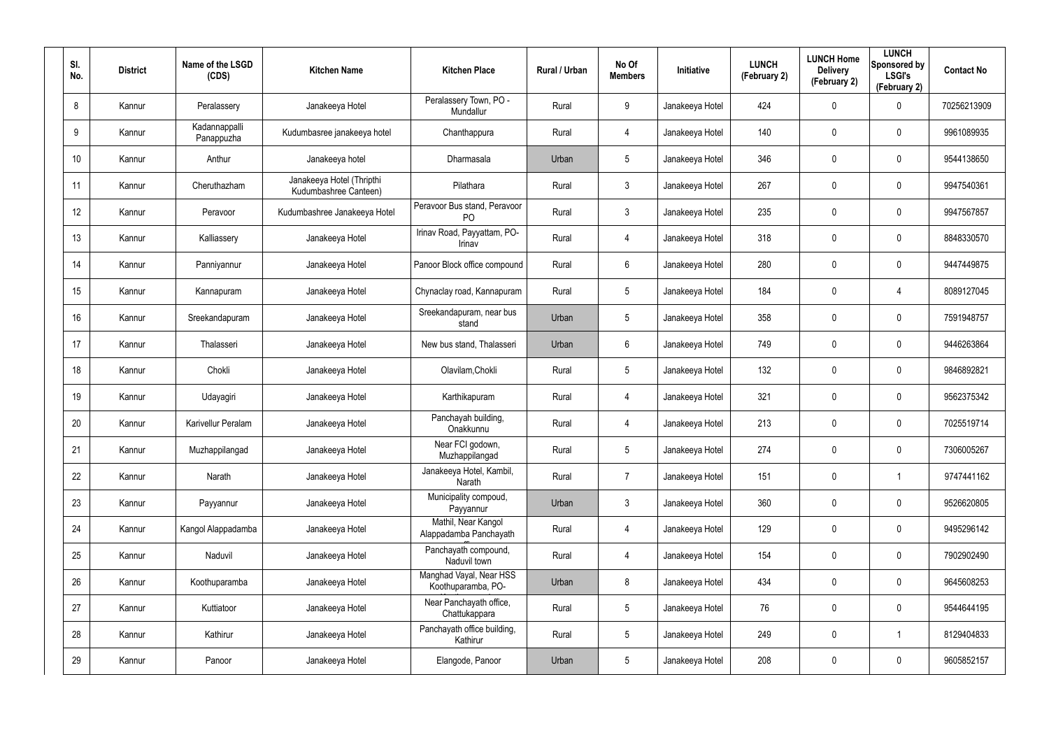| SI.<br>No.      | <b>District</b> | Name of the LSGD<br>(CDS)   | <b>Kitchen Name</b>                                | <b>Kitchen Place</b>                           | Rural / Urban | No Of<br><b>Members</b> | Initiative      | <b>LUNCH</b><br>(February 2) | <b>LUNCH Home</b><br><b>Delivery</b><br>(February 2) | <b>LUNCH</b><br>Sponsored by<br><b>LSGI's</b><br>(February 2) | <b>Contact No</b> |
|-----------------|-----------------|-----------------------------|----------------------------------------------------|------------------------------------------------|---------------|-------------------------|-----------------|------------------------------|------------------------------------------------------|---------------------------------------------------------------|-------------------|
| 8               | Kannur          | Peralassery                 | Janakeeya Hotel                                    | Peralassery Town, PO -<br>Mundallur            | Rural         | 9                       | Janakeeya Hotel | 424                          | $\mathbf 0$                                          | $\mathbf 0$                                                   | 70256213909       |
| 9               | Kannur          | Kadannappalli<br>Panappuzha | Kudumbasree janakeeya hotel                        | Chanthappura                                   | Rural         | 4                       | Janakeeya Hotel | 140                          | 0                                                    | $\mathbf 0$                                                   | 9961089935        |
| 10 <sup>°</sup> | Kannur          | Anthur                      | Janakeeya hotel                                    | Dharmasala                                     | Urban         | 5                       | Janakeeya Hotel | 346                          | 0                                                    | $\mathbf 0$                                                   | 9544138650        |
| 11              | Kannur          | Cheruthazham                | Janakeeya Hotel (Thripthi<br>Kudumbashree Canteen) | Pilathara                                      | Rural         | $\mathbf{3}$            | Janakeeya Hotel | 267                          | 0                                                    | $\mathbf 0$                                                   | 9947540361        |
| 12 <sup>°</sup> | Kannur          | Peravoor                    | Kudumbashree Janakeeya Hotel                       | Peravoor Bus stand, Peravoor<br>P <sub>O</sub> | Rural         | $\mathbf{3}$            | Janakeeya Hotel | 235                          | 0                                                    | $\mathbf 0$                                                   | 9947567857        |
| 13              | Kannur          | Kalliassery                 | Janakeeya Hotel                                    | Irinav Road, Payyattam, PO-<br>Irinav          | Rural         | 4                       | Janakeeya Hotel | 318                          | 0                                                    | $\mathbf 0$                                                   | 8848330570        |
| 14              | Kannur          | Panniyannur                 | Janakeeya Hotel                                    | Panoor Block office compound                   | Rural         | 6                       | Janakeeya Hotel | 280                          | 0                                                    | $\mathbf 0$                                                   | 9447449875        |
| 15              | Kannur          | Kannapuram                  | Janakeeya Hotel                                    | Chynaclay road, Kannapuram                     | Rural         | 5                       | Janakeeya Hotel | 184                          | 0                                                    | $\overline{4}$                                                | 8089127045        |
| 16              | Kannur          | Sreekandapuram              | Janakeeya Hotel                                    | Sreekandapuram, near bus<br>stand              | Urban         | 5                       | Janakeeya Hotel | 358                          | 0                                                    | $\mathbf 0$                                                   | 7591948757        |
| 17              | Kannur          | Thalasseri                  | Janakeeya Hotel                                    | New bus stand, Thalasseri                      | Urban         | 6                       | Janakeeya Hotel | 749                          | 0                                                    | $\mathbf 0$                                                   | 9446263864        |
| 18              | Kannur          | Chokli                      | Janakeeya Hotel                                    | Olavilam, Chokli                               | Rural         | 5                       | Janakeeya Hotel | 132                          | 0                                                    | $\mathbf 0$                                                   | 9846892821        |
| 19              | Kannur          | Udayagiri                   | Janakeeya Hotel                                    | Karthikapuram                                  | Rural         | 4                       | Janakeeya Hotel | 321                          | 0                                                    | $\mathbf 0$                                                   | 9562375342        |
| 20              | Kannur          | Karivellur Peralam          | Janakeeya Hotel                                    | Panchayah building,<br>Onakkunnu               | Rural         | 4                       | Janakeeya Hotel | 213                          | 0                                                    | $\mathbf 0$                                                   | 7025519714        |
| 21              | Kannur          | Muzhappilangad              | Janakeeya Hotel                                    | Near FCI godown,<br>Muzhappilangad             | Rural         | 5                       | Janakeeya Hotel | 274                          | 0                                                    | $\pmb{0}$                                                     | 7306005267        |
| 22              | Kannur          | Narath                      | Janakeeya Hotel                                    | Janakeeya Hotel, Kambil,<br>Narath             | Rural         | $\overline{7}$          | Janakeeya Hotel | 151                          | 0                                                    | $\mathbf{1}$                                                  | 9747441162        |
| 23              | Kannur          | Payyannur                   | Janakeeya Hotel                                    | Municipality compoud,<br>Payyannur             | Urban         | $\mathbf{3}$            | Janakeeya Hotel | 360                          | 0                                                    | $\mathbf 0$                                                   | 9526620805        |
| 24              | Kannur          | Kangol Alappadamba          | Janakeeya Hotel                                    | Mathil, Near Kangol<br>Alappadamba Panchayath  | Rural         | 4                       | Janakeeya Hotel | 129                          | 0                                                    | $\mathbf 0$                                                   | 9495296142        |
| 25              | Kannur          | Naduvil                     | Janakeeya Hotel                                    | Panchayath compound,<br>Naduvil town           | Rural         | 4                       | Janakeeya Hotel | 154                          | 0                                                    | $\mathsf{0}$                                                  | 7902902490        |
| 26              | Kannur          | Koothuparamba               | Janakeeya Hotel                                    | Manghad Vayal, Near HSS<br>Koothuparamba, PO-  | Urban         | 8                       | Janakeeya Hotel | 434                          | 0                                                    | $\mathbf 0$                                                   | 9645608253        |
| 27              | Kannur          | Kuttiatoor                  | Janakeeya Hotel                                    | Near Panchayath office,<br>Chattukappara       | Rural         | $5\phantom{.0}$         | Janakeeya Hotel | 76                           | 0                                                    | $\mathsf{0}$                                                  | 9544644195        |
| 28              | Kannur          | Kathirur                    | Janakeeya Hotel                                    | Panchayath office building,<br>Kathirur        | Rural         | $5\phantom{.0}$         | Janakeeya Hotel | 249                          | 0                                                    | $\mathbf{1}$                                                  | 8129404833        |
| 29              | Kannur          | Panoor                      | Janakeeya Hotel                                    | Elangode, Panoor                               | Urban         | $5\phantom{.0}$         | Janakeeya Hotel | 208                          | 0                                                    | $\mathsf{0}$                                                  | 9605852157        |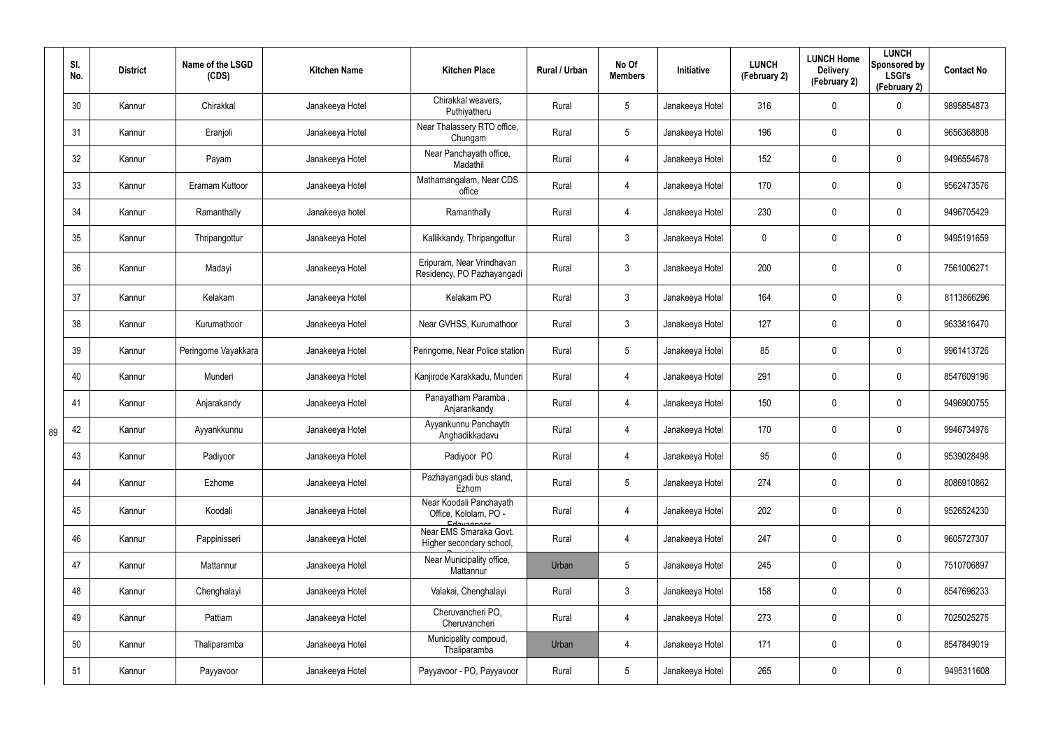|    | SI.<br>No. | <b>District</b> | Name of the LSGD<br>(CDS) | <b>Kitchen Name</b> | <b>Kitchen Place</b>                                            | Rural / Urban | No Of<br><b>Members</b> | Initiative      | <b>LUNCH</b><br>(February 2) | <b>LUNCH Home</b><br><b>Delivery</b><br>(February 2) | <b>LUNCH</b><br>Sponsored by<br><b>LSGI's</b><br>(February 2) | <b>Contact No</b> |
|----|------------|-----------------|---------------------------|---------------------|-----------------------------------------------------------------|---------------|-------------------------|-----------------|------------------------------|------------------------------------------------------|---------------------------------------------------------------|-------------------|
|    | 30         | Kannur          | Chirakkal                 | Janakeeya Hotel     | Chirakkal weavers,<br>Puthiyatheru                              | Rural         | $5\phantom{.0}$         | Janakeeya Hotel | 316                          | 0                                                    | 0                                                             | 9895854873        |
|    | 31         | Kannur          | Eranjoli                  | Janakeeya Hotel     | Near Thalassery RTO office,<br>Chungam                          | Rural         | $5\phantom{.0}$         | Janakeeya Hotel | 196                          | 0                                                    | $\mathbf 0$                                                   | 9656368808        |
|    | 32         | Kannur          | Payam                     | Janakeeya Hotel     | Near Panchayath office,<br>Madathil                             | Rural         | $\overline{4}$          | Janakeeya Hotel | 152                          | 0                                                    | $\mathbf 0$                                                   | 9496554678        |
|    | 33         | Kannur          | Eramam Kuttoor            | Janakeeya Hotel     | Mathamangalam, Near CDS<br>office                               | Rural         | 4                       | Janakeeya Hotel | 170                          | 0                                                    | $\mathbf 0$                                                   | 9562473576        |
|    | 34         | Kannur          | Ramanthally               | Janakeeya hotel     | Ramanthally                                                     | Rural         | $\overline{4}$          | Janakeeya Hotel | 230                          | 0                                                    | $\mathbf 0$                                                   | 9496705429        |
|    | 35         | Kannur          | Thripangottur             | Janakeeya Hotel     | Kallikkandy, Thripangottur                                      | Rural         | $\mathbf{3}$            | Janakeeya Hotel | 0                            | 0                                                    | $\mathbf 0$                                                   | 9495191659        |
|    | 36         | Kannur          | Madayi                    | Janakeeya Hotel     | Eripuram, Near Vrindhavan<br>Residency, PO Pazhayangadi         | Rural         | $\mathbf{3}$            | Janakeeya Hotel | 200                          | 0                                                    | $\pmb{0}$                                                     | 7561006271        |
|    | 37         | Kannur          | Kelakam                   | Janakeeya Hotel     | Kelakam PO                                                      | Rural         | $\mathbf{3}$            | Janakeeya Hotel | 164                          | 0                                                    | $\pmb{0}$                                                     | 8113866296        |
|    | 38         | Kannur          | Kurumathoor               | Janakeeya Hotel     | Near GVHSS, Kurumathoor                                         | Rural         | $\mathbf{3}$            | Janakeeya Hotel | 127                          | 0                                                    | $\mathbf 0$                                                   | 9633816470        |
|    | 39         | Kannur          | Peringome Vayakkara       | Janakeeya Hotel     | Peringome, Near Police station                                  | Rural         | $5\phantom{.0}$         | Janakeeya Hotel | 85                           | 0                                                    | $\pmb{0}$                                                     | 9961413726        |
|    | 40         | Kannur          | Munderi                   | Janakeeya Hotel     | Kanjirode Karakkadu, Munderi                                    | Rural         | 4                       | Janakeeya Hotel | 291                          | 0                                                    | $\mathbf 0$                                                   | 8547609196        |
|    | 41         | Kannur          | Anjarakandy               | Janakeeya Hotel     | Panayatham Paramba,<br>Anjarankandy                             | Rural         | 4                       | Janakeeya Hotel | 150                          | $\mathbf 0$                                          | $\pmb{0}$                                                     | 9496900755        |
| 89 | 42         | Kannur          | Ayyankkunnu               | Janakeeya Hotel     | Ayyankunnu Panchayth<br>Anghadikkadavu                          | Rural         | 4                       | Janakeeya Hotel | 170                          | 0                                                    | $\pmb{0}$                                                     | 9946734976        |
|    | 43         | Kannur          | Padiyoor                  | Janakeeya Hotel     | Padiyoor PO                                                     | Rural         | $\overline{4}$          | Janakeeya Hotel | 95                           | 0                                                    | $\pmb{0}$                                                     | 9539028498        |
|    | 44         | Kannur          | Ezhome                    | Janakeeya Hotel     | Pazhayangadi bus stand,<br>Ezhom                                | Rural         | $5\phantom{.0}$         | Janakeeya Hotel | 274                          | 0                                                    | $\pmb{0}$                                                     | 8086910862        |
|    | 45         | Kannur          | Koodali                   | Janakeeya Hotel     | Near Koodali Panchayath<br>Office, Kololam, PO -                | Rural         | 4                       | Janakeeya Hotel | 202                          | 0                                                    | $\pmb{0}$                                                     | 9526524230        |
|    | 46         | Kannur          | Pappinisseri              | Janakeeya Hotel     | Edayannon<br>Near EMS Smaraka Govt.<br>Higher secondary school, | Rural         | $\overline{4}$          | Janakeeya Hotel | 247                          | $\mathbf 0$                                          | $\mathbf 0$                                                   | 9605727307        |
|    | 47         | Kannur          | Mattannur                 | Janakeeya Hotel     | Near Municipality office,<br>Mattannur                          | Urban         | $5\,$                   | Janakeeya Hotel | 245                          | $\mathbf 0$                                          | $\pmb{0}$                                                     | 7510706897        |
|    | 48         | Kannur          | Chenghalayi               | Janakeeya Hotel     | Valakai, Chenghalayi                                            | Rural         | $\mathbf{3}$            | Janakeeya Hotel | 158                          | $\mathbf 0$                                          | $\mathbf 0$                                                   | 8547696233        |
|    | 49         | Kannur          | Pattiam                   | Janakeeya Hotel     | Cheruvancheri PO,<br>Cheruvancheri                              | Rural         | $\overline{4}$          | Janakeeya Hotel | 273                          | $\mathbf 0$                                          | $\pmb{0}$                                                     | 7025025275        |
|    | 50         | Kannur          | Thaliparamba              | Janakeeya Hotel     | Municipality compoud,<br>Thaliparamba                           | Urban         | 4                       | Janakeeya Hotel | 171                          | $\mathbf 0$                                          | $\mathbf 0$                                                   | 8547849019        |
|    | 51         | Kannur          | Payyavoor                 | Janakeeya Hotel     | Payyavoor - PO, Payyavoor                                       | Rural         | $5\phantom{.0}$         | Janakeeya Hotel | 265                          | 0                                                    | $\pmb{0}$                                                     | 9495311608        |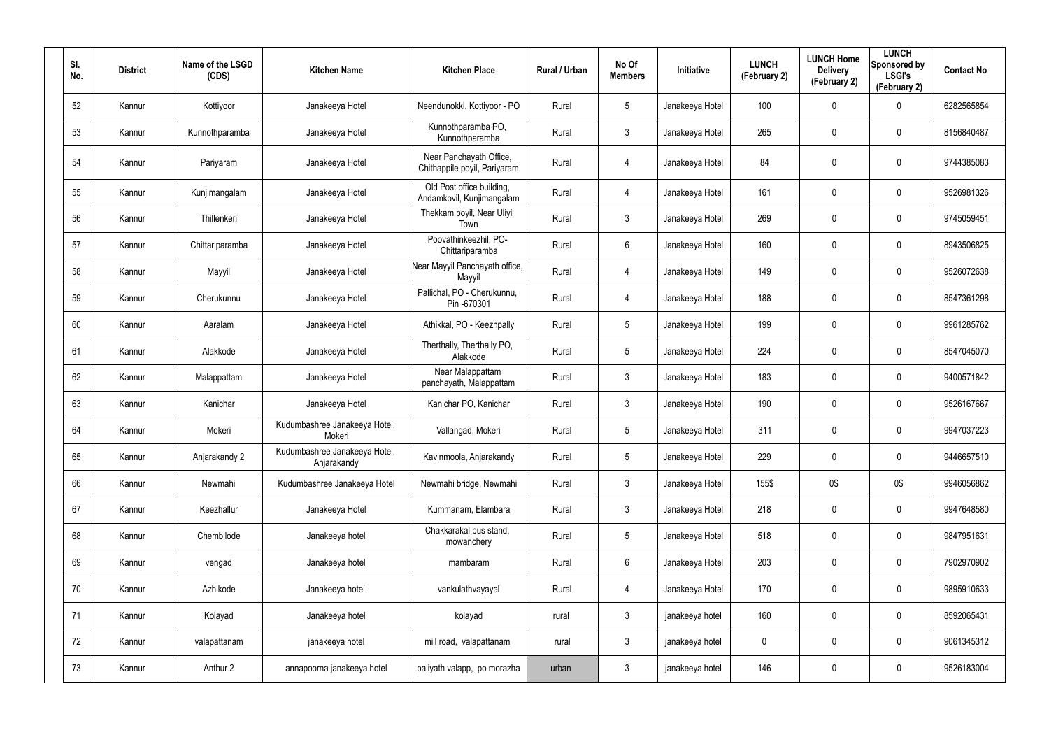| SI.<br>No. | <b>District</b> | Name of the LSGD<br>(CDS) | <b>Kitchen Name</b>                          | <b>Kitchen Place</b>                                    | Rural / Urban | No Of<br><b>Members</b> | Initiative      | <b>LUNCH</b><br>(February 2) | <b>LUNCH Home</b><br><b>Delivery</b><br>(February 2) | <b>LUNCH</b><br>Sponsored by<br><b>LSGI's</b><br>(February 2) | <b>Contact No</b> |
|------------|-----------------|---------------------------|----------------------------------------------|---------------------------------------------------------|---------------|-------------------------|-----------------|------------------------------|------------------------------------------------------|---------------------------------------------------------------|-------------------|
| 52         | Kannur          | Kottiyoor                 | Janakeeya Hotel                              | Neendunokki, Kottiyoor - PO                             | Rural         | $5\phantom{.0}$         | Janakeeya Hotel | 100                          | $\boldsymbol{0}$                                     | 0                                                             | 6282565854        |
| 53         | Kannur          | Kunnothparamba            | Janakeeya Hotel                              | Kunnothparamba PO,<br>Kunnothparamba                    | Rural         | $\mathbf{3}$            | Janakeeya Hotel | 265                          | $\boldsymbol{0}$                                     | $\boldsymbol{0}$                                              | 8156840487        |
| 54         | Kannur          | Pariyaram                 | Janakeeya Hotel                              | Near Panchayath Office,<br>Chithappile poyil, Pariyaram | Rural         | $\overline{4}$          | Janakeeya Hotel | 84                           | 0                                                    | $\mathbf 0$                                                   | 9744385083        |
| 55         | Kannur          | Kunjimangalam             | Janakeeya Hotel                              | Old Post office building,<br>Andamkovil, Kunjimangalam  | Rural         | $\overline{4}$          | Janakeeya Hotel | 161                          | $\mathsf{0}$                                         | $\pmb{0}$                                                     | 9526981326        |
| 56         | Kannur          | Thillenkeri               | Janakeeya Hotel                              | Thekkam poyil, Near Uliyil<br>Town                      | Rural         | $\mathbf{3}$            | Janakeeya Hotel | 269                          | $\boldsymbol{0}$                                     | $\mathbf 0$                                                   | 9745059451        |
| 57         | Kannur          | Chittariparamba           | Janakeeya Hotel                              | Poovathinkeezhil, PO-<br>Chittariparamba                | Rural         | $6\phantom{.}$          | Janakeeya Hotel | 160                          | 0                                                    | $\pmb{0}$                                                     | 8943506825        |
| 58         | Kannur          | Mayyil                    | Janakeeya Hotel                              | Near Mayyil Panchayath office,<br>Mayyil                | Rural         | $\overline{4}$          | Janakeeya Hotel | 149                          | $\boldsymbol{0}$                                     | $\mathbf 0$                                                   | 9526072638        |
| 59         | Kannur          | Cherukunnu                | Janakeeya Hotel                              | Pallichal, PO - Cherukunnu,<br>Pin-670301               | Rural         | $\overline{4}$          | Janakeeya Hotel | 188                          | $\mathbf 0$                                          | $\pmb{0}$                                                     | 8547361298        |
| 60         | Kannur          | Aaralam                   | Janakeeya Hotel                              | Athikkal, PO - Keezhpally                               | Rural         | $5\phantom{.0}$         | Janakeeya Hotel | 199                          | $\boldsymbol{0}$                                     | $\mathbf 0$                                                   | 9961285762        |
| 61         | Kannur          | Alakkode                  | Janakeeya Hotel                              | Therthally, Therthally PO,<br>Alakkode                  | Rural         | $5\phantom{.0}$         | Janakeeya Hotel | 224                          | $\mathbf 0$                                          | $\pmb{0}$                                                     | 8547045070        |
| 62         | Kannur          | Malappattam               | Janakeeya Hotel                              | Near Malappattam<br>panchayath, Malappattam             | Rural         | $\mathfrak{Z}$          | Janakeeya Hotel | 183                          | $\boldsymbol{0}$                                     | $\mathbf 0$                                                   | 9400571842        |
| 63         | Kannur          | Kanichar                  | Janakeeya Hotel                              | Kanichar PO, Kanichar                                   | Rural         | $\mathfrak{Z}$          | Janakeeya Hotel | 190                          | $\boldsymbol{0}$                                     | $\pmb{0}$                                                     | 9526167667        |
| 64         | Kannur          | Mokeri                    | Kudumbashree Janakeeya Hotel,<br>Mokeri      | Vallangad, Mokeri                                       | Rural         | $\sqrt{5}$              | Janakeeya Hotel | 311                          | $\boldsymbol{0}$                                     | $\mathbf 0$                                                   | 9947037223        |
| 65         | Kannur          | Anjarakandy 2             | Kudumbashree Janakeeya Hotel,<br>Anjarakandy | Kavinmoola, Anjarakandy                                 | Rural         | $\sqrt{5}$              | Janakeeya Hotel | 229                          | 0                                                    | $\pmb{0}$                                                     | 9446657510        |
| 66         | Kannur          | Newmahi                   | Kudumbashree Janakeeya Hotel                 | Newmahi bridge, Newmahi                                 | Rural         | $\mathfrak{Z}$          | Janakeeya Hotel | 155\$                        | 0\$                                                  | 0\$                                                           | 9946056862        |
| 67         | Kannur          | Keezhallur                | Janakeeya Hotel                              | Kummanam, Elambara                                      | Rural         | $\mathfrak{Z}$          | Janakeeya Hotel | 218                          | $\pmb{0}$                                            | $\mathbf 0$                                                   | 9947648580        |
| 68         | Kannur          | Chembilode                | Janakeeya hotel                              | Chakkarakal bus stand,<br>mowanchery                    | Rural         | $5\phantom{.0}$         | Janakeeya Hotel | 518                          | 0                                                    | $\pmb{0}$                                                     | 9847951631        |
| 69         | Kannur          | vengad                    | Janakeeya hotel                              | mambaram                                                | Rural         | $6\,$                   | Janakeeya Hotel | 203                          | 0                                                    | $\pmb{0}$                                                     | 7902970902        |
| 70         | Kannur          | Azhikode                  | Janakeeya hotel                              | vankulathvayayal                                        | Rural         | $\overline{4}$          | Janakeeya Hotel | 170                          | 0                                                    | $\mathbf 0$                                                   | 9895910633        |
| 71         | Kannur          | Kolayad                   | Janakeeya hotel                              | kolayad                                                 | rural         | $\mathfrak{Z}$          | janakeeya hotel | 160                          | 0                                                    | $\pmb{0}$                                                     | 8592065431        |
| 72         | Kannur          | valapattanam              | janakeeya hotel                              | mill road, valapattanam                                 | rural         | $\mathfrak{Z}$          | janakeeya hotel | 0                            | 0                                                    | $\mathbf 0$                                                   | 9061345312        |
| 73         | Kannur          | Anthur 2                  | annapoorna janakeeya hotel                   | paliyath valapp, po morazha                             | urban         | $\mathfrak{Z}$          | janakeeya hotel | 146                          | 0                                                    | $\pmb{0}$                                                     | 9526183004        |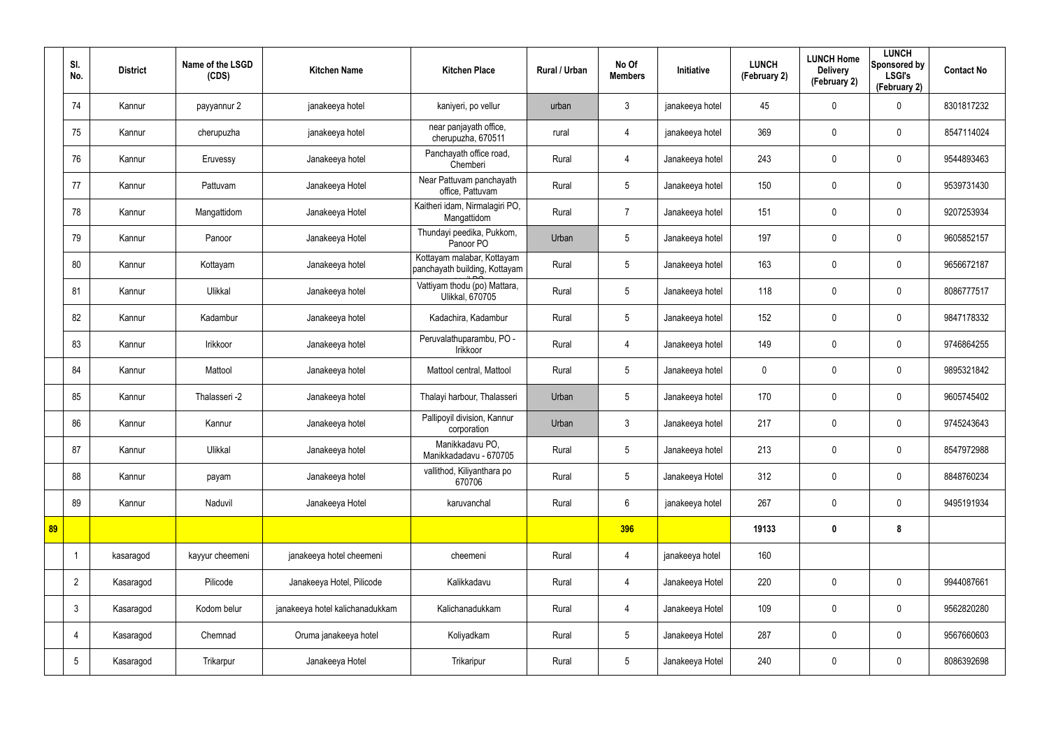|    | SI.<br>No.      | <b>District</b> | Name of the LSGD<br>(CDS) | <b>Kitchen Name</b>             | <b>Kitchen Place</b>                                        | Rural / Urban | No Of<br><b>Members</b> | Initiative      | <b>LUNCH</b><br>(February 2) | <b>LUNCH Home</b><br><b>Delivery</b><br>(February 2) | <b>LUNCH</b><br>Sponsored by<br><b>LSGI's</b><br>(February 2) | <b>Contact No</b> |
|----|-----------------|-----------------|---------------------------|---------------------------------|-------------------------------------------------------------|---------------|-------------------------|-----------------|------------------------------|------------------------------------------------------|---------------------------------------------------------------|-------------------|
|    | 74              | Kannur          | payyannur 2               | janakeeya hotel                 | kaniyeri, po vellur                                         | urban         | $\mathbf{3}$            | janakeeya hotel | 45                           | $\mathbf 0$                                          | 0                                                             | 8301817232        |
|    | 75              | Kannur          | cherupuzha                | janakeeya hotel                 | near panjayath office,<br>cherupuzha, 670511                | rural         | $\overline{4}$          | janakeeya hotel | 369                          | $\mathbf 0$                                          | $\boldsymbol{0}$                                              | 8547114024        |
|    | 76              | Kannur          | Eruvessy                  | Janakeeya hotel                 | Panchayath office road,<br>Chemberi                         | Rural         | 4                       | Janakeeya hotel | 243                          | $\mathbf 0$                                          | 0                                                             | 9544893463        |
|    | 77              | Kannur          | Pattuvam                  | Janakeeya Hotel                 | Near Pattuvam panchayath<br>office, Pattuvam                | Rural         | $5\overline{)}$         | Janakeeya hotel | 150                          | 0                                                    | $\boldsymbol{0}$                                              | 9539731430        |
|    | 78              | Kannur          | Mangattidom               | Janakeeya Hotel                 | Kaitheri idam, Nirmalagiri PO,<br>Mangattidom               | Rural         | $\overline{7}$          | Janakeeya hotel | 151                          | 0                                                    | $\mathbf 0$                                                   | 9207253934        |
|    | 79              | Kannur          | Panoor                    | Janakeeya Hotel                 | Thundayi peedika, Pukkom,<br>Panoor PO                      | Urban         | 5                       | Janakeeya hotel | 197                          | $\boldsymbol{0}$                                     | $\mathbf 0$                                                   | 9605852157        |
|    | 80              | Kannur          | Kottayam                  | Janakeeya hotel                 | Kottayam malabar, Kottayam<br>panchayath building, Kottayam | Rural         | $5\phantom{.0}$         | Janakeeya hotel | 163                          | $\mathbf 0$                                          | $\mathbf 0$                                                   | 9656672187        |
|    | 81              | Kannur          | Ulikkal                   | Janakeeya hotel                 | Vattiyam thodu (po) Mattara,<br>Ulikkal, 670705             | Rural         | $5\overline{)}$         | Janakeeya hotel | 118                          | 0                                                    | $\mathbf 0$                                                   | 8086777517        |
|    | 82              | Kannur          | Kadambur                  | Janakeeya hotel                 | Kadachira, Kadambur                                         | Rural         | $5\phantom{.0}$         | Janakeeya hotel | 152                          | 0                                                    | $\boldsymbol{0}$                                              | 9847178332        |
|    | 83              | Kannur          | Irikkoor                  | Janakeeya hotel                 | Peruvalathuparambu, PO -<br>Irikkoor                        | Rural         | $\overline{4}$          | Janakeeya hotel | 149                          | 0                                                    | $\boldsymbol{0}$                                              | 9746864255        |
|    | 84              | Kannur          | Mattool                   | Janakeeya hotel                 | Mattool central, Mattool                                    | Rural         | $5\overline{)}$         | Janakeeya hotel | $\mathbf 0$                  | $\mathbf 0$                                          | $\boldsymbol{0}$                                              | 9895321842        |
|    | 85              | Kannur          | Thalasseri -2             | Janakeeya hotel                 | Thalayi harbour, Thalasseri                                 | Urban         | $5\overline{)}$         | Janakeeya hotel | 170                          | 0                                                    | $\boldsymbol{0}$                                              | 9605745402        |
|    | 86              | Kannur          | Kannur                    | Janakeeya hotel                 | Pallipoyil division, Kannur<br>corporation                  | Urban         | $\mathbf{3}$            | Janakeeya hotel | 217                          | $\mathbf 0$                                          | $\boldsymbol{0}$                                              | 9745243643        |
|    | 87              | Kannur          | Ulikkal                   | Janakeeya hotel                 | Manikkadavu PO,<br>Manikkadadavu - 670705                   | Rural         | $5\phantom{.0}$         | Janakeeya hotel | 213                          | $\pmb{0}$                                            | $\pmb{0}$                                                     | 8547972988        |
|    | 88              | Kannur          | payam                     | Janakeeya hotel                 | vallithod, Kiliyanthara po<br>670706                        | Rural         | $5\overline{)}$         | Janakeeya Hotel | 312                          | 0                                                    | $\mathbf 0$                                                   | 8848760234        |
|    | 89              | Kannur          | Naduvil                   | Janakeeya Hotel                 | karuvanchal                                                 | Rural         | $6\overline{6}$         | janakeeya hotel | 267                          | $\pmb{0}$                                            | $\mathbf 0$                                                   | 9495191934        |
| 89 |                 |                 |                           |                                 |                                                             |               | 396                     |                 | 19133                        | $\boldsymbol{0}$                                     | 8                                                             |                   |
|    |                 | kasaragod       | kayyur cheemeni           | janakeeya hotel cheemeni        | cheemeni                                                    | Rural         | $\overline{4}$          | janakeeya hotel | 160                          |                                                      |                                                               |                   |
|    | $\overline{2}$  | Kasaragod       | Pilicode                  | Janakeeya Hotel, Pilicode       | Kalikkadavu                                                 | Rural         | $\overline{4}$          | Janakeeya Hotel | 220                          | 0                                                    | $\mathbf 0$                                                   | 9944087661        |
|    | $\mathbf{3}$    | Kasaragod       | Kodom belur               | janakeeya hotel kalichanadukkam | Kalichanadukkam                                             | Rural         | $\overline{4}$          | Janakeeya Hotel | 109                          | 0                                                    | $\pmb{0}$                                                     | 9562820280        |
|    | 4               | Kasaragod       | Chemnad                   | Oruma janakeeya hotel           | Koliyadkam                                                  | Rural         | 5 <sup>5</sup>          | Janakeeya Hotel | 287                          | 0                                                    | $\mathbf 0$                                                   | 9567660603        |
|    | $5\phantom{.0}$ | Kasaragod       | Trikarpur                 | Janakeeya Hotel                 | Trikaripur                                                  | Rural         | $5\phantom{.0}$         | Janakeeya Hotel | 240                          | 0                                                    | $\boldsymbol{0}$                                              | 8086392698        |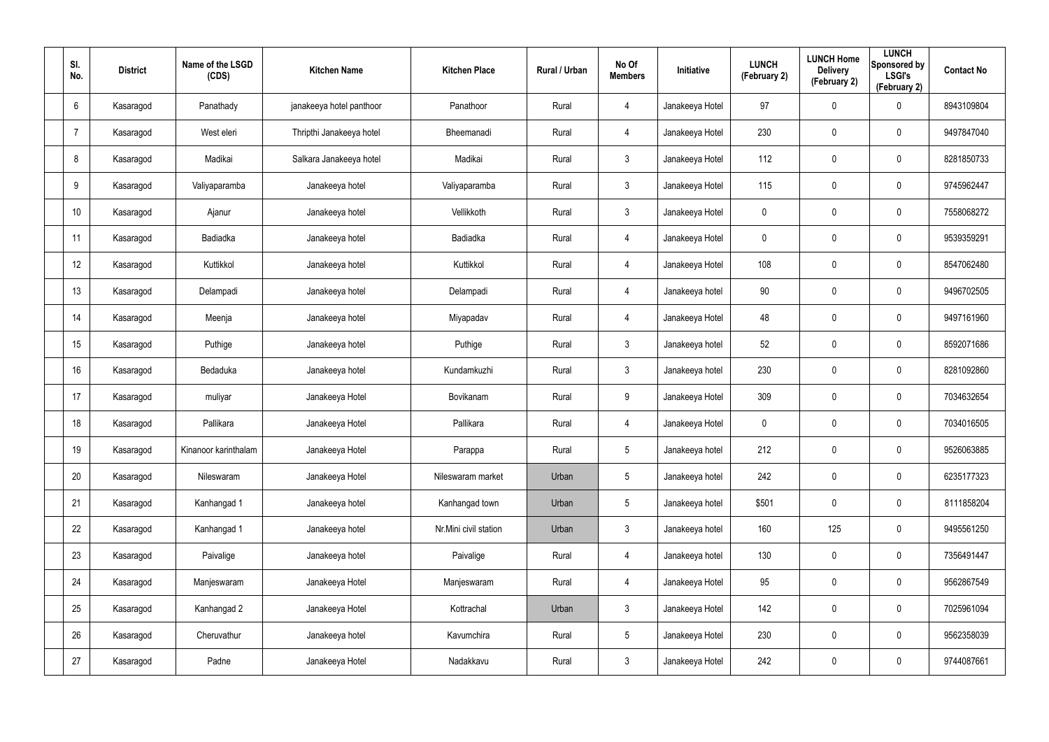| SI.<br>No.      | <b>District</b> | Name of the LSGD<br>(CDS) | <b>Kitchen Name</b>      | <b>Kitchen Place</b>  | Rural / Urban | No Of<br><b>Members</b> | Initiative      | <b>LUNCH</b><br>(February 2) | <b>LUNCH Home</b><br><b>Delivery</b><br>(February 2) | <b>LUNCH</b><br>Sponsored by<br><b>LSGI's</b><br>(February 2) | <b>Contact No</b> |
|-----------------|-----------------|---------------------------|--------------------------|-----------------------|---------------|-------------------------|-----------------|------------------------------|------------------------------------------------------|---------------------------------------------------------------|-------------------|
| 6               | Kasaragod       | Panathady                 | janakeeya hotel panthoor | Panathoor             | Rural         | $\overline{4}$          | Janakeeya Hotel | 97                           | $\mathbf 0$                                          | $\mathbf 0$                                                   | 8943109804        |
| -7              | Kasaragod       | West eleri                | Thripthi Janakeeya hotel | Bheemanadi            | Rural         | $\overline{4}$          | Janakeeya Hotel | 230                          | $\mathbf 0$                                          | $\mathbf 0$                                                   | 9497847040        |
| 8               | Kasaragod       | Madikai                   | Salkara Janakeeya hotel  | Madikai               | Rural         | $\mathbf{3}$            | Janakeeya Hotel | 112                          | 0                                                    | $\boldsymbol{0}$                                              | 8281850733        |
| 9               | Kasaragod       | Valiyaparamba             | Janakeeya hotel          | Valiyaparamba         | Rural         | $\mathbf{3}$            | Janakeeya Hotel | 115                          | 0                                                    | $\mathbf 0$                                                   | 9745962447        |
| 10 <sup>°</sup> | Kasaragod       | Ajanur                    | Janakeeya hotel          | Vellikkoth            | Rural         | $\mathbf{3}$            | Janakeeya Hotel | $\pmb{0}$                    | $\pmb{0}$                                            | $\pmb{0}$                                                     | 7558068272        |
| 11              | Kasaragod       | Badiadka                  | Janakeeya hotel          | Badiadka              | Rural         | $\overline{4}$          | Janakeeya Hotel | $\mathbf 0$                  | 0                                                    | $\mathbf 0$                                                   | 9539359291        |
| 12              | Kasaragod       | Kuttikkol                 | Janakeeya hotel          | Kuttikkol             | Rural         | $\overline{4}$          | Janakeeya Hotel | 108                          | $\pmb{0}$                                            | $\pmb{0}$                                                     | 8547062480        |
| 13              | Kasaragod       | Delampadi                 | Janakeeya hotel          | Delampadi             | Rural         | 4                       | Janakeeya hotel | 90                           | 0                                                    | $\mathbf 0$                                                   | 9496702505        |
| 14              | Kasaragod       | Meenja                    | Janakeeya hotel          | Miyapadav             | Rural         | $\overline{4}$          | Janakeeya Hotel | 48                           | 0                                                    | $\pmb{0}$                                                     | 9497161960        |
| 15              | Kasaragod       | Puthige                   | Janakeeya hotel          | Puthige               | Rural         | $\mathbf{3}$            | Janakeeya hotel | 52                           | 0                                                    | $\mathbf 0$                                                   | 8592071686        |
| 16              | Kasaragod       | Bedaduka                  | Janakeeya hotel          | Kundamkuzhi           | Rural         | $\mathbf{3}$            | Janakeeya hotel | 230                          | $\mathbf 0$                                          | $\mathbf 0$                                                   | 8281092860        |
| 17              | Kasaragod       | muliyar                   | Janakeeya Hotel          | Bovikanam             | Rural         | 9                       | Janakeeya Hotel | 309                          | $\mathbf 0$                                          | $\mathbf 0$                                                   | 7034632654        |
| 18              | Kasaragod       | Pallikara                 | Janakeeya Hotel          | Pallikara             | Rural         | $\overline{4}$          | Janakeeya Hotel | $\mathbf 0$                  | 0                                                    | $\boldsymbol{0}$                                              | 7034016505        |
| 19              | Kasaragod       | Kinanoor karinthalam      | Janakeeya Hotel          | Parappa               | Rural         | $5\phantom{.0}$         | Janakeeya hotel | 212                          | $\pmb{0}$                                            | $\pmb{0}$                                                     | 9526063885        |
| 20              | Kasaragod       | Nileswaram                | Janakeeya Hotel          | Nileswaram market     | Urban         | $5\overline{)}$         | Janakeeya hotel | 242                          | $\pmb{0}$                                            | $\mathbf 0$                                                   | 6235177323        |
| 21              | Kasaragod       | Kanhangad 1               | Janakeeya hotel          | Kanhangad town        | Urban         | $5\overline{)}$         | Janakeeya hotel | \$501                        | $\pmb{0}$                                            | $\mathbf 0$                                                   | 8111858204        |
| 22              | Kasaragod       | Kanhangad 1               | Janakeeya hotel          | Nr.Mini civil station | Urban         | $\mathbf{3}$            | Janakeeya hotel | 160                          | 125                                                  | $\mathbf 0$                                                   | 9495561250        |
| 23              | Kasaragod       | Paivalige                 | Janakeeya hotel          | Paivalige             | Rural         | $\overline{4}$          | Janakeeya hotel | 130                          | $\pmb{0}$                                            | $\mathbf 0$                                                   | 7356491447        |
| 24              | Kasaragod       | Manjeswaram               | Janakeeya Hotel          | Manjeswaram           | Rural         | $\overline{4}$          | Janakeeya Hotel | 95                           | $\pmb{0}$                                            | $\mathbf 0$                                                   | 9562867549        |
| 25              | Kasaragod       | Kanhangad 2               | Janakeeya Hotel          | Kottrachal            | Urban         | $\mathbf{3}$            | Janakeeya Hotel | 142                          | $\pmb{0}$                                            | $\mathbf 0$                                                   | 7025961094        |
| 26              | Kasaragod       | Cheruvathur               | Janakeeya hotel          | Kavumchira            | Rural         | $5\overline{)}$         | Janakeeya Hotel | 230                          | 0                                                    | $\mathbf 0$                                                   | 9562358039        |
| 27              | Kasaragod       | Padne                     | Janakeeya Hotel          | Nadakkavu             | Rural         | $\mathbf{3}$            | Janakeeya Hotel | 242                          | 0                                                    | $\mathbf 0$                                                   | 9744087661        |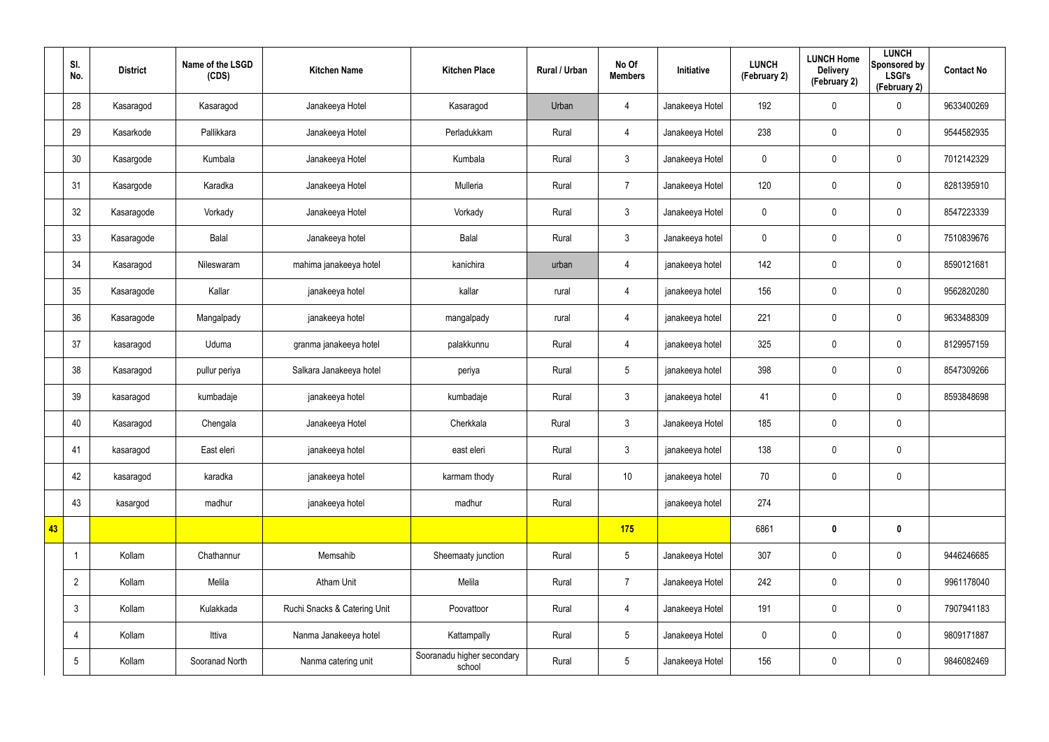|    | SI.<br>No.      | <b>District</b> | Name of the LSGD<br>(CDS) | <b>Kitchen Name</b>          | <b>Kitchen Place</b>                 | Rural / Urban | No Of<br><b>Members</b> | Initiative      | <b>LUNCH</b><br>(February 2) | <b>LUNCH Home</b><br><b>Delivery</b><br>(February 2) | <b>LUNCH</b><br>Sponsored by<br><b>LSGI's</b><br>(February 2) | <b>Contact No</b> |
|----|-----------------|-----------------|---------------------------|------------------------------|--------------------------------------|---------------|-------------------------|-----------------|------------------------------|------------------------------------------------------|---------------------------------------------------------------|-------------------|
|    | 28              | Kasaragod       | Kasaragod                 | Janakeeya Hotel              | Kasaragod                            | Urban         | 4                       | Janakeeya Hotel | 192                          | 0                                                    | $\boldsymbol{0}$                                              | 9633400269        |
|    | 29              | Kasarkode       | Pallikkara                | Janakeeya Hotel              | Perladukkam                          | Rural         | $\overline{4}$          | Janakeeya Hotel | 238                          | 0                                                    | $\mathbf 0$                                                   | 9544582935        |
|    | 30              | Kasargode       | Kumbala                   | Janakeeya Hotel              | Kumbala                              | Rural         | 3 <sup>5</sup>          | Janakeeya Hotel | $\pmb{0}$                    | 0                                                    | $\pmb{0}$                                                     | 7012142329        |
|    | 31              | Kasargode       | Karadka                   | Janakeeya Hotel              | Mulleria                             | Rural         | $\overline{7}$          | Janakeeya Hotel | 120                          | 0                                                    | $\mathbf 0$                                                   | 8281395910        |
|    | 32              | Kasaragode      | Vorkady                   | Janakeeya Hotel              | Vorkady                              | Rural         | 3 <sup>5</sup>          | Janakeeya Hotel | $\pmb{0}$                    | 0                                                    | $\pmb{0}$                                                     | 8547223339        |
|    | 33              | Kasaragode      | Balal                     | Janakeeya hotel              | Balal                                | Rural         | 3                       | Janakeeya hotel | $\pmb{0}$                    | 0                                                    | $\mathbf 0$                                                   | 7510839676        |
|    | 34              | Kasaragod       | Nileswaram                | mahima janakeeya hotel       | kanichira                            | urban         | $\overline{4}$          | janakeeya hotel | 142                          | 0                                                    | $\mathbf 0$                                                   | 8590121681        |
|    | 35              | Kasaragode      | Kallar                    | janakeeya hotel              | kallar                               | rural         | 4                       | janakeeya hotel | 156                          | 0                                                    | $\mathbf 0$                                                   | 9562820280        |
|    | 36              | Kasaragode      | Mangalpady                | janakeeya hotel              | mangalpady                           | rural         | $\overline{4}$          | janakeeya hotel | 221                          | 0                                                    | $\pmb{0}$                                                     | 9633488309        |
|    | 37              | kasaragod       | Uduma                     | granma janakeeya hotel       | palakkunnu                           | Rural         | 4                       | janakeeya hotel | 325                          | 0                                                    | $\mathbf 0$                                                   | 8129957159        |
|    | 38              | Kasaragod       | pullur periya             | Salkara Janakeeya hotel      | periya                               | Rural         | $5\overline{)}$         | janakeeya hotel | 398                          | 0                                                    | $\pmb{0}$                                                     | 8547309266        |
|    | 39              | kasaragod       | kumbadaje                 | janakeeya hotel              | kumbadaje                            | Rural         | 3                       | janakeeya hotel | 41                           | 0                                                    | $\mathbf 0$                                                   | 8593848698        |
|    | 40              | Kasaragod       | Chengala                  | Janakeeya Hotel              | Cherkkala                            | Rural         | $\mathbf{3}$            | Janakeeya Hotel | 185                          | 0                                                    | $\pmb{0}$                                                     |                   |
|    | 41              | kasaragod       | East eleri                | janakeeya hotel              | east eleri                           | Rural         | $\mathbf{3}$            | janakeeya hotel | 138                          | $\pmb{0}$                                            | $\pmb{0}$                                                     |                   |
|    | 42              | kasaragod       | karadka                   | janakeeya hotel              | karmam thody                         | Rural         | 10                      | janakeeya hotel | 70                           | 0                                                    | $\mathbf 0$                                                   |                   |
|    | 43              | kasargod        | madhur                    | janakeeya hotel              | madhur                               | Rural         |                         | janakeeya hotel | 274                          |                                                      |                                                               |                   |
| 43 |                 |                 |                           |                              |                                      |               | 175                     |                 | 6861                         | $\boldsymbol{0}$                                     | $\mathbf 0$                                                   |                   |
|    | -1              | Kollam          | Chathannur                | Memsahib                     | Sheemaaty junction                   | Rural         | $5\overline{)}$         | Janakeeya Hotel | 307                          | $\pmb{0}$                                            | $\pmb{0}$                                                     | 9446246685        |
|    | $\overline{2}$  | Kollam          | Melila                    | Atham Unit                   | Melila                               | Rural         | $\overline{7}$          | Janakeeya Hotel | 242                          | $\pmb{0}$                                            | $\mathbf 0$                                                   | 9961178040        |
|    | $\mathbf{3}$    | Kollam          | Kulakkada                 | Ruchi Snacks & Catering Unit | Poovattoor                           | Rural         | $\overline{4}$          | Janakeeya Hotel | 191                          | $\pmb{0}$                                            | $\pmb{0}$                                                     | 7907941183        |
|    | $\overline{4}$  | Kollam          | Ittiva                    | Nanma Janakeeya hotel        | Kattampally                          | Rural         | 5 <sup>5</sup>          | Janakeeya Hotel | $\mathbf 0$                  | 0                                                    | $\mathbf 0$                                                   | 9809171887        |
|    | $5\phantom{.0}$ | Kollam          | Sooranad North            | Nanma catering unit          | Sooranadu higher secondary<br>school | Rural         | 5 <sub>5</sub>          | Janakeeya Hotel | 156                          | 0                                                    | $\pmb{0}$                                                     | 9846082469        |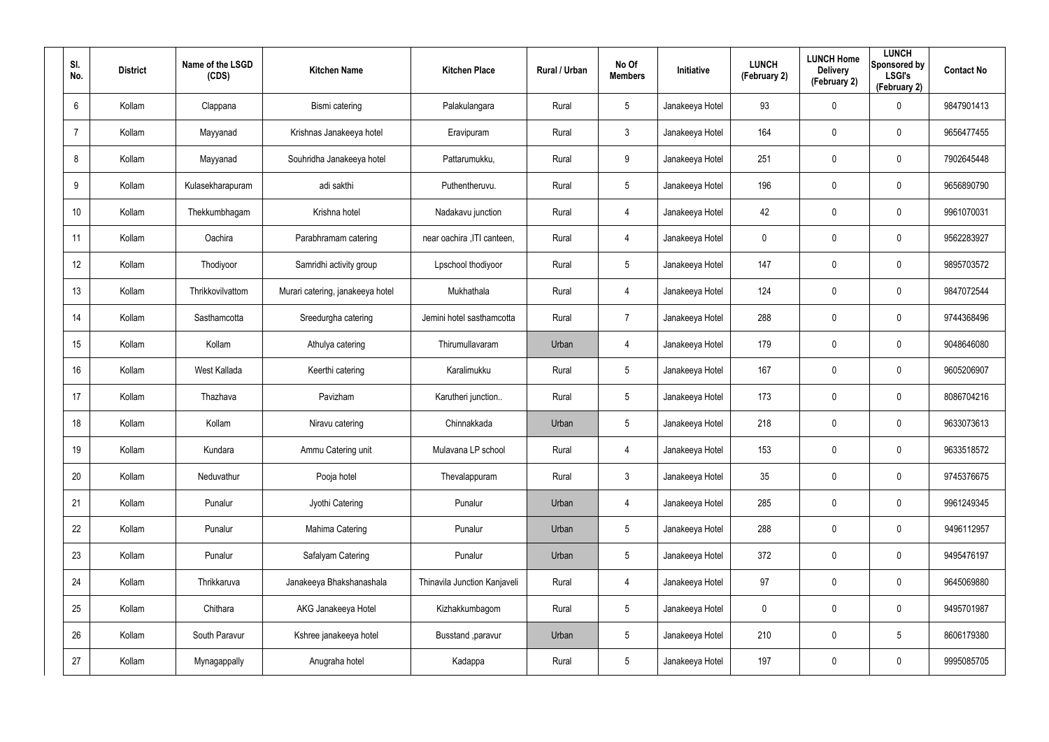| SI.<br>No.     | <b>District</b> | Name of the LSGD<br>(CDS) | <b>Kitchen Name</b>              | <b>Kitchen Place</b>         | Rural / Urban | No Of<br><b>Members</b> | Initiative      | <b>LUNCH</b><br>(February 2) | <b>LUNCH Home</b><br><b>Delivery</b><br>(February 2) | <b>LUNCH</b><br>Sponsored by<br><b>LSGI's</b><br>(February 2) | <b>Contact No</b> |
|----------------|-----------------|---------------------------|----------------------------------|------------------------------|---------------|-------------------------|-----------------|------------------------------|------------------------------------------------------|---------------------------------------------------------------|-------------------|
| 6              | Kollam          | Clappana                  | Bismi catering                   | Palakulangara                | Rural         | $5\phantom{.0}$         | Janakeeya Hotel | 93                           | 0                                                    | $\boldsymbol{0}$                                              | 9847901413        |
| $\overline{7}$ | Kollam          | Mayyanad                  | Krishnas Janakeeya hotel         | Eravipuram                   | Rural         | $\mathbf{3}$            | Janakeeya Hotel | 164                          | 0                                                    | $\boldsymbol{0}$                                              | 9656477455        |
| 8              | Kollam          | Mayyanad                  | Souhridha Janakeeya hotel        | Pattarumukku,                | Rural         | 9                       | Janakeeya Hotel | 251                          | 0                                                    | $\pmb{0}$                                                     | 7902645448        |
| 9              | Kollam          | Kulasekharapuram          | adi sakthi                       | Puthentheruvu.               | Rural         | $5\phantom{.0}$         | Janakeeya Hotel | 196                          | 0                                                    | $\boldsymbol{0}$                                              | 9656890790        |
| 10             | Kollam          | Thekkumbhagam             | Krishna hotel                    | Nadakavu junction            | Rural         | $\overline{4}$          | Janakeeya Hotel | 42                           | 0                                                    | $\boldsymbol{0}$                                              | 9961070031        |
| 11             | Kollam          | Oachira                   | Parabhramam catering             | near oachira , ITI canteen,  | Rural         | 4                       | Janakeeya Hotel | 0                            | 0                                                    | $\mathbf 0$                                                   | 9562283927        |
| 12             | Kollam          | Thodiyoor                 | Samridhi activity group          | Lpschool thodiyoor           | Rural         | $5\phantom{.0}$         | Janakeeya Hotel | 147                          | 0                                                    | $\pmb{0}$                                                     | 9895703572        |
| 13             | Kollam          | Thrikkovilvattom          | Murari catering, janakeeya hotel | Mukhathala                   | Rural         | 4                       | Janakeeya Hotel | 124                          | 0                                                    | $\mathbf 0$                                                   | 9847072544        |
| 14             | Kollam          | Sasthamcotta              | Sreedurgha catering              | Jemini hotel sasthamcotta    | Rural         | $\overline{7}$          | Janakeeya Hotel | 288                          | 0                                                    | $\boldsymbol{0}$                                              | 9744368496        |
| 15             | Kollam          | Kollam                    | Athulya catering                 | Thirumullavaram              | Urban         | 4                       | Janakeeya Hotel | 179                          | 0                                                    | $\mathbf 0$                                                   | 9048646080        |
| 16             | Kollam          | West Kallada              | Keerthi catering                 | Karalimukku                  | Rural         | $5\phantom{.0}$         | Janakeeya Hotel | 167                          | 0                                                    | $\boldsymbol{0}$                                              | 9605206907        |
| 17             | Kollam          | Thazhava                  | Pavizham                         | Karutheri junction           | Rural         | $5\overline{)}$         | Janakeeya Hotel | 173                          | $\mathbf 0$                                          | $\mathbf 0$                                                   | 8086704216        |
| 18             | Kollam          | Kollam                    | Niravu catering                  | Chinnakkada                  | Urban         | $5\overline{)}$         | Janakeeya Hotel | 218                          | $\mathbf 0$                                          | $\mathbf 0$                                                   | 9633073613        |
| 19             | Kollam          | Kundara                   | Ammu Catering unit               | Mulavana LP school           | Rural         | 4                       | Janakeeya Hotel | 153                          | $\mathbf 0$                                          | $\pmb{0}$                                                     | 9633518572        |
| 20             | Kollam          | Neduvathur                | Pooja hotel                      | Thevalappuram                | Rural         | $\mathbf{3}$            | Janakeeya Hotel | 35                           | 0                                                    | $\mathbf 0$                                                   | 9745376675        |
| 21             | Kollam          | Punalur                   | Jyothi Catering                  | Punalur                      | Urban         | 4                       | Janakeeya Hotel | 285                          | $\mathbf 0$                                          | $\mathbf 0$                                                   | 9961249345        |
| 22             | Kollam          | Punalur                   | Mahima Catering                  | Punalur                      | Urban         | $5\phantom{.0}$         | Janakeeya Hotel | 288                          | $\mathbf 0$                                          | $\mathbf 0$                                                   | 9496112957        |
| 23             | Kollam          | Punalur                   | Safalyam Catering                | Punalur                      | Urban         | $5\phantom{.0}$         | Janakeeya Hotel | 372                          | 0                                                    | $\mathbf 0$                                                   | 9495476197        |
| 24             | Kollam          | Thrikkaruva               | Janakeeya Bhakshanashala         | Thinavila Junction Kanjaveli | Rural         | $\overline{4}$          | Janakeeya Hotel | 97                           | 0                                                    | $\mathbf 0$                                                   | 9645069880        |
| 25             | Kollam          | Chithara                  | AKG Janakeeya Hotel              | Kizhakkumbagom               | Rural         | $5\phantom{.0}$         | Janakeeya Hotel | $\mathbf 0$                  | 0                                                    | $\mathbf 0$                                                   | 9495701987        |
| 26             | Kollam          | South Paravur             | Kshree janakeeya hotel           | Busstand , paravur           | Urban         | $5\phantom{.0}$         | Janakeeya Hotel | 210                          | 0                                                    | $5\phantom{.0}$                                               | 8606179380        |
| 27             | Kollam          | Mynagappally              | Anugraha hotel                   | Kadappa                      | Rural         | $5\phantom{.0}$         | Janakeeya Hotel | 197                          | 0                                                    | $\mathsf{0}$                                                  | 9995085705        |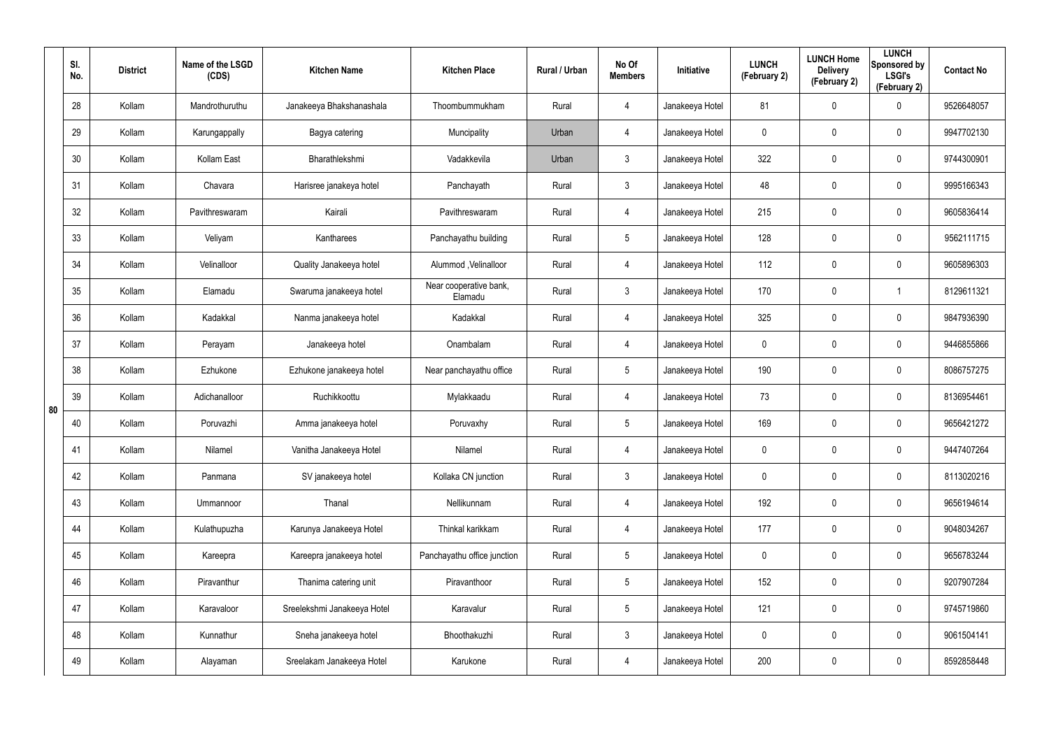|    | SI.<br>No. | <b>District</b> | Name of the LSGD<br>(CDS) | <b>Kitchen Name</b>         | <b>Kitchen Place</b>              | Rural / Urban | No Of<br><b>Members</b> | Initiative      | <b>LUNCH</b><br>(February 2) | <b>LUNCH Home</b><br><b>Delivery</b><br>(February 2) | <b>LUNCH</b><br>Sponsored by<br><b>LSGI's</b><br>(February 2) | <b>Contact No</b> |
|----|------------|-----------------|---------------------------|-----------------------------|-----------------------------------|---------------|-------------------------|-----------------|------------------------------|------------------------------------------------------|---------------------------------------------------------------|-------------------|
|    | 28         | Kollam          | Mandrothuruthu            | Janakeeya Bhakshanashala    | Thoombummukham                    | Rural         | 4                       | Janakeeya Hotel | 81                           | 0                                                    | $\mathbf 0$                                                   | 9526648057        |
|    | 29         | Kollam          | Karungappally             | Bagya catering              | Muncipality                       | Urban         | 4                       | Janakeeya Hotel | 0                            | 0                                                    | $\pmb{0}$                                                     | 9947702130        |
|    | 30         | Kollam          | Kollam East               | Bharathlekshmi              | Vadakkevila                       | Urban         | $\mathfrak{Z}$          | Janakeeya Hotel | 322                          | $\mathbf 0$                                          | $\pmb{0}$                                                     | 9744300901        |
|    | 31         | Kollam          | Chavara                   | Harisree janakeya hotel     | Panchayath                        | Rural         | $\mathfrak{Z}$          | Janakeeya Hotel | 48                           | 0                                                    | $\pmb{0}$                                                     | 9995166343        |
|    | 32         | Kollam          | Pavithreswaram            | Kairali                     | Pavithreswaram                    | Rural         | 4                       | Janakeeya Hotel | 215                          | $\mathbf 0$                                          | $\pmb{0}$                                                     | 9605836414        |
|    | 33         | Kollam          | Veliyam                   | Kantharees                  | Panchayathu building              | Rural         | $5\phantom{.0}$         | Janakeeya Hotel | 128                          | 0                                                    | $\pmb{0}$                                                     | 9562111715        |
|    | 34         | Kollam          | Velinalloor               | Quality Janakeeya hotel     | Alummod, Velinalloor              | Rural         | 4                       | Janakeeya Hotel | 112                          | $\mathbf 0$                                          | $\pmb{0}$                                                     | 9605896303        |
|    | 35         | Kollam          | Elamadu                   | Swaruma janakeeya hotel     | Near cooperative bank,<br>Elamadu | Rural         | $\mathbf{3}$            | Janakeeya Hotel | 170                          | 0                                                    | 1                                                             | 8129611321        |
|    | 36         | Kollam          | Kadakkal                  | Nanma janakeeya hotel       | Kadakkal                          | Rural         | 4                       | Janakeeya Hotel | 325                          | $\mathbf 0$                                          | $\pmb{0}$                                                     | 9847936390        |
|    | 37         | Kollam          | Perayam                   | Janakeeya hotel             | Onambalam                         | Rural         | 4                       | Janakeeya Hotel | 0                            | 0                                                    | $\pmb{0}$                                                     | 9446855866        |
|    | 38         | Kollam          | Ezhukone                  | Ezhukone janakeeya hotel    | Near panchayathu office           | Rural         | $5\phantom{.0}$         | Janakeeya Hotel | 190                          | $\mathbf 0$                                          | $\pmb{0}$                                                     | 8086757275        |
| 80 | 39         | Kollam          | Adichanalloor             | Ruchikkoottu                | Mylakkaadu                        | Rural         | 4                       | Janakeeya Hotel | 73                           | 0                                                    | $\pmb{0}$                                                     | 8136954461        |
|    | 40         | Kollam          | Poruvazhi                 | Amma janakeeya hotel        | Poruvaxhy                         | Rural         | $5\phantom{.0}$         | Janakeeya Hotel | 169                          | 0                                                    | $\mathbf 0$                                                   | 9656421272        |
|    | 41         | Kollam          | Nilamel                   | Vanitha Janakeeya Hotel     | Nilamel                           | Rural         | 4                       | Janakeeya Hotel | 0                            | $\mathbf 0$                                          | $\pmb{0}$                                                     | 9447407264        |
|    | 42         | Kollam          | Panmana                   | SV janakeeya hotel          | Kollaka CN junction               | Rural         | $\mathbf{3}$            | Janakeeya Hotel | $\mathbf 0$                  | $\mathbf 0$                                          | $\mathbf 0$                                                   | 8113020216        |
|    | 43         | Kollam          | Ummannoor                 | Thanal                      | Nellikunnam                       | Rural         | 4                       | Janakeeya Hotel | 192                          | $\mathbf 0$                                          | $\mathbf 0$                                                   | 9656194614        |
|    | 44         | Kollam          | Kulathupuzha              | Karunya Janakeeya Hotel     | Thinkal karikkam                  | Rural         | 4                       | Janakeeya Hotel | 177                          | $\mathbf 0$                                          | $\mathbf 0$                                                   | 9048034267        |
|    | 45         | Kollam          | Kareepra                  | Kareepra janakeeya hotel    | Panchayathu office junction       | Rural         | $5\phantom{.0}$         | Janakeeya Hotel | $\mathbf 0$                  | $\mathbf 0$                                          | $\mathbf 0$                                                   | 9656783244        |
|    | 46         | Kollam          | Piravanthur               | Thanima catering unit       | Piravanthoor                      | Rural         | $5\phantom{.0}$         | Janakeeya Hotel | 152                          | $\mathbf 0$                                          | $\mathbf 0$                                                   | 9207907284        |
|    | 47         | Kollam          | Karavaloor                | Sreelekshmi Janakeeya Hotel | Karavalur                         | Rural         | $5\phantom{.0}$         | Janakeeya Hotel | 121                          | $\mathbf 0$                                          | $\mathbf 0$                                                   | 9745719860        |
|    | 48         | Kollam          | Kunnathur                 | Sneha janakeeya hotel       | Bhoothakuzhi                      | Rural         | $\mathfrak{Z}$          | Janakeeya Hotel | $\mathbf 0$                  | 0                                                    | $\mathbf 0$                                                   | 9061504141        |
|    | 49         | Kollam          | Alayaman                  | Sreelakam Janakeeya Hotel   | Karukone                          | Rural         | 4                       | Janakeeya Hotel | 200                          | 0                                                    | $\mathsf{0}$                                                  | 8592858448        |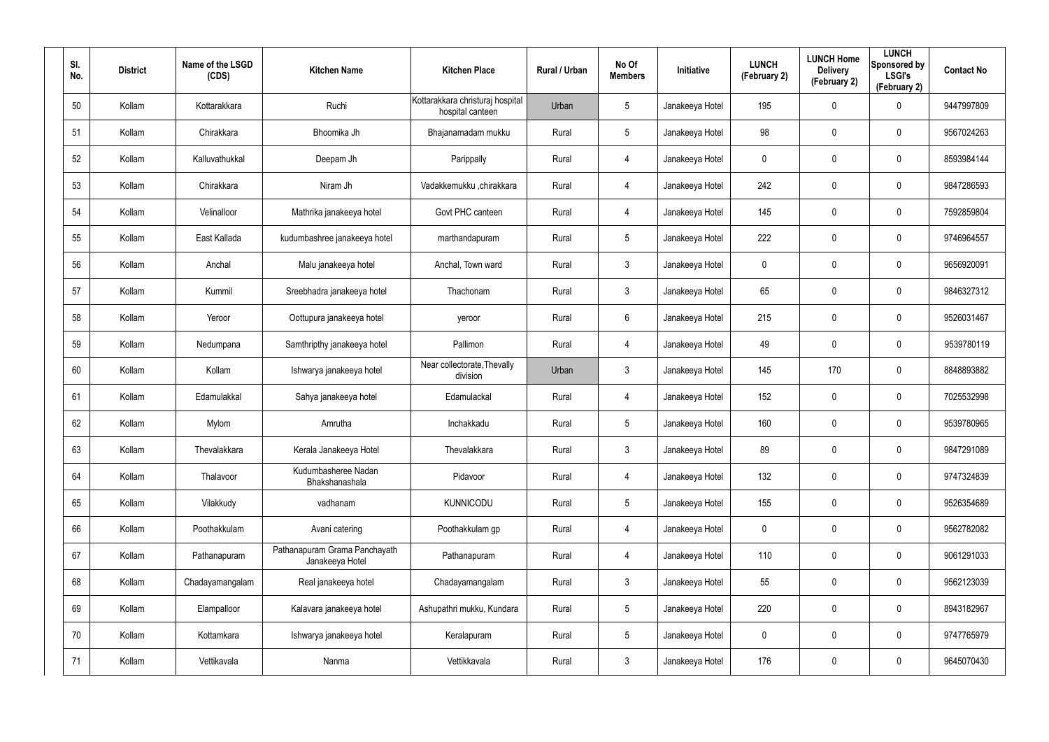| SI.<br>No. | <b>District</b> | Name of the LSGD<br>(CDS) | <b>Kitchen Name</b>                              | <b>Kitchen Place</b>                                 | Rural / Urban | No Of<br><b>Members</b> | Initiative      | <b>LUNCH</b><br>(February 2) | <b>LUNCH Home</b><br><b>Delivery</b><br>(February 2) | <b>LUNCH</b><br>Sponsored by<br><b>LSGI's</b><br>(February 2) | <b>Contact No</b> |
|------------|-----------------|---------------------------|--------------------------------------------------|------------------------------------------------------|---------------|-------------------------|-----------------|------------------------------|------------------------------------------------------|---------------------------------------------------------------|-------------------|
| 50         | Kollam          | Kottarakkara              | Ruchi                                            | Kottarakkara christuraj hospital<br>hospital canteen | Urban         | 5                       | Janakeeya Hotel | 195                          | 0                                                    | $\mathbf 0$                                                   | 9447997809        |
| 51         | Kollam          | Chirakkara                | Bhoomika Jh                                      | Bhajanamadam mukku                                   | Rural         | 5                       | Janakeeya Hotel | 98                           | 0                                                    | $\mathbf 0$                                                   | 9567024263        |
| 52         | Kollam          | Kalluvathukkal            | Deepam Jh                                        | Parippally                                           | Rural         | 4                       | Janakeeya Hotel | 0                            | 0                                                    | $\mathbf 0$                                                   | 8593984144        |
| 53         | Kollam          | Chirakkara                | Niram Jh                                         | Vadakkemukku ,chirakkara                             | Rural         | 4                       | Janakeeya Hotel | 242                          | 0                                                    | $\pmb{0}$                                                     | 9847286593        |
| 54         | Kollam          | Velinalloor               | Mathrika janakeeya hotel                         | Govt PHC canteen                                     | Rural         | 4                       | Janakeeya Hotel | 145                          | 0                                                    | $\pmb{0}$                                                     | 7592859804        |
| 55         | Kollam          | East Kallada              | kudumbashree janakeeya hotel                     | marthandapuram                                       | Rural         | 5                       | Janakeeya Hotel | 222                          | 0                                                    | $\mathbf 0$                                                   | 9746964557        |
| 56         | Kollam          | Anchal                    | Malu janakeeya hotel                             | Anchal, Town ward                                    | Rural         | $\mathbf{3}$            | Janakeeya Hotel | 0                            | 0                                                    | $\pmb{0}$                                                     | 9656920091        |
| 57         | Kollam          | Kummil                    | Sreebhadra janakeeya hotel                       | Thachonam                                            | Rural         | $\mathbf{3}$            | Janakeeya Hotel | 65                           | 0                                                    | $\mathbf 0$                                                   | 9846327312        |
| 58         | Kollam          | Yeroor                    | Oottupura janakeeya hotel                        | yeroor                                               | Rural         | 6                       | Janakeeya Hotel | 215                          | 0                                                    | $\mathbf 0$                                                   | 9526031467        |
| 59         | Kollam          | Nedumpana                 | Samthripthy janakeeya hotel                      | Pallimon                                             | Rural         | 4                       | Janakeeya Hotel | 49                           | 0                                                    | $\mathbf 0$                                                   | 9539780119        |
| 60         | Kollam          | Kollam                    | Ishwarya janakeeya hotel                         | Near collectorate, Thevally<br>division              | Urban         | $\mathbf{3}$            | Janakeeya Hotel | 145                          | 170                                                  | $\mathbf 0$                                                   | 8848893882        |
| 61         | Kollam          | Edamulakkal               | Sahya janakeeya hotel                            | Edamulackal                                          | Rural         | 4                       | Janakeeya Hotel | 152                          | 0                                                    | $\mathbf 0$                                                   | 7025532998        |
| 62         | Kollam          | Mylom                     | Amrutha                                          | Inchakkadu                                           | Rural         | $5\phantom{.0}$         | Janakeeya Hotel | 160                          | 0                                                    | $\mathbf 0$                                                   | 9539780965        |
| 63         | Kollam          | Thevalakkara              | Kerala Janakeeya Hotel                           | Thevalakkara                                         | Rural         | $\mathbf{3}$            | Janakeeya Hotel | 89                           | 0                                                    | $\pmb{0}$                                                     | 9847291089        |
| 64         | Kollam          | Thalavoor                 | Kudumbasheree Nadan<br>Bhakshanashala            | Pidavoor                                             | Rural         | 4                       | Janakeeya Hotel | 132                          | 0                                                    | $\mathbf 0$                                                   | 9747324839        |
| 65         | Kollam          | Vilakkudy                 | vadhanam                                         | <b>KUNNICODU</b>                                     | Rural         | $5\phantom{.0}$         | Janakeeya Hotel | 155                          | 0                                                    | $\mathbf 0$                                                   | 9526354689        |
| 66         | Kollam          | Poothakkulam              | Avani catering                                   | Poothakkulam gp                                      | Rural         | 4                       | Janakeeya Hotel | $\mathbf 0$                  | 0                                                    | $\mathbf 0$                                                   | 9562782082        |
| 67         | Kollam          | Pathanapuram              | Pathanapuram Grama Panchayath<br>Janakeeya Hotel | Pathanapuram                                         | Rural         | 4                       | Janakeeya Hotel | 110                          | 0                                                    | $\mathbf 0$                                                   | 9061291033        |
| 68         | Kollam          | Chadayamangalam           | Real janakeeya hotel                             | Chadayamangalam                                      | Rural         | $\mathbf{3}$            | Janakeeya Hotel | 55                           | 0                                                    | $\mathbf 0$                                                   | 9562123039        |
| 69         | Kollam          | Elampalloor               | Kalavara janakeeya hotel                         | Ashupathri mukku, Kundara                            | Rural         | $5\phantom{.0}$         | Janakeeya Hotel | 220                          | 0                                                    | $\mathbf 0$                                                   | 8943182967        |
| 70         | Kollam          | Kottamkara                | Ishwarya janakeeya hotel                         | Keralapuram                                          | Rural         | $5\phantom{.0}$         | Janakeeya Hotel | 0                            | 0                                                    | $\mathbf 0$                                                   | 9747765979        |
| 71         | Kollam          | Vettikavala               | Nanma                                            | Vettikkavala                                         | Rural         | $\mathfrak{Z}$          | Janakeeya Hotel | 176                          | 0                                                    | $\mathsf{0}$                                                  | 9645070430        |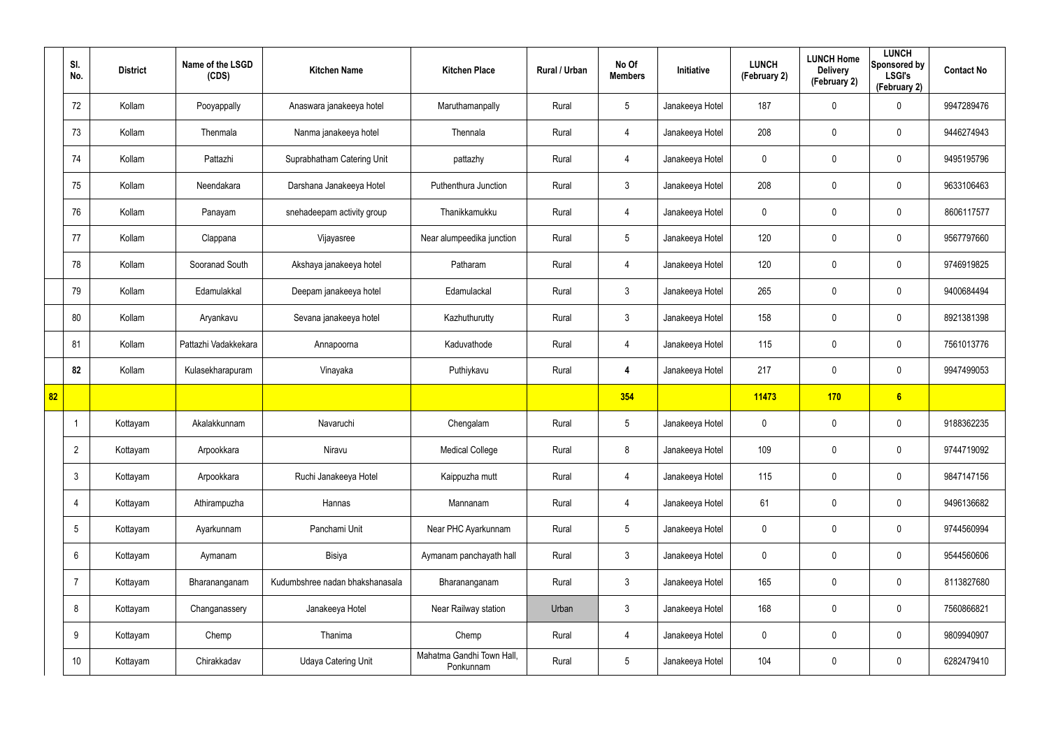|    | SI.<br>No.      | <b>District</b> | Name of the LSGD<br>(CDS) | <b>Kitchen Name</b>             | <b>Kitchen Place</b>                   | Rural / Urban | No Of<br><b>Members</b> | Initiative      | <b>LUNCH</b><br>(February 2) | <b>LUNCH Home</b><br><b>Delivery</b><br>(February 2) | <b>LUNCH</b><br>Sponsored by<br><b>LSGI's</b><br>(February 2) | <b>Contact No</b> |
|----|-----------------|-----------------|---------------------------|---------------------------------|----------------------------------------|---------------|-------------------------|-----------------|------------------------------|------------------------------------------------------|---------------------------------------------------------------|-------------------|
|    | 72              | Kollam          | Pooyappally               | Anaswara janakeeya hotel        | Maruthamanpally                        | Rural         | $5\phantom{.0}$         | Janakeeya Hotel | 187                          | 0                                                    | $\mathbf 0$                                                   | 9947289476        |
|    | 73              | Kollam          | Thenmala                  | Nanma janakeeya hotel           | Thennala                               | Rural         | $\overline{4}$          | Janakeeya Hotel | 208                          | 0                                                    | $\mathbf 0$                                                   | 9446274943        |
|    | 74              | Kollam          | Pattazhi                  | Suprabhatham Catering Unit      | pattazhy                               | Rural         | $\overline{4}$          | Janakeeya Hotel | 0                            | 0                                                    | $\mathbf 0$                                                   | 9495195796        |
|    | 75              | Kollam          | Neendakara                | Darshana Janakeeya Hotel        | Puthenthura Junction                   | Rural         | $\mathbf{3}$            | Janakeeya Hotel | 208                          | 0                                                    | $\mathbf 0$                                                   | 9633106463        |
|    | 76              | Kollam          | Panayam                   | snehadeepam activity group      | Thanikkamukku                          | Rural         | $\overline{4}$          | Janakeeya Hotel | 0                            | 0                                                    | $\mathbf 0$                                                   | 8606117577        |
|    | 77              | Kollam          | Clappana                  | Vijayasree                      | Near alumpeedika junction              | Rural         | $5\overline{)}$         | Janakeeya Hotel | 120                          | 0                                                    | $\mathbf 0$                                                   | 9567797660        |
|    | 78              | Kollam          | Sooranad South            | Akshaya janakeeya hotel         | Patharam                               | Rural         | $\overline{4}$          | Janakeeya Hotel | 120                          | 0                                                    | $\mathbf 0$                                                   | 9746919825        |
|    | 79              | Kollam          | Edamulakkal               | Deepam janakeeya hotel          | Edamulackal                            | Rural         | $\mathbf{3}$            | Janakeeya Hotel | 265                          | 0                                                    | $\mathbf 0$                                                   | 9400684494        |
|    | 80              | Kollam          | Aryankavu                 | Sevana janakeeya hotel          | Kazhuthurutty                          | Rural         | $\mathbf{3}$            | Janakeeya Hotel | 158                          | 0                                                    | $\mathbf 0$                                                   | 8921381398        |
|    | 81              | Kollam          | Pattazhi Vadakkekara      | Annapoorna                      | Kaduvathode                            | Rural         | $\overline{4}$          | Janakeeya Hotel | 115                          | 0                                                    | $\mathbf 0$                                                   | 7561013776        |
|    | 82              | Kollam          | Kulasekharapuram          | Vinayaka                        | Puthiykavu                             | Rural         | 4                       | Janakeeya Hotel | 217                          | 0                                                    | $\mathbf 0$                                                   | 9947499053        |
| 82 |                 |                 |                           |                                 |                                        |               | 354                     |                 | 11473                        | 170                                                  | 6                                                             |                   |
|    |                 | Kottayam        | Akalakkunnam              | Navaruchi                       | Chengalam                              | Rural         | $5\phantom{.0}$         | Janakeeya Hotel | 0                            | 0                                                    | $\boldsymbol{0}$                                              | 9188362235        |
|    | $\overline{2}$  | Kottayam        | Arpookkara                | Niravu                          | <b>Medical College</b>                 | Rural         | 8                       | Janakeeya Hotel | 109                          | $\pmb{0}$                                            | $\pmb{0}$                                                     | 9744719092        |
|    | $\mathbf{3}$    | Kottayam        | Arpookkara                | Ruchi Janakeeya Hotel           | Kaippuzha mutt                         | Rural         | $\overline{4}$          | Janakeeya Hotel | 115                          | $\mathbf 0$                                          | $\pmb{0}$                                                     | 9847147156        |
|    | $\overline{4}$  | Kottayam        | Athirampuzha              | Hannas                          | Mannanam                               | Rural         | $\overline{4}$          | Janakeeya Hotel | 61                           | 0                                                    | $\pmb{0}$                                                     | 9496136682        |
|    | $5\overline{)}$ | Kottayam        | Ayarkunnam                | Panchami Unit                   | Near PHC Ayarkunnam                    | Rural         | $5\phantom{.0}$         | Janakeeya Hotel | 0                            | $\mathbf 0$                                          | $\pmb{0}$                                                     | 9744560994        |
|    | $6\overline{6}$ | Kottayam        | Aymanam                   | Bisiya                          | Aymanam panchayath hall                | Rural         | 3 <sup>1</sup>          | Janakeeya Hotel | 0                            | 0                                                    | $\mathbf 0$                                                   | 9544560606        |
|    | $\overline{7}$  | Kottayam        | Bharananganam             | Kudumbshree nadan bhakshanasala | Bharananganam                          | Rural         | $\mathbf{3}$            | Janakeeya Hotel | 165                          | 0                                                    | $\mathbf 0$                                                   | 8113827680        |
|    | 8               | Kottayam        | Changanassery             | Janakeeya Hotel                 | Near Railway station                   | Urban         | 3 <sup>1</sup>          | Janakeeya Hotel | 168                          | 0                                                    | $\pmb{0}$                                                     | 7560866821        |
|    | 9               | Kottayam        | Chemp                     | Thanima                         | Chemp                                  | Rural         | 4                       | Janakeeya Hotel | 0                            | 0                                                    | $\mathbf 0$                                                   | 9809940907        |
|    | 10 <sup>°</sup> | Kottayam        | Chirakkadav               | Udaya Catering Unit             | Mahatma Gandhi Town Hall,<br>Ponkunnam | Rural         | $5\phantom{.0}$         | Janakeeya Hotel | 104                          | 0                                                    | $\pmb{0}$                                                     | 6282479410        |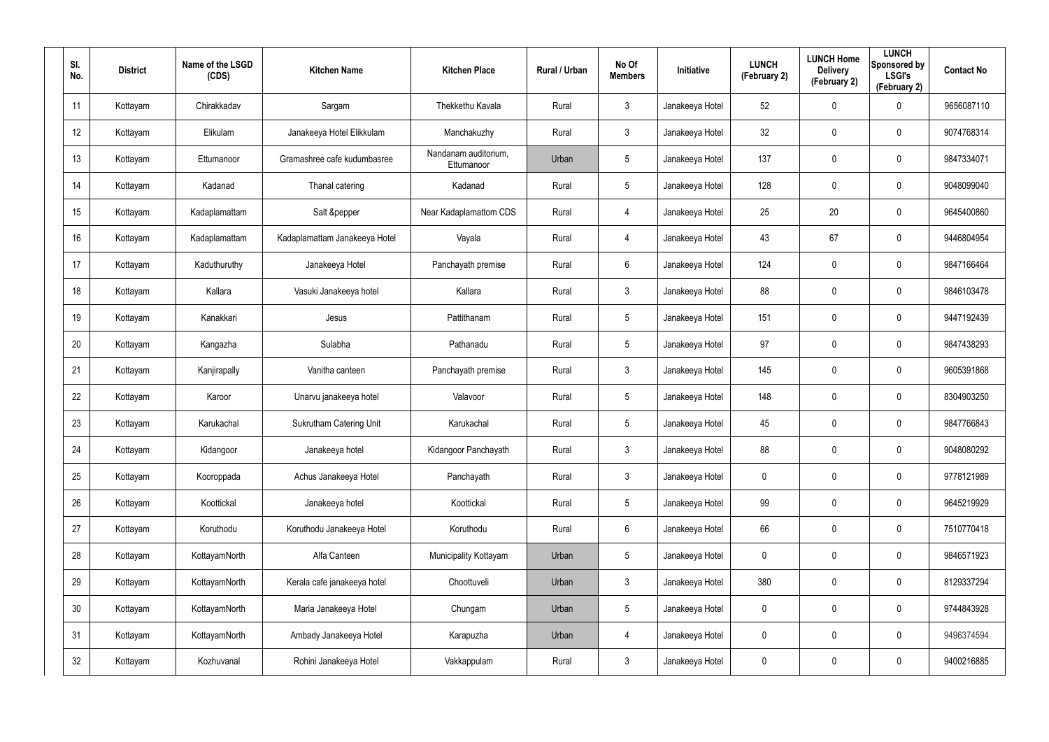| SI.<br>No.      | <b>District</b> | Name of the LSGD<br>(CDS) | <b>Kitchen Name</b>            | <b>Kitchen Place</b>               | Rural / Urban | No Of<br><b>Members</b> | Initiative      | <b>LUNCH</b><br>(February 2) | <b>LUNCH Home</b><br><b>Delivery</b><br>(February 2) | <b>LUNCH</b><br>Sponsored by<br><b>LSGI's</b><br>(February 2) | <b>Contact No</b> |
|-----------------|-----------------|---------------------------|--------------------------------|------------------------------------|---------------|-------------------------|-----------------|------------------------------|------------------------------------------------------|---------------------------------------------------------------|-------------------|
| 11              | Kottayam        | Chirakkadav               | Sargam                         | Thekkethu Kavala                   | Rural         | $\mathbf{3}$            | Janakeeya Hotel | 52                           | 0                                                    | $\mathbf 0$                                                   | 9656087110        |
| 12              | Kottayam        | Elikulam                  | Janakeeya Hotel Elikkulam      | Manchakuzhy                        | Rural         | $\mathbf{3}$            | Janakeeya Hotel | 32                           | 0                                                    | $\mathbf 0$                                                   | 9074768314        |
| 13              | Kottayam        | Ettumanoor                | Gramashree cafe kudumbasree    | Nandanam auditorium.<br>Ettumanoor | Urban         | 5                       | Janakeeya Hotel | 137                          | 0                                                    | $\pmb{0}$                                                     | 9847334071        |
| 14              | Kottayam        | Kadanad                   | Thanal catering                | Kadanad                            | Rural         | 5                       | Janakeeya Hotel | 128                          | 0                                                    | $\mathbf 0$                                                   | 9048099040        |
| 15              | Kottayam        | Kadaplamattam             | Salt &pepper                   | Near Kadaplamattom CDS             | Rural         | $\overline{4}$          | Janakeeya Hotel | 25                           | 20                                                   | $\mathbf 0$                                                   | 9645400860        |
| 16              | Kottayam        | Kadaplamattam             | Kadaplamattam Janakeeya Hotel  | Vayala                             | Rural         | $\overline{4}$          | Janakeeya Hotel | 43                           | 67                                                   | $\pmb{0}$                                                     | 9446804954        |
| 17              | Kottayam        | Kaduthuruthy              | Janakeeya Hotel                | Panchayath premise                 | Rural         | 6                       | Janakeeya Hotel | 124                          | $\mathbf 0$                                          | $\mathbf 0$                                                   | 9847166464        |
| 18              | Kottayam        | Kallara                   | Vasuki Janakeeya hotel         | Kallara                            | Rural         | $\mathbf{3}$            | Janakeeya Hotel | 88                           | 0                                                    | $\mathbf 0$                                                   | 9846103478        |
| 19              | Kottayam        | Kanakkari                 | Jesus                          | Pattithanam                        | Rural         | $5\phantom{.0}$         | Janakeeya Hotel | 151                          | $\mathbf 0$                                          | $\mathbf 0$                                                   | 9447192439        |
| 20              | Kottayam        | Kangazha                  | Sulabha                        | Pathanadu                          | Rural         | $5\phantom{.0}$         | Janakeeya Hotel | 97                           | 0                                                    | $\mathbf 0$                                                   | 9847438293        |
| 21              | Kottayam        | Kanjirapally              | Vanitha canteen                | Panchayath premise                 | Rural         | $\mathbf{3}$            | Janakeeya Hotel | 145                          | $\mathbf 0$                                          | $\mathbf 0$                                                   | 9605391868        |
| 22              | Kottayam        | Karoor                    | Unarvu janakeeya hotel         | Valavoor                           | Rural         | $5\phantom{.0}$         | Janakeeya Hotel | 148                          | $\mathbf 0$                                          | $\mathbf 0$                                                   | 8304903250        |
| 23              | Kottayam        | Karukachal                | <b>Sukrutham Catering Unit</b> | Karukachal                         | Rural         | $5\phantom{.0}$         | Janakeeya Hotel | 45                           | $\mathbf 0$                                          | $\mathbf 0$                                                   | 9847766843        |
| 24              | Kottayam        | Kidangoor                 | Janakeeya hotel                | Kidangoor Panchayath               | Rural         | $\mathbf{3}$            | Janakeeya Hotel | 88                           | $\mathbf 0$                                          | $\pmb{0}$                                                     | 9048080292        |
| 25              | Kottayam        | Kooroppada                | Achus Janakeeya Hotel          | Panchayath                         | Rural         | $\mathbf{3}$            | Janakeeya Hotel | 0                            | $\mathbf 0$                                          | $\mathbf 0$                                                   | 9778121989        |
| 26              | Kottayam        | Koottickal                | Janakeeya hotel                | Koottickal                         | Rural         | $5\phantom{.0}$         | Janakeeya Hotel | 99                           | $\mathbf 0$                                          | $\mathbf 0$                                                   | 9645219929        |
| 27              | Kottayam        | Koruthodu                 | Koruthodu Janakeeya Hotel      | Koruthodu                          | Rural         | $6\phantom{.}6$         | Janakeeya Hotel | 66                           | $\mathbf 0$                                          | $\mathbf 0$                                                   | 7510770418        |
| 28              | Kottayam        | KottayamNorth             | Alfa Canteen                   | Municipality Kottayam              | Urban         | 5                       | Janakeeya Hotel | 0                            | $\mathbf 0$                                          | $\pmb{0}$                                                     | 9846571923        |
| 29              | Kottayam        | KottayamNorth             | Kerala cafe janakeeya hotel    | Choottuveli                        | Urban         | $\mathbf{3}$            | Janakeeya Hotel | 380                          | $\mathbf 0$                                          | $\mathbf 0$                                                   | 8129337294        |
| 30 <sup>°</sup> | Kottayam        | KottayamNorth             | Maria Janakeeya Hotel          | Chungam                            | Urban         | 5                       | Janakeeya Hotel | 0                            | $\mathbf 0$                                          | $\pmb{0}$                                                     | 9744843928        |
| 31              | Kottayam        | KottayamNorth             | Ambady Janakeeya Hotel         | Karapuzha                          | Urban         | $\overline{4}$          | Janakeeya Hotel | 0                            | $\mathbf 0$                                          | $\pmb{0}$                                                     | 9496374594        |
| 32              | Kottayam        | Kozhuvanal                | Rohini Janakeeya Hotel         | Vakkappulam                        | Rural         | $\mathfrak{Z}$          | Janakeeya Hotel | 0                            | $\mathbf 0$                                          | $\pmb{0}$                                                     | 9400216885        |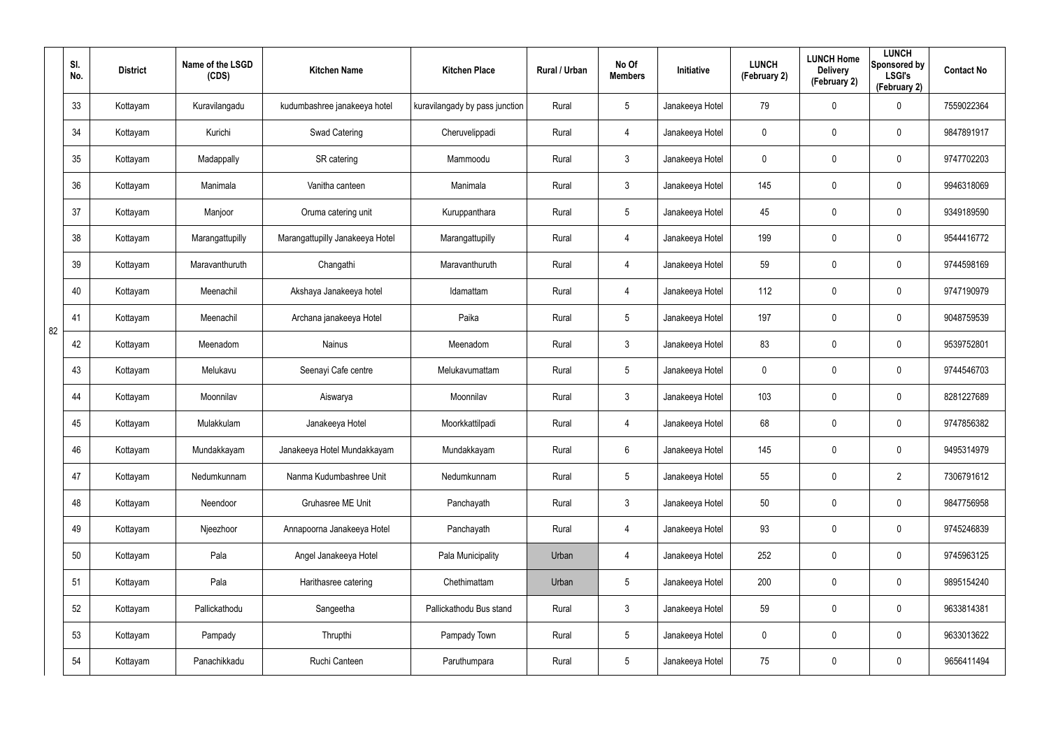|    | SI.<br>No. | <b>District</b> | Name of the LSGD<br>(CDS) | <b>Kitchen Name</b>             | <b>Kitchen Place</b>           | Rural / Urban | No Of<br><b>Members</b> | <b>Initiative</b> | <b>LUNCH</b><br>(February 2) | <b>LUNCH Home</b><br><b>Delivery</b><br>(February 2) | <b>LUNCH</b><br>Sponsored by<br><b>LSGI's</b><br>(February 2) | <b>Contact No</b> |
|----|------------|-----------------|---------------------------|---------------------------------|--------------------------------|---------------|-------------------------|-------------------|------------------------------|------------------------------------------------------|---------------------------------------------------------------|-------------------|
|    | 33         | Kottayam        | Kuravilangadu             | kudumbashree janakeeya hotel    | kuravilangady by pass junction | Rural         | $5\overline{)}$         | Janakeeya Hotel   | 79                           | 0                                                    | 0                                                             | 7559022364        |
|    | 34         | Kottayam        | Kurichi                   | Swad Catering                   | Cheruvelippadi                 | Rural         | 4                       | Janakeeya Hotel   | 0                            | 0                                                    | 0                                                             | 9847891917        |
|    | 35         | Kottayam        | Madappally                | SR catering                     | Mammoodu                       | Rural         | 3                       | Janakeeya Hotel   | 0                            | 0                                                    | 0                                                             | 9747702203        |
|    | 36         | Kottayam        | Manimala                  | Vanitha canteen                 | Manimala                       | Rural         | 3                       | Janakeeya Hotel   | 145                          | 0                                                    | 0                                                             | 9946318069        |
|    | 37         | Kottayam        | Manjoor                   | Oruma catering unit             | Kuruppanthara                  | Rural         | $5\overline{)}$         | Janakeeya Hotel   | 45                           | 0                                                    | 0                                                             | 9349189590        |
|    | 38         | Kottayam        | Marangattupilly           | Marangattupilly Janakeeya Hotel | Marangattupilly                | Rural         | 4                       | Janakeeya Hotel   | 199                          | 0                                                    | 0                                                             | 9544416772        |
|    | 39         | Kottayam        | Maravanthuruth            | Changathi                       | Maravanthuruth                 | Rural         | 4                       | Janakeeya Hotel   | 59                           | 0                                                    | 0                                                             | 9744598169        |
|    | 40         | Kottayam        | Meenachil                 | Akshaya Janakeeya hotel         | Idamattam                      | Rural         | 4                       | Janakeeya Hotel   | 112                          | 0                                                    | 0                                                             | 9747190979        |
| 82 | 41         | Kottayam        | Meenachil                 | Archana janakeeya Hotel         | Paika                          | Rural         | $5\overline{)}$         | Janakeeya Hotel   | 197                          | 0                                                    | 0                                                             | 9048759539        |
|    | 42         | Kottayam        | Meenadom                  | <b>Nainus</b>                   | Meenadom                       | Rural         | 3                       | Janakeeya Hotel   | 83                           | 0                                                    | 0                                                             | 9539752801        |
|    | 43         | Kottayam        | Melukavu                  | Seenayi Cafe centre             | Melukavumattam                 | Rural         | $5\overline{)}$         | Janakeeya Hotel   | 0                            | 0                                                    | 0                                                             | 9744546703        |
|    | 44         | Kottayam        | Moonnilav                 | Aiswarya                        | Moonnilav                      | Rural         | 3                       | Janakeeya Hotel   | 103                          | 0                                                    | 0                                                             | 8281227689        |
|    | 45         | Kottayam        | Mulakkulam                | Janakeeya Hotel                 | Moorkkattilpadi                | Rural         | 4                       | Janakeeya Hotel   | 68                           | 0                                                    | 0                                                             | 9747856382        |
|    | 46         | Kottayam        | Mundakkayam               | Janakeeya Hotel Mundakkayam     | Mundakkayam                    | Rural         | 6                       | Janakeeya Hotel   | 145                          | $\pmb{0}$                                            | $\pmb{0}$                                                     | 9495314979        |
|    | 47         | Kottayam        | Nedumkunnam               | Nanma Kudumbashree Unit         | Nedumkunnam                    | Rural         | $5\phantom{.0}$         | Janakeeya Hotel   | 55                           | $\mathbf 0$                                          | $\overline{2}$                                                | 7306791612        |
|    | 48         | Kottayam        | Neendoor                  | Gruhasree ME Unit               | Panchayath                     | Rural         | $\mathbf{3}$            | Janakeeya Hotel   | 50                           | $\mathbf 0$                                          | $\pmb{0}$                                                     | 9847756958        |
|    | 49         | Kottayam        | Njeezhoor                 | Annapoorna Janakeeya Hotel      | Panchayath                     | Rural         | $\overline{4}$          | Janakeeya Hotel   | 93                           | $\mathbf 0$                                          | $\mathsf{0}$                                                  | 9745246839        |
|    | 50         | Kottayam        | Pala                      | Angel Janakeeya Hotel           | Pala Municipality              | Urban         | $\overline{4}$          | Janakeeya Hotel   | 252                          | 0                                                    | $\mathsf{0}$                                                  | 9745963125        |
|    | 51         | Kottayam        | Pala                      | Harithasree catering            | Chethimattam                   | Urban         | $5\phantom{.0}$         | Janakeeya Hotel   | 200                          | $\mathbf 0$                                          | $\mathbf 0$                                                   | 9895154240        |
|    | 52         | Kottayam        | Pallickathodu             | Sangeetha                       | Pallickathodu Bus stand        | Rural         | $\mathbf{3}$            | Janakeeya Hotel   | 59                           | $\mathbf 0$                                          | $\mathsf{0}$                                                  | 9633814381        |
|    | 53         | Kottayam        | Pampady                   | Thrupthi                        | Pampady Town                   | Rural         | $5\phantom{.0}$         | Janakeeya Hotel   | 0                            | 0                                                    | $\mathbf 0$                                                   | 9633013622        |
|    | 54         | Kottayam        | Panachikkadu              | Ruchi Canteen                   | Paruthumpara                   | Rural         | $5\phantom{.0}$         | Janakeeya Hotel   | 75                           | $\pmb{0}$                                            | $\pmb{0}$                                                     | 9656411494        |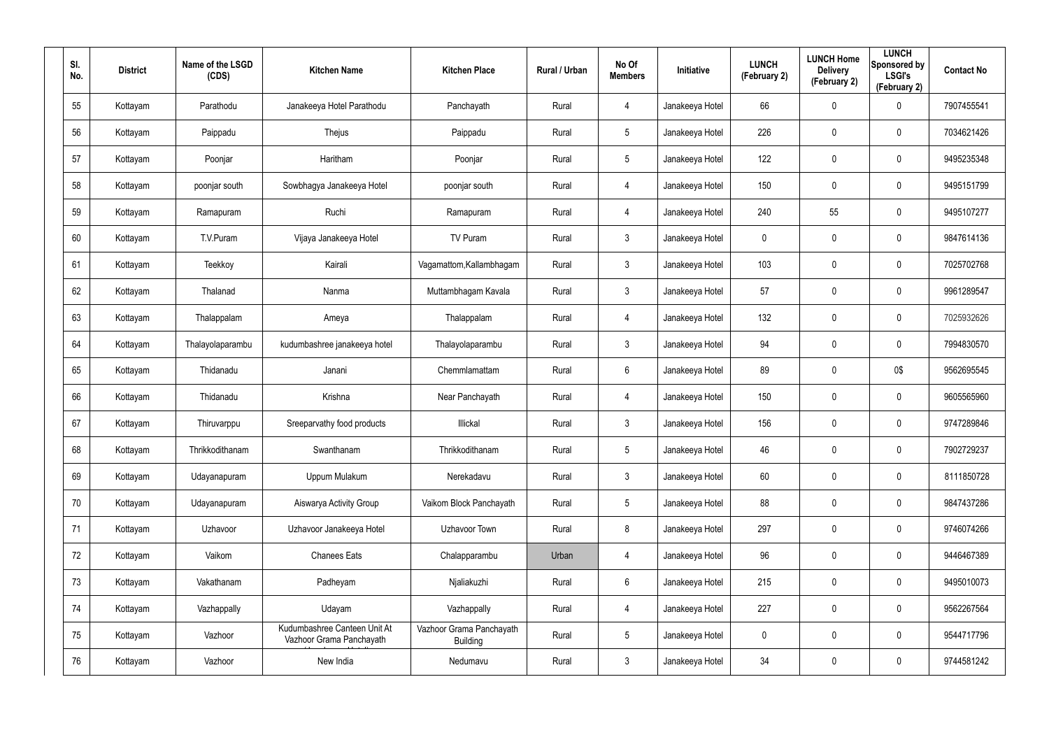| SI.<br>No. | <b>District</b> | Name of the LSGD<br>(CDS) | <b>Kitchen Name</b>                                      | <b>Kitchen Place</b>                        | Rural / Urban | No Of<br><b>Members</b> | <b>Initiative</b> | <b>LUNCH</b><br>(February 2) | <b>LUNCH Home</b><br><b>Delivery</b><br>(February 2) | <b>LUNCH</b><br>Sponsored by<br><b>LSGI's</b><br>(February 2) | <b>Contact No</b> |
|------------|-----------------|---------------------------|----------------------------------------------------------|---------------------------------------------|---------------|-------------------------|-------------------|------------------------------|------------------------------------------------------|---------------------------------------------------------------|-------------------|
| 55         | Kottayam        | Parathodu                 | Janakeeya Hotel Parathodu                                | Panchayath                                  | Rural         | 4                       | Janakeeya Hotel   | 66                           | $\mathbf 0$                                          | $\mathbf 0$                                                   | 7907455541        |
| 56         | Kottayam        | Paippadu                  | Thejus                                                   | Paippadu                                    | Rural         | $5\overline{)}$         | Janakeeya Hotel   | 226                          | 0                                                    | $\mathbf 0$                                                   | 7034621426        |
| 57         | Kottayam        | Poonjar                   | Haritham                                                 | Poonjar                                     | Rural         | $5\phantom{.0}$         | Janakeeya Hotel   | 122                          | 0                                                    | $\mathbf 0$                                                   | 9495235348        |
| 58         | Kottayam        | poonjar south             | Sowbhagya Janakeeya Hotel                                | poonjar south                               | Rural         | 4                       | Janakeeya Hotel   | 150                          | 0                                                    | $\mathbf 0$                                                   | 9495151799        |
| 59         | Kottayam        | Ramapuram                 | Ruchi                                                    | Ramapuram                                   | Rural         | $\overline{4}$          | Janakeeya Hotel   | 240                          | 55                                                   | $\boldsymbol{0}$                                              | 9495107277        |
| 60         | Kottayam        | T.V.Puram                 | Vijaya Janakeeya Hotel                                   | TV Puram                                    | Rural         | $\mathfrak{Z}$          | Janakeeya Hotel   | 0                            | 0                                                    | $\boldsymbol{0}$                                              | 9847614136        |
| 61         | Kottayam        | Teekkoy                   | Kairali                                                  | Vagamattom, Kallambhagam                    | Rural         | $\mathbf{3}$            | Janakeeya Hotel   | 103                          | 0                                                    | $\pmb{0}$                                                     | 7025702768        |
| 62         | Kottayam        | Thalanad                  | Nanma                                                    | Muttambhagam Kavala                         | Rural         | $\mathbf{3}$            | Janakeeya Hotel   | 57                           | 0                                                    | $\pmb{0}$                                                     | 9961289547        |
| 63         | Kottayam        | Thalappalam               | Ameya                                                    | Thalappalam                                 | Rural         | $\overline{4}$          | Janakeeya Hotel   | 132                          | 0                                                    | $\pmb{0}$                                                     | 7025932626        |
| 64         | Kottayam        | Thalayolaparambu          | kudumbashree janakeeya hotel                             | Thalayolaparambu                            | Rural         | $\mathbf{3}$            | Janakeeya Hotel   | 94                           | 0                                                    | $\pmb{0}$                                                     | 7994830570        |
| 65         | Kottayam        | Thidanadu                 | Janani                                                   | Chemmlamattam                               | Rural         | $6\phantom{.}6$         | Janakeeya Hotel   | 89                           | 0                                                    | 0\$                                                           | 9562695545        |
| 66         | Kottayam        | Thidanadu                 | Krishna                                                  | Near Panchayath                             | Rural         | 4                       | Janakeeya Hotel   | 150                          | 0                                                    | $\boldsymbol{0}$                                              | 9605565960        |
| 67         | Kottayam        | Thiruvarppu               | Sreeparvathy food products                               | Illickal                                    | Rural         | $3\phantom{.0}$         | Janakeeya Hotel   | 156                          | 0                                                    | $\boldsymbol{0}$                                              | 9747289846        |
| 68         | Kottayam        | Thrikkodithanam           | Swanthanam                                               | Thrikkodithanam                             | Rural         | $5\phantom{.0}$         | Janakeeya Hotel   | 46                           | 0                                                    | $\pmb{0}$                                                     | 7902729237        |
| 69         | Kottayam        | Udayanapuram              | Uppum Mulakum                                            | Nerekadavu                                  | Rural         | $\mathbf{3}$            | Janakeeya Hotel   | 60                           | 0                                                    | $\mathsf{0}$                                                  | 8111850728        |
| 70         | Kottayam        | Udayanapuram              | Aiswarya Activity Group                                  | Vaikom Block Panchayath                     | Rural         | $5\phantom{.0}$         | Janakeeya Hotel   | 88                           | 0                                                    | $\mathsf{0}$                                                  | 9847437286        |
| 71         | Kottayam        | Uzhavoor                  | Uzhavoor Janakeeya Hotel                                 | Uzhavoor Town                               | Rural         | 8                       | Janakeeya Hotel   | 297                          | 0                                                    | $\mathsf{0}$                                                  | 9746074266        |
| 72         | Kottayam        | Vaikom                    | <b>Chanees Eats</b>                                      | Chalapparambu                               | Urban         | 4                       | Janakeeya Hotel   | 96                           | $\mathbf 0$                                          | $\mathsf{0}$                                                  | 9446467389        |
| 73         | Kottayam        | Vakathanam                | Padheyam                                                 | Njaliakuzhi                                 | Rural         | $6\phantom{.}$          | Janakeeya Hotel   | 215                          | 0                                                    | $\mathbf 0$                                                   | 9495010073        |
| 74         | Kottayam        | Vazhappally               | Udayam                                                   | Vazhappally                                 | Rural         | 4                       | Janakeeya Hotel   | 227                          | $\mathbf 0$                                          | $\mathsf{0}$                                                  | 9562267564        |
| 75         | Kottayam        | Vazhoor                   | Kudumbashree Canteen Unit At<br>Vazhoor Grama Panchayath | Vazhoor Grama Panchayath<br><b>Building</b> | Rural         | $5\phantom{.0}$         | Janakeeya Hotel   | 0                            | 0                                                    | $\mathbf 0$                                                   | 9544717796        |
| 76         | Kottayam        | Vazhoor                   | New India                                                | Nedumavu                                    | Rural         | $\mathfrak{Z}$          | Janakeeya Hotel   | 34                           | 0                                                    | $\pmb{0}$                                                     | 9744581242        |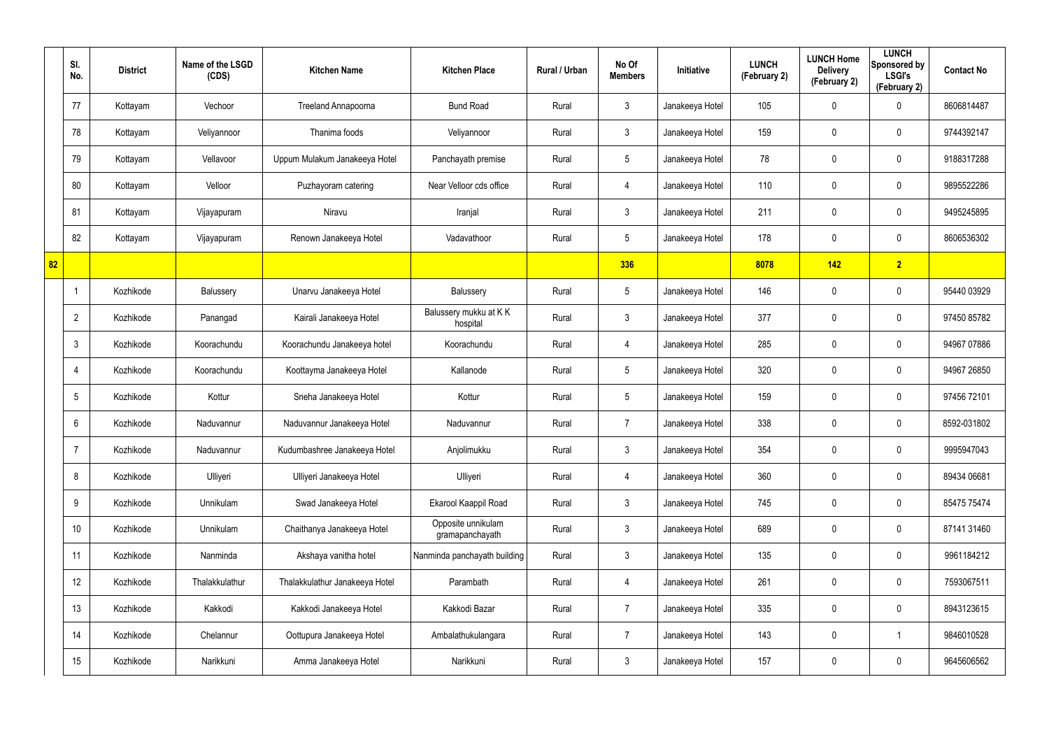|    | SI.<br>No.      | <b>District</b> | Name of the LSGD<br>(CDS) | <b>Kitchen Name</b>            | <b>Kitchen Place</b>                  | Rural / Urban | No Of<br><b>Members</b> | Initiative      | <b>LUNCH</b><br>(February 2) | <b>LUNCH Home</b><br><b>Delivery</b><br>(February 2) | <b>LUNCH</b><br>Sponsored by<br><b>LSGI's</b><br>(February 2) | <b>Contact No</b> |
|----|-----------------|-----------------|---------------------------|--------------------------------|---------------------------------------|---------------|-------------------------|-----------------|------------------------------|------------------------------------------------------|---------------------------------------------------------------|-------------------|
|    | 77              | Kottayam        | Vechoor                   | Treeland Annapoorna            | <b>Bund Road</b>                      | Rural         | $\mathbf{3}$            | Janakeeya Hotel | 105                          | 0                                                    | $\mathbf 0$                                                   | 8606814487        |
|    | 78              | Kottayam        | Veliyannoor               | Thanima foods                  | Veliyannoor                           | Rural         | $\mathbf{3}$            | Janakeeya Hotel | 159                          | 0                                                    | $\mathbf 0$                                                   | 9744392147        |
|    | 79              | Kottayam        | Vellavoor                 | Uppum Mulakum Janakeeya Hotel  | Panchayath premise                    | Rural         | $5\phantom{.0}$         | Janakeeya Hotel | 78                           | 0                                                    | $\mathbf 0$                                                   | 9188317288        |
|    | 80              | Kottayam        | Velloor                   | Puzhayoram catering            | Near Velloor cds office               | Rural         | $\overline{4}$          | Janakeeya Hotel | 110                          | 0                                                    | $\mathbf 0$                                                   | 9895522286        |
|    | 81              | Kottayam        | Vijayapuram               | Niravu                         | Iranjal                               | Rural         | $\mathbf{3}$            | Janakeeya Hotel | 211                          | 0                                                    | $\mathbf 0$                                                   | 9495245895        |
|    | 82              | Kottayam        | Vijayapuram               | Renown Janakeeya Hotel         | Vadavathoor                           | Rural         | $5\overline{)}$         | Janakeeya Hotel | 178                          | 0                                                    | $\mathbf 0$                                                   | 8606536302        |
| 82 |                 |                 |                           |                                |                                       |               | 336                     |                 | 8078                         | 142                                                  | $\overline{2}$                                                |                   |
|    | $\mathbf 1$     | Kozhikode       | Balussery                 | Unarvu Janakeeya Hotel         | Balussery                             | Rural         | $5\phantom{.0}$         | Janakeeya Hotel | 146                          | 0                                                    | $\mathbf 0$                                                   | 95440 03929       |
|    | $\overline{2}$  | Kozhikode       | Panangad                  | Kairali Janakeeya Hotel        | Balussery mukku at KK<br>hospital     | Rural         | $\mathbf{3}$            | Janakeeya Hotel | 377                          | 0                                                    | $\mathbf 0$                                                   | 97450 85782       |
|    | $\mathbf{3}$    | Kozhikode       | Koorachundu               | Koorachundu Janakeeya hotel    | Koorachundu                           | Rural         | $\overline{4}$          | Janakeeya Hotel | 285                          | 0                                                    | $\mathbf 0$                                                   | 94967 07886       |
|    | 4               | Kozhikode       | Koorachundu               | Koottayma Janakeeya Hotel      | Kallanode                             | Rural         | $5\overline{)}$         | Janakeeya Hotel | 320                          | 0                                                    | $\mathbf 0$                                                   | 94967 26850       |
|    | 5               | Kozhikode       | Kottur                    | Sneha Janakeeya Hotel          | Kottur                                | Rural         | $5\overline{)}$         | Janakeeya Hotel | 159                          | 0                                                    | $\mathbf 0$                                                   | 97456 72101       |
|    | 6               | Kozhikode       | Naduvannur                | Naduvannur Janakeeya Hotel     | Naduvannur                            | Rural         | $\overline{7}$          | Janakeeya Hotel | 338                          | 0                                                    | $\mathbf 0$                                                   | 8592-031802       |
|    | -7              | Kozhikode       | Naduvannur                | Kudumbashree Janakeeya Hotel   | Anjolimukku                           | Rural         | $\mathfrak{Z}$          | Janakeeya Hotel | 354                          | $\mathbf 0$                                          | $\pmb{0}$                                                     | 9995947043        |
|    | 8               | Kozhikode       | Ulliyeri                  | Ulliyeri Janakeeya Hotel       | Ulliyeri                              | Rural         | $\overline{4}$          | Janakeeya Hotel | 360                          | $\mathbf 0$                                          | $\mathbf 0$                                                   | 89434 06681       |
|    | 9               | Kozhikode       | Unnikulam                 | Swad Janakeeya Hotel           | Ekarool Kaappil Road                  | Rural         | 3 <sup>1</sup>          | Janakeeya Hotel | 745                          | $\mathbf 0$                                          | $\mathbf 0$                                                   | 85475 75474       |
|    | 10 <sup>°</sup> | Kozhikode       | Unnikulam                 | Chaithanya Janakeeya Hotel     | Opposite unnikulam<br>gramapanchayath | Rural         | $\mathbf{3}$            | Janakeeya Hotel | 689                          | $\mathbf 0$                                          | $\mathbf 0$                                                   | 87141 31460       |
|    | 11              | Kozhikode       | Nanminda                  | Akshaya vanitha hotel          | Nanminda panchayath building          | Rural         | 3 <sup>1</sup>          | Janakeeya Hotel | 135                          | 0                                                    | $\mathbf 0$                                                   | 9961184212        |
|    | 12              | Kozhikode       | Thalakkulathur            | Thalakkulathur Janakeeya Hotel | Parambath                             | Rural         | $\overline{4}$          | Janakeeya Hotel | 261                          | 0                                                    | $\mathbf 0$                                                   | 7593067511        |
|    | 13              | Kozhikode       | Kakkodi                   | Kakkodi Janakeeya Hotel        | Kakkodi Bazar                         | Rural         | $\overline{7}$          | Janakeeya Hotel | 335                          | 0                                                    | $\mathbf 0$                                                   | 8943123615        |
|    | 14              | Kozhikode       | Chelannur                 | Oottupura Janakeeya Hotel      | Ambalathukulangara                    | Rural         | $\overline{7}$          | Janakeeya Hotel | 143                          | 0                                                    | $\mathbf{1}$                                                  | 9846010528        |
|    | 15              | Kozhikode       | Narikkuni                 | Amma Janakeeya Hotel           | Narikkuni                             | Rural         | $\mathfrak{Z}$          | Janakeeya Hotel | 157                          | 0                                                    | $\bf{0}$                                                      | 9645606562        |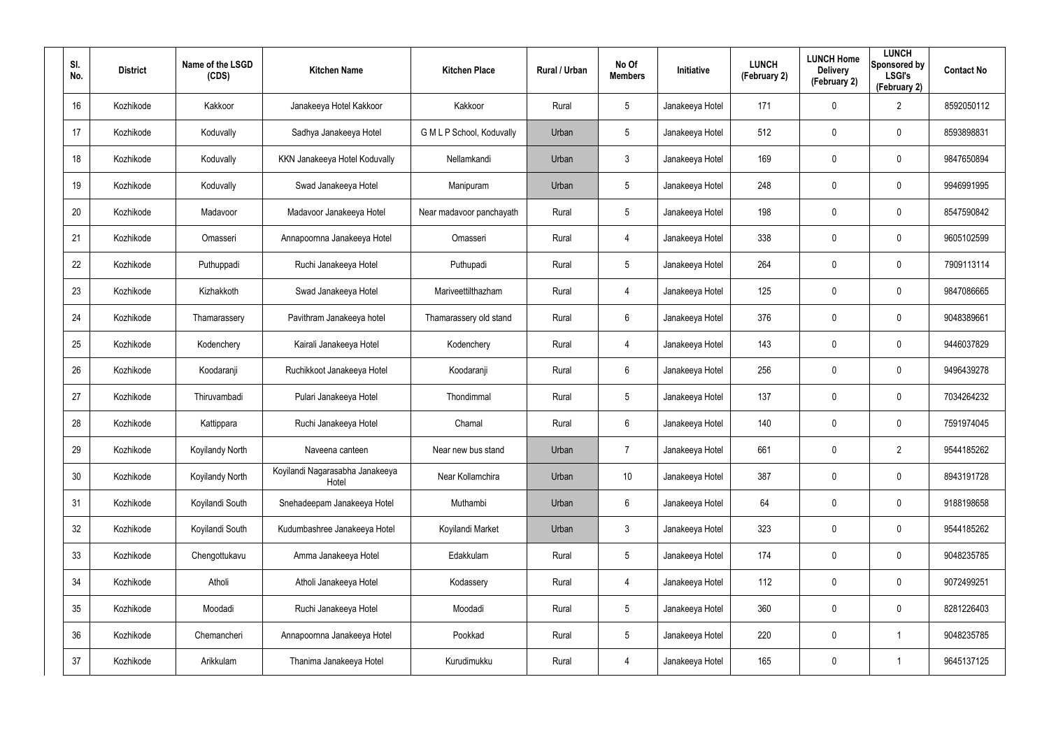| SI.<br>No. | <b>District</b> | Name of the LSGD<br>(CDS) | <b>Kitchen Name</b>                      | <b>Kitchen Place</b>      | <b>Rural / Urban</b> | No Of<br><b>Members</b> | Initiative      | <b>LUNCH</b><br>(February 2) | <b>LUNCH Home</b><br><b>Delivery</b><br>(February 2) | <b>LUNCH</b><br>Sponsored by<br><b>LSGI's</b><br>(February 2) | <b>Contact No</b> |
|------------|-----------------|---------------------------|------------------------------------------|---------------------------|----------------------|-------------------------|-----------------|------------------------------|------------------------------------------------------|---------------------------------------------------------------|-------------------|
| 16         | Kozhikode       | Kakkoor                   | Janakeeya Hotel Kakkoor                  | Kakkoor                   | Rural                | 5                       | Janakeeya Hotel | 171                          | 0                                                    | $\overline{2}$                                                | 8592050112        |
| 17         | Kozhikode       | Koduvally                 | Sadhya Janakeeya Hotel                   | G M L P School, Koduvally | Urban                | 5                       | Janakeeya Hotel | 512                          | 0                                                    | $\mathbf 0$                                                   | 8593898831        |
| 18         | Kozhikode       | Koduvally                 | KKN Janakeeya Hotel Koduvally            | Nellamkandi               | Urban                | $\mathbf{3}$            | Janakeeya Hotel | 169                          | 0                                                    | $\mathbf 0$                                                   | 9847650894        |
| 19         | Kozhikode       | Koduvally                 | Swad Janakeeya Hotel                     | Manipuram                 | Urban                | 5                       | Janakeeya Hotel | 248                          | 0                                                    | $\mathbf 0$                                                   | 9946991995        |
| 20         | Kozhikode       | Madavoor                  | Madavoor Janakeeya Hotel                 | Near madavoor panchayath  | Rural                | $5\overline{)}$         | Janakeeya Hotel | 198                          | 0                                                    | $\mathbf 0$                                                   | 8547590842        |
| 21         | Kozhikode       | Omasseri                  | Annapoornna Janakeeya Hotel              | Omasseri                  | Rural                | 4                       | Janakeeya Hotel | 338                          | 0                                                    | $\mathbf 0$                                                   | 9605102599        |
| 22         | Kozhikode       | Puthuppadi                | Ruchi Janakeeya Hotel                    | Puthupadi                 | Rural                | 5                       | Janakeeya Hotel | 264                          | $\boldsymbol{0}$                                     | 0                                                             | 7909113114        |
| 23         | Kozhikode       | Kizhakkoth                | Swad Janakeeya Hotel                     | Mariveettilthazham        | Rural                | 4                       | Janakeeya Hotel | 125                          | $\boldsymbol{0}$                                     | $\mathbf 0$                                                   | 9847086665        |
| 24         | Kozhikode       | Thamarassery              | Pavithram Janakeeya hotel                | Thamarassery old stand    | Rural                | 6                       | Janakeeya Hotel | 376                          | $\boldsymbol{0}$                                     | 0                                                             | 9048389661        |
| 25         | Kozhikode       | Kodenchery                | Kairali Janakeeya Hotel                  | Kodenchery                | Rural                | 4                       | Janakeeya Hotel | 143                          | $\boldsymbol{0}$                                     | $\mathbf 0$                                                   | 9446037829        |
| 26         | Kozhikode       | Koodaranji                | Ruchikkoot Janakeeya Hotel               | Koodaranji                | Rural                | 6                       | Janakeeya Hotel | 256                          | $\boldsymbol{0}$                                     | 0                                                             | 9496439278        |
| 27         | Kozhikode       | Thiruvambadi              | Pulari Janakeeya Hotel                   | Thondimmal                | Rural                | $5\overline{)}$         | Janakeeya Hotel | 137                          | $\boldsymbol{0}$                                     | $\mathbf 0$                                                   | 7034264232        |
| 28         | Kozhikode       | Kattippara                | Ruchi Janakeeya Hotel                    | Chamal                    | Rural                | 6                       | Janakeeya Hotel | 140                          | $\boldsymbol{0}$                                     | 0                                                             | 7591974045        |
| 29         | Kozhikode       | Koyilandy North           | Naveena canteen                          | Near new bus stand        | Urban                | $\overline{7}$          | Janakeeya Hotel | 661                          | $\pmb{0}$                                            | $\overline{2}$                                                | 9544185262        |
| 30         | Kozhikode       | Koyilandy North           | Koyilandi Nagarasabha Janakeeya<br>Hotel | Near Kollamchira          | Urban                | 10                      | Janakeeya Hotel | 387                          | $\boldsymbol{0}$                                     | $\pmb{0}$                                                     | 8943191728        |
| 31         | Kozhikode       | Koyilandi South           | Snehadeepam Janakeeya Hotel              | Muthambi                  | Urban                | 6                       | Janakeeya Hotel | 64                           | $\pmb{0}$                                            | $\pmb{0}$                                                     | 9188198658        |
| 32         | Kozhikode       | Koyilandi South           | Kudumbashree Janakeeya Hotel             | Koyilandi Market          | Urban                | $\mathbf{3}$            | Janakeeya Hotel | 323                          | $\boldsymbol{0}$                                     | $\pmb{0}$                                                     | 9544185262        |
| 33         | Kozhikode       | Chengottukavu             | Amma Janakeeya Hotel                     | Edakkulam                 | Rural                | $5\phantom{.0}$         | Janakeeya Hotel | 174                          | $\pmb{0}$                                            | $\pmb{0}$                                                     | 9048235785        |
| 34         | Kozhikode       | Atholi                    | Atholi Janakeeya Hotel                   | Kodassery                 | Rural                | 4                       | Janakeeya Hotel | 112                          | $\pmb{0}$                                            | 0                                                             | 9072499251        |
| 35         | Kozhikode       | Moodadi                   | Ruchi Janakeeya Hotel                    | Moodadi                   | Rural                | $5\phantom{.0}$         | Janakeeya Hotel | 360                          | $\overline{0}$                                       | $\pmb{0}$                                                     | 8281226403        |
| 36         | Kozhikode       | Chemancheri               | Annapoornna Janakeeya Hotel              | Pookkad                   | Rural                | $5\phantom{.0}$         | Janakeeya Hotel | 220                          | $\pmb{0}$                                            |                                                               | 9048235785        |
| 37         | Kozhikode       | Arikkulam                 | Thanima Janakeeya Hotel                  | Kurudimukku               | Rural                | 4                       | Janakeeya Hotel | 165                          | $\pmb{0}$                                            |                                                               | 9645137125        |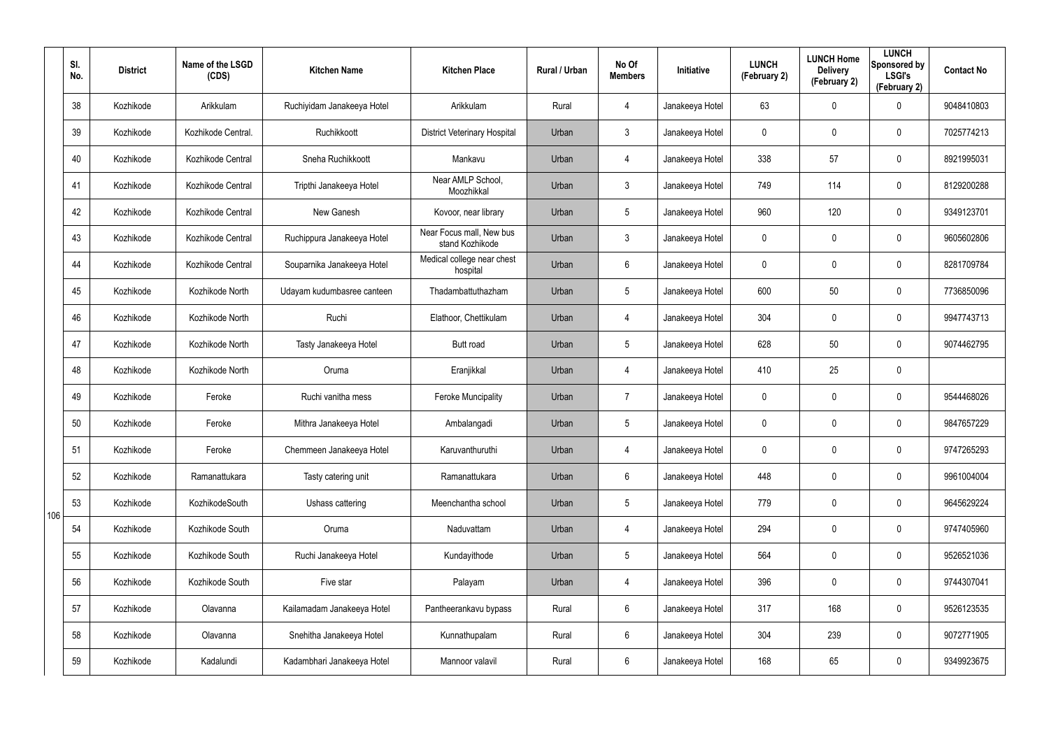|     | SI.<br>No. | <b>District</b> | Name of the LSGD<br>(CDS) | <b>Kitchen Name</b>        | <b>Kitchen Place</b>                        | <b>Rural / Urban</b> | No Of<br><b>Members</b> | Initiative      | <b>LUNCH</b><br>(February 2) | <b>LUNCH Home</b><br><b>Delivery</b><br>(February 2) | <b>LUNCH</b><br>Sponsored by<br><b>LSGI's</b><br>(February 2) | <b>Contact No</b> |
|-----|------------|-----------------|---------------------------|----------------------------|---------------------------------------------|----------------------|-------------------------|-----------------|------------------------------|------------------------------------------------------|---------------------------------------------------------------|-------------------|
|     | 38         | Kozhikode       | Arikkulam                 | Ruchiyidam Janakeeya Hotel | Arikkulam                                   | Rural                | $\overline{4}$          | Janakeeya Hotel | 63                           | 0                                                    | $\mathbf 0$                                                   | 9048410803        |
|     | 39         | Kozhikode       | Kozhikode Central.        | Ruchikkoott                | <b>District Veterinary Hospital</b>         | Urban                | $\mathbf{3}$            | Janakeeya Hotel | 0                            | 0                                                    | $\mathbf 0$                                                   | 7025774213        |
|     | 40         | Kozhikode       | Kozhikode Central         | Sneha Ruchikkoott          | Mankavu                                     | Urban                | $\overline{4}$          | Janakeeya Hotel | 338                          | 57                                                   | $\mathbf 0$                                                   | 8921995031        |
|     | 41         | Kozhikode       | Kozhikode Central         | Tripthi Janakeeya Hotel    | Near AMLP School,<br>Moozhikkal             | Urban                | $\mathbf{3}$            | Janakeeya Hotel | 749                          | 114                                                  | $\mathbf 0$                                                   | 8129200288        |
|     | 42         | Kozhikode       | Kozhikode Central         | New Ganesh                 | Kovoor, near library                        | Urban                | $5\phantom{.0}$         | Janakeeya Hotel | 960                          | 120                                                  | $\mathbf 0$                                                   | 9349123701        |
|     | 43         | Kozhikode       | Kozhikode Central         | Ruchippura Janakeeya Hotel | Near Focus mall, New bus<br>stand Kozhikode | Urban                | $\mathbf{3}$            | Janakeeya Hotel | 0                            | 0                                                    | $\mathbf 0$                                                   | 9605602806        |
|     | 44         | Kozhikode       | Kozhikode Central         | Souparnika Janakeeya Hotel | Medical college near chest<br>hospital      | Urban                | 6                       | Janakeeya Hotel | 0                            | 0                                                    | $\mathbf 0$                                                   | 8281709784        |
|     | 45         | Kozhikode       | Kozhikode North           | Udayam kudumbasree canteen | Thadambattuthazham                          | Urban                | $5\phantom{.0}$         | Janakeeya Hotel | 600                          | 50                                                   | $\mathbf 0$                                                   | 7736850096        |
|     | 46         | Kozhikode       | Kozhikode North           | Ruchi                      | Elathoor, Chettikulam                       | Urban                | $\overline{4}$          | Janakeeya Hotel | 304                          | 0                                                    | $\mathbf 0$                                                   | 9947743713        |
|     | 47         | Kozhikode       | Kozhikode North           | Tasty Janakeeya Hotel      | <b>Butt road</b>                            | Urban                | $5\overline{)}$         | Janakeeya Hotel | 628                          | 50                                                   | $\mathbf 0$                                                   | 9074462795        |
|     | 48         | Kozhikode       | Kozhikode North           | Oruma                      | Eranjikkal                                  | Urban                | $\overline{4}$          | Janakeeya Hotel | 410                          | 25                                                   | $\mathbf 0$                                                   |                   |
|     | 49         | Kozhikode       | Feroke                    | Ruchi vanitha mess         | <b>Feroke Muncipality</b>                   | Urban                | 7                       | Janakeeya Hotel | 0                            | 0                                                    | $\mathbf 0$                                                   | 9544468026        |
|     | 50         | Kozhikode       | Feroke                    | Mithra Janakeeya Hotel     | Ambalangadi                                 | Urban                | $5\phantom{.0}$         | Janakeeya Hotel | 0                            | 0                                                    | $\mathbf 0$                                                   | 9847657229        |
|     | 51         | Kozhikode       | Feroke                    | Chemmeen Janakeeya Hotel   | Karuvanthuruthi                             | Urban                | 4                       | Janakeeya Hotel | 0                            | $\mathbf 0$                                          | $\pmb{0}$                                                     | 9747265293        |
|     | 52         | Kozhikode       | Ramanattukara             | Tasty catering unit        | Ramanattukara                               | Urban                | $6\phantom{.}6$         | Janakeeya Hotel | 448                          | $\mathbf 0$                                          | $\mathbf 0$                                                   | 9961004004        |
| 106 | 53         | Kozhikode       | KozhikodeSouth            | Ushass cattering           | Meenchantha school                          | Urban                | $5\phantom{.0}$         | Janakeeya Hotel | 779                          | $\mathbf 0$                                          | $\mathbf 0$                                                   | 9645629224        |
|     | 54         | Kozhikode       | Kozhikode South           | Oruma                      | Naduvattam                                  | Urban                | $\overline{4}$          | Janakeeya Hotel | 294                          | $\mathbf 0$                                          | $\mathbf 0$                                                   | 9747405960        |
|     | 55         | Kozhikode       | Kozhikode South           | Ruchi Janakeeya Hotel      | Kundayithode                                | Urban                | $5\phantom{.0}$         | Janakeeya Hotel | 564                          | 0                                                    | $\mathbf 0$                                                   | 9526521036        |
|     | 56         | Kozhikode       | Kozhikode South           | Five star                  | Palayam                                     | Urban                | 4                       | Janakeeya Hotel | 396                          | 0                                                    | $\mathbf 0$                                                   | 9744307041        |
|     | 57         | Kozhikode       | Olavanna                  | Kailamadam Janakeeya Hotel | Pantheerankavu bypass                       | Rural                | $6\phantom{.}$          | Janakeeya Hotel | 317                          | 168                                                  | $\mathbf 0$                                                   | 9526123535        |
|     | 58         | Kozhikode       | Olavanna                  | Snehitha Janakeeya Hotel   | Kunnathupalam                               | Rural                | $6\phantom{.}$          | Janakeeya Hotel | 304                          | 239                                                  | $\pmb{0}$                                                     | 9072771905        |
|     | 59         | Kozhikode       | Kadalundi                 | Kadambhari Janakeeya Hotel | Mannoor valavil                             | Rural                | $6\phantom{.}$          | Janakeeya Hotel | 168                          | 65                                                   | $\bf{0}$                                                      | 9349923675        |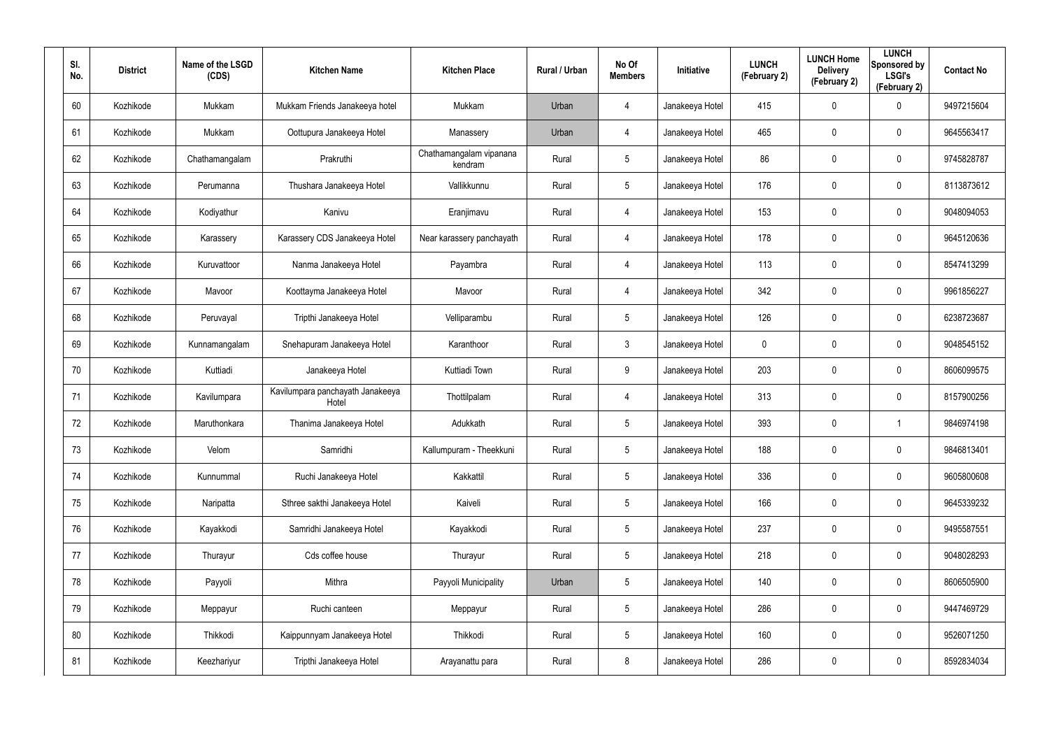| SI.<br>No. | <b>District</b> | Name of the LSGD<br>(CDS) | <b>Kitchen Name</b>                       | <b>Kitchen Place</b>               | Rural / Urban | No Of<br><b>Members</b> | <b>Initiative</b> | <b>LUNCH</b><br>(February 2) | <b>LUNCH Home</b><br><b>Delivery</b><br>(February 2) | <b>LUNCH</b><br>Sponsored by<br><b>LSGI's</b><br>(February 2) | <b>Contact No</b> |
|------------|-----------------|---------------------------|-------------------------------------------|------------------------------------|---------------|-------------------------|-------------------|------------------------------|------------------------------------------------------|---------------------------------------------------------------|-------------------|
| 60         | Kozhikode       | Mukkam                    | Mukkam Friends Janakeeya hotel            | Mukkam                             | Urban         | 4                       | Janakeeya Hotel   | 415                          | $\mathbf 0$                                          | $\mathbf 0$                                                   | 9497215604        |
| 61         | Kozhikode       | Mukkam                    | Oottupura Janakeeya Hotel                 | Manassery                          | Urban         | 4                       | Janakeeya Hotel   | 465                          | 0                                                    | $\boldsymbol{0}$                                              | 9645563417        |
| 62         | Kozhikode       | Chathamangalam            | Prakruthi                                 | Chathamangalam vipanana<br>kendram | Rural         | $5\phantom{.0}$         | Janakeeya Hotel   | 86                           | 0                                                    | $\mathbf 0$                                                   | 9745828787        |
| 63         | Kozhikode       | Perumanna                 | Thushara Janakeeya Hotel                  | Vallikkunnu                        | Rural         | $5\phantom{.0}$         | Janakeeya Hotel   | 176                          | 0                                                    | $\boldsymbol{0}$                                              | 8113873612        |
| 64         | Kozhikode       | Kodiyathur                | Kanivu                                    | Eranjimavu                         | Rural         | 4                       | Janakeeya Hotel   | 153                          | 0                                                    | $\mathbf 0$                                                   | 9048094053        |
| 65         | Kozhikode       | Karassery                 | Karassery CDS Janakeeya Hotel             | Near karassery panchayath          | Rural         | 4                       | Janakeeya Hotel   | 178                          | 0                                                    | $\mathbf 0$                                                   | 9645120636        |
| 66         | Kozhikode       | Kuruvattoor               | Nanma Janakeeya Hotel                     | Payambra                           | Rural         | 4                       | Janakeeya Hotel   | 113                          | 0                                                    | $\mathbf 0$                                                   | 8547413299        |
| 67         | Kozhikode       | Mavoor                    | Koottayma Janakeeya Hotel                 | Mavoor                             | Rural         | 4                       | Janakeeya Hotel   | 342                          | 0                                                    | $\mathbf 0$                                                   | 9961856227        |
| 68         | Kozhikode       | Peruvayal                 | Tripthi Janakeeya Hotel                   | Velliparambu                       | Rural         | $5\phantom{.0}$         | Janakeeya Hotel   | 126                          | 0                                                    | $\mathbf 0$                                                   | 6238723687        |
| 69         | Kozhikode       | Kunnamangalam             | Snehapuram Janakeeya Hotel                | Karanthoor                         | Rural         | $\mathbf{3}$            | Janakeeya Hotel   | 0                            | 0                                                    | $\mathbf 0$                                                   | 9048545152        |
| 70         | Kozhikode       | Kuttiadi                  | Janakeeya Hotel                           | Kuttiadi Town                      | Rural         | 9                       | Janakeeya Hotel   | 203                          | 0                                                    | $\mathbf 0$                                                   | 8606099575        |
| 71         | Kozhikode       | Kavilumpara               | Kavilumpara panchayath Janakeeya<br>Hotel | Thottilpalam                       | Rural         | 4                       | Janakeeya Hotel   | 313                          | 0                                                    | $\mathbf 0$                                                   | 8157900256        |
| 72         | Kozhikode       | Maruthonkara              | Thanima Janakeeya Hotel                   | Adukkath                           | Rural         | $5\overline{)}$         | Janakeeya Hotel   | 393                          | 0                                                    | -1                                                            | 9846974198        |
| 73         | Kozhikode       | Velom                     | Samridhi                                  | Kallumpuram - Theekkuni            | Rural         | $5\phantom{.0}$         | Janakeeya Hotel   | 188                          | $\mathbf 0$                                          | $\pmb{0}$                                                     | 9846813401        |
| 74         | Kozhikode       | Kunnummal                 | Ruchi Janakeeya Hotel                     | Kakkattil                          | Rural         | $5\phantom{.0}$         | Janakeeya Hotel   | 336                          | 0                                                    | $\mathbf 0$                                                   | 9605800608        |
| 75         | Kozhikode       | Naripatta                 | Sthree sakthi Janakeeya Hotel             | Kaiveli                            | Rural         | $5\phantom{.0}$         | Janakeeya Hotel   | 166                          | 0                                                    | $\mathbf 0$                                                   | 9645339232        |
| 76         | Kozhikode       | Kayakkodi                 | Samridhi Janakeeya Hotel                  | Kayakkodi                          | Rural         | $5\phantom{.0}$         | Janakeeya Hotel   | 237                          | 0                                                    | $\mathbf 0$                                                   | 9495587551        |
| 77         | Kozhikode       | Thurayur                  | Cds coffee house                          | Thurayur                           | Rural         | $5\phantom{.0}$         | Janakeeya Hotel   | 218                          | 0                                                    | $\mathbf 0$                                                   | 9048028293        |
| 78         | Kozhikode       | Payyoli                   | Mithra                                    | Payyoli Municipality               | Urban         | $5\phantom{.0}$         | Janakeeya Hotel   | 140                          | 0                                                    | $\mathbf 0$                                                   | 8606505900        |
| 79         | Kozhikode       | Meppayur                  | Ruchi canteen                             | Meppayur                           | Rural         | $5\phantom{.0}$         | Janakeeya Hotel   | 286                          | 0                                                    | $\mathbf 0$                                                   | 9447469729        |
| 80         | Kozhikode       | Thikkodi                  | Kaippunnyam Janakeeya Hotel               | Thikkodi                           | Rural         | $5\phantom{.0}$         | Janakeeya Hotel   | 160                          | 0                                                    | $\mathbf 0$                                                   | 9526071250        |
| 81         | Kozhikode       | Keezhariyur               | Tripthi Janakeeya Hotel                   | Arayanattu para                    | Rural         | 8                       | Janakeeya Hotel   | 286                          | 0                                                    | $\mathbf 0$                                                   | 8592834034        |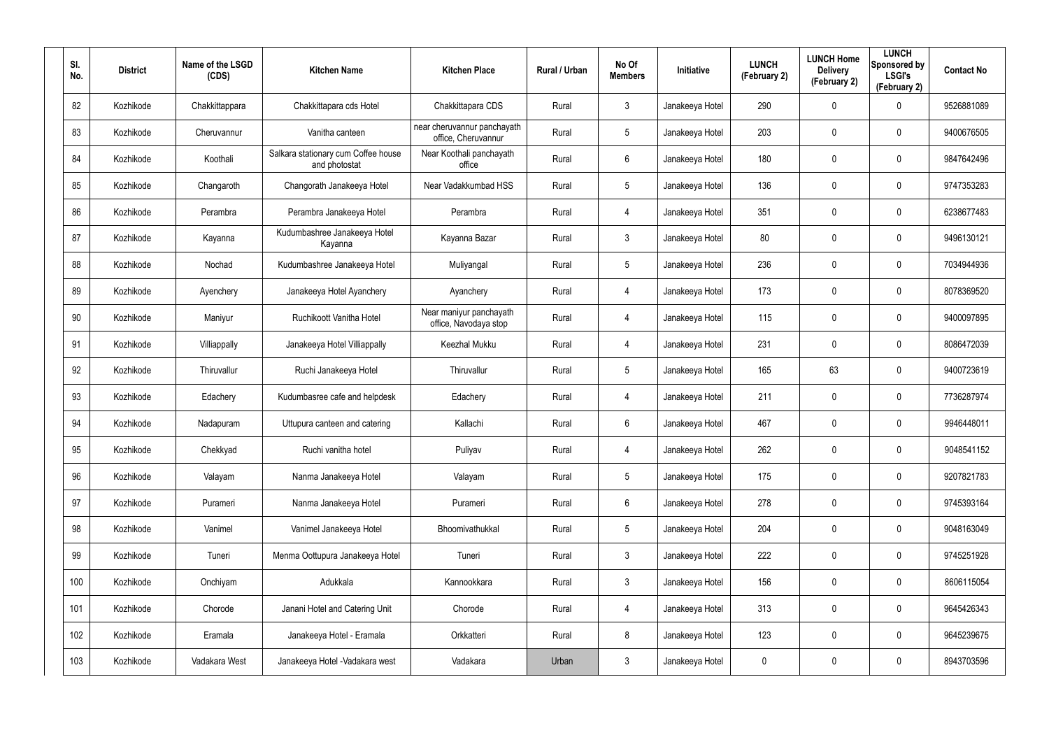| SI.<br>No. | <b>District</b> | Name of the LSGD<br>(CDS) | <b>Kitchen Name</b>                                  | <b>Kitchen Place</b>                               | Rural / Urban | No Of<br><b>Members</b> | <b>Initiative</b> | <b>LUNCH</b><br>(February 2) | <b>LUNCH Home</b><br><b>Delivery</b><br>(February 2) | <b>LUNCH</b><br>Sponsored by<br><b>LSGI's</b><br>(February 2) | <b>Contact No</b> |
|------------|-----------------|---------------------------|------------------------------------------------------|----------------------------------------------------|---------------|-------------------------|-------------------|------------------------------|------------------------------------------------------|---------------------------------------------------------------|-------------------|
| 82         | Kozhikode       | Chakkittappara            | Chakkittapara cds Hotel                              | Chakkittapara CDS                                  | Rural         | 3                       | Janakeeya Hotel   | 290                          | $\mathbf 0$                                          | $\mathbf 0$                                                   | 9526881089        |
| 83         | Kozhikode       | Cheruvannur               | Vanitha canteen                                      | near cheruvannur panchayath<br>office, Cheruvannur | Rural         | $5\phantom{.0}$         | Janakeeya Hotel   | 203                          | 0                                                    | $\mathbf 0$                                                   | 9400676505        |
| 84         | Kozhikode       | Koothali                  | Salkara stationary cum Coffee house<br>and photostat | Near Koothali panchayath<br>office                 | Rural         | 6                       | Janakeeya Hotel   | 180                          | 0                                                    | $\mathbf 0$                                                   | 9847642496        |
| 85         | Kozhikode       | Changaroth                | Changorath Janakeeya Hotel                           | Near Vadakkumbad HSS                               | Rural         | $5\phantom{.0}$         | Janakeeya Hotel   | 136                          | 0                                                    | $\mathbf 0$                                                   | 9747353283        |
| 86         | Kozhikode       | Perambra                  | Perambra Janakeeya Hotel                             | Perambra                                           | Rural         | 4                       | Janakeeya Hotel   | 351                          | 0                                                    | $\mathbf 0$                                                   | 6238677483        |
| 87         | Kozhikode       | Kayanna                   | Kudumbashree Janakeeya Hotel<br>Kayanna              | Kayanna Bazar                                      | Rural         | $\mathbf{3}$            | Janakeeya Hotel   | 80                           | 0                                                    | $\mathbf 0$                                                   | 9496130121        |
| 88         | Kozhikode       | Nochad                    | Kudumbashree Janakeeya Hotel                         | Muliyangal                                         | Rural         | $5\phantom{.0}$         | Janakeeya Hotel   | 236                          | 0                                                    | $\mathbf 0$                                                   | 7034944936        |
| 89         | Kozhikode       | Ayenchery                 | Janakeeya Hotel Ayanchery                            | Ayanchery                                          | Rural         | 4                       | Janakeeya Hotel   | 173                          | 0                                                    | $\mathbf 0$                                                   | 8078369520        |
| 90         | Kozhikode       | Maniyur                   | Ruchikoott Vanitha Hotel                             | Near maniyur panchayath<br>office, Navodaya stop   | Rural         | 4                       | Janakeeya Hotel   | 115                          | 0                                                    | $\mathbf 0$                                                   | 9400097895        |
| 91         | Kozhikode       | Villiappally              | Janakeeya Hotel Villiappally                         | Keezhal Mukku                                      | Rural         | 4                       | Janakeeya Hotel   | 231                          | 0                                                    | $\mathbf 0$                                                   | 8086472039        |
| 92         | Kozhikode       | Thiruvallur               | Ruchi Janakeeya Hotel                                | Thiruvallur                                        | Rural         | $5\phantom{.0}$         | Janakeeya Hotel   | 165                          | 63                                                   | $\mathbf 0$                                                   | 9400723619        |
| 93         | Kozhikode       | Edachery                  | Kudumbasree cafe and helpdesk                        | Edachery                                           | Rural         | 4                       | Janakeeya Hotel   | 211                          | 0                                                    | $\mathbf 0$                                                   | 7736287974        |
| 94         | Kozhikode       | Nadapuram                 | Uttupura canteen and catering                        | Kallachi                                           | Rural         | 6                       | Janakeeya Hotel   | 467                          | $\mathbf 0$                                          | $\mathbf 0$                                                   | 9946448011        |
| 95         | Kozhikode       | Chekkyad                  | Ruchi vanitha hotel                                  | Puliyav                                            | Rural         | 4                       | Janakeeya Hotel   | 262                          | $\mathbf 0$                                          | $\pmb{0}$                                                     | 9048541152        |
| 96         | Kozhikode       | Valayam                   | Nanma Janakeeya Hotel                                | Valayam                                            | Rural         | $5\phantom{.0}$         | Janakeeya Hotel   | 175                          | $\mathbf 0$                                          | $\mathbf 0$                                                   | 9207821783        |
| 97         | Kozhikode       | Purameri                  | Nanma Janakeeya Hotel                                | Purameri                                           | Rural         | $6\phantom{.}6$         | Janakeeya Hotel   | 278                          | $\mathbf 0$                                          | $\mathbf 0$                                                   | 9745393164        |
| 98         | Kozhikode       | Vanimel                   | Vanimel Janakeeya Hotel                              | Bhoomivathukkal                                    | Rural         | $5\phantom{.0}$         | Janakeeya Hotel   | 204                          | $\mathbf 0$                                          | $\mathbf 0$                                                   | 9048163049        |
| 99         | Kozhikode       | Tuneri                    | Menma Oottupura Janakeeya Hotel                      | Tuneri                                             | Rural         | 3 <sup>1</sup>          | Janakeeya Hotel   | 222                          | 0                                                    | $\mathbf 0$                                                   | 9745251928        |
| 100        | Kozhikode       | Onchiyam                  | Adukkala                                             | Kannookkara                                        | Rural         | 3 <sup>5</sup>          | Janakeeya Hotel   | 156                          | 0                                                    | $\mathbf 0$                                                   | 8606115054        |
| 101        | Kozhikode       | Chorode                   | Janani Hotel and Catering Unit                       | Chorode                                            | Rural         | 4                       | Janakeeya Hotel   | 313                          | 0                                                    | $\mathbf 0$                                                   | 9645426343        |
| 102        | Kozhikode       | Eramala                   | Janakeeya Hotel - Eramala                            | Orkkatteri                                         | Rural         | 8                       | Janakeeya Hotel   | 123                          | 0                                                    | $\mathbf 0$                                                   | 9645239675        |
| 103        | Kozhikode       | Vadakara West             | Janakeeya Hotel - Vadakara west                      | Vadakara                                           | Urban         | $\mathfrak{Z}$          | Janakeeya Hotel   | 0                            | 0                                                    | $\mathbf 0$                                                   | 8943703596        |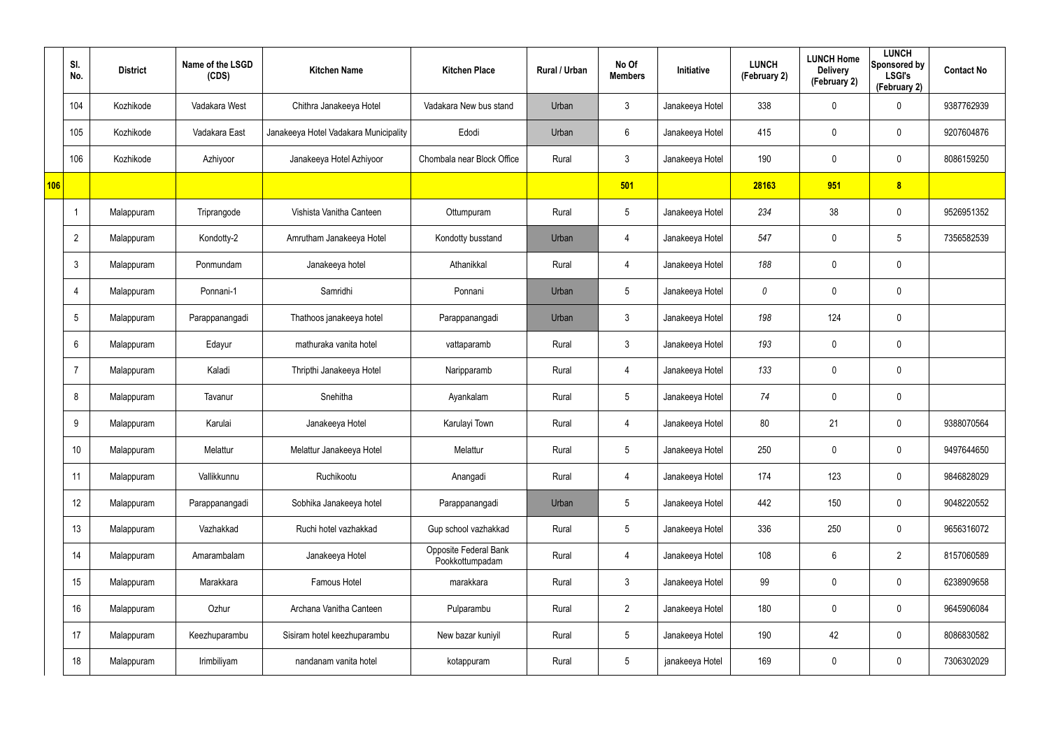|     | SI.<br>No.      | <b>District</b> | Name of the LSGD<br>(CDS) | <b>Kitchen Name</b>                   | <b>Kitchen Place</b>                     | Rural / Urban | No Of<br><b>Members</b> | Initiative      | <b>LUNCH</b><br>(February 2) | <b>LUNCH Home</b><br><b>Delivery</b><br>(February 2) | <b>LUNCH</b><br>Sponsored by<br><b>LSGI's</b><br>(February 2) | <b>Contact No</b> |
|-----|-----------------|-----------------|---------------------------|---------------------------------------|------------------------------------------|---------------|-------------------------|-----------------|------------------------------|------------------------------------------------------|---------------------------------------------------------------|-------------------|
|     | 104             | Kozhikode       | Vadakara West             | Chithra Janakeeya Hotel               | Vadakara New bus stand                   | Urban         | $\mathbf{3}$            | Janakeeya Hotel | 338                          | 0                                                    | $\mathbf 0$                                                   | 9387762939        |
|     | 105             | Kozhikode       | Vadakara East             | Janakeeya Hotel Vadakara Municipality | Edodi                                    | Urban         | 6                       | Janakeeya Hotel | 415                          | 0                                                    | $\mathbf 0$                                                   | 9207604876        |
|     | 106             | Kozhikode       | Azhiyoor                  | Janakeeya Hotel Azhiyoor              | Chombala near Block Office               | Rural         | $\mathbf{3}$            | Janakeeya Hotel | 190                          | 0                                                    | $\mathbf 0$                                                   | 8086159250        |
| 106 |                 |                 |                           |                                       |                                          |               | 501                     |                 | 28163                        | 951                                                  | 8                                                             |                   |
|     |                 | Malappuram      | Triprangode               | Vishista Vanitha Canteen              | Ottumpuram                               | Rural         | $5\overline{)}$         | Janakeeya Hotel | 234                          | 38                                                   | $\mathbf 0$                                                   | 9526951352        |
|     | $\overline{2}$  | Malappuram      | Kondotty-2                | Amrutham Janakeeya Hotel              | Kondotty busstand                        | Urban         | $\overline{4}$          | Janakeeya Hotel | 547                          | 0                                                    | 5                                                             | 7356582539        |
|     | $\mathbf{3}$    | Malappuram      | Ponmundam                 | Janakeeya hotel                       | Athanikkal                               | Rural         | $\overline{4}$          | Janakeeya Hotel | 188                          | 0                                                    | $\pmb{0}$                                                     |                   |
|     | 4               | Malappuram      | Ponnani-1                 | Samridhi                              | Ponnani                                  | Urban         | $5\overline{)}$         | Janakeeya Hotel | 0                            | 0                                                    | $\mathbf 0$                                                   |                   |
|     | $5\overline{)}$ | Malappuram      | Parappanangadi            | Thathoos janakeeya hotel              | Parappanangadi                           | Urban         | $\mathbf{3}$            | Janakeeya Hotel | 198                          | 124                                                  | $\pmb{0}$                                                     |                   |
|     | 6               | Malappuram      | Edayur                    | mathuraka vanita hotel                | vattaparamb                              | Rural         | 3                       | Janakeeya Hotel | 193                          | 0                                                    | $\mathbf 0$                                                   |                   |
|     | 7               | Malappuram      | Kaladi                    | Thripthi Janakeeya Hotel              | Naripparamb                              | Rural         | $\overline{4}$          | Janakeeya Hotel | 133                          | 0                                                    | $\pmb{0}$                                                     |                   |
|     | 8               | Malappuram      | Tavanur                   | Snehitha                              | Ayankalam                                | Rural         | $5\overline{)}$         | Janakeeya Hotel | 74                           | 0                                                    | $\mathbf 0$                                                   |                   |
|     | 9               | Malappuram      | Karulai                   | Janakeeya Hotel                       | Karulayi Town                            | Rural         | $\overline{4}$          | Janakeeya Hotel | 80                           | 21                                                   | $\boldsymbol{0}$                                              | 9388070564        |
|     | 10              | Malappuram      | Melattur                  | Melattur Janakeeya Hotel              | Melattur                                 | Rural         | $5\phantom{.0}$         | Janakeeya Hotel | 250                          | 0                                                    | $\pmb{0}$                                                     | 9497644650        |
|     | 11              | Malappuram      | Vallikkunnu               | Ruchikootu                            | Anangadi                                 | Rural         | $\overline{4}$          | Janakeeya Hotel | 174                          | 123                                                  | $\pmb{0}$                                                     | 9846828029        |
|     | 12              | Malappuram      | Parappanangadi            | Sobhika Janakeeya hotel               | Parappanangadi                           | Urban         | $5\phantom{.0}$         | Janakeeya Hotel | 442                          | 150                                                  | $\pmb{0}$                                                     | 9048220552        |
|     | 13              | Malappuram      | Vazhakkad                 | Ruchi hotel vazhakkad                 | Gup school vazhakkad                     | Rural         | $5\phantom{.0}$         | Janakeeya Hotel | 336                          | 250                                                  | $\pmb{0}$                                                     | 9656316072        |
|     | 14              | Malappuram      | Amarambalam               | Janakeeya Hotel                       | Opposite Federal Bank<br>Pookkottumpadam | Rural         | $\overline{4}$          | Janakeeya Hotel | 108                          | $6\phantom{.}$                                       | $\overline{2}$                                                | 8157060589        |
|     | 15              | Malappuram      | Marakkara                 | Famous Hotel                          | marakkara                                | Rural         | 3 <sup>1</sup>          | Janakeeya Hotel | 99                           | 0                                                    | $\mathbf 0$                                                   | 6238909658        |
|     | 16              | Malappuram      | Ozhur                     | Archana Vanitha Canteen               | Pulparambu                               | Rural         | $2\overline{ }$         | Janakeeya Hotel | 180                          | 0                                                    | $\pmb{0}$                                                     | 9645906084        |
|     | 17              | Malappuram      | Keezhuparambu             | Sisiram hotel keezhuparambu           | New bazar kuniyil                        | Rural         | $5\phantom{.0}$         | Janakeeya Hotel | 190                          | 42                                                   | $\mathbf 0$                                                   | 8086830582        |
|     | 18              | Malappuram      | Irimbiliyam               | nandanam vanita hotel                 | kotappuram                               | Rural         | $5\phantom{.0}$         | janakeeya Hotel | 169                          | 0                                                    | $\pmb{0}$                                                     | 7306302029        |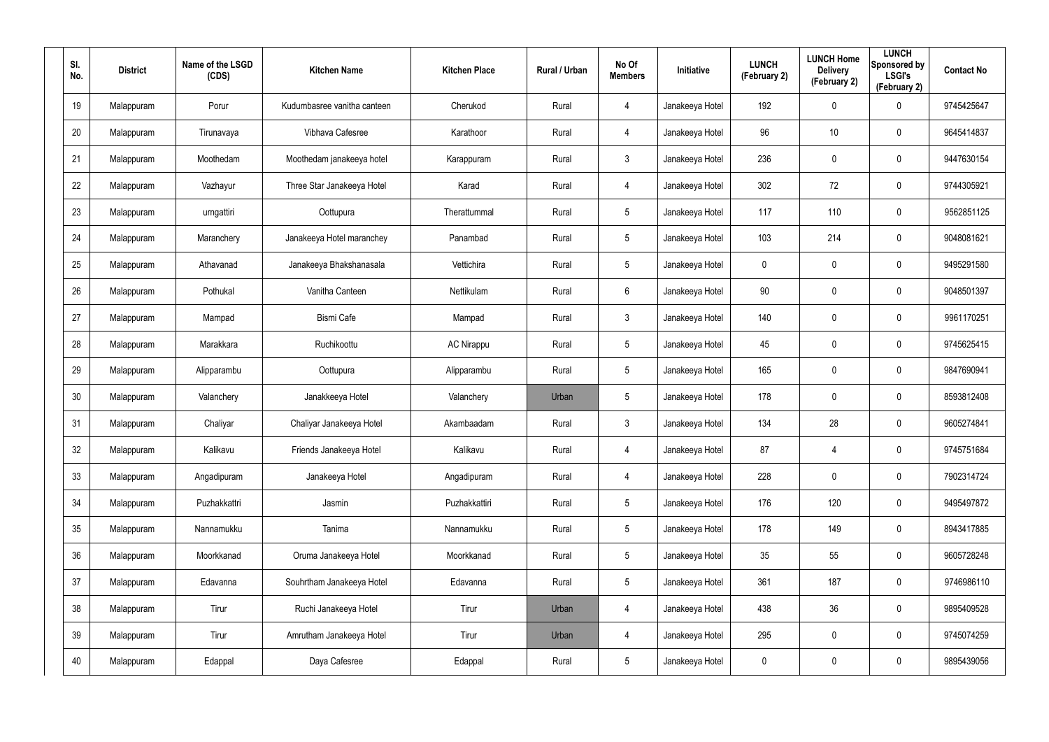| SI.<br>No. | <b>District</b> | Name of the LSGD<br>(CDS) | <b>Kitchen Name</b>         | <b>Kitchen Place</b> | Rural / Urban | No Of<br><b>Members</b> | Initiative      | <b>LUNCH</b><br>(February 2) | <b>LUNCH Home</b><br><b>Delivery</b><br>(February 2) | <b>LUNCH</b><br>Sponsored by<br><b>LSGI's</b><br>(February 2) | <b>Contact No</b> |
|------------|-----------------|---------------------------|-----------------------------|----------------------|---------------|-------------------------|-----------------|------------------------------|------------------------------------------------------|---------------------------------------------------------------|-------------------|
| 19         | Malappuram      | Porur                     | Kudumbasree vanitha canteen | Cherukod             | Rural         | 4                       | Janakeeya Hotel | 192                          | 0                                                    | $\mathbf 0$                                                   | 9745425647        |
| 20         | Malappuram      | Tirunavaya                | Vibhava Cafesree            | Karathoor            | Rural         | 4                       | Janakeeya Hotel | 96                           | 10                                                   | $\mathbf 0$                                                   | 9645414837        |
| 21         | Malappuram      | Moothedam                 | Moothedam janakeeya hotel   | Karappuram           | Rural         | $\mathbf{3}$            | Janakeeya Hotel | 236                          | 0                                                    | $\pmb{0}$                                                     | 9447630154        |
| 22         | Malappuram      | Vazhayur                  | Three Star Janakeeya Hotel  | Karad                | Rural         | 4                       | Janakeeya Hotel | 302                          | 72                                                   | $\mathbf 0$                                                   | 9744305921        |
| 23         | Malappuram      | urngattiri                | Oottupura                   | Therattummal         | Rural         | $5\phantom{.0}$         | Janakeeya Hotel | 117                          | 110                                                  | $\pmb{0}$                                                     | 9562851125        |
| 24         | Malappuram      | Maranchery                | Janakeeya Hotel maranchey   | Panambad             | Rural         | $5\phantom{.0}$         | Janakeeya Hotel | 103                          | 214                                                  | $\mathbf 0$                                                   | 9048081621        |
| 25         | Malappuram      | Athavanad                 | Janakeeya Bhakshanasala     | Vettichira           | Rural         | $5\phantom{.0}$         | Janakeeya Hotel | 0                            | 0                                                    | $\pmb{0}$                                                     | 9495291580        |
| 26         | Malappuram      | Pothukal                  | Vanitha Canteen             | Nettikulam           | Rural         | 6                       | Janakeeya Hotel | 90                           | 0                                                    | $\mathbf 0$                                                   | 9048501397        |
| 27         | Malappuram      | Mampad                    | <b>Bismi Cafe</b>           | Mampad               | Rural         | $\mathbf{3}$            | Janakeeya Hotel | 140                          | 0                                                    | $\pmb{0}$                                                     | 9961170251        |
| 28         | Malappuram      | Marakkara                 | Ruchikoottu                 | <b>AC Nirappu</b>    | Rural         | $5\phantom{.0}$         | Janakeeya Hotel | 45                           | $\mathbf 0$                                          | $\mathbf 0$                                                   | 9745625415        |
| 29         | Malappuram      | Alipparambu               | Oottupura                   | Alipparambu          | Rural         | $5\phantom{.0}$         | Janakeeya Hotel | 165                          | 0                                                    | $\pmb{0}$                                                     | 9847690941        |
| 30         | Malappuram      | Valanchery                | Janakkeeya Hotel            | Valanchery           | Urban         | $5\phantom{.0}$         | Janakeeya Hotel | 178                          | $\mathbf 0$                                          | $\mathbf 0$                                                   | 8593812408        |
| 31         | Malappuram      | Chaliyar                  | Chaliyar Janakeeya Hotel    | Akambaadam           | Rural         | $\mathbf{3}$            | Janakeeya Hotel | 134                          | 28                                                   | $\boldsymbol{0}$                                              | 9605274841        |
| 32         | Malappuram      | Kalikavu                  | Friends Janakeeya Hotel     | Kalikavu             | Rural         | 4                       | Janakeeya Hotel | 87                           | 4                                                    | $\pmb{0}$                                                     | 9745751684        |
| 33         | Malappuram      | Angadipuram               | Janakeeya Hotel             | Angadipuram          | Rural         | 4                       | Janakeeya Hotel | 228                          | $\mathbf 0$                                          | $\mathsf{0}$                                                  | 7902314724        |
| 34         | Malappuram      | Puzhakkattri              | Jasmin                      | Puzhakkattiri        | Rural         | $5\phantom{.0}$         | Janakeeya Hotel | 176                          | 120                                                  | $\mathsf{0}$                                                  | 9495497872        |
| 35         | Malappuram      | Nannamukku                | Tanima                      | Nannamukku           | Rural         | $5\phantom{.0}$         | Janakeeya Hotel | 178                          | 149                                                  | $\mathsf{0}$                                                  | 8943417885        |
| 36         | Malappuram      | Moorkkanad                | Oruma Janakeeya Hotel       | Moorkkanad           | Rural         | $5\phantom{.0}$         | Janakeeya Hotel | 35                           | 55                                                   | $\mathsf{0}$                                                  | 9605728248        |
| 37         | Malappuram      | Edavanna                  | Souhrtham Janakeeya Hotel   | Edavanna             | Rural         | $5\phantom{.0}$         | Janakeeya Hotel | 361                          | 187                                                  | $\mathbf 0$                                                   | 9746986110        |
| 38         | Malappuram      | Tirur                     | Ruchi Janakeeya Hotel       | Tirur                | Urban         | 4                       | Janakeeya Hotel | 438                          | 36                                                   | $\mathsf{0}$                                                  | 9895409528        |
| 39         | Malappuram      | Tirur                     | Amrutham Janakeeya Hotel    | Tirur                | Urban         | 4                       | Janakeeya Hotel | 295                          | 0                                                    | $\mathbf 0$                                                   | 9745074259        |
| 40         | Malappuram      | Edappal                   | Daya Cafesree               | Edappal              | Rural         | $5\phantom{.0}$         | Janakeeya Hotel | 0                            | 0                                                    | $\mathsf{0}$                                                  | 9895439056        |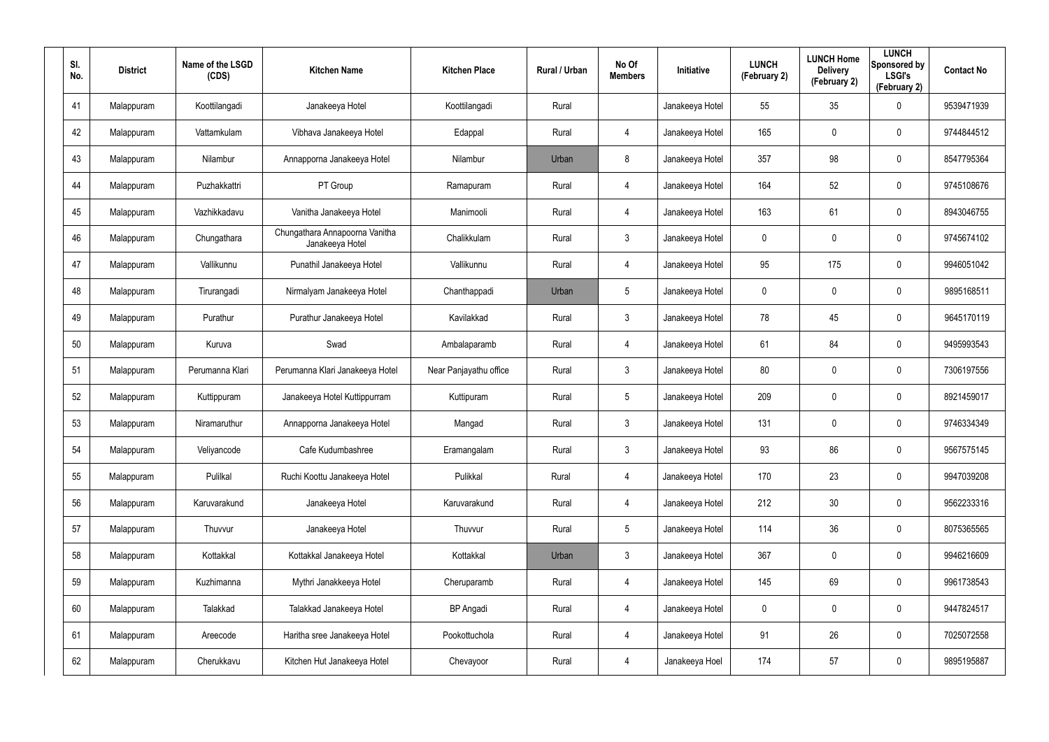| SI.<br>No. | <b>District</b> | Name of the LSGD<br>(CDS) | <b>Kitchen Name</b>                               | <b>Kitchen Place</b>   | Rural / Urban | No Of<br><b>Members</b> | <b>Initiative</b> | <b>LUNCH</b><br>(February 2) | <b>LUNCH Home</b><br><b>Delivery</b><br>(February 2) | <b>LUNCH</b><br>Sponsored by<br><b>LSGI's</b><br>(February 2) | <b>Contact No</b> |
|------------|-----------------|---------------------------|---------------------------------------------------|------------------------|---------------|-------------------------|-------------------|------------------------------|------------------------------------------------------|---------------------------------------------------------------|-------------------|
| 41         | Malappuram      | Koottilangadi             | Janakeeya Hotel                                   | Koottilangadi          | Rural         |                         | Janakeeya Hotel   | 55                           | 35                                                   | $\boldsymbol{0}$                                              | 9539471939        |
| 42         | Malappuram      | Vattamkulam               | Vibhava Janakeeya Hotel                           | Edappal                | Rural         | 4                       | Janakeeya Hotel   | 165                          | 0                                                    | $\mathbf 0$                                                   | 9744844512        |
| 43         | Malappuram      | Nilambur                  | Annapporna Janakeeya Hotel                        | Nilambur               | Urban         | 8                       | Janakeeya Hotel   | 357                          | 98                                                   | $\pmb{0}$                                                     | 8547795364        |
| 44         | Malappuram      | Puzhakkattri              | PT Group                                          | Ramapuram              | Rural         | 4                       | Janakeeya Hotel   | 164                          | 52                                                   | $\pmb{0}$                                                     | 9745108676        |
| 45         | Malappuram      | Vazhikkadavu              | Vanitha Janakeeya Hotel                           | Manimooli              | Rural         | 4                       | Janakeeya Hotel   | 163                          | 61                                                   | $\pmb{0}$                                                     | 8943046755        |
| 46         | Malappuram      | Chungathara               | Chungathara Annapoorna Vanitha<br>Janakeeya Hotel | Chalikkulam            | Rural         | $\mathbf{3}$            | Janakeeya Hotel   | 0                            | 0                                                    | $\mathbf 0$                                                   | 9745674102        |
| 47         | Malappuram      | Vallikunnu                | Punathil Janakeeya Hotel                          | Vallikunnu             | Rural         | 4                       | Janakeeya Hotel   | 95                           | 175                                                  | $\mathbf 0$                                                   | 9946051042        |
| 48         | Malappuram      | Tirurangadi               | Nirmalyam Janakeeya Hotel                         | Chanthappadi           | Urban         | $5\overline{)}$         | Janakeeya Hotel   | 0                            | 0                                                    | $\mathbf 0$                                                   | 9895168511        |
| 49         | Malappuram      | Purathur                  | Purathur Janakeeya Hotel                          | Kavilakkad             | Rural         | $\mathbf{3}$            | Janakeeya Hotel   | 78                           | 45                                                   | $\mathbf 0$                                                   | 9645170119        |
| 50         | Malappuram      | Kuruva                    | Swad                                              | Ambalaparamb           | Rural         | 4                       | Janakeeya Hotel   | 61                           | 84                                                   | $\mathbf 0$                                                   | 9495993543        |
| 51         | Malappuram      | Perumanna Klari           | Perumanna Klari Janakeeya Hotel                   | Near Panjayathu office | Rural         | $\mathbf{3}$            | Janakeeya Hotel   | 80                           | $\mathbf 0$                                          | $\mathbf 0$                                                   | 7306197556        |
| 52         | Malappuram      | Kuttippuram               | Janakeeya Hotel Kuttippurram                      | Kuttipuram             | Rural         | $5\overline{)}$         | Janakeeya Hotel   | 209                          | 0                                                    | $\mathbf 0$                                                   | 8921459017        |
| 53         | Malappuram      | Niramaruthur              | Annapporna Janakeeya Hotel                        | Mangad                 | Rural         | $\mathbf{3}$            | Janakeeya Hotel   | 131                          | $\mathbf 0$                                          | $\mathbf 0$                                                   | 9746334349        |
| 54         | Malappuram      | Veliyancode               | Cafe Kudumbashree                                 | Eramangalam            | Rural         | $\mathbf{3}$            | Janakeeya Hotel   | 93                           | 86                                                   | $\pmb{0}$                                                     | 9567575145        |
| 55         | Malappuram      | Pulilkal                  | Ruchi Koottu Janakeeya Hotel                      | Pulikkal               | Rural         | 4                       | Janakeeya Hotel   | 170                          | 23                                                   | $\mathbf 0$                                                   | 9947039208        |
| 56         | Malappuram      | Karuvarakund              | Janakeeya Hotel                                   | Karuvarakund           | Rural         | 4                       | Janakeeya Hotel   | 212                          | 30                                                   | $\mathbf 0$                                                   | 9562233316        |
| 57         | Malappuram      | Thuvvur                   | Janakeeya Hotel                                   | Thuvvur                | Rural         | $5\phantom{.0}$         | Janakeeya Hotel   | 114                          | 36                                                   | $\mathbf 0$                                                   | 8075365565        |
| 58         | Malappuram      | Kottakkal                 | Kottakkal Janakeeya Hotel                         | Kottakkal              | Urban         | $\mathbf{3}$            | Janakeeya Hotel   | 367                          | $\mathbf 0$                                          | $\mathbf 0$                                                   | 9946216609        |
| 59         | Malappuram      | Kuzhimanna                | Mythri Janakkeeya Hotel                           | Cheruparamb            | Rural         | 4                       | Janakeeya Hotel   | 145                          | 69                                                   | $\mathbf 0$                                                   | 9961738543        |
| 60         | Malappuram      | Talakkad                  | Talakkad Janakeeya Hotel                          | <b>BP</b> Angadi       | Rural         | 4                       | Janakeeya Hotel   | $\mathbf 0$                  | 0                                                    | $\mathbf 0$                                                   | 9447824517        |
| 61         | Malappuram      | Areecode                  | Haritha sree Janakeeya Hotel                      | Pookottuchola          | Rural         | 4                       | Janakeeya Hotel   | 91                           | 26                                                   | $\mathbf 0$                                                   | 7025072558        |
| 62         | Malappuram      | Cherukkavu                | Kitchen Hut Janakeeya Hotel                       | Chevayoor              | Rural         | $\overline{4}$          | Janakeeya Hoel    | 174                          | 57                                                   | $\mathbf 0$                                                   | 9895195887        |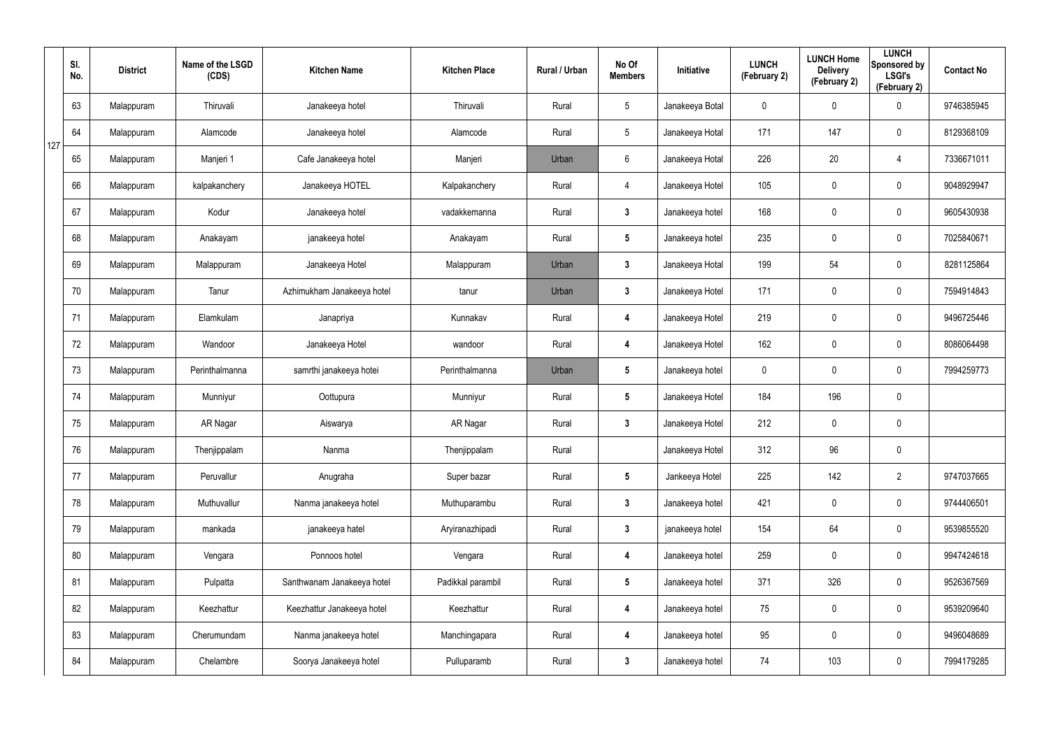|     | SI.<br>No. | <b>District</b> | Name of the LSGD<br>(CDS) | <b>Kitchen Name</b>        | <b>Kitchen Place</b> | Rural / Urban | No Of<br><b>Members</b> | Initiative      | <b>LUNCH</b><br>(February 2) | <b>LUNCH Home</b><br><b>Delivery</b><br>(February 2) | <b>LUNCH</b><br>Sponsored by<br><b>LSGI's</b><br>(February 2) | <b>Contact No</b> |
|-----|------------|-----------------|---------------------------|----------------------------|----------------------|---------------|-------------------------|-----------------|------------------------------|------------------------------------------------------|---------------------------------------------------------------|-------------------|
|     | 63         | Malappuram      | Thiruvali                 | Janakeeya hotel            | Thiruvali            | Rural         | $5\phantom{.0}$         | Janakeeya Botal | $\mathbf 0$                  | 0                                                    | $\mathbf 0$                                                   | 9746385945        |
| 127 | 64         | Malappuram      | Alamcode                  | Janakeeya hotel            | Alamcode             | Rural         | $5\phantom{.0}$         | Janakeeya Hotal | 171                          | 147                                                  | $\mathbf 0$                                                   | 8129368109        |
|     | 65         | Malappuram      | Manjeri 1                 | Cafe Janakeeya hotel       | Manjeri              | Urban         | $6\phantom{.}6$         | Janakeeya Hotal | 226                          | 20                                                   | 4                                                             | 7336671011        |
|     | 66         | Malappuram      | kalpakanchery             | Janakeeya HOTEL            | Kalpakanchery        | Rural         | $\overline{4}$          | Janakeeya Hotel | 105                          | 0                                                    | $\mathbf 0$                                                   | 9048929947        |
|     | 67         | Malappuram      | Kodur                     | Janakeeya hotel            | vadakkemanna         | Rural         | $3\phantom{a}$          | Janakeeya hotel | 168                          | 0                                                    | $\mathbf 0$                                                   | 9605430938        |
|     | 68         | Malappuram      | Anakayam                  | janakeeya hotel            | Anakayam             | Rural         | $5\phantom{.0}$         | Janakeeya hotel | 235                          | 0                                                    | $\mathbf 0$                                                   | 7025840671        |
|     | 69         | Malappuram      | Malappuram                | Janakeeya Hotel            | Malappuram           | Urban         | $\mathbf{3}$            | Janakeeya Hotal | 199                          | 54                                                   | $\pmb{0}$                                                     | 8281125864        |
|     | 70         | Malappuram      | Tanur                     | Azhimukham Janakeeya hotel | tanur                | Urban         | $\mathbf{3}$            | Janakeeya Hotel | 171                          | 0                                                    | $\mathbf 0$                                                   | 7594914843        |
|     | 71         | Malappuram      | Elamkulam                 | Janapriya                  | Kunnakav             | Rural         | $\overline{\mathbf{4}}$ | Janakeeya Hotel | 219                          | 0                                                    | $\boldsymbol{0}$                                              | 9496725446        |
|     | 72         | Malappuram      | Wandoor                   | Janakeeya Hotel            | wandoor              | Rural         | 4                       | Janakeeya Hotel | 162                          | 0                                                    | $\mathbf 0$                                                   | 8086064498        |
|     | 73         | Malappuram      | Perinthalmanna            | samrthi janakeeya hotei    | Perinthalmanna       | Urban         | $5\phantom{.0}$         | Janakeeya hotel | $\mathbf 0$                  | 0                                                    | $\boldsymbol{0}$                                              | 7994259773        |
|     | 74         | Malappuram      | Munniyur                  | Oottupura                  | Munniyur             | Rural         | $5\phantom{.0}$         | Janakeeya Hotel | 184                          | 196                                                  | $\mathbf 0$                                                   |                   |
|     | 75         | Malappuram      | AR Nagar                  | Aiswarya                   | <b>AR Nagar</b>      | Rural         | $3\phantom{a}$          | Janakeeya Hotel | 212                          | 0                                                    | $\pmb{0}$                                                     |                   |
|     | 76         | Malappuram      | Thenjippalam              | Nanma                      | Thenjippalam         | Rural         |                         | Janakeeya Hotel | 312                          | 96                                                   | $\pmb{0}$                                                     |                   |
|     | 77         | Malappuram      | Peruvallur                | Anugraha                   | Super bazar          | Rural         | $5\phantom{.0}$         | Jankeeya Hotel  | 225                          | 142                                                  | $\overline{2}$                                                | 9747037665        |
|     | 78         | Malappuram      | Muthuvallur               | Nanma janakeeya hotel      | Muthuparambu         | Rural         | $3\phantom{a}$          | Janakeeya hotel | 421                          | 0                                                    | $\pmb{0}$                                                     | 9744406501        |
|     | 79         | Malappuram      | mankada                   | janakeeya hatel            | Aryiranazhipadi      | Rural         | $3\phantom{a}$          | janakeeya hotel | 154                          | 64                                                   | $\pmb{0}$                                                     | 9539855520        |
|     | 80         | Malappuram      | Vengara                   | Ponnoos hotel              | Vengara              | Rural         | $\overline{\mathbf{4}}$ | Janakeeya hotel | 259                          | 0                                                    | $\pmb{0}$                                                     | 9947424618        |
|     | 81         | Malappuram      | Pulpatta                  | Santhwanam Janakeeya hotel | Padikkal parambil    | Rural         | 5 <sub>5</sub>          | Janakeeya hotel | 371                          | 326                                                  | $\mathbf 0$                                                   | 9526367569        |
|     | 82         | Malappuram      | Keezhattur                | Keezhattur Janakeeya hotel | Keezhattur           | Rural         | $\overline{\mathbf{4}}$ | Janakeeya hotel | 75                           | 0                                                    | $\pmb{0}$                                                     | 9539209640        |
|     | 83         | Malappuram      | Cherumundam               | Nanma janakeeya hotel      | Manchingapara        | Rural         | 4                       | Janakeeya hotel | 95                           | 0                                                    | $\mathbf 0$                                                   | 9496048689        |
|     | 84         | Malappuram      | Chelambre                 | Soorya Janakeeya hotel     | Pulluparamb          | Rural         | $3\phantom{a}$          | Janakeeya hotel | 74                           | 103                                                  | $\pmb{0}$                                                     | 7994179285        |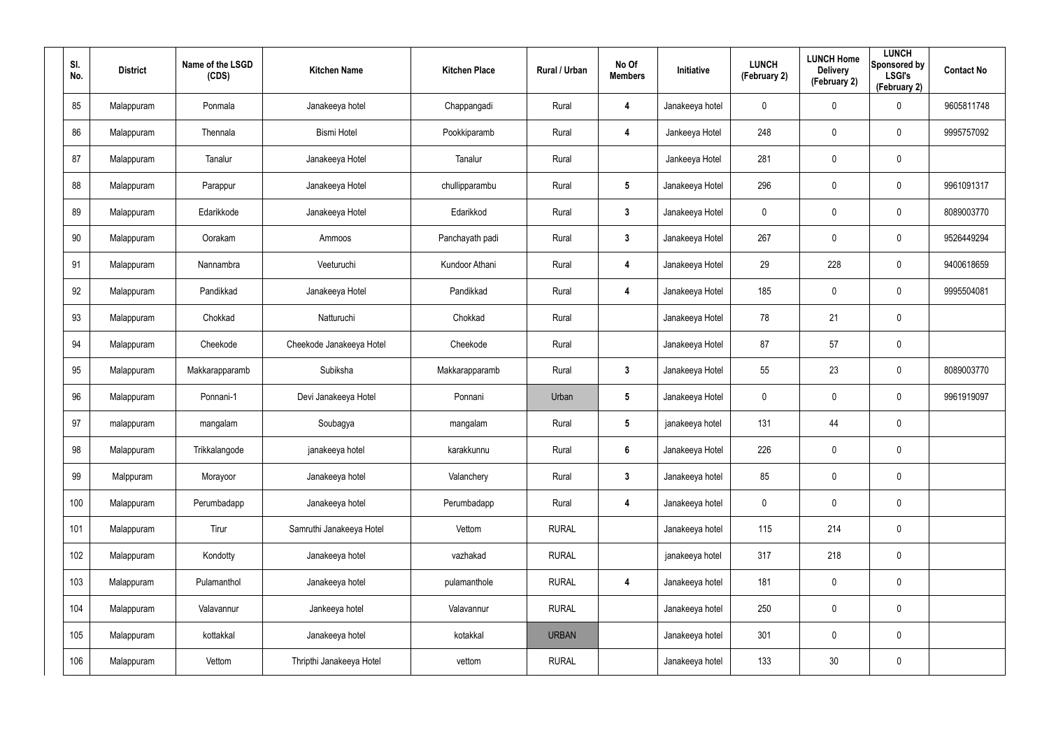| SI.<br>No. | <b>District</b> | Name of the LSGD<br>(CDS) | <b>Kitchen Name</b>      | <b>Kitchen Place</b> | Rural / Urban | No Of<br><b>Members</b> | Initiative      | <b>LUNCH</b><br>(February 2) | <b>LUNCH Home</b><br><b>Delivery</b><br>(February 2) | <b>LUNCH</b><br>Sponsored by<br><b>LSGI's</b><br>(February 2) | <b>Contact No</b> |
|------------|-----------------|---------------------------|--------------------------|----------------------|---------------|-------------------------|-----------------|------------------------------|------------------------------------------------------|---------------------------------------------------------------|-------------------|
| 85         | Malappuram      | Ponmala                   | Janakeeya hotel          | Chappangadi          | Rural         | 4                       | Janakeeya hotel | $\mathbf 0$                  | 0                                                    | $\boldsymbol{0}$                                              | 9605811748        |
| 86         | Malappuram      | Thennala                  | <b>Bismi Hotel</b>       | Pookkiparamb         | Rural         | 4                       | Jankeeya Hotel  | 248                          | $\mathbf 0$                                          | $\mathbf 0$                                                   | 9995757092        |
| 87         | Malappuram      | Tanalur                   | Janakeeya Hotel          | Tanalur              | Rural         |                         | Jankeeya Hotel  | 281                          | $\mathbf 0$                                          | $\pmb{0}$                                                     |                   |
| 88         | Malappuram      | Parappur                  | Janakeeya Hotel          | chullipparambu       | Rural         | $5\phantom{.0}$         | Janakeeya Hotel | 296                          | 0                                                    | $\pmb{0}$                                                     | 9961091317        |
| 89         | Malappuram      | Edarikkode                | Janakeeya Hotel          | Edarikkod            | Rural         | $\mathbf{3}$            | Janakeeya Hotel | $\mathbf 0$                  | $\mathbf 0$                                          | $\mathbf 0$                                                   | 8089003770        |
| 90         | Malappuram      | Oorakam                   | Ammoos                   | Panchayath padi      | Rural         | $\mathbf{3}$            | Janakeeya Hotel | 267                          | 0                                                    | $\pmb{0}$                                                     | 9526449294        |
| 91         | Malappuram      | Nannambra                 | Veeturuchi               | Kundoor Athani       | Rural         | 4                       | Janakeeya Hotel | 29                           | 228                                                  | $\mathbf 0$                                                   | 9400618659        |
| 92         | Malappuram      | Pandikkad                 | Janakeeya Hotel          | Pandikkad            | Rural         | 4                       | Janakeeya Hotel | 185                          | 0                                                    | $\mathbf 0$                                                   | 9995504081        |
| 93         | Malappuram      | Chokkad                   | Natturuchi               | Chokkad              | Rural         |                         | Janakeeya Hotel | 78                           | 21                                                   | $\pmb{0}$                                                     |                   |
| 94         | Malappuram      | Cheekode                  | Cheekode Janakeeya Hotel | Cheekode             | Rural         |                         | Janakeeya Hotel | 87                           | 57                                                   | $\mathbf 0$                                                   |                   |
| 95         | Malappuram      | Makkarapparamb            | Subiksha                 | Makkarapparamb       | Rural         | $\mathbf{3}$            | Janakeeya Hotel | 55                           | 23                                                   | $\mathbf 0$                                                   | 8089003770        |
| 96         | Malappuram      | Ponnani-1                 | Devi Janakeeya Hotel     | Ponnani              | Urban         | $5\phantom{.0}$         | Janakeeya Hotel | $\mathbf 0$                  | 0                                                    | $\mathbf 0$                                                   | 9961919097        |
| 97         | malappuram      | mangalam                  | Soubagya                 | mangalam             | Rural         | $5\phantom{.0}$         | janakeeya hotel | 131                          | 44                                                   | $\pmb{0}$                                                     |                   |
| 98         | Malappuram      | Trikkalangode             | janakeeya hotel          | karakkunnu           | Rural         | $6\phantom{1}$          | Janakeeya Hotel | 226                          | $\pmb{0}$                                            | $\pmb{0}$                                                     |                   |
| 99         | Malppuram       | Morayoor                  | Janakeeya hotel          | Valanchery           | Rural         | $\mathbf{3}$            | Janakeeya hotel | 85                           | $\mathbf 0$                                          | $\mathbf 0$                                                   |                   |
| 100        | Malappuram      | Perumbadapp               | Janakeeya hotel          | Perumbadapp          | Rural         | 4                       | Janakeeya hotel | $\mathbf 0$                  | 0                                                    | $\mathbf 0$                                                   |                   |
| 101        | Malappuram      | Tirur                     | Samruthi Janakeeya Hotel | Vettom               | <b>RURAL</b>  |                         | Janakeeya hotel | 115                          | 214                                                  | $\mathbf 0$                                                   |                   |
| 102        | Malappuram      | Kondotty                  | Janakeeya hotel          | vazhakad             | <b>RURAL</b>  |                         | janakeeya hotel | 317                          | 218                                                  | $\pmb{0}$                                                     |                   |
| 103        | Malappuram      | Pulamanthol               | Janakeeya hotel          | pulamanthole         | <b>RURAL</b>  | 4                       | Janakeeya hotel | 181                          | $\pmb{0}$                                            | $\mathbf 0$                                                   |                   |
| 104        | Malappuram      | Valavannur                | Jankeeya hotel           | Valavannur           | <b>RURAL</b>  |                         | Janakeeya hotel | 250                          | $\pmb{0}$                                            | $\pmb{0}$                                                     |                   |
| 105        | Malappuram      | kottakkal                 | Janakeeya hotel          | kotakkal             | <b>URBAN</b>  |                         | Janakeeya hotel | 301                          | $\pmb{0}$                                            | $\mathbf 0$                                                   |                   |
| 106        | Malappuram      | Vettom                    | Thripthi Janakeeya Hotel | vettom               | <b>RURAL</b>  |                         | Janakeeya hotel | 133                          | $30\,$                                               | $\pmb{0}$                                                     |                   |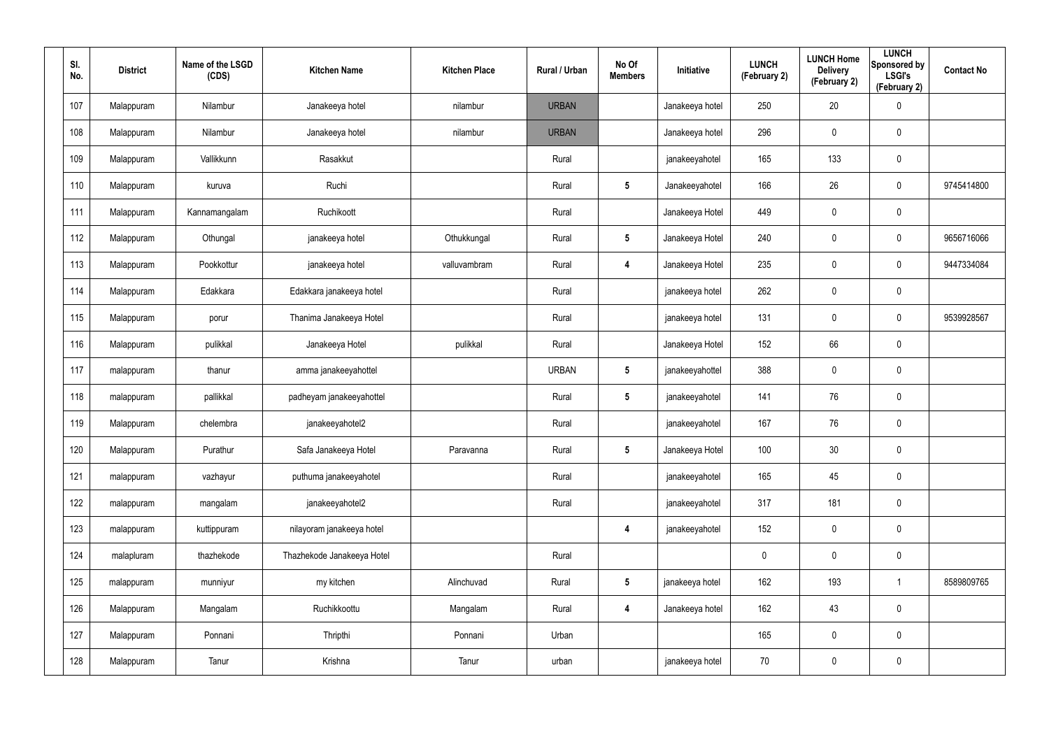| SI.<br>No. | <b>District</b> | Name of the LSGD<br>(CDS) | <b>Kitchen Name</b>        | <b>Kitchen Place</b> | Rural / Urban | No Of<br><b>Members</b> | Initiative      | <b>LUNCH</b><br>(February 2) | <b>LUNCH Home</b><br><b>Delivery</b><br>(February 2) | <b>LUNCH</b><br>Sponsored by<br><b>LSGI's</b><br>(February 2) | <b>Contact No</b> |
|------------|-----------------|---------------------------|----------------------------|----------------------|---------------|-------------------------|-----------------|------------------------------|------------------------------------------------------|---------------------------------------------------------------|-------------------|
| 107        | Malappuram      | Nilambur                  | Janakeeya hotel            | nilambur             | <b>URBAN</b>  |                         | Janakeeya hotel | 250                          | 20                                                   | $\pmb{0}$                                                     |                   |
| 108        | Malappuram      | Nilambur                  | Janakeeya hotel            | nilambur             | <b>URBAN</b>  |                         | Janakeeya hotel | 296                          | $\mathbf 0$                                          | $\pmb{0}$                                                     |                   |
| 109        | Malappuram      | Vallikkunn                | Rasakkut                   |                      | Rural         |                         | janakeeyahotel  | 165                          | 133                                                  | $\mathbf 0$                                                   |                   |
| 110        | Malappuram      | kuruva                    | Ruchi                      |                      | Rural         | $5\phantom{.0}$         | Janakeeyahotel  | 166                          | 26                                                   | $\mathbf 0$                                                   | 9745414800        |
| 111        | Malappuram      | Kannamangalam             | Ruchikoott                 |                      | Rural         |                         | Janakeeya Hotel | 449                          | 0                                                    | $\pmb{0}$                                                     |                   |
| 112        | Malappuram      | Othungal                  | janakeeya hotel            | Othukkungal          | Rural         | $5\phantom{.0}$         | Janakeeya Hotel | 240                          | $\mathbf 0$                                          | $\mathbf 0$                                                   | 9656716066        |
| 113        | Malappuram      | Pookkottur                | janakeeya hotel            | valluvambram         | Rural         | $\boldsymbol{4}$        | Janakeeya Hotel | 235                          | 0                                                    | $\mathbf 0$                                                   | 9447334084        |
| 114        | Malappuram      | Edakkara                  | Edakkara janakeeya hotel   |                      | Rural         |                         | janakeeya hotel | 262                          | 0                                                    | $\pmb{0}$                                                     |                   |
| 115        | Malappuram      | porur                     | Thanima Janakeeya Hotel    |                      | Rural         |                         | janakeeya hotel | 131                          | 0                                                    | $\mathbf 0$                                                   | 9539928567        |
| 116        | Malappuram      | pulikkal                  | Janakeeya Hotel            | pulikkal             | Rural         |                         | Janakeeya Hotel | 152                          | 66                                                   | $\mathbf 0$                                                   |                   |
| 117        | malappuram      | thanur                    | amma janakeeyahottel       |                      | <b>URBAN</b>  | $5\phantom{.0}$         | janakeeyahottel | 388                          | 0                                                    | $\mathbf 0$                                                   |                   |
| 118        | malappuram      | pallikkal                 | padheyam janakeeyahottel   |                      | Rural         | $5\phantom{.0}$         | janakeeyahotel  | 141                          | 76                                                   | $\mathbf 0$                                                   |                   |
| 119        | Malappuram      | chelembra                 | janakeeyahotel2            |                      | Rural         |                         | janakeeyahotel  | 167                          | 76                                                   | $\mathbf 0$                                                   |                   |
| 120        | Malappuram      | Purathur                  | Safa Janakeeya Hotel       | Paravanna            | Rural         | $5\phantom{.0}$         | Janakeeya Hotel | 100                          | $30\,$                                               | $\pmb{0}$                                                     |                   |
| 121        | malappuram      | vazhayur                  | puthuma janakeeyahotel     |                      | Rural         |                         | janakeeyahotel  | 165                          | 45                                                   | $\mathbf 0$                                                   |                   |
| 122        | malappuram      | mangalam                  | janakeeyahotel2            |                      | Rural         |                         | janakeeyahotel  | 317                          | 181                                                  | $\mathbf 0$                                                   |                   |
| 123        | malappuram      | kuttippuram               | nilayoram janakeeya hotel  |                      |               | $\overline{\mathbf{4}}$ | janakeeyahotel  | 152                          | $\pmb{0}$                                            | $\mathbf 0$                                                   |                   |
| 124        | malapluram      | thazhekode                | Thazhekode Janakeeya Hotel |                      | Rural         |                         |                 | $\mathbf 0$                  | 0                                                    | $\mathbf 0$                                                   |                   |
| 125        | malappuram      | munniyur                  | my kitchen                 | Alinchuvad           | Rural         | $5\phantom{.0}$         | janakeeya hotel | 162                          | 193                                                  | $\mathbf{1}$                                                  | 8589809765        |
| 126        | Malappuram      | Mangalam                  | Ruchikkoottu               | Mangalam             | Rural         | $\overline{\mathbf{4}}$ | Janakeeya hotel | 162                          | 43                                                   | $\mathbf 0$                                                   |                   |
| 127        | Malappuram      | Ponnani                   | Thripthi                   | Ponnani              | Urban         |                         |                 | 165                          | 0                                                    | $\mathbf 0$                                                   |                   |
| 128        | Malappuram      | Tanur                     | Krishna                    | Tanur                | urban         |                         | janakeeya hotel | 70                           | 0                                                    | $\pmb{0}$                                                     |                   |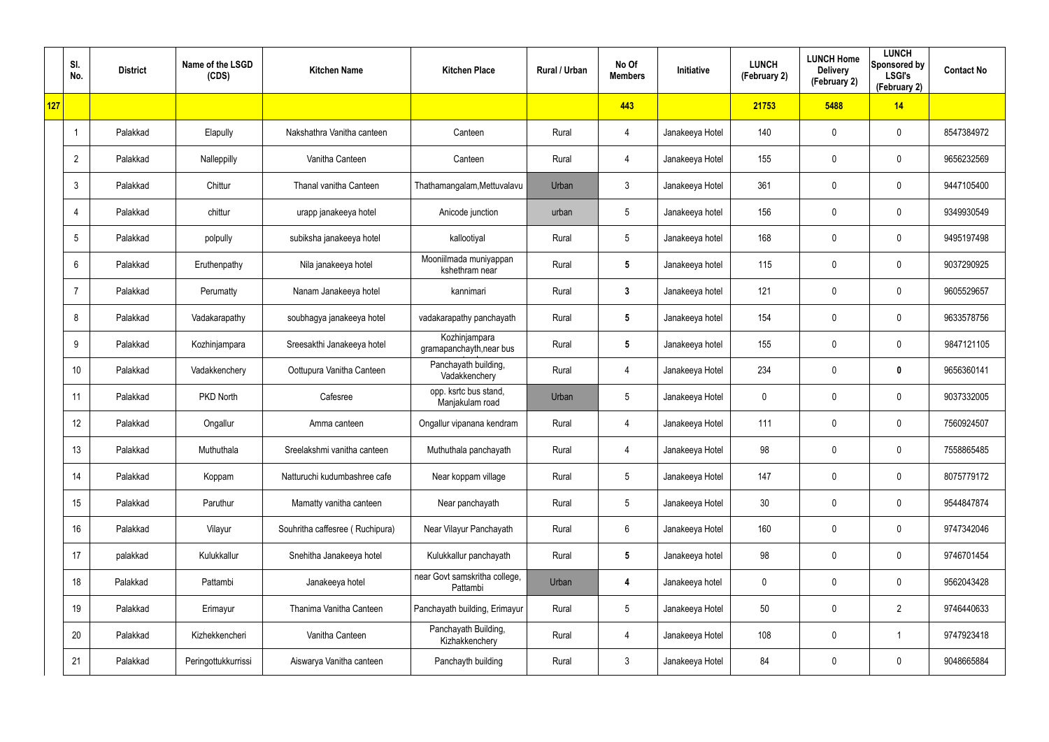|     | SI.<br>No.      | <b>District</b> | Name of the LSGD<br>(CDS) | <b>Kitchen Name</b>             | <b>Kitchen Place</b>                      | Rural / Urban | No Of<br><b>Members</b> | Initiative      | <b>LUNCH</b><br>(February 2) | <b>LUNCH Home</b><br><b>Delivery</b><br>(February 2) | <b>LUNCH</b><br>Sponsored by<br><b>LSGI's</b><br>(February 2) | <b>Contact No</b> |
|-----|-----------------|-----------------|---------------------------|---------------------------------|-------------------------------------------|---------------|-------------------------|-----------------|------------------------------|------------------------------------------------------|---------------------------------------------------------------|-------------------|
| 127 |                 |                 |                           |                                 |                                           |               | 443                     |                 | 21753                        | 5488                                                 | 14                                                            |                   |
|     |                 | Palakkad        | Elapully                  | Nakshathra Vanitha canteen      | Canteen                                   | Rural         | $\overline{4}$          | Janakeeya Hotel | 140                          | 0                                                    | $\mathbf 0$                                                   | 8547384972        |
|     | $\overline{2}$  | Palakkad        | Nalleppilly               | Vanitha Canteen                 | Canteen                                   | Rural         | $\overline{4}$          | Janakeeya Hotel | 155                          | 0                                                    | $\mathbf 0$                                                   | 9656232569        |
|     | 3               | Palakkad        | Chittur                   | Thanal vanitha Canteen          | Thathamangalam, Mettuvalavu               | Urban         | $\mathbf{3}$            | Janakeeya Hotel | 361                          | $\mathbf 0$                                          | $\boldsymbol{0}$                                              | 9447105400        |
|     | $\overline{4}$  | Palakkad        | chittur                   | urapp janakeeya hotel           | Anicode junction                          | urban         | $5\phantom{.0}$         | Janakeeya hotel | 156                          | 0                                                    | $\mathbf 0$                                                   | 9349930549        |
|     | 5               | Palakkad        | polpully                  | subiksha janakeeya hotel        | kallootiyal                               | Rural         | $5\phantom{.0}$         | Janakeeya hotel | 168                          | 0                                                    | $\boldsymbol{0}$                                              | 9495197498        |
|     | 6               | Palakkad        | Eruthenpathy              | Nila janakeeya hotel            | Mooniilmada muniyappan<br>kshethram near  | Rural         | $5\phantom{.0}$         | Janakeeya hotel | 115                          | 0                                                    | $\mathbf 0$                                                   | 9037290925        |
|     | 7               | Palakkad        | Perumatty                 | Nanam Janakeeya hotel           | kannimari                                 | Rural         | $\mathbf{3}$            | Janakeeya hotel | 121                          | 0                                                    | $\boldsymbol{0}$                                              | 9605529657        |
|     | 8               | Palakkad        | Vadakarapathy             | soubhagya janakeeya hotel       | vadakarapathy panchayath                  | Rural         | $5\phantom{.0}$         | Janakeeya hotel | 154                          | 0                                                    | $\mathbf 0$                                                   | 9633578756        |
|     | 9               | Palakkad        | Kozhinjampara             | Sreesakthi Janakeeya hotel      | Kozhinjampara<br>gramapanchayth, near bus | Rural         | $5\phantom{.0}$         | Janakeeya hotel | 155                          | 0                                                    | $\boldsymbol{0}$                                              | 9847121105        |
|     | 10              | Palakkad        | Vadakkenchery             | Oottupura Vanitha Canteen       | Panchayath building,<br>Vadakkenchery     | Rural         | $\overline{4}$          | Janakeeya Hotel | 234                          | 0                                                    | $\boldsymbol{0}$                                              | 9656360141        |
|     | 11              | Palakkad        | PKD North                 | Cafesree                        | opp. ksrtc bus stand,<br>Manjakulam road  | Urban         | $5\phantom{.0}$         | Janakeeya Hotel | 0                            | 0                                                    | $\boldsymbol{0}$                                              | 9037332005        |
|     | 12 <sup>°</sup> | Palakkad        | Ongallur                  | Amma canteen                    | Ongallur vipanana kendram                 | Rural         | $\overline{4}$          | Janakeeya Hotel | 111                          | 0                                                    | $\boldsymbol{0}$                                              | 7560924507        |
|     | 13              | Palakkad        | Muthuthala                | Sreelakshmi vanitha canteen     | Muthuthala panchayath                     | Rural         | $\overline{4}$          | Janakeeya Hotel | 98                           | 0                                                    | $\mathbf 0$                                                   | 7558865485        |
|     | 14              | Palakkad        | Koppam                    | Natturuchi kudumbashree cafe    | Near koppam village                       | Rural         | $5\phantom{.0}$         | Janakeeya Hotel | 147                          | $\mathbf 0$                                          | $\mathbf 0$                                                   | 8075779172        |
|     | 15              | Palakkad        | Paruthur                  | Mamatty vanitha canteen         | Near panchayath                           | Rural         | $5\phantom{.0}$         | Janakeeya Hotel | 30                           | 0                                                    | $\mathbf 0$                                                   | 9544847874        |
|     | 16              | Palakkad        | Vilayur                   | Souhritha caffesree (Ruchipura) | Near Vilayur Panchayath                   | Rural         | $6\phantom{.}6$         | Janakeeya Hotel | 160                          | $\boldsymbol{0}$                                     | $\mathbf 0$                                                   | 9747342046        |
|     | 17              | palakkad        | Kulukkallur               | Snehitha Janakeeya hotel        | Kulukkallur panchayath                    | Rural         | $5\phantom{.0}$         | Janakeeya hotel | 98                           | 0                                                    | $\mathbf 0$                                                   | 9746701454        |
|     | 18              | Palakkad        | Pattambi                  | Janakeeya hotel                 | near Govt samskritha college,<br>Pattambi | Urban         | 4                       | Janakeeya hotel | 0                            | $\boldsymbol{0}$                                     | $\mathbf 0$                                                   | 9562043428        |
|     | 19              | Palakkad        | Erimayur                  | Thanima Vanitha Canteen         | Panchayath building, Erimayur             | Rural         | $5\phantom{.0}$         | Janakeeya Hotel | 50                           | 0                                                    | $\overline{2}$                                                | 9746440633        |
|     | 20              | Palakkad        | Kizhekkencheri            | Vanitha Canteen                 | Panchayath Building,<br>Kizhakkenchery    | Rural         | $\overline{4}$          | Janakeeya Hotel | 108                          | $\boldsymbol{0}$                                     | 1                                                             | 9747923418        |
|     | 21              | Palakkad        | Peringottukkurrissi       | Aiswarya Vanitha canteen        | Panchayth building                        | Rural         | $\mathfrak{Z}$          | Janakeeya Hotel | 84                           | 0                                                    | $\boldsymbol{0}$                                              | 9048665884        |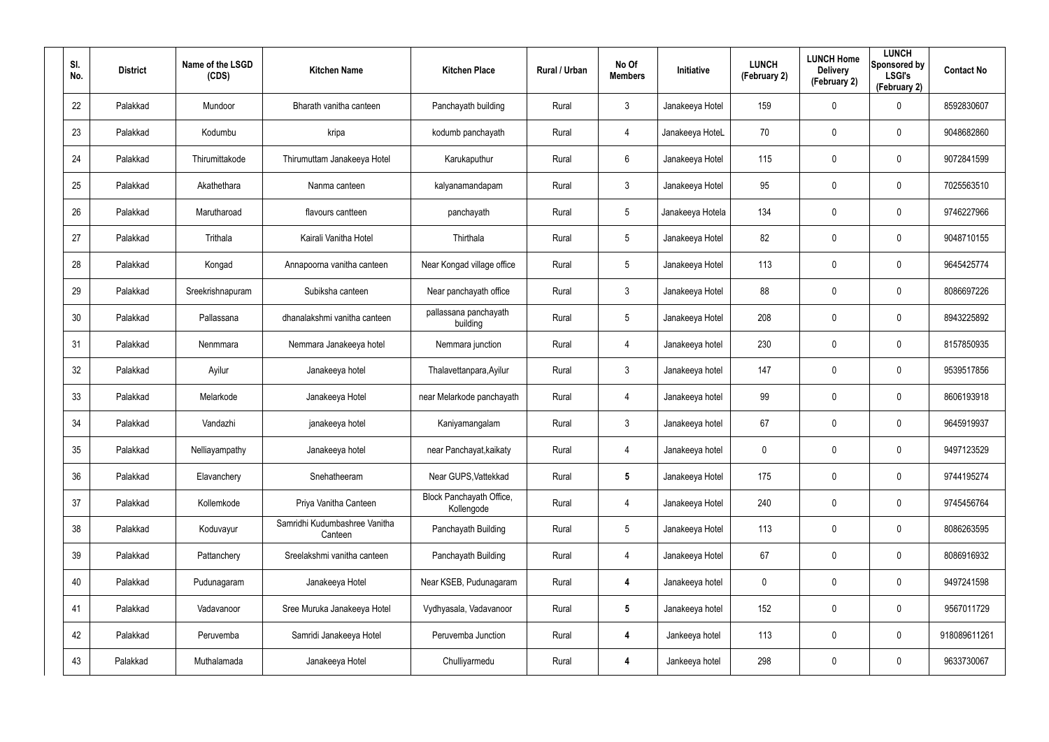| SI.<br>No. | <b>District</b> | Name of the LSGD<br>(CDS) | <b>Kitchen Name</b>                      | <b>Kitchen Place</b>                   | Rural / Urban | No Of<br><b>Members</b> | <b>Initiative</b> | <b>LUNCH</b><br>(February 2) | <b>LUNCH Home</b><br><b>Delivery</b><br>(February 2) | <b>LUNCH</b><br>Sponsored by<br><b>LSGI's</b><br>(February 2) | <b>Contact No</b> |
|------------|-----------------|---------------------------|------------------------------------------|----------------------------------------|---------------|-------------------------|-------------------|------------------------------|------------------------------------------------------|---------------------------------------------------------------|-------------------|
| 22         | Palakkad        | Mundoor                   | Bharath vanitha canteen                  | Panchayath building                    | Rural         | 3                       | Janakeeya Hotel   | 159                          | $\mathbf 0$                                          | $\mathbf 0$                                                   | 8592830607        |
| 23         | Palakkad        | Kodumbu                   | kripa                                    | kodumb panchayath                      | Rural         | 4                       | Janakeeya HoteL   | 70                           | 0                                                    | $\boldsymbol{0}$                                              | 9048682860        |
| 24         | Palakkad        | Thirumittakode            | Thirumuttam Janakeeya Hotel              | Karukaputhur                           | Rural         | 6                       | Janakeeya Hotel   | 115                          | 0                                                    | $\mathbf 0$                                                   | 9072841599        |
| 25         | Palakkad        | Akathethara               | Nanma canteen                            | kalyanamandapam                        | Rural         | $\mathbf{3}$            | Janakeeya Hotel   | 95                           | 0                                                    | $\mathbf 0$                                                   | 7025563510        |
| 26         | Palakkad        | Marutharoad               | flavours cantteen                        | panchayath                             | Rural         | $5\phantom{.0}$         | Janakeeya Hotela  | 134                          | 0                                                    | $\mathbf 0$                                                   | 9746227966        |
| 27         | Palakkad        | Trithala                  | Kairali Vanitha Hotel                    | Thirthala                              | Rural         | $5\overline{)}$         | Janakeeya Hotel   | 82                           | 0                                                    | $\mathbf 0$                                                   | 9048710155        |
| 28         | Palakkad        | Kongad                    | Annapoorna vanitha canteen               | Near Kongad village office             | Rural         | $5\phantom{.0}$         | Janakeeya Hotel   | 113                          | 0                                                    | $\mathbf 0$                                                   | 9645425774        |
| 29         | Palakkad        | Sreekrishnapuram          | Subiksha canteen                         | Near panchayath office                 | Rural         | $\mathbf{3}$            | Janakeeya Hotel   | 88                           | 0                                                    | $\mathbf 0$                                                   | 8086697226        |
| 30         | Palakkad        | Pallassana                | dhanalakshmi vanitha canteen             | pallassana panchayath<br>building      | Rural         | $5\phantom{.0}$         | Janakeeya Hotel   | 208                          | 0                                                    | $\mathbf 0$                                                   | 8943225892        |
| 31         | Palakkad        | Nenmmara                  | Nemmara Janakeeya hotel                  | Nemmara junction                       | Rural         | 4                       | Janakeeya hotel   | 230                          | 0                                                    | $\mathbf 0$                                                   | 8157850935        |
| 32         | Palakkad        | Ayilur                    | Janakeeya hotel                          | Thalavettanpara, Ayilur                | Rural         | $\mathbf{3}$            | Janakeeya hotel   | 147                          | 0                                                    | $\mathbf 0$                                                   | 9539517856        |
| 33         | Palakkad        | Melarkode                 | Janakeeya Hotel                          | near Melarkode panchayath              | Rural         | 4                       | Janakeeya hotel   | 99                           | 0                                                    | $\mathbf 0$                                                   | 8606193918        |
| 34         | Palakkad        | Vandazhi                  | janakeeya hotel                          | Kaniyamangalam                         | Rural         | $\mathbf{3}$            | Janakeeya hotel   | 67                           | $\mathbf 0$                                          | $\mathbf 0$                                                   | 9645919937        |
| 35         | Palakkad        | Nelliayampathy            | Janakeeya hotel                          | near Panchayat, kaikaty                | Rural         | 4                       | Janakeeya hotel   | 0                            | 0                                                    | $\pmb{0}$                                                     | 9497123529        |
| 36         | Palakkad        | Elavanchery               | Snehatheeram                             | Near GUPS, Vattekkad                   | Rural         | $5\phantom{.0}$         | Janakeeya Hotel   | 175                          | 0                                                    | $\mathbf 0$                                                   | 9744195274        |
| 37         | Palakkad        | Kollemkode                | Priya Vanitha Canteen                    | Block Panchayath Office,<br>Kollengode | Rural         | 4                       | Janakeeya Hotel   | 240                          | 0                                                    | $\pmb{0}$                                                     | 9745456764        |
| 38         | Palakkad        | Koduvayur                 | Samridhi Kudumbashree Vanitha<br>Canteen | Panchayath Building                    | Rural         | $5\phantom{.0}$         | Janakeeya Hotel   | 113                          | 0                                                    | $\mathbf 0$                                                   | 8086263595        |
| 39         | Palakkad        | Pattanchery               | Sreelakshmi vanitha canteen              | Panchayath Building                    | Rural         | 4                       | Janakeeya Hotel   | 67                           | 0                                                    | $\pmb{0}$                                                     | 8086916932        |
| 40         | Palakkad        | Pudunagaram               | Janakeeya Hotel                          | Near KSEB, Pudunagaram                 | Rural         | $\overline{\mathbf{4}}$ | Janakeeya hotel   | 0                            | 0                                                    | $\mathbf 0$                                                   | 9497241598        |
| 41         | Palakkad        | Vadavanoor                | Sree Muruka Janakeeya Hotel              | Vydhyasala, Vadavanoor                 | Rural         | $5\phantom{.0}$         | Janakeeya hotel   | 152                          | 0                                                    | $\pmb{0}$                                                     | 9567011729        |
| 42         | Palakkad        | Peruvemba                 | Samridi Janakeeya Hotel                  | Peruvemba Junction                     | Rural         | $\overline{\mathbf{4}}$ | Jankeeya hotel    | 113                          | 0                                                    | $\mathbf 0$                                                   | 918089611261      |
| 43         | Palakkad        | Muthalamada               | Janakeeya Hotel                          | Chulliyarmedu                          | Rural         | 4                       | Jankeeya hotel    | 298                          | 0                                                    | $\pmb{0}$                                                     | 9633730067        |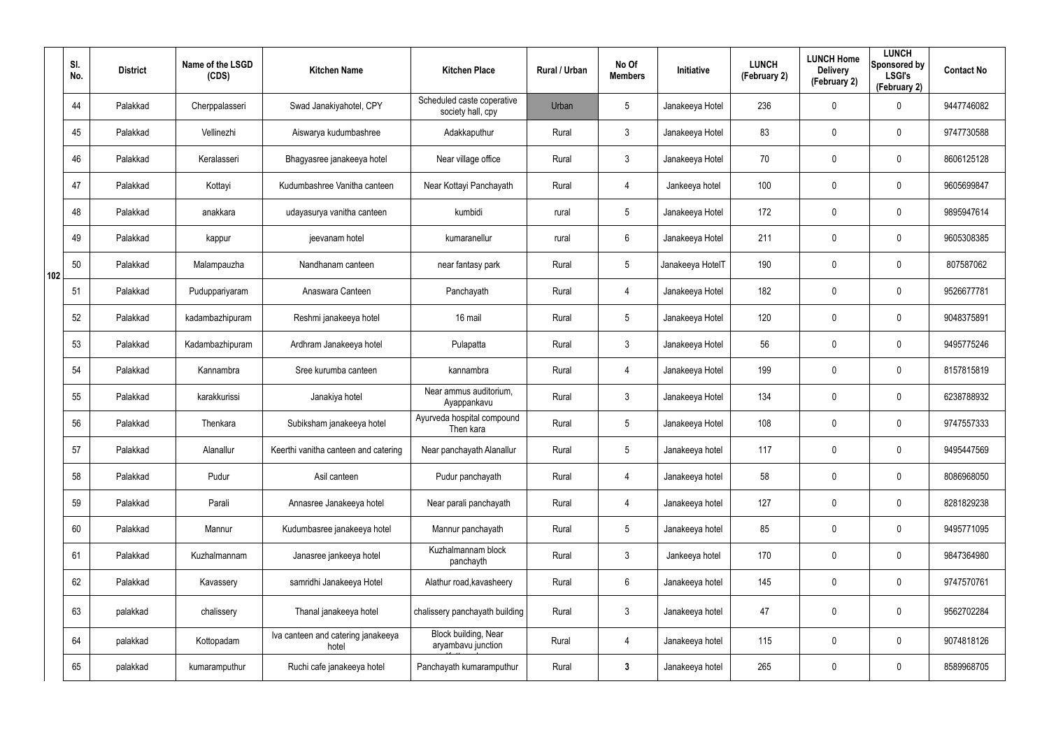|     | SI.<br>No. | <b>District</b> | Name of the LSGD<br>(CDS) | <b>Kitchen Name</b>                         | <b>Kitchen Place</b>                              | Rural / Urban | No Of<br><b>Members</b> | Initiative       | <b>LUNCH</b><br>(February 2) | <b>LUNCH Home</b><br><b>Delivery</b><br>(February 2) | <b>LUNCH</b><br>Sponsored by<br><b>LSGI's</b><br>(February 2) | <b>Contact No</b> |
|-----|------------|-----------------|---------------------------|---------------------------------------------|---------------------------------------------------|---------------|-------------------------|------------------|------------------------------|------------------------------------------------------|---------------------------------------------------------------|-------------------|
|     | 44         | Palakkad        | Cherppalasseri            | Swad Janakiyahotel, CPY                     | Scheduled caste coperative<br>society hall, cpy   | Urban         | $5\phantom{.0}$         | Janakeeya Hotel  | 236                          | 0                                                    | $\mathbf 0$                                                   | 9447746082        |
|     | 45         | Palakkad        | Vellinezhi                | Aiswarya kudumbashree                       | Adakkaputhur                                      | Rural         | $\mathbf{3}$            | Janakeeya Hotel  | 83                           | 0                                                    | $\mathbf 0$                                                   | 9747730588        |
|     | 46         | Palakkad        | Keralasseri               | Bhagyasree janakeeya hotel                  | Near village office                               | Rural         | $\mathbf{3}$            | Janakeeya Hotel  | 70                           | $\mathbf 0$                                          | $\mathbf 0$                                                   | 8606125128        |
|     | 47         | Palakkad        | Kottayi                   | Kudumbashree Vanitha canteen                | Near Kottayi Panchayath                           | Rural         | $\overline{4}$          | Jankeeya hotel   | 100                          | 0                                                    | $\mathbf 0$                                                   | 9605699847        |
|     | 48         | Palakkad        | anakkara                  | udayasurya vanitha canteen                  | kumbidi                                           | rural         | $5\phantom{.0}$         | Janakeeya Hotel  | 172                          | $\mathbf 0$                                          | $\mathbf 0$                                                   | 9895947614        |
|     | 49         | Palakkad        | kappur                    | jeevanam hotel                              | kumaranellur                                      | rural         | 6                       | Janakeeya Hotel  | 211                          | 0                                                    | $\mathbf 0$                                                   | 9605308385        |
| 102 | 50         | Palakkad        | Malampauzha               | Nandhanam canteen                           | near fantasy park                                 | Rural         | $5\phantom{.0}$         | Janakeeya HotelT | 190                          | 0                                                    | $\mathbf 0$                                                   | 807587062         |
|     | 51         | Palakkad        | Puduppariyaram            | Anaswara Canteen                            | Panchayath                                        | Rural         | $\overline{4}$          | Janakeeya Hotel  | 182                          | 0                                                    | $\mathbf 0$                                                   | 9526677781        |
|     | 52         | Palakkad        | kadambazhipuram           | Reshmi janakeeya hotel                      | 16 mail                                           | Rural         | $5\overline{)}$         | Janakeeya Hotel  | 120                          | 0                                                    | $\mathbf 0$                                                   | 9048375891        |
|     | 53         | Palakkad        | Kadambazhipuram           | Ardhram Janakeeya hotel                     | Pulapatta                                         | Rural         | 3                       | Janakeeya Hotel  | 56                           | 0                                                    | $\mathbf 0$                                                   | 9495775246        |
|     | 54         | Palakkad        | Kannambra                 | Sree kurumba canteen                        | kannambra                                         | Rural         | $\overline{4}$          | Janakeeya Hotel  | 199                          | 0                                                    | $\mathbf 0$                                                   | 8157815819        |
|     | 55         | Palakkad        | karakkurissi              | Janakiya hotel                              | Near ammus auditorium,<br>Ayappankavu             | Rural         | $\mathbf{3}$            | Janakeeya Hotel  | 134                          | 0                                                    | $\mathbf 0$                                                   | 6238788932        |
|     | 56         | Palakkad        | Thenkara                  | Subiksham janakeeya hotel                   | Ayurveda hospital compound<br>Then kara           | Rural         | $5\phantom{.0}$         | Janakeeya Hotel  | 108                          | 0                                                    | $\mathbf 0$                                                   | 9747557333        |
|     | 57         | Palakkad        | Alanallur                 | Keerthi vanitha canteen and catering        | Near panchayath Alanallur                         | Rural         | $5\phantom{.0}$         | Janakeeya hotel  | 117                          | $\mathbf 0$                                          | $\pmb{0}$                                                     | 9495447569        |
|     | 58         | Palakkad        | Pudur                     | Asil canteen                                | Pudur panchayath                                  | Rural         | $\overline{4}$          | Janakeeya hotel  | 58                           | $\mathbf 0$                                          | $\mathbf 0$                                                   | 8086968050        |
|     | 59         | Palakkad        | Parali                    | Annasree Janakeeya hotel                    | Near parali panchayath                            | Rural         | $\overline{4}$          | Janakeeya hotel  | 127                          | $\mathbf 0$                                          | $\mathbf 0$                                                   | 8281829238        |
|     | 60         | Palakkad        | Mannur                    | Kudumbasree janakeeya hotel                 | Mannur panchayath                                 | Rural         | $5\phantom{.0}$         | Janakeeya hotel  | 85                           | $\mathbf 0$                                          | $\mathbf 0$                                                   | 9495771095        |
|     | 61         | Palakkad        | Kuzhalmannam              | Janasree jankeeya hotel                     | Kuzhalmannam block<br>panchayth                   | Rural         | 3 <sup>1</sup>          | Jankeeya hotel   | 170                          | 0                                                    | $\mathbf 0$                                                   | 9847364980        |
|     | 62         | Palakkad        | Kavassery                 | samridhi Janakeeya Hotel                    | Alathur road, kavasheery                          | Rural         | $6\phantom{.}6$         | Janakeeya hotel  | 145                          | 0                                                    | $\mathbf 0$                                                   | 9747570761        |
|     | 63         | palakkad        | chalissery                | Thanal janakeeya hotel                      | chalissery panchayath building                    | Rural         | $\mathfrak{Z}$          | Janakeeya hotel  | 47                           | 0                                                    | $\mathbf 0$                                                   | 9562702284        |
|     | 64         | palakkad        | Kottopadam                | Iva canteen and catering janakeeya<br>hotel | <b>Block building, Near</b><br>aryambavu junction | Rural         | 4                       | Janakeeya hotel  | 115                          | $\mathbf 0$                                          | $\mathbf 0$                                                   | 9074818126        |
|     | 65         | palakkad        | kumaramputhur             | Ruchi cafe janakeeya hotel                  | Panchayath kumaramputhur                          | Rural         | $\mathbf{3}$            | Janakeeya hotel  | 265                          | 0                                                    | $\pmb{0}$                                                     | 8589968705        |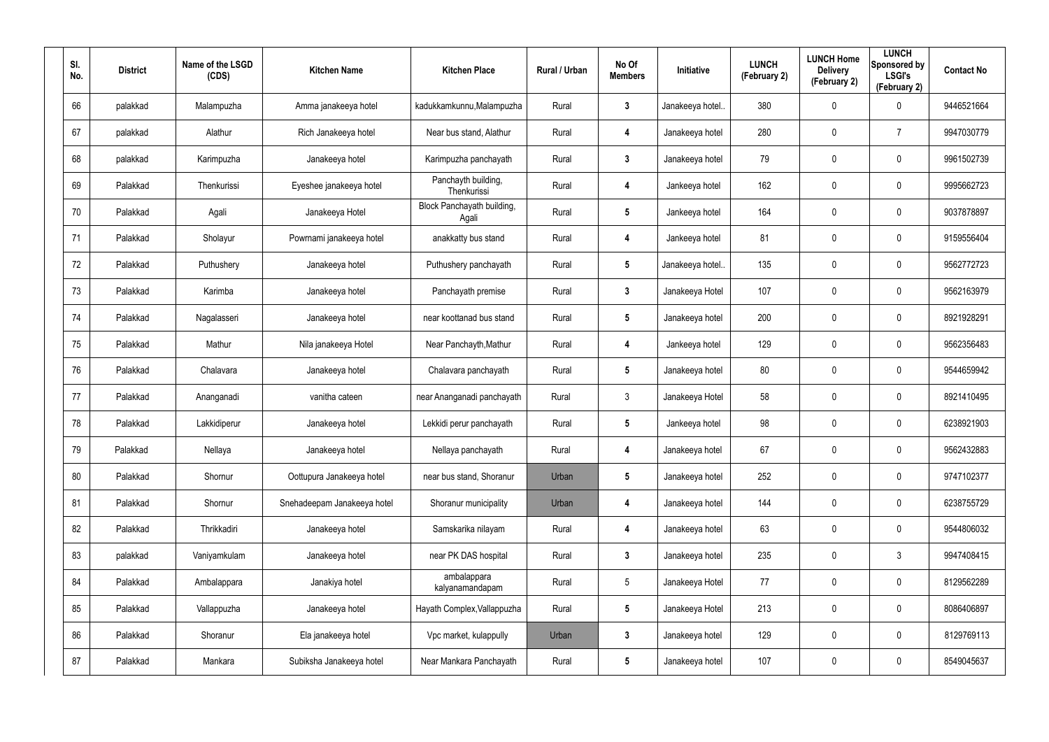| SI.<br>No. | <b>District</b> | Name of the LSGD<br>(CDS) | <b>Kitchen Name</b>         | <b>Kitchen Place</b>                | Rural / Urban | No Of<br><b>Members</b> | <b>Initiative</b> | <b>LUNCH</b><br>(February 2) | <b>LUNCH Home</b><br><b>Delivery</b><br>(February 2) | <b>LUNCH</b><br>Sponsored by<br><b>LSGI's</b><br>(February 2) | <b>Contact No</b> |
|------------|-----------------|---------------------------|-----------------------------|-------------------------------------|---------------|-------------------------|-------------------|------------------------------|------------------------------------------------------|---------------------------------------------------------------|-------------------|
| 66         | palakkad        | Malampuzha                | Amma janakeeya hotel        | kadukkamkunnu, Malampuzha           | Rural         | 3                       | Janakeeya hotel.  | 380                          | 0                                                    | $\mathbf 0$                                                   | 9446521664        |
| 67         | palakkad        | Alathur                   | Rich Janakeeya hotel        | Near bus stand, Alathur             | Rural         | 4                       | Janakeeya hotel   | 280                          | 0                                                    | 7                                                             | 9947030779        |
| 68         | palakkad        | Karimpuzha                | Janakeeya hotel             | Karimpuzha panchayath               | Rural         | $\mathbf{3}$            | Janakeeya hotel   | 79                           | 0                                                    | $\mathbf 0$                                                   | 9961502739        |
| 69         | Palakkad        | Thenkurissi               | Eyeshee janakeeya hotel     | Panchayth building,<br>Thenkurissi  | Rural         | 4                       | Jankeeya hotel    | 162                          | 0                                                    | $\mathbf 0$                                                   | 9995662723        |
| 70         | Palakkad        | Agali                     | Janakeeya Hotel             | Block Panchayath building,<br>Agali | Rural         | $5\phantom{.0}$         | Jankeeya hotel    | 164                          | 0                                                    | $\mathbf 0$                                                   | 9037878897        |
| 71         | Palakkad        | Sholayur                  | Powrnami janakeeya hotel    | anakkatty bus stand                 | Rural         | 4                       | Jankeeya hotel    | 81                           | 0                                                    | $\mathbf 0$                                                   | 9159556404        |
| 72         | Palakkad        | Puthushery                | Janakeeya hotel             | Puthushery panchayath               | Rural         | $5\phantom{.0}$         | Janakeeya hotel.  | 135                          | 0                                                    | $\mathbf 0$                                                   | 9562772723        |
| 73         | Palakkad        | Karimba                   | Janakeeya hotel             | Panchayath premise                  | Rural         | $\mathbf{3}$            | Janakeeya Hotel   | 107                          | 0                                                    | $\mathbf 0$                                                   | 9562163979        |
| 74         | Palakkad        | Nagalasseri               | Janakeeya hotel             | near koottanad bus stand            | Rural         | $5\phantom{.0}$         | Janakeeya hotel   | 200                          | 0                                                    | $\mathbf 0$                                                   | 8921928291        |
| 75         | Palakkad        | Mathur                    | Nila janakeeya Hotel        | Near Panchayth, Mathur              | Rural         | 4                       | Jankeeya hotel    | 129                          | 0                                                    | $\mathbf 0$                                                   | 9562356483        |
| 76         | Palakkad        | Chalavara                 | Janakeeya hotel             | Chalavara panchayath                | Rural         | $5\phantom{.0}$         | Janakeeya hotel   | 80                           | 0                                                    | $\mathbf 0$                                                   | 9544659942        |
| 77         | Palakkad        | Ananganadi                | vanitha cateen              | near Ananganadi panchayath          | Rural         | 3                       | Janakeeya Hotel   | 58                           | 0                                                    | $\mathbf 0$                                                   | 8921410495        |
| 78         | Palakkad        | Lakkidiperur              | Janakeeya hotel             | Lekkidi perur panchayath            | Rural         | $5\phantom{.0}$         | Jankeeya hotel    | 98                           | 0                                                    | $\mathbf 0$                                                   | 6238921903        |
| 79         | Palakkad        | Nellaya                   | Janakeeya hotel             | Nellaya panchayath                  | Rural         | 4                       | Janakeeya hotel   | 67                           | 0                                                    | $\pmb{0}$                                                     | 9562432883        |
| 80         | Palakkad        | Shornur                   | Oottupura Janakeeya hotel   | near bus stand, Shoranur            | Urban         | $5\phantom{.0}$         | Janakeeya hotel   | 252                          | 0                                                    | $\mathsf{0}$                                                  | 9747102377        |
| 81         | Palakkad        | Shornur                   | Snehadeepam Janakeeya hotel | Shoranur municipality               | Urban         | 4                       | Janakeeya hotel   | 144                          | 0                                                    | $\mathsf{0}$                                                  | 6238755729        |
| 82         | Palakkad        | Thrikkadiri               | Janakeeya hotel             | Samskarika nilayam                  | Rural         | 4                       | Janakeeya hotel   | 63                           | 0                                                    | $\mathsf{0}$                                                  | 9544806032        |
| 83         | palakkad        | Vaniyamkulam              | Janakeeya hotel             | near PK DAS hospital                | Rural         | $\mathbf{3}$            | Janakeeya hotel   | 235                          | 0                                                    | $\mathfrak{Z}$                                                | 9947408415        |
| 84         | Palakkad        | Ambalappara               | Janakiya hotel              | ambalappara<br>kalyanamandapam      | Rural         | $5\phantom{.0}$         | Janakeeya Hotel   | 77                           | 0                                                    | $\mathbf 0$                                                   | 8129562289        |
| 85         | Palakkad        | Vallappuzha               | Janakeeya hotel             | Hayath Complex, Vallappuzha         | Rural         | $5\phantom{.0}$         | Janakeeya Hotel   | 213                          | 0                                                    | $\mathsf{0}$                                                  | 8086406897        |
| 86         | Palakkad        | Shoranur                  | Ela janakeeya hotel         | Vpc market, kulappully              | Urban         | $\mathbf{3}$            | Janakeeya hotel   | 129                          | 0                                                    | $\mathbf 0$                                                   | 8129769113        |
| 87         | Palakkad        | Mankara                   | Subiksha Janakeeya hotel    | Near Mankara Panchayath             | Rural         | $5\phantom{.0}$         | Janakeeya hotel   | 107                          | 0                                                    | $\mathsf{0}$                                                  | 8549045637        |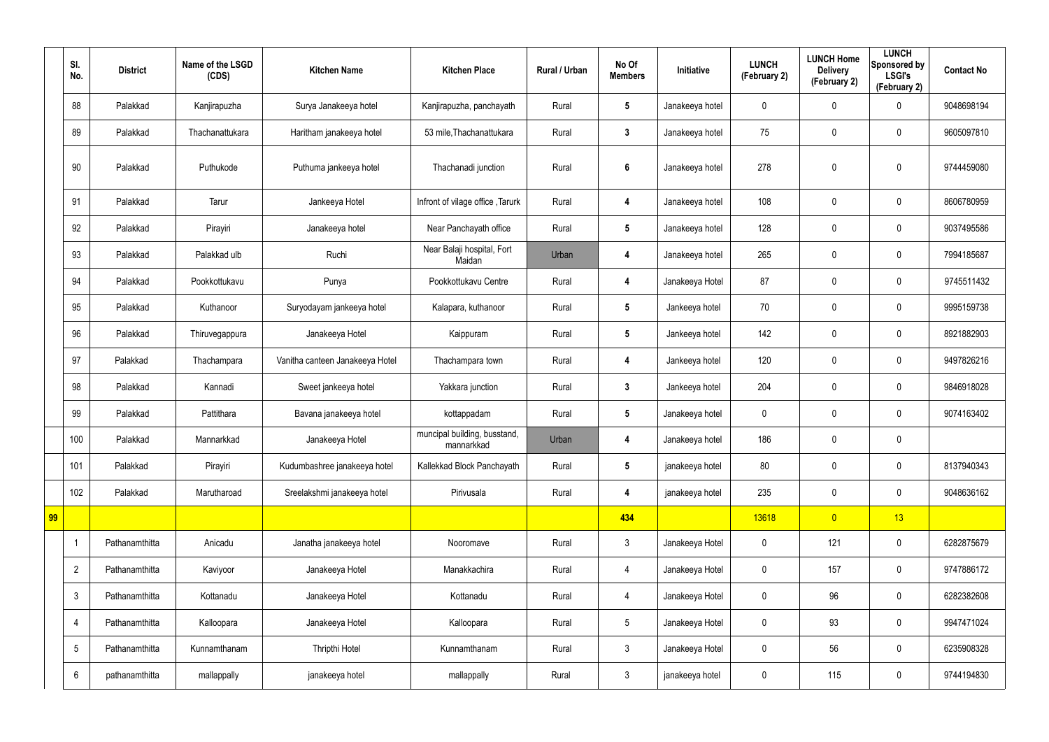|    | SI.<br>No.      | <b>District</b> | Name of the LSGD<br>(CDS) | <b>Kitchen Name</b>             | <b>Kitchen Place</b>                       | Rural / Urban | No Of<br><b>Members</b> | Initiative      | <b>LUNCH</b><br>(February 2) | <b>LUNCH Home</b><br><b>Delivery</b><br>(February 2) | <b>LUNCH</b><br>Sponsored by<br><b>LSGI's</b><br>(February 2) | <b>Contact No</b> |
|----|-----------------|-----------------|---------------------------|---------------------------------|--------------------------------------------|---------------|-------------------------|-----------------|------------------------------|------------------------------------------------------|---------------------------------------------------------------|-------------------|
|    | 88              | Palakkad        | Kanjirapuzha              | Surya Janakeeya hotel           | Kanjirapuzha, panchayath                   | Rural         | $5\overline{)}$         | Janakeeya hotel | 0                            | 0                                                    | $\boldsymbol{0}$                                              | 9048698194        |
|    | 89              | Palakkad        | Thachanattukara           | Haritham janakeeya hotel        | 53 mile, Thachanattukara                   | Rural         | $\mathbf{3}$            | Janakeeya hotel | 75                           | $\boldsymbol{0}$                                     | $\mathbf 0$                                                   | 9605097810        |
|    | 90              | Palakkad        | Puthukode                 | Puthuma jankeeya hotel          | Thachanadi junction                        | Rural         | $6\phantom{1}$          | Janakeeya hotel | 278                          | 0                                                    | $\mathbf 0$                                                   | 9744459080        |
|    | 91              | Palakkad        | Tarur                     | Jankeeya Hotel                  | Infront of vilage office, Tarurk           | Rural         | 4                       | Janakeeya hotel | 108                          | 0                                                    | $\pmb{0}$                                                     | 8606780959        |
|    | 92              | Palakkad        | Pirayiri                  | Janakeeya hotel                 | Near Panchayath office                     | Rural         | $5\phantom{.0}$         | Janakeeya hotel | 128                          | $\boldsymbol{0}$                                     | $\mathbf 0$                                                   | 9037495586        |
|    | 93              | Palakkad        | Palakkad ulb              | Ruchi                           | Near Balaji hospital, Fort<br>Maidan       | Urban         | 4                       | Janakeeya hotel | 265                          | 0                                                    | $\boldsymbol{0}$                                              | 7994185687        |
|    | 94              | Palakkad        | Pookkottukavu             | Punya                           | Pookkottukavu Centre                       | Rural         | 4                       | Janakeeya Hotel | 87                           | $\boldsymbol{0}$                                     | $\mathbf 0$                                                   | 9745511432        |
|    | 95              | Palakkad        | Kuthanoor                 | Suryodayam jankeeya hotel       | Kalapara, kuthanoor                        | Rural         | $5\overline{)}$         | Jankeeya hotel  | 70                           | 0                                                    | $\boldsymbol{0}$                                              | 9995159738        |
|    | 96              | Palakkad        | Thiruvegappura            | Janakeeya Hotel                 | Kaippuram                                  | Rural         | $5\overline{)}$         | Jankeeya hotel  | 142                          | 0                                                    | $\mathbf 0$                                                   | 8921882903        |
|    | 97              | Palakkad        | Thachampara               | Vanitha canteen Janakeeya Hotel | Thachampara town                           | Rural         | 4                       | Jankeeya hotel  | 120                          | 0                                                    | $\boldsymbol{0}$                                              | 9497826216        |
|    | 98              | Palakkad        | Kannadi                   | Sweet jankeeya hotel            | Yakkara junction                           | Rural         | $3\phantom{a}$          | Jankeeya hotel  | 204                          | 0                                                    | $\mathbf 0$                                                   | 9846918028        |
|    | 99              | Palakkad        | Pattithara                | Bavana janakeeya hotel          | kottappadam                                | Rural         | $5\phantom{.0}$         | Janakeeya hotel | 0                            | 0                                                    | $\boldsymbol{0}$                                              | 9074163402        |
|    | 100             | Palakkad        | Mannarkkad                | Janakeeya Hotel                 | muncipal building, busstand,<br>mannarkkad | Urban         | 4                       | Janakeeya hotel | 186                          | 0                                                    | $\mathbf 0$                                                   |                   |
|    | 101             | Palakkad        | Pirayiri                  | Kudumbashree janakeeya hotel    | Kallekkad Block Panchayath                 | Rural         | $5\phantom{.0}$         | janakeeya hotel | 80                           | 0                                                    | $\pmb{0}$                                                     | 8137940343        |
|    | 102             | Palakkad        | Marutharoad               | Sreelakshmi janakeeya hotel     | Pirivusala                                 | Rural         | 4                       | janakeeya hotel | 235                          | $\pmb{0}$                                            | $\pmb{0}$                                                     | 9048636162        |
| 99 |                 |                 |                           |                                 |                                            |               | 434                     |                 | 13618                        | $\overline{0}$                                       | 13                                                            |                   |
|    |                 | Pathanamthitta  | Anicadu                   | Janatha janakeeya hotel         | Nooromave                                  | Rural         | $\mathbf{3}$            | Janakeeya Hotel | 0                            | 121                                                  | $\pmb{0}$                                                     | 6282875679        |
|    | $\overline{2}$  | Pathanamthitta  | Kaviyoor                  | Janakeeya Hotel                 | Manakkachira                               | Rural         | $\overline{4}$          | Janakeeya Hotel | $\pmb{0}$                    | 157                                                  | $\pmb{0}$                                                     | 9747886172        |
|    | $\mathfrak{Z}$  | Pathanamthitta  | Kottanadu                 | Janakeeya Hotel                 | Kottanadu                                  | Rural         | $\overline{4}$          | Janakeeya Hotel | 0                            | 96                                                   | $\pmb{0}$                                                     | 6282382608        |
|    | 4               | Pathanamthitta  | Kalloopara                | Janakeeya Hotel                 | Kalloopara                                 | Rural         | $5\phantom{.0}$         | Janakeeya Hotel | $\mathbf 0$                  | 93                                                   | $\pmb{0}$                                                     | 9947471024        |
|    | $5\phantom{.0}$ | Pathanamthitta  | Kunnamthanam              | Thripthi Hotel                  | Kunnamthanam                               | Rural         | $\mathbf{3}$            | Janakeeya Hotel | 0                            | 56                                                   | $\pmb{0}$                                                     | 6235908328        |
|    | 6               | pathanamthitta  | mallappally               | janakeeya hotel                 | mallappally                                | Rural         | $\mathfrak{Z}$          | janakeeya hotel | 0                            | 115                                                  | $\pmb{0}$                                                     | 9744194830        |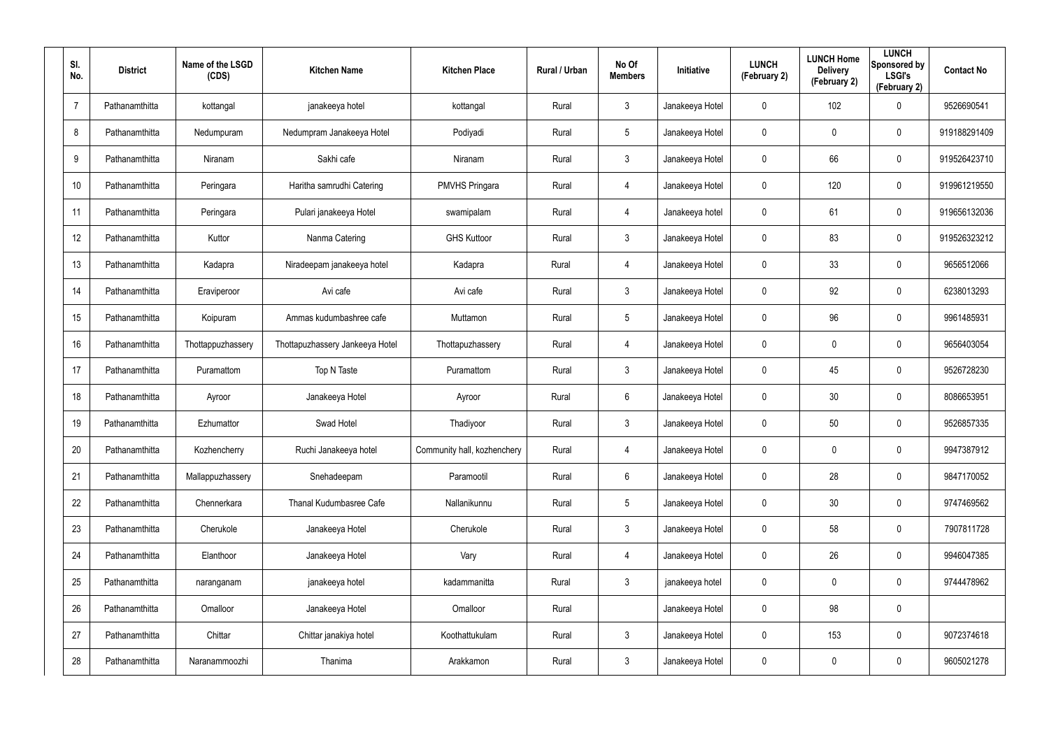| SI.<br>No.     | <b>District</b> | Name of the LSGD<br>(CDS) | <b>Kitchen Name</b>             | <b>Kitchen Place</b>        | <b>Rural / Urban</b> | No Of<br><b>Members</b> | <b>Initiative</b> | <b>LUNCH</b><br>(February 2) | <b>LUNCH Home</b><br><b>Delivery</b><br>(February 2) | <b>LUNCH</b><br>Sponsored by<br><b>LSGI's</b><br>(February 2) | <b>Contact No</b> |
|----------------|-----------------|---------------------------|---------------------------------|-----------------------------|----------------------|-------------------------|-------------------|------------------------------|------------------------------------------------------|---------------------------------------------------------------|-------------------|
| $\overline{7}$ | Pathanamthitta  | kottangal                 | janakeeya hotel                 | kottangal                   | Rural                | $\mathbf{3}$            | Janakeeya Hotel   | $\mathbf 0$                  | 102                                                  | $\mathbf 0$                                                   | 9526690541        |
| 8              | Pathanamthitta  | Nedumpuram                | Nedumpram Janakeeya Hotel       | Podiyadi                    | Rural                | $5\overline{)}$         | Janakeeya Hotel   | $\mathbf 0$                  | 0                                                    | $\mathbf 0$                                                   | 919188291409      |
| 9              | Pathanamthitta  | Niranam                   | Sakhi cafe                      | Niranam                     | Rural                | $\mathfrak{Z}$          | Janakeeya Hotel   | $\mathbf 0$                  | 66                                                   | $\mathbf 0$                                                   | 919526423710      |
| 10             | Pathanamthitta  | Peringara                 | Haritha samrudhi Catering       | <b>PMVHS Pringara</b>       | Rural                | 4                       | Janakeeya Hotel   | 0                            | 120                                                  | $\mathbf 0$                                                   | 919961219550      |
| 11             | Pathanamthitta  | Peringara                 | Pulari janakeeya Hotel          | swamipalam                  | Rural                | 4                       | Janakeeya hotel   | $\mathbf 0$                  | 61                                                   | $\mathbf 0$                                                   | 919656132036      |
| 12             | Pathanamthitta  | Kuttor                    | Nanma Catering                  | <b>GHS Kuttoor</b>          | Rural                | $\mathbf{3}$            | Janakeeya Hotel   | 0                            | 83                                                   | $\pmb{0}$                                                     | 919526323212      |
| 13             | Pathanamthitta  | Kadapra                   | Niradeepam janakeeya hotel      | Kadapra                     | Rural                | 4                       | Janakeeya Hotel   | 0                            | 33                                                   | $\pmb{0}$                                                     | 9656512066        |
| 14             | Pathanamthitta  | Eraviperoor               | Avi cafe                        | Avi cafe                    | Rural                | $\mathbf{3}$            | Janakeeya Hotel   | 0                            | 92                                                   | $\pmb{0}$                                                     | 6238013293        |
| 15             | Pathanamthitta  | Koipuram                  | Ammas kudumbashree cafe         | Muttamon                    | Rural                | $5\phantom{.0}$         | Janakeeya Hotel   | 0                            | 96                                                   | $\pmb{0}$                                                     | 9961485931        |
| 16             | Pathanamthitta  | Thottappuzhassery         | Thottapuzhassery Jankeeya Hotel | Thottapuzhassery            | Rural                | 4                       | Janakeeya Hotel   | 0                            | 0                                                    | $\pmb{0}$                                                     | 9656403054        |
| 17             | Pathanamthitta  | Puramattom                | Top N Taste                     | Puramattom                  | Rural                | $\mathbf{3}$            | Janakeeya Hotel   | 0                            | 45                                                   | $\pmb{0}$                                                     | 9526728230        |
| 18             | Pathanamthitta  | Ayroor                    | Janakeeya Hotel                 | Ayroor                      | Rural                | $6\phantom{.}6$         | Janakeeya Hotel   | 0                            | 30                                                   | $\mathbf 0$                                                   | 8086653951        |
| 19             | Pathanamthitta  | Ezhumattor                | Swad Hotel                      | Thadiyoor                   | Rural                | $\mathbf{3}$            | Janakeeya Hotel   | 0                            | 50                                                   | $\boldsymbol{0}$                                              | 9526857335        |
| 20             | Pathanamthitta  | Kozhencherry              | Ruchi Janakeeya hotel           | Community hall, kozhenchery | Rural                | 4                       | Janakeeya Hotel   | 0                            | $\pmb{0}$                                            | $\pmb{0}$                                                     | 9947387912        |
| 21             | Pathanamthitta  | Mallappuzhassery          | Snehadeepam                     | Paramootil                  | Rural                | $6\phantom{.}6$         | Janakeeya Hotel   | $\mathbf 0$                  | 28                                                   | $\pmb{0}$                                                     | 9847170052        |
| 22             | Pathanamthitta  | Chennerkara               | Thanal Kudumbasree Cafe         | Nallanikunnu                | Rural                | $5\phantom{.0}$         | Janakeeya Hotel   | $\mathbf 0$                  | 30                                                   | $\pmb{0}$                                                     | 9747469562        |
| 23             | Pathanamthitta  | Cherukole                 | Janakeeya Hotel                 | Cherukole                   | Rural                | $\mathbf{3}$            | Janakeeya Hotel   | $\mathbf 0$                  | 58                                                   | $\pmb{0}$                                                     | 7907811728        |
| 24             | Pathanamthitta  | Elanthoor                 | Janakeeya Hotel                 | Vary                        | Rural                | 4                       | Janakeeya Hotel   | $\mathbf 0$                  | 26                                                   | $\pmb{0}$                                                     | 9946047385        |
| 25             | Pathanamthitta  | naranganam                | janakeeya hotel                 | kadammanitta                | Rural                | $\mathbf{3}$            | janakeeya hotel   | $\mathbf 0$                  | $\mathbf 0$                                          | $\pmb{0}$                                                     | 9744478962        |
| 26             | Pathanamthitta  | Omalloor                  | Janakeeya Hotel                 | Omalloor                    | Rural                |                         | Janakeeya Hotel   | $\mathbf 0$                  | 98                                                   | $\pmb{0}$                                                     |                   |
| 27             | Pathanamthitta  | Chittar                   | Chittar janakiya hotel          | Koothattukulam              | Rural                | $\mathbf{3}$            | Janakeeya Hotel   | $\mathbf 0$                  | 153                                                  | $\pmb{0}$                                                     | 9072374618        |
| 28             | Pathanamthitta  | Naranammoozhi             | Thanima                         | Arakkamon                   | Rural                | $\mathfrak{Z}$          | Janakeeya Hotel   | $\pmb{0}$                    | $\pmb{0}$                                            | $\pmb{0}$                                                     | 9605021278        |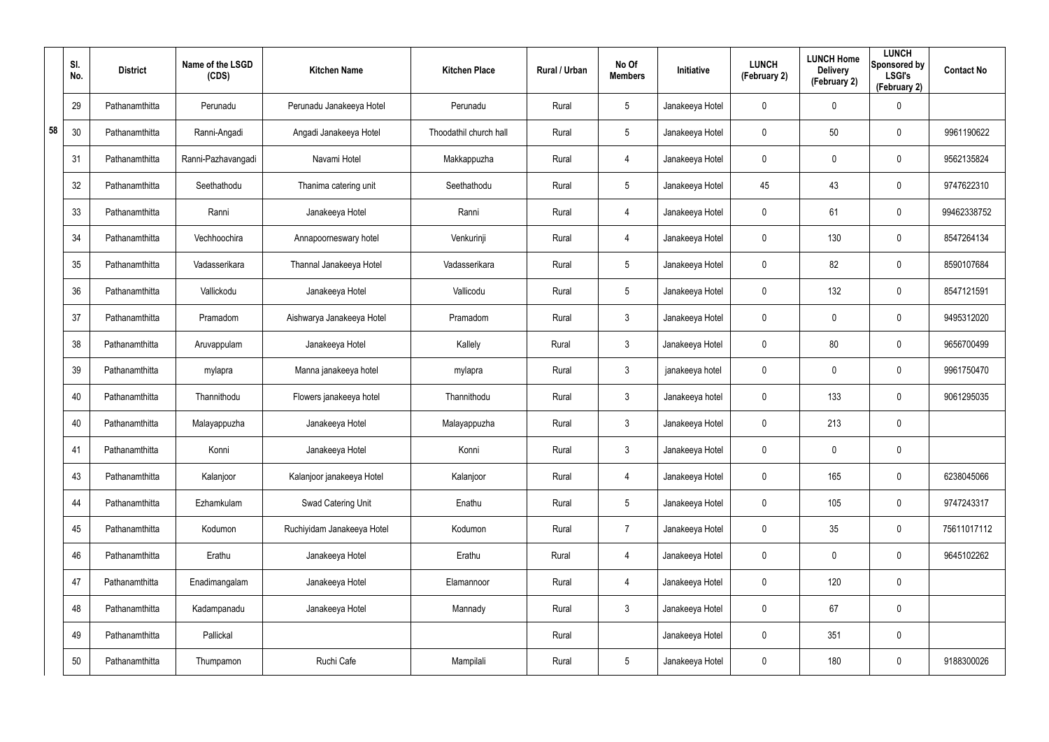|    | SI.<br>No. | <b>District</b> | Name of the LSGD<br>(CDS) | <b>Kitchen Name</b>        | <b>Kitchen Place</b>   | Rural / Urban | No Of<br><b>Members</b> | Initiative      | <b>LUNCH</b><br>(February 2) | <b>LUNCH Home</b><br><b>Delivery</b><br>(February 2) | <b>LUNCH</b><br>Sponsored by<br><b>LSGI's</b><br>(February 2) | <b>Contact No</b> |
|----|------------|-----------------|---------------------------|----------------------------|------------------------|---------------|-------------------------|-----------------|------------------------------|------------------------------------------------------|---------------------------------------------------------------|-------------------|
|    | 29         | Pathanamthitta  | Perunadu                  | Perunadu Janakeeya Hotel   | Perunadu               | Rural         | $5\phantom{.0}$         | Janakeeya Hotel | 0                            | 0                                                    | $\pmb{0}$                                                     |                   |
| 58 | 30         | Pathanamthitta  | Ranni-Angadi              | Angadi Janakeeya Hotel     | Thoodathil church hall | Rural         | $5\phantom{.0}$         | Janakeeya Hotel | 0                            | 50                                                   | $\pmb{0}$                                                     | 9961190622        |
|    | 31         | Pathanamthitta  | Ranni-Pazhavangadi        | Navami Hotel               | Makkappuzha            | Rural         | 4                       | Janakeeya Hotel | 0                            | 0                                                    | $\pmb{0}$                                                     | 9562135824        |
|    | 32         | Pathanamthitta  | Seethathodu               | Thanima catering unit      | Seethathodu            | Rural         | $5\phantom{.0}$         | Janakeeya Hotel | 45                           | 43                                                   | $\boldsymbol{0}$                                              | 9747622310        |
|    | 33         | Pathanamthitta  | Ranni                     | Janakeeya Hotel            | Ranni                  | Rural         | 4                       | Janakeeya Hotel | 0                            | 61                                                   | $\pmb{0}$                                                     | 99462338752       |
|    | 34         | Pathanamthitta  | Vechhoochira              | Annapoorneswary hotel      | Venkurinji             | Rural         | $\overline{4}$          | Janakeeya Hotel | 0                            | 130                                                  | $\boldsymbol{0}$                                              | 8547264134        |
|    | 35         | Pathanamthitta  | Vadasserikara             | Thannal Janakeeya Hotel    | Vadasserikara          | Rural         | $5\phantom{.0}$         | Janakeeya Hotel | 0                            | 82                                                   | $\pmb{0}$                                                     | 8590107684        |
|    | 36         | Pathanamthitta  | Vallickodu                | Janakeeya Hotel            | Vallicodu              | Rural         | $5\phantom{.0}$         | Janakeeya Hotel | 0                            | 132                                                  | $\boldsymbol{0}$                                              | 8547121591        |
|    | 37         | Pathanamthitta  | Pramadom                  | Aishwarya Janakeeya Hotel  | Pramadom               | Rural         | $\mathbf{3}$            | Janakeeya Hotel | 0                            | 0                                                    | $\boldsymbol{0}$                                              | 9495312020        |
|    | 38         | Pathanamthitta  | Aruvappulam               | Janakeeya Hotel            | Kallely                | Rural         | $\mathbf{3}$            | Janakeeya Hotel | 0                            | 80                                                   | $\boldsymbol{0}$                                              | 9656700499        |
|    | 39         | Pathanamthitta  | mylapra                   | Manna janakeeya hotel      | mylapra                | Rural         | $\mathbf{3}$            | janakeeya hotel | 0                            | 0                                                    | $\pmb{0}$                                                     | 9961750470        |
|    | 40         | Pathanamthitta  | Thannithodu               | Flowers janakeeya hotel    | Thannithodu            | Rural         | $\mathbf{3}$            | Janakeeya hotel | 0                            | 133                                                  | $\boldsymbol{0}$                                              | 9061295035        |
|    | 40         | Pathanamthitta  | Malayappuzha              | Janakeeya Hotel            | Malayappuzha           | Rural         | $\mathbf{3}$            | Janakeeya Hotel | 0                            | 213                                                  | $\pmb{0}$                                                     |                   |
|    | 41         | Pathanamthitta  | Konni                     | Janakeeya Hotel            | Konni                  | Rural         | $\mathfrak{Z}$          | Janakeeya Hotel | 0                            | $\pmb{0}$                                            | $\pmb{0}$                                                     |                   |
|    | 43         | Pathanamthitta  | Kalanjoor                 | Kalanjoor janakeeya Hotel  | Kalanjoor              | Rural         | $\overline{4}$          | Janakeeya Hotel | 0                            | 165                                                  | $\mathbf 0$                                                   | 6238045066        |
|    | 44         | Pathanamthitta  | Ezhamkulam                | Swad Catering Unit         | Enathu                 | Rural         | 5 <sup>5</sup>          | Janakeeya Hotel | 0                            | 105                                                  | $\mathbf 0$                                                   | 9747243317        |
|    | 45         | Pathanamthitta  | Kodumon                   | Ruchiyidam Janakeeya Hotel | Kodumon                | Rural         | $\overline{7}$          | Janakeeya Hotel | 0                            | 35                                                   | $\mathbf 0$                                                   | 75611017112       |
|    | 46         | Pathanamthitta  | Erathu                    | Janakeeya Hotel            | Erathu                 | Rural         | $\overline{4}$          | Janakeeya Hotel | 0                            | 0                                                    | $\mathbf 0$                                                   | 9645102262        |
|    | 47         | Pathanamthitta  | Enadimangalam             | Janakeeya Hotel            | Elamannoor             | Rural         | $\overline{4}$          | Janakeeya Hotel | 0                            | 120                                                  | $\mathbf 0$                                                   |                   |
|    | 48         | Pathanamthitta  | Kadampanadu               | Janakeeya Hotel            | Mannady                | Rural         | 3 <sup>1</sup>          | Janakeeya Hotel | 0                            | 67                                                   | $\mathbf 0$                                                   |                   |
|    | 49         | Pathanamthitta  | Pallickal                 |                            |                        | Rural         |                         | Janakeeya Hotel | 0                            | 351                                                  | $\pmb{0}$                                                     |                   |
|    | 50         | Pathanamthitta  | Thumpamon                 | Ruchi Cafe                 | Mampilali              | Rural         | $5\phantom{.0}$         | Janakeeya Hotel | 0                            | 180                                                  | $\pmb{0}$                                                     | 9188300026        |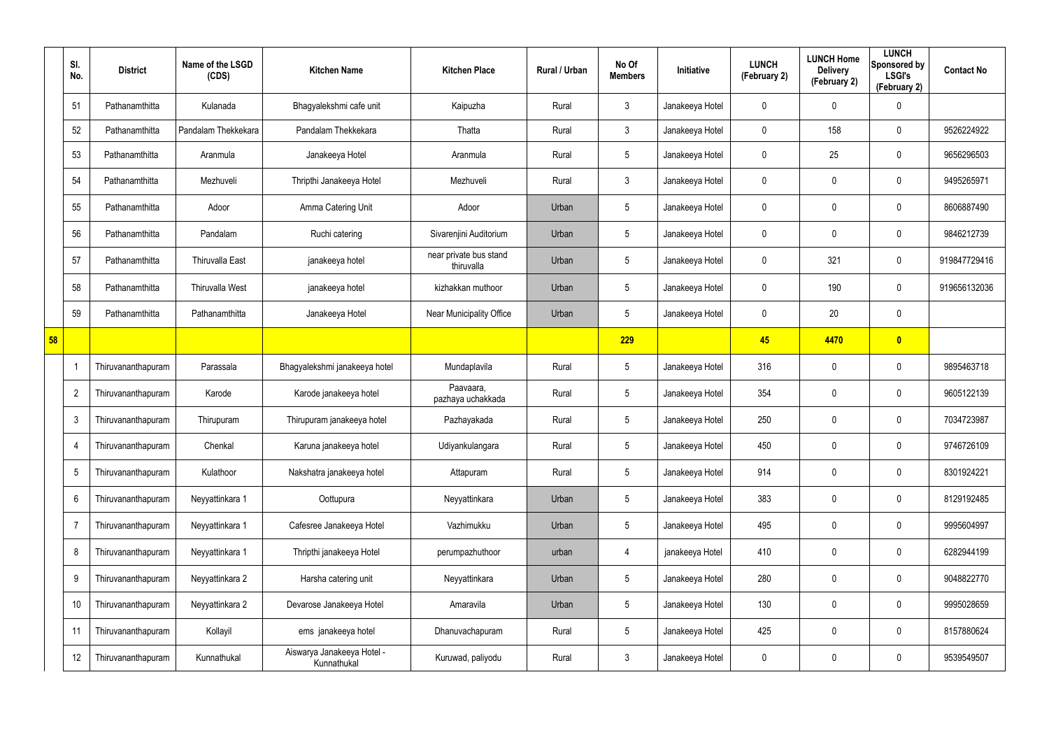|    | SI.<br>No.               | <b>District</b>    | Name of the LSGD<br>(CDS) | <b>Kitchen Name</b>                       | <b>Kitchen Place</b>                 | <b>Rural / Urban</b> | No Of<br><b>Members</b> | Initiative      | <b>LUNCH</b><br>(February 2) | <b>LUNCH Home</b><br><b>Delivery</b><br>(February 2) | <b>LUNCH</b><br>Sponsored by<br><b>LSGI's</b><br>(February 2) | <b>Contact No</b> |
|----|--------------------------|--------------------|---------------------------|-------------------------------------------|--------------------------------------|----------------------|-------------------------|-----------------|------------------------------|------------------------------------------------------|---------------------------------------------------------------|-------------------|
|    | 51                       | Pathanamthitta     | Kulanada                  | Bhagyalekshmi cafe unit                   | Kaipuzha                             | Rural                | $\mathbf{3}$            | Janakeeya Hotel | 0                            | $\mathbf{0}$                                         | 0                                                             |                   |
|    | 52                       | Pathanamthitta     | Pandalam Thekkekara       | Pandalam Thekkekara                       | Thatta                               | Rural                | $\mathbf{3}$            | Janakeeya Hotel | $\mathbf 0$                  | 158                                                  | $\mathbf 0$                                                   | 9526224922        |
|    | 53                       | Pathanamthitta     | Aranmula                  | Janakeeya Hotel                           | Aranmula                             | Rural                | $5\phantom{.0}$         | Janakeeya Hotel | 0                            | 25                                                   | $\boldsymbol{0}$                                              | 9656296503        |
|    | 54                       | Pathanamthitta     | Mezhuveli                 | Thripthi Janakeeya Hotel                  | Mezhuveli                            | Rural                | $\mathbf{3}$            | Janakeeya Hotel | 0                            | 0                                                    | $\boldsymbol{0}$                                              | 9495265971        |
|    | 55                       | Pathanamthitta     | Adoor                     | Amma Catering Unit                        | Adoor                                | Urban                | $5\phantom{.0}$         | Janakeeya Hotel | 0                            | 0                                                    | $\boldsymbol{0}$                                              | 8606887490        |
|    | 56                       | Pathanamthitta     | Pandalam                  | Ruchi catering                            | Sivarenjini Auditorium               | Urban                | $5\phantom{.0}$         | Janakeeya Hotel | 0                            | 0                                                    | 0                                                             | 9846212739        |
|    | 57                       | Pathanamthitta     | <b>Thiruvalla East</b>    | janakeeya hotel                           | near private bus stand<br>thiruvalla | Urban                | $5\phantom{.0}$         | Janakeeya Hotel | 0                            | 321                                                  | $\boldsymbol{0}$                                              | 919847729416      |
|    | 58                       | Pathanamthitta     | Thiruvalla West           | janakeeya hotel                           | kizhakkan muthoor                    | Urban                | $5\,$                   | Janakeeya Hotel | 0                            | 190                                                  | $\pmb{0}$                                                     | 919656132036      |
|    | 59                       | Pathanamthitta     | Pathanamthitta            | Janakeeya Hotel                           | Near Municipality Office             | Urban                | $5\phantom{.0}$         | Janakeeya Hotel | 0                            | 20                                                   | $\mathbf 0$                                                   |                   |
| 58 |                          |                    |                           |                                           |                                      |                      | 229                     |                 | 45                           | 4470                                                 | $\bullet$                                                     |                   |
|    | $\overline{\phantom{a}}$ | Thiruvananthapuram | Parassala                 | Bhagyalekshmi janakeeya hotel             | Mundaplavila                         | Rural                | $5\phantom{.0}$         | Janakeeya Hotel | 316                          | $\boldsymbol{0}$                                     | $\mathbf 0$                                                   | 9895463718        |
|    | $\overline{2}$           | Thiruvananthapuram | Karode                    | Karode janakeeya hotel                    | Paavaara,<br>pazhaya uchakkada       | Rural                | $5\phantom{.0}$         | Janakeeya Hotel | 354                          | $\boldsymbol{0}$                                     | $\pmb{0}$                                                     | 9605122139        |
|    | $\mathbf{3}$             | Thiruvananthapuram | Thirupuram                | Thirupuram janakeeya hotel                | Pazhayakada                          | Rural                | $5\phantom{.0}$         | Janakeeya Hotel | 250                          | $\boldsymbol{0}$                                     | $\mathbf 0$                                                   | 7034723987        |
|    | 4                        | Thiruvananthapuram | Chenkal                   | Karuna janakeeya hotel                    | Udiyankulangara                      | Rural                | $5\phantom{.0}$         | Janakeeya Hotel | 450                          | 0                                                    | $\mathbf 0$                                                   | 9746726109        |
|    | $5\phantom{.0}$          | Thiruvananthapuram | Kulathoor                 | Nakshatra janakeeya hotel                 | Attapuram                            | Rural                | $5\phantom{.0}$         | Janakeeya Hotel | 914                          | 0                                                    | $\pmb{0}$                                                     | 8301924221        |
|    | 6                        | Thiruvananthapuram | Neyyattinkara 1           | Oottupura                                 | Neyyattinkara                        | Urban                | $5\phantom{.0}$         | Janakeeya Hotel | 383                          | 0                                                    | $\pmb{0}$                                                     | 8129192485        |
|    | $\overline{7}$           | Thiruvananthapuram | Neyyattinkara 1           | Cafesree Janakeeya Hotel                  | Vazhimukku                           | Urban                | $5\phantom{.0}$         | Janakeeya Hotel | 495                          | 0                                                    | $\pmb{0}$                                                     | 9995604997        |
|    | 8                        | Thiruvananthapuram | Neyyattinkara 1           | Thripthi janakeeya Hotel                  | perumpazhuthoor                      | urban                | 4                       | janakeeya Hotel | 410                          | $\pmb{0}$                                            | $\pmb{0}$                                                     | 6282944199        |
|    | 9                        | Thiruvananthapuram | Neyyattinkara 2           | Harsha catering unit                      | Neyyattinkara                        | Urban                | $5\phantom{.0}$         | Janakeeya Hotel | 280                          | 0                                                    | $\pmb{0}$                                                     | 9048822770        |
|    | 10                       | Thiruvananthapuram | Neyyattinkara 2           | Devarose Janakeeya Hotel                  | Amaravila                            | Urban                | $5\phantom{.0}$         | Janakeeya Hotel | 130                          | $\pmb{0}$                                            | $\pmb{0}$                                                     | 9995028659        |
|    | 11                       | Thiruvananthapuram | Kollayil                  | ems janakeeya hotel                       | Dhanuvachapuram                      | Rural                | $5\,$                   | Janakeeya Hotel | 425                          | 0                                                    | $\pmb{0}$                                                     | 8157880624        |
|    | 12                       | Thiruvananthapuram | Kunnathukal               | Aiswarya Janakeeya Hotel -<br>Kunnathukal | Kuruwad, paliyodu                    | Rural                | $\mathfrak{Z}$          | Janakeeya Hotel | 0                            | 0                                                    | $\pmb{0}$                                                     | 9539549507        |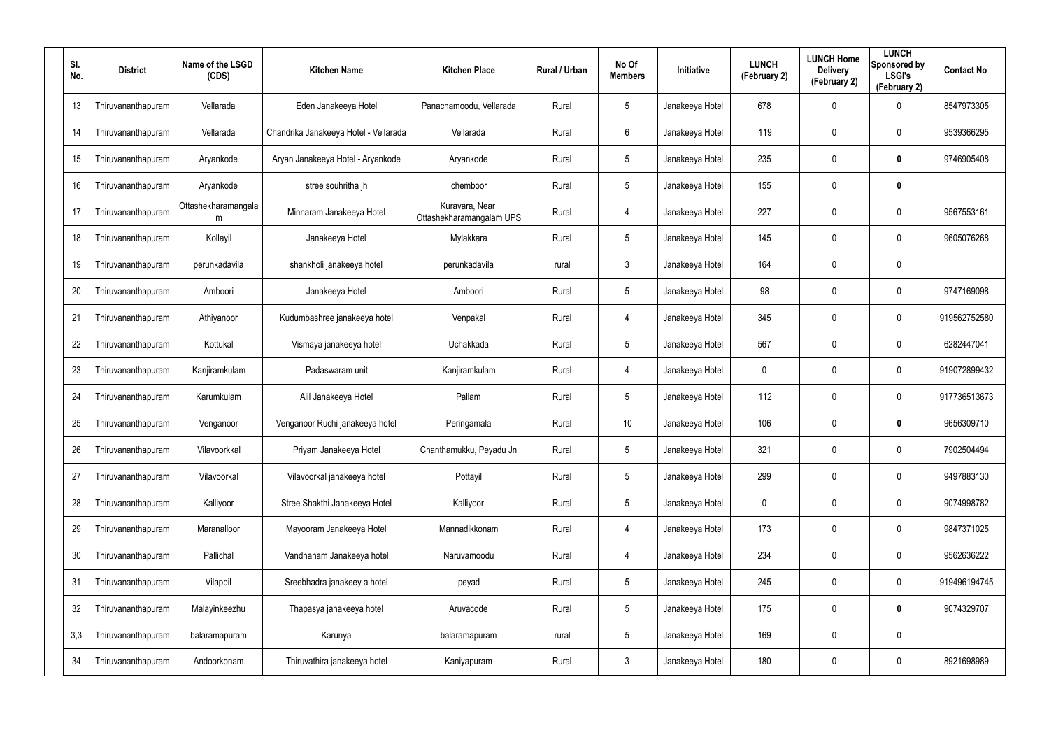| SI.<br>No. | <b>District</b>    | Name of the LSGD<br>(CDS) | <b>Kitchen Name</b>                   | <b>Kitchen Place</b>                       | Rural / Urban | No Of<br><b>Members</b> | Initiative      | <b>LUNCH</b><br>(February 2) | <b>LUNCH Home</b><br><b>Delivery</b><br>(February 2) | <b>LUNCH</b><br>Sponsored by<br><b>LSGI's</b><br>(February 2) | <b>Contact No</b> |
|------------|--------------------|---------------------------|---------------------------------------|--------------------------------------------|---------------|-------------------------|-----------------|------------------------------|------------------------------------------------------|---------------------------------------------------------------|-------------------|
| 13         | Thiruvananthapuram | Vellarada                 | Eden Janakeeya Hotel                  | Panachamoodu, Vellarada                    | Rural         | $5\phantom{.0}$         | Janakeeya Hotel | 678                          | 0                                                    | $\mathbf 0$                                                   | 8547973305        |
| 14         | Thiruvananthapuram | Vellarada                 | Chandrika Janakeeya Hotel - Vellarada | Vellarada                                  | Rural         | 6                       | Janakeeya Hotel | 119                          | 0                                                    | $\boldsymbol{0}$                                              | 9539366295        |
| 15         | Thiruvananthapuram | Aryankode                 | Aryan Janakeeya Hotel - Aryankode     | Aryankode                                  | Rural         | $5\phantom{.0}$         | Janakeeya Hotel | 235                          | 0                                                    | $\bm{0}$                                                      | 9746905408        |
| 16         | Thiruvananthapuram | Aryankode                 | stree souhritha jh                    | chemboor                                   | Rural         | $5\phantom{.0}$         | Janakeeya Hotel | 155                          | 0                                                    | $\mathbf 0$                                                   |                   |
| 17         | Thiruvananthapuram | Ottashekharamangala<br>m  | Minnaram Janakeeya Hotel              | Kuravara, Near<br>Ottashekharamangalam UPS | Rural         | 4                       | Janakeeya Hotel | 227                          | 0                                                    | $\mathbf 0$                                                   | 9567553161        |
| 18         | Thiruvananthapuram | Kollayil                  | Janakeeya Hotel                       | Mylakkara                                  | Rural         | $5\overline{)}$         | Janakeeya Hotel | 145                          | 0                                                    | $\mathbf 0$                                                   | 9605076268        |
| 19         | Thiruvananthapuram | perunkadavila             | shankholi janakeeya hotel             | perunkadavila                              | rural         | $\mathbf{3}$            | Janakeeya Hotel | 164                          | 0                                                    | $\pmb{0}$                                                     |                   |
| 20         | Thiruvananthapuram | Amboori                   | Janakeeya Hotel                       | Amboori                                    | Rural         | $5\phantom{.0}$         | Janakeeya Hotel | 98                           | 0                                                    | $\mathbf 0$                                                   | 9747169098        |
| 21         | Thiruvananthapuram | Athiyanoor                | Kudumbashree janakeeya hotel          | Venpakal                                   | Rural         | 4                       | Janakeeya Hotel | 345                          | 0                                                    | $\pmb{0}$                                                     | 919562752580      |
| 22         | Thiruvananthapuram | Kottukal                  | Vismaya janakeeya hotel               | Uchakkada                                  | Rural         | $5\phantom{.0}$         | Janakeeya Hotel | 567                          | 0                                                    | $\mathbf 0$                                                   | 6282447041        |
| 23         | Thiruvananthapuram | Kanjiramkulam             | Padaswaram unit                       | Kanjiramkulam                              | Rural         | 4                       | Janakeeya Hotel | 0                            | 0                                                    | $\pmb{0}$                                                     | 919072899432      |
| 24         | Thiruvananthapuram | Karumkulam                | Alil Janakeeya Hotel                  | Pallam                                     | Rural         | $5\phantom{.0}$         | Janakeeya Hotel | 112                          | 0                                                    | $\mathbf 0$                                                   | 917736513673      |
| 25         | Thiruvananthapuram | Venganoor                 | Venganoor Ruchi janakeeya hotel       | Peringamala                                | Rural         | 10                      | Janakeeya Hotel | 106                          | 0                                                    | $\bf{0}$                                                      | 9656309710        |
| 26         | Thiruvananthapuram | Vilavoorkkal              | Priyam Janakeeya Hotel                | Chanthamukku, Peyadu Jn                    | Rural         | 5                       | Janakeeya Hotel | 321                          | 0                                                    | $\pmb{0}$                                                     | 7902504494        |
| 27         | Thiruvananthapuram | Vilavoorkal               | Vilavoorkal janakeeya hotel           | Pottayil                                   | Rural         | $5\phantom{.0}$         | Janakeeya Hotel | 299                          | 0                                                    | $\pmb{0}$                                                     | 9497883130        |
| 28         | Thiruvananthapuram | Kalliyoor                 | Stree Shakthi Janakeeya Hotel         | Kalliyoor                                  | Rural         | $5\phantom{.0}$         | Janakeeya Hotel | $\mathbf 0$                  | 0                                                    | $\pmb{0}$                                                     | 9074998782        |
| 29         | Thiruvananthapuram | Maranalloor               | Mayooram Janakeeya Hotel              | Mannadikkonam                              | Rural         | 4                       | Janakeeya Hotel | 173                          | 0                                                    | $\pmb{0}$                                                     | 9847371025        |
| 30         | Thiruvananthapuram | Pallichal                 | Vandhanam Janakeeya hotel             | Naruvamoodu                                | Rural         | 4                       | Janakeeya Hotel | 234                          | 0                                                    | $\pmb{0}$                                                     | 9562636222        |
| 31         | Thiruvananthapuram | Vilappil                  | Sreebhadra janakeey a hotel           | peyad                                      | Rural         | $5\phantom{.0}$         | Janakeeya Hotel | 245                          | 0                                                    | $\pmb{0}$                                                     | 919496194745      |
| 32         | Thiruvananthapuram | Malayinkeezhu             | Thapasya janakeeya hotel              | Aruvacode                                  | Rural         | $5\phantom{.0}$         | Janakeeya Hotel | 175                          | 0                                                    | $\mathbf 0$                                                   | 9074329707        |
| 3,3        | Thiruvananthapuram | balaramapuram             | Karunya                               | balaramapuram                              | rural         | $5\phantom{.0}$         | Janakeeya Hotel | 169                          | 0                                                    | $\pmb{0}$                                                     |                   |
| 34         | Thiruvananthapuram | Andoorkonam               | Thiruvathira janakeeya hotel          | Kaniyapuram                                | Rural         | $\mathfrak{Z}$          | Janakeeya Hotel | 180                          | 0                                                    | $\pmb{0}$                                                     | 8921698989        |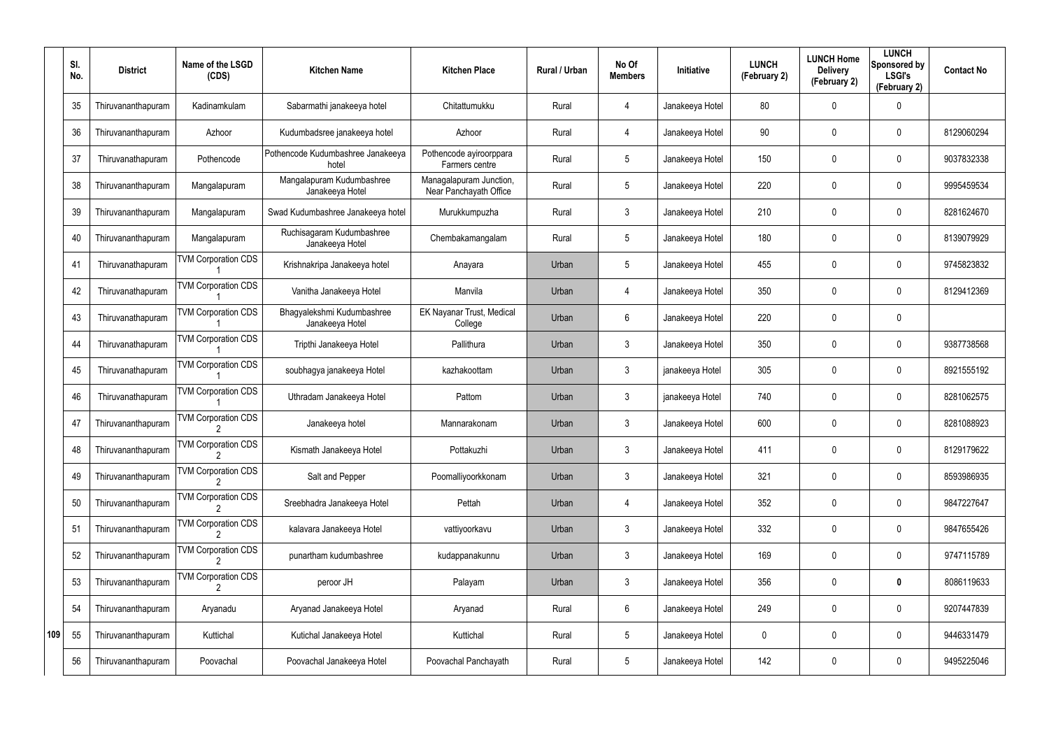|     | SI.<br>No. | <b>District</b>    | Name of the LSGD<br>(CDS)  | <b>Kitchen Name</b>                           | <b>Kitchen Place</b>                              | Rural / Urban | No Of<br><b>Members</b> | <b>Initiative</b> | <b>LUNCH</b><br>(February 2) | <b>LUNCH Home</b><br><b>Delivery</b><br>(February 2) | <b>LUNCH</b><br>Sponsored by<br><b>LSGI's</b><br>(February 2) | <b>Contact No</b> |
|-----|------------|--------------------|----------------------------|-----------------------------------------------|---------------------------------------------------|---------------|-------------------------|-------------------|------------------------------|------------------------------------------------------|---------------------------------------------------------------|-------------------|
|     | 35         | Thiruvananthapuram | Kadinamkulam               | Sabarmathi janakeeya hotel                    | Chitattumukku                                     | Rural         | 4                       | Janakeeya Hotel   | 80                           | 0                                                    | 0                                                             |                   |
|     | 36         | Thiruvananthapuram | Azhoor                     | Kudumbadsree janakeeya hotel                  | Azhoor                                            | Rural         | 4                       | Janakeeya Hotel   | 90                           | 0                                                    | $\mathbf 0$                                                   | 8129060294        |
|     | 37         | Thiruvanathapuram  | Pothencode                 | Pothencode Kudumbashree Janakeeya<br>hotel    | Pothencode ayiroorppara<br>Farmers centre         | Rural         | $5\phantom{.0}$         | Janakeeya Hotel   | 150                          | 0                                                    | $\mathbf 0$                                                   | 9037832338        |
|     | 38         | Thiruvananthapuram | Mangalapuram               | Mangalapuram Kudumbashree<br>Janakeeya Hotel  | Managalapuram Junction,<br>Near Panchayath Office | Rural         | $5\phantom{.0}$         | Janakeeya Hotel   | 220                          | 0                                                    | $\mathbf 0$                                                   | 9995459534        |
|     | 39         | Thiruvananthapuram | Mangalapuram               | Swad Kudumbashree Janakeeya hotel             | Murukkumpuzha                                     | Rural         | 3                       | Janakeeya Hotel   | 210                          | $\mathbf 0$                                          | $\mathbf 0$                                                   | 8281624670        |
|     | 40         | Thiruvananthapuram | Mangalapuram               | Ruchisagaram Kudumbashree<br>Janakeeya Hotel  | Chembakamangalam                                  | Rural         | $5\phantom{.0}$         | Janakeeya Hotel   | 180                          | 0                                                    | $\mathbf 0$                                                   | 8139079929        |
|     | 41         | Thiruvanathapuram  | <b>TVM Corporation CDS</b> | Krishnakripa Janakeeya hotel                  | Anayara                                           | Urban         | 5                       | Janakeeya Hotel   | 455                          | 0                                                    | $\mathbf 0$                                                   | 9745823832        |
|     | 42         | Thiruvanathapuram  | <b>TVM Corporation CDS</b> | Vanitha Janakeeya Hotel                       | Manvila                                           | Urban         | 4                       | Janakeeya Hotel   | 350                          | 0                                                    | $\mathbf 0$                                                   | 8129412369        |
|     | 43         | Thiruvanathapuram  | <b>TVM Corporation CDS</b> | Bhagyalekshmi Kudumbashree<br>Janakeeya Hotel | <b>EK Nayanar Trust, Medical</b><br>College       | Urban         | 6                       | Janakeeya Hotel   | 220                          | 0                                                    | $\mathbf 0$                                                   |                   |
|     | 44         | Thiruvanathapuram  | <b>TVM Corporation CDS</b> | Tripthi Janakeeya Hotel                       | Pallithura                                        | Urban         | 3                       | Janakeeya Hotel   | 350                          | 0                                                    | $\mathbf 0$                                                   | 9387738568        |
|     | 45         | Thiruvanathapuram  | <b>TVM Corporation CDS</b> | soubhagya janakeeya Hotel                     | kazhakoottam                                      | Urban         | 3                       | janakeeya Hotel   | 305                          | 0                                                    | $\mathbf 0$                                                   | 8921555192        |
|     | 46         | Thiruvanathapuram  | <b>TVM Corporation CDS</b> | Uthradam Janakeeya Hotel                      | Pattom                                            | Urban         | 3                       | janakeeya Hotel   | 740                          | 0                                                    | $\mathbf 0$                                                   | 8281062575        |
|     | 47         | Thiruvananthapuram | <b>TVM Corporation CDS</b> | Janakeeya hotel                               | Mannarakonam                                      | Urban         | 3                       | Janakeeya Hotel   | 600                          | 0                                                    | $\mathbf 0$                                                   | 8281088923        |
|     | 48         | Thiruvananthapuram | <b>TVM Corporation CDS</b> | Kismath Janakeeya Hotel                       | Pottakuzhi                                        | Urban         | 3                       | Janakeeya Hotel   | 411                          | 0                                                    | 0                                                             | 8129179622        |
|     | 49         | Thiruvananthapuram | <b>TVM Corporation CDS</b> | Salt and Pepper                               | Poomalliyoorkkonam                                | Urban         | $\mathfrak{Z}$          | Janakeeya Hotel   | 321                          | 0                                                    | $\pmb{0}$                                                     | 8593986935        |
|     | 50         | Thiruvananthapuram | <b>TVM Corporation CDS</b> | Sreebhadra Janakeeya Hotel                    | Pettah                                            | Urban         | 4                       | Janakeeya Hotel   | 352                          | 0                                                    | $\pmb{0}$                                                     | 9847227647        |
|     | 51         | Thiruvananthapuram | <b>TVM Corporation CDS</b> | kalavara Janakeeya Hotel                      | vattiyoorkavu                                     | Urban         | $\mathfrak{Z}$          | Janakeeya Hotel   | 332                          | 0                                                    | $\pmb{0}$                                                     | 9847655426        |
|     | 52         | Thiruvananthapuram | <b>TVM Corporation CDS</b> | punartham kudumbashree                        | kudappanakunnu                                    | Urban         | $\mathfrak{Z}$          | Janakeeya Hotel   | 169                          | 0                                                    | 0                                                             | 9747115789        |
|     | 53         | Thiruvananthapuram | <b>TVM Corporation CDS</b> | peroor JH                                     | Palayam                                           | Urban         | $\mathfrak{Z}$          | Janakeeya Hotel   | 356                          | 0                                                    | $\pmb{0}$                                                     | 8086119633        |
|     | 54         | Thiruvananthapuram | Aryanadu                   | Aryanad Janakeeya Hotel                       | Aryanad                                           | Rural         | 6                       | Janakeeya Hotel   | 249                          | 0                                                    | $\pmb{0}$                                                     | 9207447839        |
| 109 | 55         | Thiruvananthapuram | Kuttichal                  | Kutichal Janakeeya Hotel                      | Kuttichal                                         | Rural         | 5                       | Janakeeya Hotel   | 0                            | 0                                                    | $\pmb{0}$                                                     | 9446331479        |
|     | 56         | Thiruvananthapuram | Poovachal                  | Poovachal Janakeeya Hotel                     | Poovachal Panchayath                              | Rural         | $\sqrt{5}$              | Janakeeya Hotel   | 142                          | 0                                                    | $\pmb{0}$                                                     | 9495225046        |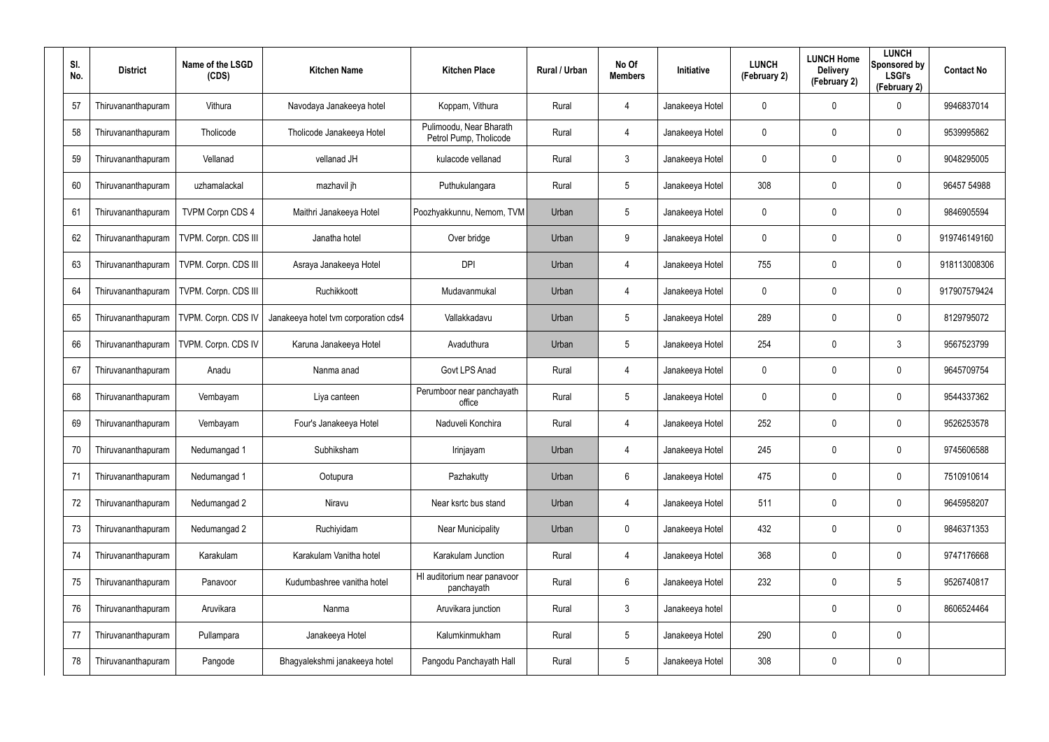| SI.<br>No. | <b>District</b>    | Name of the LSGD<br>(CDS) | <b>Kitchen Name</b>                  | <b>Kitchen Place</b>                              | Rural / Urban | No Of<br><b>Members</b> | <b>Initiative</b> | <b>LUNCH</b><br>(February 2) | <b>LUNCH Home</b><br><b>Delivery</b><br>(February 2) | <b>LUNCH</b><br>Sponsored by<br><b>LSGI's</b><br>(February 2) | <b>Contact No</b> |
|------------|--------------------|---------------------------|--------------------------------------|---------------------------------------------------|---------------|-------------------------|-------------------|------------------------------|------------------------------------------------------|---------------------------------------------------------------|-------------------|
| 57         | Thiruvananthapuram | Vithura                   | Navodaya Janakeeya hotel             | Koppam, Vithura                                   | Rural         | 4                       | Janakeeya Hotel   | 0                            | 0                                                    | 0                                                             | 9946837014        |
| 58         | Thiruvananthapuram | Tholicode                 | Tholicode Janakeeya Hotel            | Pulimoodu, Near Bharath<br>Petrol Pump, Tholicode | Rural         | 4                       | Janakeeya Hotel   | 0                            | 0                                                    | $\mathbf 0$                                                   | 9539995862        |
| 59         | Thiruvananthapuram | Vellanad                  | vellanad JH                          | kulacode vellanad                                 | Rural         | $\mathbf{3}$            | Janakeeya Hotel   | 0                            | 0                                                    | $\mathbf 0$                                                   | 9048295005        |
| 60         | Thiruvananthapuram | uzhamalackal              | mazhavil jh                          | Puthukulangara                                    | Rural         | $5\overline{)}$         | Janakeeya Hotel   | 308                          | 0                                                    | $\mathbf 0$                                                   | 96457 54988       |
| 61         | Thiruvananthapuram | <b>TVPM Corpn CDS 4</b>   | Maithri Janakeeya Hotel              | Poozhyakkunnu, Nemom, TVM                         | Urban         | $5\phantom{.0}$         | Janakeeya Hotel   | 0                            | 0                                                    | $\mathbf 0$                                                   | 9846905594        |
| 62         | Thiruvananthapuram | TVPM. Corpn. CDS III      | Janatha hotel                        | Over bridge                                       | Urban         | 9                       | Janakeeya Hotel   | 0                            | 0                                                    | $\mathbf 0$                                                   | 919746149160      |
| 63         | Thiruvananthapuram | TVPM. Corpn. CDS III      | Asraya Janakeeya Hotel               | <b>DPI</b>                                        | Urban         | 4                       | Janakeeya Hotel   | 755                          | 0                                                    | $\mathbf 0$                                                   | 918113008306      |
| 64         | Thiruvananthapuram | TVPM. Corpn. CDS III      | Ruchikkoott                          | Mudavanmukal                                      | Urban         | 4                       | Janakeeya Hotel   | 0                            | 0                                                    | $\mathbf 0$                                                   | 917907579424      |
| 65         | Thiruvananthapuram | TVPM. Corpn. CDS IV       | Janakeeya hotel tvm corporation cds4 | Vallakkadavu                                      | Urban         | $5\phantom{.0}$         | Janakeeya Hotel   | 289                          | 0                                                    | $\mathbf 0$                                                   | 8129795072        |
| 66         | Thiruvananthapuram | TVPM. Corpn. CDS IV       | Karuna Janakeeya Hotel               | Avaduthura                                        | Urban         | $5\overline{)}$         | Janakeeya Hotel   | 254                          | 0                                                    | $\mathbf{3}$                                                  | 9567523799        |
| 67         | Thiruvananthapuram | Anadu                     | Nanma anad                           | Govt LPS Anad                                     | Rural         | 4                       | Janakeeya Hotel   | 0                            | 0                                                    | $\boldsymbol{0}$                                              | 9645709754        |
| 68         | Thiruvananthapuram | Vembayam                  | Liya canteen                         | Perumboor near panchayath<br>office               | Rural         | $5\phantom{.0}$         | Janakeeya Hotel   | 0                            | 0                                                    | $\mathbf 0$                                                   | 9544337362        |
| 69         | Thiruvananthapuram | Vembayam                  | Four's Janakeeya Hotel               | Naduveli Konchira                                 | Rural         | 4                       | Janakeeya Hotel   | 252                          | 0                                                    | $\mathbf 0$                                                   | 9526253578        |
| 70         | Thiruvananthapuram | Nedumangad 1              | Subhiksham                           | Irinjayam                                         | Urban         | 4                       | Janakeeya Hotel   | 245                          | 0                                                    | $\pmb{0}$                                                     | 9745606588        |
| 71         | Thiruvananthapuram | Nedumangad 1              | Ootupura                             | Pazhakutty                                        | Urban         | 6                       | Janakeeya Hotel   | 475                          | 0                                                    | $\pmb{0}$                                                     | 7510910614        |
| 72         | Thiruvananthapuram | Nedumangad 2              | Niravu                               | Near ksrtc bus stand                              | Urban         | 4                       | Janakeeya Hotel   | 511                          | 0                                                    | $\pmb{0}$                                                     | 9645958207        |
| 73         | Thiruvananthapuram | Nedumangad 2              | Ruchiyidam                           | <b>Near Municipality</b>                          | Urban         | $\mathbf 0$             | Janakeeya Hotel   | 432                          | 0                                                    | $\pmb{0}$                                                     | 9846371353        |
| 74         | Thiruvananthapuram | Karakulam                 | Karakulam Vanitha hotel              | Karakulam Junction                                | Rural         | 4                       | Janakeeya Hotel   | 368                          | 0                                                    | $\pmb{0}$                                                     | 9747176668        |
| 75         | Thiruvananthapuram | Panavoor                  | Kudumbashree vanitha hotel           | HI auditorium near panavoor<br>panchayath         | Rural         | 6                       | Janakeeya Hotel   | 232                          | 0                                                    | $5\phantom{.0}$                                               | 9526740817        |
| 76         | Thiruvananthapuram | Aruvikara                 | Nanma                                | Aruvikara junction                                | Rural         | $\mathbf{3}$            | Janakeeya hotel   |                              | 0                                                    | $\pmb{0}$                                                     | 8606524464        |
| 77         | Thiruvananthapuram | Pullampara                | Janakeeya Hotel                      | Kalumkinmukham                                    | Rural         | $5\phantom{.0}$         | Janakeeya Hotel   | 290                          | 0                                                    | $\pmb{0}$                                                     |                   |
| 78         | Thiruvananthapuram | Pangode                   | Bhagyalekshmi janakeeya hotel        | Pangodu Panchayath Hall                           | Rural         | $5\phantom{.0}$         | Janakeeya Hotel   | 308                          | 0                                                    | $\pmb{0}$                                                     |                   |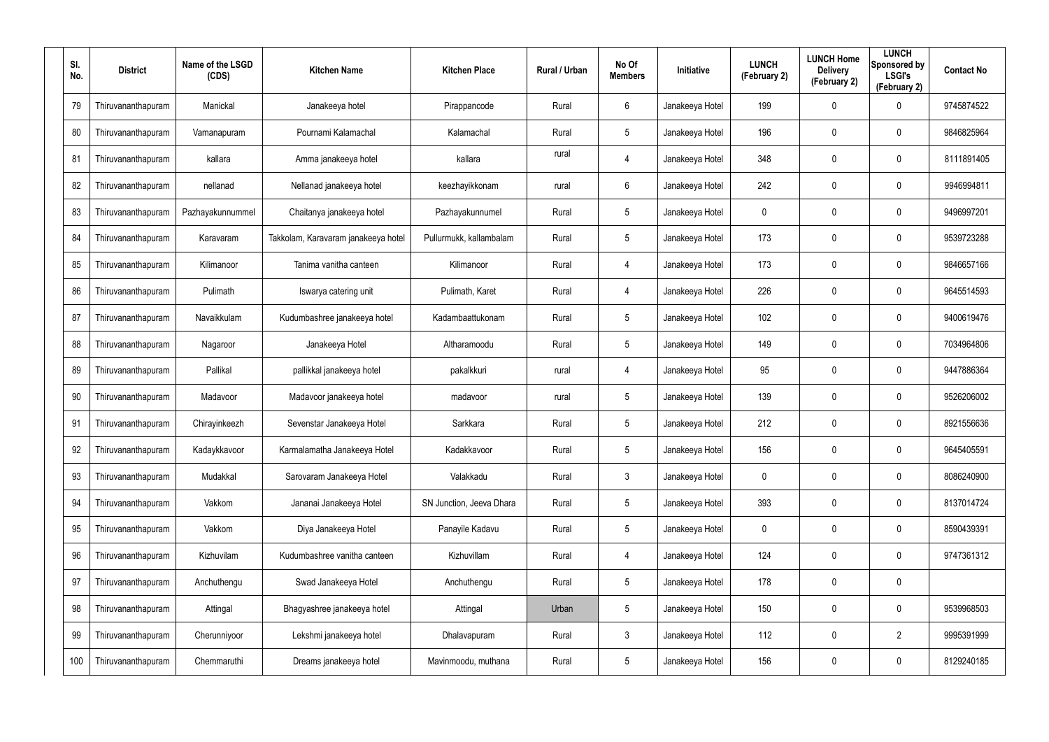| SI.<br>No. | <b>District</b>    | Name of the LSGD<br>(CDS) | <b>Kitchen Name</b>                 | <b>Kitchen Place</b>     | <b>Rural / Urban</b> | No Of<br><b>Members</b> | Initiative      | <b>LUNCH</b><br>(February 2) | <b>LUNCH Home</b><br><b>Delivery</b><br>(February 2) | <b>LUNCH</b><br>Sponsored by<br><b>LSGI's</b><br>(February 2) | <b>Contact No</b> |
|------------|--------------------|---------------------------|-------------------------------------|--------------------------|----------------------|-------------------------|-----------------|------------------------------|------------------------------------------------------|---------------------------------------------------------------|-------------------|
| 79         | Thiruvananthapuram | Manickal                  | Janakeeya hotel                     | Pirappancode             | Rural                | 6                       | Janakeeya Hotel | 199                          | $\mathbf 0$                                          | 0                                                             | 9745874522        |
| 80         | Thiruvananthapuram | Vamanapuram               | Pournami Kalamachal                 | Kalamachal               | Rural                | $5\overline{)}$         | Janakeeya Hotel | 196                          | $\mathbf 0$                                          | $\mathbf 0$                                                   | 9846825964        |
| 81         | Thiruvananthapuram | kallara                   | Amma janakeeya hotel                | kallara                  | rural                | $\overline{4}$          | Janakeeya Hotel | 348                          | $\pmb{0}$                                            | $\mathbf 0$                                                   | 8111891405        |
| 82         | Thiruvananthapuram | nellanad                  | Nellanad janakeeya hotel            | keezhayikkonam           | rural                | $6\phantom{.}$          | Janakeeya Hotel | 242                          | 0                                                    | $\mathbf 0$                                                   | 9946994811        |
| 83         | Thiruvananthapuram | Pazhayakunnummel          | Chaitanya janakeeya hotel           | Pazhayakunnumel          | Rural                | $5\overline{)}$         | Janakeeya Hotel | 0                            | $\mathbf 0$                                          | $\mathbf 0$                                                   | 9496997201        |
| 84         | Thiruvananthapuram | Karavaram                 | Takkolam, Karavaram janakeeya hotel | Pullurmukk, kallambalam  | Rural                | $5\phantom{.0}$         | Janakeeya Hotel | 173                          | $\mathbf 0$                                          | $\mathbf 0$                                                   | 9539723288        |
| 85         | Thiruvananthapuram | Kilimanoor                | Tanima vanitha canteen              | Kilimanoor               | Rural                | $\overline{4}$          | Janakeeya Hotel | 173                          | $\mathbf 0$                                          | $\mathbf 0$                                                   | 9846657166        |
| 86         | Thiruvananthapuram | Pulimath                  | Iswarya catering unit               | Pulimath, Karet          | Rural                | $\overline{4}$          | Janakeeya Hotel | 226                          | 0                                                    | $\mathbf 0$                                                   | 9645514593        |
| 87         | Thiruvananthapuram | Navaikkulam               | Kudumbashree janakeeya hotel        | Kadambaattukonam         | Rural                | $5\phantom{.0}$         | Janakeeya Hotel | 102                          | $\pmb{0}$                                            | $\mathbf 0$                                                   | 9400619476        |
| 88         | Thiruvananthapuram | Nagaroor                  | Janakeeya Hotel                     | Altharamoodu             | Rural                | $5\overline{)}$         | Janakeeya Hotel | 149                          | $\mathbf 0$                                          | $\mathbf 0$                                                   | 7034964806        |
| 89         | Thiruvananthapuram | Pallikal                  | pallikkal janakeeya hotel           | pakalkkuri               | rural                | 4                       | Janakeeya Hotel | 95                           | $\pmb{0}$                                            | $\mathbf 0$                                                   | 9447886364        |
| 90         | Thiruvananthapuram | Madavoor                  | Madavoor janakeeya hotel            | madavoor                 | rural                | $5\overline{)}$         | Janakeeya Hotel | 139                          | $\mathbf 0$                                          | $\mathbf 0$                                                   | 9526206002        |
| 91         | Thiruvananthapuram | Chirayinkeezh             | Sevenstar Janakeeya Hotel           | Sarkkara                 | Rural                | $5\phantom{.0}$         | Janakeeya Hotel | 212                          | $\mathbf 0$                                          | $\mathbf 0$                                                   | 8921556636        |
| 92         | Thiruvananthapuram | Kadaykkavoor              | Karmalamatha Janakeeya Hotel        | Kadakkavoor              | Rural                | $5\phantom{.0}$         | Janakeeya Hotel | 156                          | $\mathbf 0$                                          | $\boldsymbol{0}$                                              | 9645405591        |
| 93         | Thiruvananthapuram | Mudakkal                  | Sarovaram Janakeeya Hotel           | Valakkadu                | Rural                | $\mathbf{3}$            | Janakeeya Hotel | 0                            | $\mathbf 0$                                          | $\boldsymbol{0}$                                              | 8086240900        |
| 94         | Thiruvananthapuram | Vakkom                    | Jananai Janakeeya Hotel             | SN Junction, Jeeva Dhara | Rural                | $5\overline{)}$         | Janakeeya Hotel | 393                          | $\mathbf 0$                                          | $\boldsymbol{0}$                                              | 8137014724        |
| 95         | Thiruvananthapuram | Vakkom                    | Diya Janakeeya Hotel                | Panayile Kadavu          | Rural                | $5\overline{)}$         | Janakeeya Hotel | 0                            | $\overline{0}$                                       | $\boldsymbol{0}$                                              | 8590439391        |
| 96         | Thiruvananthapuram | Kizhuvilam                | Kudumbashree vanitha canteen        | Kizhuvillam              | Rural                | 4                       | Janakeeya Hotel | 124                          | $\overline{0}$                                       | $\pmb{0}$                                                     | 9747361312        |
| 97         | Thiruvananthapuram | Anchuthengu               | Swad Janakeeya Hotel                | Anchuthengu              | Rural                | $5\overline{)}$         | Janakeeya Hotel | 178                          | $\overline{0}$                                       | $\pmb{0}$                                                     |                   |
| 98         | Thiruvananthapuram | Attingal                  | Bhagyashree janakeeya hotel         | Attingal                 | Urban                | $5\phantom{.0}$         | Janakeeya Hotel | 150                          | $\overline{0}$                                       | $\pmb{0}$                                                     | 9539968503        |
| 99         | Thiruvananthapuram | Cherunniyoor              | Lekshmi janakeeya hotel             | Dhalavapuram             | Rural                | $\mathbf{3}$            | Janakeeya Hotel | 112                          | $\overline{0}$                                       | $\overline{2}$                                                | 9995391999        |
| 100        | Thiruvananthapuram | Chemmaruthi               | Dreams janakeeya hotel              | Mavinmoodu, muthana      | Rural                | $5\phantom{.0}$         | Janakeeya Hotel | 156                          | $\mathbf 0$                                          | $\pmb{0}$                                                     | 8129240185        |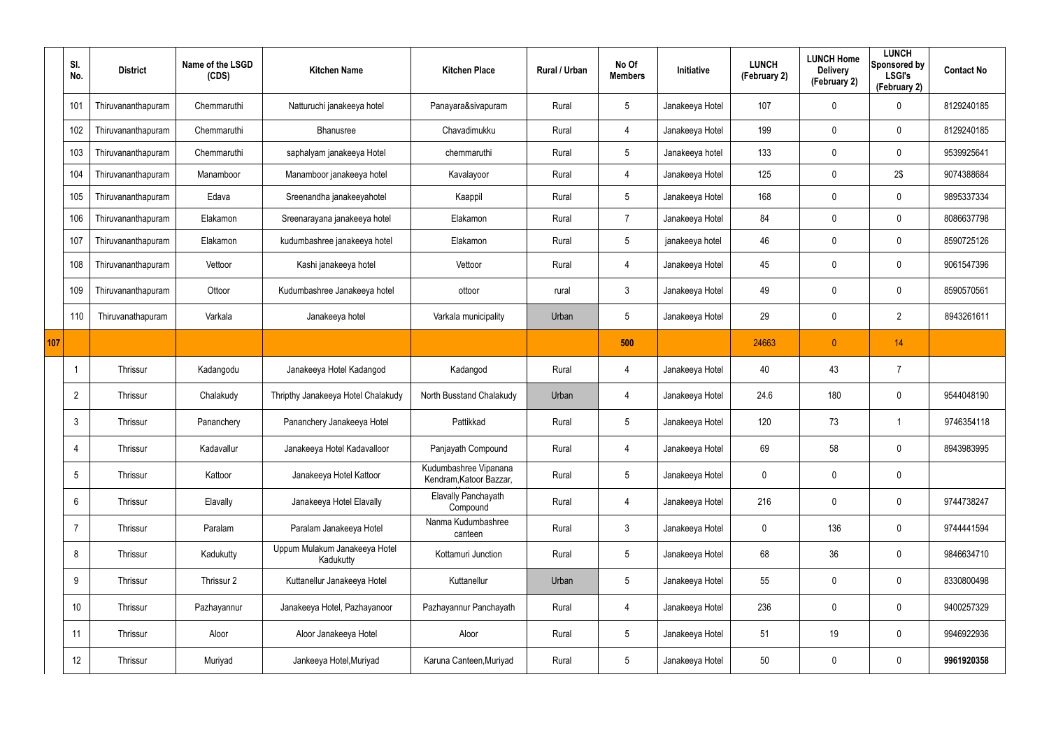|     | SI.<br>No.      | <b>District</b>    | Name of the LSGD<br>(CDS) | <b>Kitchen Name</b>                        | <b>Kitchen Place</b>                             | <b>Rural / Urban</b> | No Of<br><b>Members</b> | Initiative      | <b>LUNCH</b><br>(February 2) | <b>LUNCH Home</b><br><b>Delivery</b><br>(February 2) | <b>LUNCH</b><br>Sponsored by<br><b>LSGI's</b><br>(February 2) | <b>Contact No</b> |
|-----|-----------------|--------------------|---------------------------|--------------------------------------------|--------------------------------------------------|----------------------|-------------------------|-----------------|------------------------------|------------------------------------------------------|---------------------------------------------------------------|-------------------|
|     | 101             | Thiruvananthapuram | Chemmaruthi               | Natturuchi janakeeya hotel                 | Panayara&sivapuram                               | Rural                | $5\phantom{.0}$         | Janakeeya Hotel | 107                          | 0                                                    | 0                                                             | 8129240185        |
|     | 102             | Thiruvananthapuram | Chemmaruthi               | Bhanusree                                  | Chavadimukku                                     | Rural                | $\overline{4}$          | Janakeeya Hotel | 199                          | 0                                                    | $\mathbf 0$                                                   | 8129240185        |
|     | 103             | Thiruvananthapuram | Chemmaruthi               | saphalyam janakeeya Hotel                  | chemmaruthi                                      | Rural                | $5\phantom{.0}$         | Janakeeya hotel | 133                          | 0                                                    | $\mathbf 0$                                                   | 9539925641        |
|     | 104             | Thiruvananthapuram | Manamboor                 | Manamboor janakeeya hotel                  | Kavalayoor                                       | Rural                | $\overline{4}$          | Janakeeya Hotel | 125                          | 0                                                    | 2\$                                                           | 9074388684        |
|     | 105             | Thiruvananthapuram | Edava                     | Sreenandha janakeeyahotel                  | Kaappil                                          | Rural                | $5\phantom{.0}$         | Janakeeya Hotel | 168                          | 0                                                    | $\mathbf 0$                                                   | 9895337334        |
|     | 106             | Thiruvananthapuram | Elakamon                  | Sreenarayana janakeeya hotel               | Elakamon                                         | Rural                | $\overline{7}$          | Janakeeya Hotel | 84                           | 0                                                    | $\mathbf 0$                                                   | 8086637798        |
|     | 107             | Thiruvananthapuram | Elakamon                  | kudumbashree janakeeya hotel               | Elakamon                                         | Rural                | $5\phantom{.0}$         | janakeeya hotel | 46                           | 0                                                    | $\mathbf 0$                                                   | 8590725126        |
|     | 108             | Thiruvananthapuram | Vettoor                   | Kashi janakeeya hotel                      | Vettoor                                          | Rural                | $\overline{4}$          | Janakeeya Hotel | 45                           | 0                                                    | $\mathbf 0$                                                   | 9061547396        |
|     | 109             | Thiruvananthapuram | Ottoor                    | Kudumbashree Janakeeya hotel               | ottoor                                           | rural                | $\mathbf{3}$            | Janakeeya Hotel | 49                           | 0                                                    | $\mathbf 0$                                                   | 8590570561        |
|     | 110             | Thiruvanathapuram  | Varkala                   | Janakeeya hotel                            | Varkala municipality                             | Urban                | $5\phantom{.0}$         | Janakeeya Hotel | 29                           | 0                                                    | $\overline{2}$                                                | 8943261611        |
| 107 |                 |                    |                           |                                            |                                                  |                      | 500                     |                 | 24663                        | $\theta$                                             | 14                                                            |                   |
|     |                 | Thrissur           | Kadangodu                 | Janakeeya Hotel Kadangod                   | Kadangod                                         | Rural                | $\overline{4}$          | Janakeeya Hotel | 40                           | 43                                                   | 7                                                             |                   |
|     | $\overline{2}$  | Thrissur           | Chalakudy                 | Thripthy Janakeeya Hotel Chalakudy         | North Busstand Chalakudy                         | Urban                | 4                       | Janakeeya Hotel | 24.6                         | 180                                                  | $\mathbf 0$                                                   | 9544048190        |
|     | 3               | Thrissur           | Pananchery                | Pananchery Janakeeya Hotel                 | Pattikkad                                        | Rural                | $5\phantom{.0}$         | Janakeeya Hotel | 120                          | 73                                                   | 1                                                             | 9746354118        |
|     | 4               | Thrissur           | Kadavallur                | Janakeeya Hotel Kadavalloor                | Panjayath Compound                               | Rural                | $\overline{4}$          | Janakeeya Hotel | 69                           | 58                                                   | $\pmb{0}$                                                     | 8943983995        |
|     | $5\phantom{.0}$ | Thrissur           | Kattoor                   | Janakeeya Hotel Kattoor                    | Kudumbashree Vipanana<br>Kendram, Katoor Bazzar, | Rural                | $5\phantom{.0}$         | Janakeeya Hotel | 0                            | 0                                                    | $\pmb{0}$                                                     |                   |
|     | $6\overline{6}$ | Thrissur           | Elavally                  | Janakeeya Hotel Elavally                   | Elavally Panchayath<br>Compound                  | Rural                | $\overline{4}$          | Janakeeya Hotel | 216                          | 0                                                    | $\mathbf 0$                                                   | 9744738247        |
|     | $\overline{7}$  | Thrissur           | Paralam                   | Paralam Janakeeya Hotel                    | Nanma Kudumbashree<br>canteen                    | Rural                | $\mathbf{3}$            | Janakeeya Hotel | 0                            | 136                                                  | $\pmb{0}$                                                     | 9744441594        |
|     | 8               | Thrissur           | Kadukutty                 | Uppum Mulakum Janakeeya Hotel<br>Kadukutty | Kottamuri Junction                               | Rural                | $5\phantom{.0}$         | Janakeeya Hotel | 68                           | 36                                                   | $\pmb{0}$                                                     | 9846634710        |
|     | 9               | Thrissur           | Thrissur 2                | Kuttanellur Janakeeya Hotel                | Kuttanellur                                      | Urban                | $5\phantom{.0}$         | Janakeeya Hotel | 55                           | $\mathbf 0$                                          | $\pmb{0}$                                                     | 8330800498        |
|     | 10              | Thrissur           | Pazhayannur               | Janakeeya Hotel, Pazhayanoor               | Pazhayannur Panchayath                           | Rural                | $\overline{4}$          | Janakeeya Hotel | 236                          | $\mathbf 0$                                          | $\pmb{0}$                                                     | 9400257329        |
|     | 11              | Thrissur           | Aloor                     | Aloor Janakeeya Hotel                      | Aloor                                            | Rural                | $5\phantom{.0}$         | Janakeeya Hotel | 51                           | 19                                                   | $\pmb{0}$                                                     | 9946922936        |
|     | 12              | Thrissur           | Muriyad                   | Jankeeya Hotel, Muriyad                    | Karuna Canteen, Muriyad                          | Rural                | $5\phantom{.0}$         | Janakeeya Hotel | 50                           | 0                                                    | $\pmb{0}$                                                     | 9961920358        |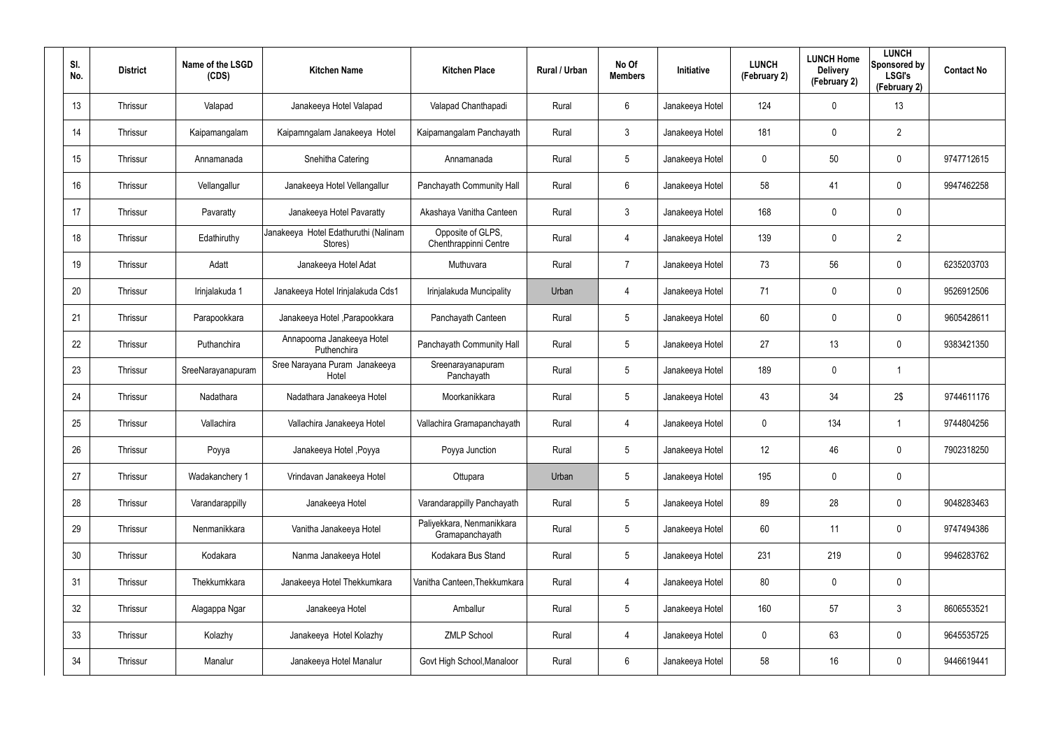| SI.<br>No. | <b>District</b> | Name of the LSGD<br>(CDS) | <b>Kitchen Name</b>                             | <b>Kitchen Place</b>                         | Rural / Urban | No Of<br><b>Members</b> | Initiative      | <b>LUNCH</b><br>(February 2) | <b>LUNCH Home</b><br><b>Delivery</b><br>(February 2) | <b>LUNCH</b><br>Sponsored by<br><b>LSGI's</b><br>(February 2) | <b>Contact No</b> |
|------------|-----------------|---------------------------|-------------------------------------------------|----------------------------------------------|---------------|-------------------------|-----------------|------------------------------|------------------------------------------------------|---------------------------------------------------------------|-------------------|
| 13         | Thrissur        | Valapad                   | Janakeeya Hotel Valapad                         | Valapad Chanthapadi                          | Rural         | 6                       | Janakeeya Hotel | 124                          | 0                                                    | 13                                                            |                   |
| 14         | Thrissur        | Kaipamangalam             | Kaipamngalam Janakeeya Hotel                    | Kaipamangalam Panchayath                     | Rural         | $\mathbf{3}$            | Janakeeya Hotel | 181                          | 0                                                    | $\overline{2}$                                                |                   |
| 15         | Thrissur        | Annamanada                | Snehitha Catering                               | Annamanada                                   | Rural         | $5\phantom{.0}$         | Janakeeya Hotel | 0                            | 50                                                   | $\mathbf 0$                                                   | 9747712615        |
| 16         | Thrissur        | Vellangallur              | Janakeeya Hotel Vellangallur                    | Panchayath Community Hall                    | Rural         | $6\phantom{.}$          | Janakeeya Hotel | 58                           | 41                                                   | $\mathbf 0$                                                   | 9947462258        |
| 17         | Thrissur        | Pavaratty                 | Janakeeya Hotel Pavaratty                       | Akashaya Vanitha Canteen                     | Rural         | $\mathbf{3}$            | Janakeeya Hotel | 168                          | $\mathbf 0$                                          | $\mathbf 0$                                                   |                   |
| 18         | Thrissur        | Edathiruthy               | Janakeeya Hotel Edathuruthi (Nalinam<br>Stores) | Opposite of GLPS,<br>Chenthrappinni Centre   | Rural         | 4                       | Janakeeya Hotel | 139                          | 0                                                    | $\overline{2}$                                                |                   |
| 19         | Thrissur        | Adatt                     | Janakeeya Hotel Adat                            | Muthuvara                                    | Rural         | $\overline{7}$          | Janakeeya Hotel | 73                           | 56                                                   | $\mathbf 0$                                                   | 6235203703        |
| 20         | Thrissur        | Irinjalakuda 1            | Janakeeya Hotel Irinjalakuda Cds1               | Irinjalakuda Muncipality                     | Urban         | 4                       | Janakeeya Hotel | 71                           | 0                                                    | $\mathbf 0$                                                   | 9526912506        |
| 21         | Thrissur        | Parapookkara              | Janakeeya Hotel, Parapookkara                   | Panchayath Canteen                           | Rural         | $5\phantom{.0}$         | Janakeeya Hotel | 60                           | 0                                                    | $\mathbf 0$                                                   | 9605428611        |
| 22         | Thrissur        | Puthanchira               | Annapoorna Janakeeya Hotel<br>Puthenchira       | Panchayath Community Hall                    | Rural         | $5\phantom{.0}$         | Janakeeya Hotel | 27                           | 13                                                   | $\mathbf 0$                                                   | 9383421350        |
| 23         | Thrissur        | SreeNarayanapuram         | Sree Narayana Puram Janakeeya<br>Hotel          | Sreenarayanapuram<br>Panchayath              | Rural         | $5\phantom{.0}$         | Janakeeya Hotel | 189                          | 0                                                    | $\mathbf 1$                                                   |                   |
| 24         | Thrissur        | Nadathara                 | Nadathara Janakeeya Hotel                       | Moorkanikkara                                | Rural         | $5\phantom{.0}$         | Janakeeya Hotel | 43                           | 34                                                   | 2\$                                                           | 9744611176        |
| 25         | Thrissur        | Vallachira                | Vallachira Janakeeya Hotel                      | Vallachira Gramapanchayath                   | Rural         | 4                       | Janakeeya Hotel | 0                            | 134                                                  | $\mathbf 1$                                                   | 9744804256        |
| 26         | Thrissur        | Poyya                     | Janakeeya Hotel , Poyya                         | Poyya Junction                               | Rural         | $5\phantom{.0}$         | Janakeeya Hotel | 12                           | 46                                                   | $\mathbf 0$                                                   | 7902318250        |
| 27         | Thrissur        | Wadakanchery 1            | Vrindavan Janakeeya Hotel                       | Ottupara                                     | Urban         | $5\phantom{.0}$         | Janakeeya Hotel | 195                          | $\mathbf 0$                                          | $\pmb{0}$                                                     |                   |
| 28         | Thrissur        | Varandarappilly           | Janakeeya Hotel                                 | Varandarappilly Panchayath                   | Rural         | $5\phantom{.0}$         | Janakeeya Hotel | 89                           | 28                                                   | $\mathbf 0$                                                   | 9048283463        |
| 29         | Thrissur        | Nenmanikkara              | Vanitha Janakeeya Hotel                         | Paliyekkara, Nenmanikkara<br>Gramapanchayath | Rural         | $5\phantom{.0}$         | Janakeeya Hotel | 60                           | 11                                                   | $\mathbf 0$                                                   | 9747494386        |
| 30         | Thrissur        | Kodakara                  | Nanma Janakeeya Hotel                           | Kodakara Bus Stand                           | Rural         | $5\phantom{.0}$         | Janakeeya Hotel | 231                          | 219                                                  | $\mathbf 0$                                                   | 9946283762        |
| 31         | Thrissur        | Thekkumkkara              | Janakeeya Hotel Thekkumkara                     | Vanitha Canteen, Thekkumkara                 | Rural         | 4                       | Janakeeya Hotel | 80                           | 0                                                    | $\pmb{0}$                                                     |                   |
| 32         | Thrissur        | Alagappa Ngar             | Janakeeya Hotel                                 | Amballur                                     | Rural         | $5\phantom{.0}$         | Janakeeya Hotel | 160                          | 57                                                   | $3\phantom{.0}$                                               | 8606553521        |
| 33         | Thrissur        | Kolazhy                   | Janakeeya Hotel Kolazhy                         | <b>ZMLP School</b>                           | Rural         | 4                       | Janakeeya Hotel | $\mathbf 0$                  | 63                                                   | $\pmb{0}$                                                     | 9645535725        |
| 34         | Thrissur        | Manalur                   | Janakeeya Hotel Manalur                         | Govt High School, Manaloor                   | Rural         | 6                       | Janakeeya Hotel | 58                           | 16                                                   | $\pmb{0}$                                                     | 9446619441        |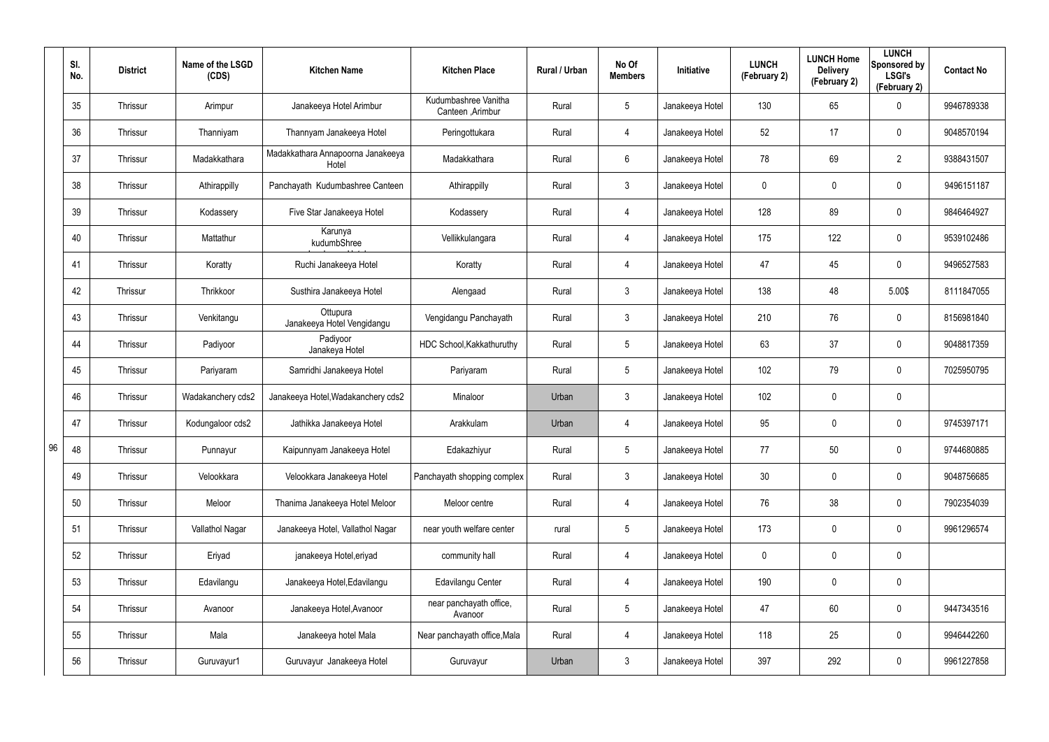|    | SI.<br>No. | <b>District</b> | Name of the LSGD<br>(CDS) | <b>Kitchen Name</b>                        | <b>Kitchen Place</b>                     | Rural / Urban | No Of<br><b>Members</b> | Initiative      | <b>LUNCH</b><br>(February 2) | <b>LUNCH Home</b><br><b>Delivery</b><br>(February 2) | <b>LUNCH</b><br>Sponsored by<br><b>LSGI's</b><br>(February 2) | <b>Contact No</b> |
|----|------------|-----------------|---------------------------|--------------------------------------------|------------------------------------------|---------------|-------------------------|-----------------|------------------------------|------------------------------------------------------|---------------------------------------------------------------|-------------------|
|    | 35         | Thrissur        | Arimpur                   | Janakeeya Hotel Arimbur                    | Kudumbashree Vanitha<br>Canteen, Arimbur | Rural         | 5                       | Janakeeya Hotel | 130                          | 65                                                   | $\mathbf 0$                                                   | 9946789338        |
|    | 36         | Thrissur        | Thanniyam                 | Thannyam Janakeeya Hotel                   | Peringottukara                           | Rural         | 4                       | Janakeeya Hotel | 52                           | 17                                                   | $\pmb{0}$                                                     | 9048570194        |
|    | 37         | Thrissur        | Madakkathara              | Madakkathara Annapoorna Janakeeya<br>Hotel | Madakkathara                             | Rural         | 6                       | Janakeeya Hotel | 78                           | 69                                                   | $\overline{2}$                                                | 9388431507        |
|    | 38         | Thrissur        | Athirappilly              | Panchayath Kudumbashree Canteen            | Athirappilly                             | Rural         | 3                       | Janakeeya Hotel | 0                            | 0                                                    | $\pmb{0}$                                                     | 9496151187        |
|    | 39         | Thrissur        | Kodassery                 | Five Star Janakeeya Hotel                  | Kodassery                                | Rural         | 4                       | Janakeeya Hotel | 128                          | 89                                                   | $\pmb{0}$                                                     | 9846464927        |
|    | 40         | Thrissur        | Mattathur                 | Karunya<br>kudumbShree                     | Vellikkulangara                          | Rural         | 4                       | Janakeeya Hotel | 175                          | 122                                                  | $\mathbf 0$                                                   | 9539102486        |
|    | 41         | Thrissur        | Koratty                   | Ruchi Janakeeya Hotel                      | Koratty                                  | Rural         | 4                       | Janakeeya Hotel | 47                           | 45                                                   | $\pmb{0}$                                                     | 9496527583        |
|    | 42         | Thrissur        | Thrikkoor                 | Susthira Janakeeya Hotel                   | Alengaad                                 | Rural         | 3                       | Janakeeya Hotel | 138                          | 48                                                   | 5.00\$                                                        | 8111847055        |
|    | 43         | Thrissur        | Venkitangu                | Ottupura<br>Janakeeya Hotel Vengidangu     | Vengidangu Panchayath                    | Rural         | $\mathfrak{Z}$          | Janakeeya Hotel | 210                          | 76                                                   | $\pmb{0}$                                                     | 8156981840        |
|    | 44         | Thrissur        | Padiyoor                  | Padiyoor<br>Janakeya Hotel                 | HDC School, Kakkathuruthy                | Rural         | 5                       | Janakeeya Hotel | 63                           | 37                                                   | $\mathbf 0$                                                   | 9048817359        |
|    | 45         | Thrissur        | Pariyaram                 | Samridhi Janakeeya Hotel                   | Pariyaram                                | Rural         | 5                       | Janakeeya Hotel | 102                          | 79                                                   | $\pmb{0}$                                                     | 7025950795        |
|    | 46         | Thrissur        | Wadakanchery cds2         | Janakeeya Hotel, Wadakanchery cds2         | Minaloor                                 | Urban         | 3                       | Janakeeya Hotel | 102                          | 0                                                    | $\pmb{0}$                                                     |                   |
|    | 47         | Thrissur        | Kodungaloor cds2          | Jathikka Janakeeya Hotel                   | Arakkulam                                | Urban         | 4                       | Janakeeya Hotel | 95                           | 0                                                    | $\mathbf 0$                                                   | 9745397171        |
| 96 | 48         | Thrissur        | Punnayur                  | Kaipunnyam Janakeeya Hotel                 | Edakazhiyur                              | Rural         | $5\phantom{.0}$         | Janakeeya Hotel | 77                           | 50                                                   | $\pmb{0}$                                                     | 9744680885        |
|    | 49         | Thrissur        | Velookkara                | Velookkara Janakeeya Hotel                 | Panchayath shopping complex              | Rural         | $\mathbf{3}$            | Janakeeya Hotel | 30                           | 0                                                    | $\mathbf 0$                                                   | 9048756685        |
|    | 50         | Thrissur        | Meloor                    | Thanima Janakeeya Hotel Meloor             | Meloor centre                            | Rural         | $\overline{4}$          | Janakeeya Hotel | 76                           | 38                                                   | $\mathbf 0$                                                   | 7902354039        |
|    | 51         | Thrissur        | Vallathol Nagar           | Janakeeya Hotel, Vallathol Nagar           | near youth welfare center                | rural         | $5\phantom{.0}$         | Janakeeya Hotel | 173                          | 0                                                    | $\mathbf 0$                                                   | 9961296574        |
|    | 52         | Thrissur        | Eriyad                    | janakeeya Hotel, eriyad                    | community hall                           | Rural         | 4                       | Janakeeya Hotel | 0                            | $\mathbf 0$                                          | $\pmb{0}$                                                     |                   |
|    | 53         | Thrissur        | Edavilangu                | Janakeeya Hotel, Edavilangu                | Edavilangu Center                        | Rural         | 4                       | Janakeeya Hotel | 190                          | 0                                                    | $\pmb{0}$                                                     |                   |
|    | 54         | Thrissur        | Avanoor                   | Janakeeya Hotel, Avanoor                   | near panchayath office,<br>Avanoor       | Rural         | $5\phantom{.0}$         | Janakeeya Hotel | 47                           | 60                                                   | $\pmb{0}$                                                     | 9447343516        |
|    | 55         | Thrissur        | Mala                      | Janakeeya hotel Mala                       | Near panchayath office, Mala             | Rural         | 4                       | Janakeeya Hotel | 118                          | 25                                                   | 0                                                             | 9946442260        |
|    | 56         | Thrissur        | Guruvayur1                | Guruvayur Janakeeya Hotel                  | Guruvayur                                | Urban         | $\mathfrak{Z}$          | Janakeeya Hotel | 397                          | 292                                                  | $\pmb{0}$                                                     | 9961227858        |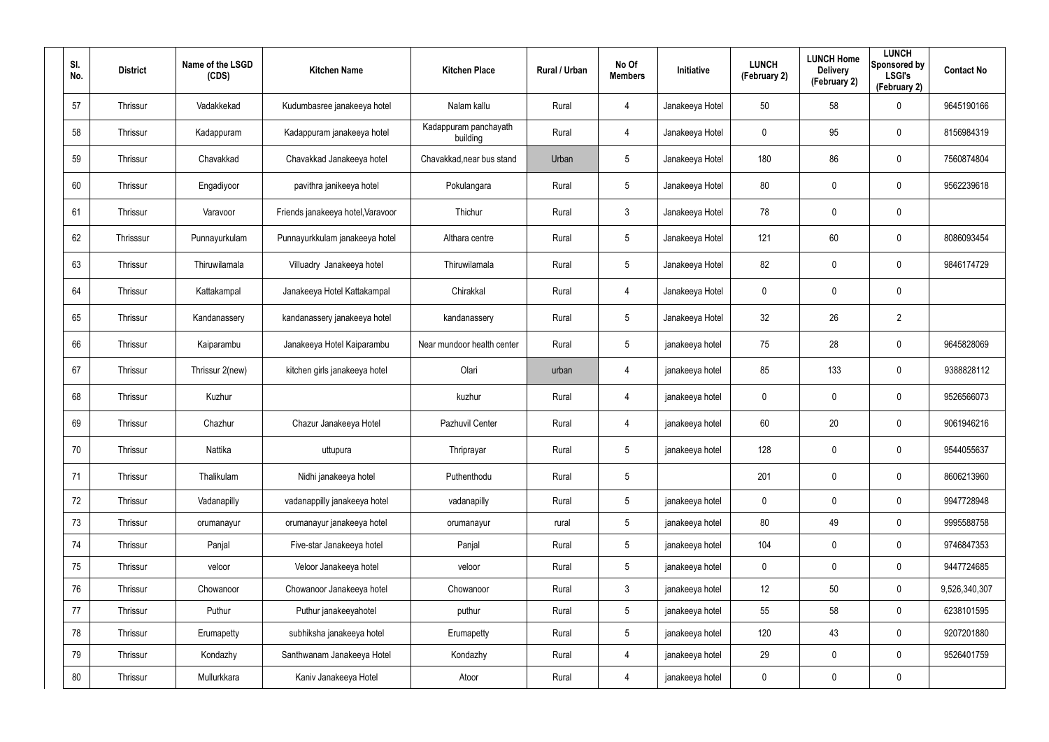| SI.<br>No. | <b>District</b> | Name of the LSGD<br>(CDS) | <b>Kitchen Name</b>               | <b>Kitchen Place</b>              | Rural / Urban | No Of<br><b>Members</b> | <b>Initiative</b> | <b>LUNCH</b><br>(February 2) | <b>LUNCH Home</b><br><b>Delivery</b><br>(February 2) | <b>LUNCH</b><br>Sponsored by<br><b>LSGI's</b><br>(February 2) | <b>Contact No</b> |
|------------|-----------------|---------------------------|-----------------------------------|-----------------------------------|---------------|-------------------------|-------------------|------------------------------|------------------------------------------------------|---------------------------------------------------------------|-------------------|
| 57         | Thrissur        | Vadakkekad                | Kudumbasree janakeeya hotel       | Nalam kallu                       | Rural         | 4                       | Janakeeya Hotel   | 50                           | 58                                                   | $\mathbf 0$                                                   | 9645190166        |
| 58         | Thrissur        | Kadappuram                | Kadappuram janakeeya hotel        | Kadappuram panchayath<br>building | Rural         | 4                       | Janakeeya Hotel   | 0                            | 95                                                   | $\mathbf 0$                                                   | 8156984319        |
| 59         | Thrissur        | Chavakkad                 | Chavakkad Janakeeya hotel         | Chavakkad, near bus stand         | Urban         | 5                       | Janakeeya Hotel   | 180                          | 86                                                   | $\pmb{0}$                                                     | 7560874804        |
| 60         | Thrissur        | Engadiyoor                | pavithra janikeeya hotel          | Pokulangara                       | Rural         | 5                       | Janakeeya Hotel   | 80                           | 0                                                    | $\mathbf 0$                                                   | 9562239618        |
| 61         | Thrissur        | Varavoor                  | Friends janakeeya hotel, Varavoor | Thichur                           | Rural         | $\mathbf{3}$            | Janakeeya Hotel   | 78                           | 0                                                    | $\pmb{0}$                                                     |                   |
| 62         | Thrisssur       | Punnayurkulam             | Punnayurkkulam janakeeya hotel    | Althara centre                    | Rural         | 5                       | Janakeeya Hotel   | 121                          | 60                                                   | $\pmb{0}$                                                     | 8086093454        |
| 63         | Thrissur        | Thiruwilamala             | Villuadry Janakeeya hotel         | Thiruwilamala                     | Rural         | $5\phantom{.0}$         | Janakeeya Hotel   | 82                           | 0                                                    | $\mathbf 0$                                                   | 9846174729        |
| 64         | Thrissur        | Kattakampal               | Janakeeya Hotel Kattakampal       | Chirakkal                         | Rural         | 4                       | Janakeeya Hotel   | 0                            | 0                                                    | $\mathbf 0$                                                   |                   |
| 65         | Thrissur        | Kandanassery              | kandanassery janakeeya hotel      | kandanassery                      | Rural         | $5\phantom{.0}$         | Janakeeya Hotel   | 32                           | 26                                                   | $\overline{2}$                                                |                   |
| 66         | Thrissur        | Kaiparambu                | Janakeeya Hotel Kaiparambu        | Near mundoor health center        | Rural         | $5\overline{)}$         | janakeeya hotel   | 75                           | 28                                                   | $\mathbf 0$                                                   | 9645828069        |
| 67         | Thrissur        | Thrissur 2(new)           | kitchen girls janakeeya hotel     | Olari                             | urban         | 4                       | janakeeya hotel   | 85                           | 133                                                  | $\mathbf 0$                                                   | 9388828112        |
| 68         | Thrissur        | Kuzhur                    |                                   | kuzhur                            | Rural         | 4                       | janakeeya hotel   | 0                            | 0                                                    | $\mathbf 0$                                                   | 9526566073        |
| 69         | Thrissur        | Chazhur                   | Chazur Janakeeya Hotel            | Pazhuvil Center                   | Rural         | 4                       | janakeeya hotel   | 60                           | 20                                                   | $\mathbf 0$                                                   | 9061946216        |
| 70         | Thrissur        | Nattika                   | uttupura                          | Thriprayar                        | Rural         | 5                       | janakeeya hotel   | 128                          | 0                                                    | $\mathbf 0$                                                   | 9544055637        |
| 71         | Thrissur        | Thalikulam                | Nidhi janakeeya hotel             | Puthenthodu                       | Rural         | 5                       |                   | 201                          | 0                                                    | $\mathbf 0$                                                   | 8606213960        |
| 72         | Thrissur        | Vadanapilly               | vadanappilly janakeeya hotel      | vadanapilly                       | Rural         | 5                       | janakeeya hotel   | $\mathbf 0$                  | 0                                                    | $\mathbf 0$                                                   | 9947728948        |
| 73         | Thrissur        | orumanayur                | orumanayur janakeeya hotel        | orumanayur                        | rural         | $5\phantom{.0}$         | janakeeya hotel   | 80                           | 49                                                   | $\mathbf 0$                                                   | 9995588758        |
| 74         | Thrissur        | Panjal                    | Five-star Janakeeya hotel         | Panjal                            | Rural         | 5                       | janakeeya hotel   | 104                          | 0                                                    | $\mathbf 0$                                                   | 9746847353        |
| 75         | Thrissur        | veloor                    | Veloor Janakeeya hotel            | veloor                            | Rural         | 5                       | janakeeya hotel   | $\mathbf 0$                  | 0                                                    | $\mathbf 0$                                                   | 9447724685        |
| 76         | Thrissur        | Chowanoor                 | Chowanoor Janakeeya hotel         | Chowanoor                         | Rural         | $\mathfrak{Z}$          | janakeeya hotel   | 12                           | 50                                                   | $\mathbf 0$                                                   | 9,526,340,307     |
| 77         | Thrissur        | Puthur                    | Puthur janakeeyahotel             | puthur                            | Rural         | $5\phantom{.0}$         | janakeeya hotel   | 55                           | 58                                                   | $\mathbf 0$                                                   | 6238101595        |
| 78         | Thrissur        | Erumapetty                | subhiksha janakeeya hotel         | Erumapetty                        | Rural         | 5                       | janakeeya hotel   | 120                          | 43                                                   | $\mathbf 0$                                                   | 9207201880        |
| 79         | Thrissur        | Kondazhy                  | Santhwanam Janakeeya Hotel        | Kondazhy                          | Rural         | 4                       | janakeeya hotel   | 29                           | 0                                                    | $\mathbf 0$                                                   | 9526401759        |
| 80         | Thrissur        | Mullurkkara               | Kaniv Janakeeya Hotel             | Atoor                             | Rural         | 4                       | janakeeya hotel   | $\mathbf 0$                  | 0                                                    | $\pmb{0}$                                                     |                   |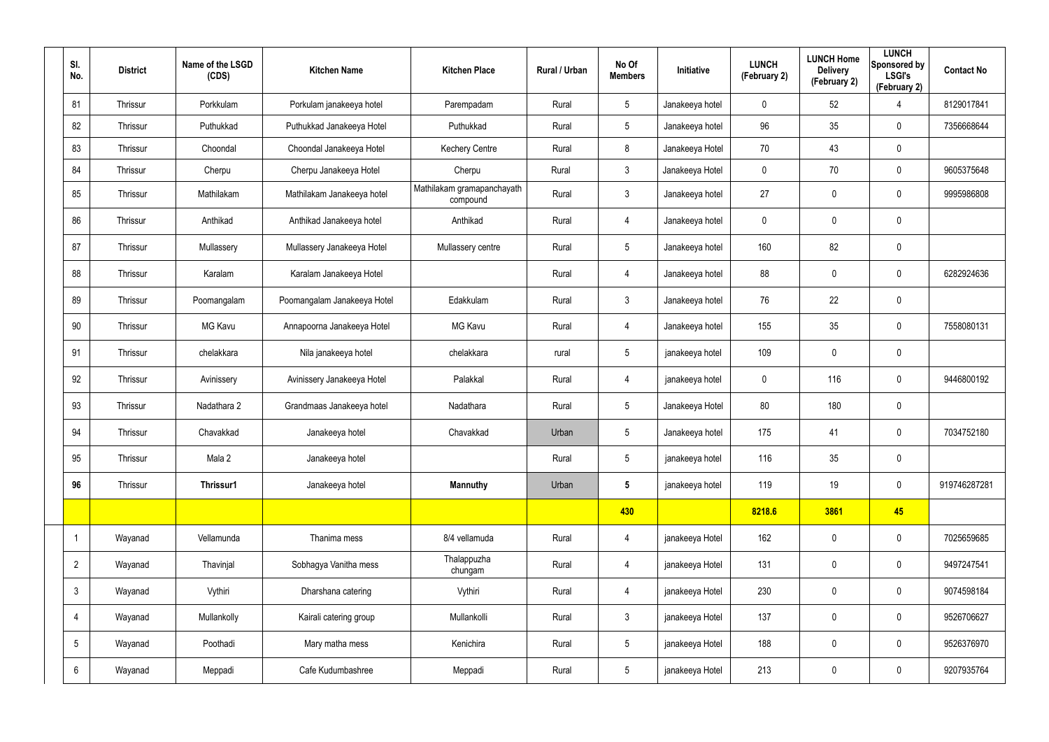| SI.<br>No.      | <b>District</b> | Name of the LSGD<br>(CDS) | <b>Kitchen Name</b>         | <b>Kitchen Place</b>                   | Rural / Urban | No Of<br><b>Members</b> | Initiative      | <b>LUNCH</b><br>(February 2) | <b>LUNCH Home</b><br><b>Delivery</b><br>(February 2) | <b>LUNCH</b><br>Sponsored by<br><b>LSGI's</b><br>(February 2) | <b>Contact No</b> |
|-----------------|-----------------|---------------------------|-----------------------------|----------------------------------------|---------------|-------------------------|-----------------|------------------------------|------------------------------------------------------|---------------------------------------------------------------|-------------------|
| 81              | Thrissur        | Porkkulam                 | Porkulam janakeeya hotel    | Parempadam                             | Rural         | $5\phantom{.0}$         | Janakeeya hotel | 0                            | 52                                                   | 4                                                             | 8129017841        |
| 82              | Thrissur        | Puthukkad                 | Puthukkad Janakeeya Hotel   | Puthukkad                              | Rural         | $5\overline{)}$         | Janakeeya hotel | 96                           | 35                                                   | $\mathbf 0$                                                   | 7356668644        |
| 83              | Thrissur        | Choondal                  | Choondal Janakeeya Hotel    | <b>Kechery Centre</b>                  | Rural         | 8                       | Janakeeya Hotel | 70                           | 43                                                   | $\mathbf 0$                                                   |                   |
| 84              | Thrissur        | Cherpu                    | Cherpu Janakeeya Hotel      | Cherpu                                 | Rural         | $\mathbf{3}$            | Janakeeya Hotel | $\mathbf 0$                  | 70                                                   | $\overline{0}$                                                | 9605375648        |
| 85              | Thrissur        | Mathilakam                | Mathilakam Janakeeya hotel  | Mathilakam gramapanchayath<br>compound | Rural         | $\mathbf{3}$            | Janakeeya hotel | 27                           | 0                                                    | $\mathbf 0$                                                   | 9995986808        |
| 86              | Thrissur        | Anthikad                  | Anthikad Janakeeya hotel    | Anthikad                               | Rural         | $\overline{4}$          | Janakeeya hotel | 0                            | 0                                                    | $\mathbf 0$                                                   |                   |
| 87              | Thrissur        | Mullassery                | Mullassery Janakeeya Hotel  | Mullassery centre                      | Rural         | $5\phantom{.0}$         | Janakeeya hotel | 160                          | 82                                                   | $\mathbf 0$                                                   |                   |
| 88              | Thrissur        | Karalam                   | Karalam Janakeeya Hotel     |                                        | Rural         | 4                       | Janakeeya hotel | 88                           | 0                                                    | $\mathbf 0$                                                   | 6282924636        |
| 89              | Thrissur        | Poomangalam               | Poomangalam Janakeeya Hotel | Edakkulam                              | Rural         | $\mathbf{3}$            | Janakeeya hotel | 76                           | 22                                                   | $\mathbf 0$                                                   |                   |
| 90              | Thrissur        | <b>MG Kavu</b>            | Annapoorna Janakeeya Hotel  | <b>MG Kavu</b>                         | Rural         | 4                       | Janakeeya hotel | 155                          | 35                                                   | $\mathbf 0$                                                   | 7558080131        |
| 91              | Thrissur        | chelakkara                | Nila janakeeya hotel        | chelakkara                             | rural         | $5\phantom{.0}$         | janakeeya hotel | 109                          | $\boldsymbol{0}$                                     | $\mathbf 0$                                                   |                   |
| 92              | Thrissur        | Avinissery                | Avinissery Janakeeya Hotel  | Palakkal                               | Rural         | 4                       | janakeeya hotel | 0                            | 116                                                  | $\mathbf 0$                                                   | 9446800192        |
| 93              | Thrissur        | Nadathara 2               | Grandmaas Janakeeya hotel   | Nadathara                              | Rural         | $5\phantom{.0}$         | Janakeeya Hotel | 80                           | 180                                                  | $\pmb{0}$                                                     |                   |
| 94              | Thrissur        | Chavakkad                 | Janakeeya hotel             | Chavakkad                              | Urban         | 5                       | Janakeeya hotel | 175                          | 41                                                   | $\mathbf 0$                                                   | 7034752180        |
| 95              | Thrissur        | Mala 2                    | Janakeeya hotel             |                                        | Rural         | $5\phantom{.0}$         | janakeeya hotel | 116                          | 35                                                   | $\mathbf 0$                                                   |                   |
| 96              | Thrissur        | Thrissur1                 | Janakeeya hotel             | <b>Mannuthy</b>                        | Urban         | $5\phantom{.0}$         | janakeeya hotel | 119                          | 19                                                   | $\mathbf 0$                                                   | 919746287281      |
|                 |                 |                           |                             |                                        |               | 430                     |                 | 8218.6                       | 3861                                                 | 45                                                            |                   |
|                 | Wayanad         | Vellamunda                | Thanima mess                | 8/4 vellamuda                          | Rural         | $\overline{4}$          | janakeeya Hotel | 162                          | 0                                                    | $\mathbf 0$                                                   | 7025659685        |
| $\overline{2}$  | Wayanad         | Thavinjal                 | Sobhagya Vanitha mess       | Thalappuzha<br>chungam                 | Rural         | $\overline{4}$          | janakeeya Hotel | 131                          | 0                                                    | $\mathbf 0$                                                   | 9497247541        |
| $\mathbf{3}$    | Wayanad         | Vythiri                   | Dharshana catering          | Vythiri                                | Rural         | $\overline{4}$          | janakeeya Hotel | 230                          | 0                                                    | $\mathbf 0$                                                   | 9074598184        |
| 4               | Wayanad         | Mullankolly               | Kairali catering group      | Mullankolli                            | Rural         | $\mathbf{3}$            | janakeeya Hotel | 137                          | 0                                                    | $\mathbf 0$                                                   | 9526706627        |
| $5\phantom{.0}$ | Wayanad         | Poothadi                  | Mary matha mess             | Kenichira                              | Rural         | $5\phantom{.0}$         | janakeeya Hotel | 188                          | 0                                                    | $\mathbf 0$                                                   | 9526376970        |
| 6               | Wayanad         | Meppadi                   | Cafe Kudumbashree           | Meppadi                                | Rural         | $5\phantom{.0}$         | janakeeya Hotel | 213                          | 0                                                    | $\boldsymbol{0}$                                              | 9207935764        |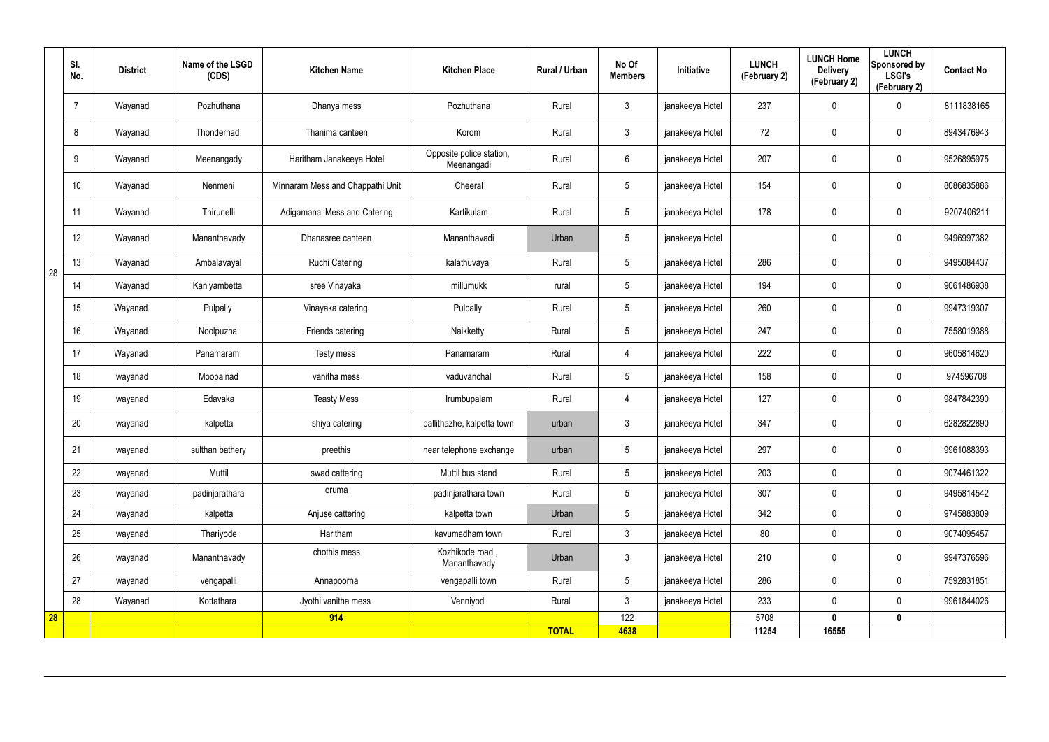|    | SI.<br>No. | <b>District</b> | Name of the LSGD<br>(CDS) | <b>Kitchen Name</b>              | <b>Kitchen Place</b>                   | <b>Rural / Urban</b> | No Of<br><b>Members</b> | Initiative      | <b>LUNCH</b><br>(February 2) | <b>LUNCH Home</b><br><b>Delivery</b><br>(February 2) | <b>LUNCH</b><br>Sponsored by<br><b>LSGI's</b><br>(February 2) | <b>Contact No</b> |
|----|------------|-----------------|---------------------------|----------------------------------|----------------------------------------|----------------------|-------------------------|-----------------|------------------------------|------------------------------------------------------|---------------------------------------------------------------|-------------------|
|    |            | Wayanad         | Pozhuthana                | Dhanya mess                      | Pozhuthana                             | Rural                | $\mathbf{3}$            | janakeeya Hotel | 237                          | 0                                                    | 0                                                             | 8111838165        |
|    | 8          | Wayanad         | Thondernad                | Thanima canteen                  | Korom                                  | Rural                | $\mathbf{3}$            | janakeeya Hotel | 72                           | 0                                                    | $\mathbf 0$                                                   | 8943476943        |
|    | 9          | Wayanad         | Meenangady                | Haritham Janakeeya Hotel         | Opposite police station,<br>Meenangadi | Rural                | $6\phantom{.}6$         | janakeeya Hotel | 207                          | 0                                                    | $\mathbf 0$                                                   | 9526895975        |
|    | 10         | Wayanad         | Nenmeni                   | Minnaram Mess and Chappathi Unit | Cheeral                                | Rural                | $5\phantom{.0}$         | janakeeya Hotel | 154                          | 0                                                    | $\mathbf 0$                                                   | 8086835886        |
|    | 11         | Wayanad         | Thirunelli                | Adigamanai Mess and Catering     | Kartikulam                             | Rural                | $5\overline{)}$         | janakeeya Hotel | 178                          | 0                                                    | $\mathbf 0$                                                   | 9207406211        |
|    | 12         | Wayanad         | Mananthavady              | Dhanasree canteen                | Mananthavadi                           | Urban                | $5\phantom{.0}$         | janakeeya Hotel |                              | 0                                                    | $\mathbf 0$                                                   | 9496997382        |
| 28 | 13         | Wayanad         | Ambalavayal               | <b>Ruchi Catering</b>            | kalathuvayal                           | Rural                | $5\overline{)}$         | janakeeya Hotel | 286                          | 0                                                    | $\mathbf 0$                                                   | 9495084437        |
|    | 14         | Wayanad         | Kaniyambetta              | sree Vinayaka                    | millumukk                              | rural                | $5\overline{)}$         | janakeeya Hotel | 194                          | 0                                                    | $\mathbf 0$                                                   | 9061486938        |
|    | 15         | Wayanad         | Pulpally                  | Vinayaka catering                | Pulpally                               | Rural                | $5\overline{)}$         | janakeeya Hotel | 260                          | 0                                                    | $\boldsymbol{0}$                                              | 9947319307        |
|    | 16         | Wayanad         | Noolpuzha                 | Friends catering                 | Naikketty                              | Rural                | $5\phantom{.0}$         | janakeeya Hotel | 247                          | $\mathbf 0$                                          | $\pmb{0}$                                                     | 7558019388        |
|    | 17         | Wayanad         | Panamaram                 | Testy mess                       | Panamaram                              | Rural                | 4                       | janakeeya Hotel | 222                          | 0                                                    | $\pmb{0}$                                                     | 9605814620        |
|    | 18         | wayanad         | Moopainad                 | vanitha mess                     | vaduvanchal                            | Rural                | $5\phantom{.0}$         | janakeeya Hotel | 158                          | 0                                                    | $\mathbf 0$                                                   | 974596708         |
|    | 19         | wayanad         | Edavaka                   | <b>Teasty Mess</b>               | Irumbupalam                            | Rural                | $\overline{4}$          | janakeeya Hotel | 127                          | 0                                                    | $\pmb{0}$                                                     | 9847842390        |
|    | 20         | wayanad         | kalpetta                  | shiya catering                   | pallithazhe, kalpetta town             | urban                | $\mathbf{3}$            | janakeeya Hotel | 347                          | 0                                                    | $\boldsymbol{0}$                                              | 6282822890        |
|    | 21         | wayanad         | sulthan bathery           | preethis                         | near telephone exchange                | urban                | $5\phantom{.0}$         | janakeeya Hotel | 297                          | 0                                                    | $\pmb{0}$                                                     | 9961088393        |
|    | 22         | wayanad         | Muttil                    | swad cattering                   | Muttil bus stand                       | Rural                | 5 <sub>5</sub>          | janakeeya Hotel | 203                          | 0                                                    | $\mathbf 0$                                                   | 9074461322        |
|    | 23         | wayanad         | padinjarathara            | oruma                            | padinjarathara town                    | Rural                | $5\phantom{.0}$         | janakeeya Hotel | 307                          | $\pmb{0}$                                            | $\mathbf 0$                                                   | 9495814542        |
|    | 24         | wayanad         | kalpetta                  | Anjuse cattering                 | kalpetta town                          | Urban                | $5\overline{)}$         | janakeeya Hotel | 342                          | 0                                                    | $\mathbf 0$                                                   | 9745883809        |
|    | 25         | wayanad         | Thariyode                 | Haritham                         | kavumadham town                        | Rural                | 3 <sup>1</sup>          | janakeeya Hotel | 80                           | 0                                                    | $\mathbf 0$                                                   | 9074095457        |
|    | 26         | wayanad         | Mananthavady              | chothis mess                     | Kozhikode road,<br>Mananthavady        | Urban                | $\mathbf{3}$            | janakeeya Hotel | 210                          | 0                                                    | $\mathbf 0$                                                   | 9947376596        |
|    | 27         | wayanad         | vengapalli                | Annapoorna                       | vengapalli town                        | Rural                | $5\phantom{.0}$         | janakeeya Hotel | 286                          | 0                                                    | $\mathbf 0$                                                   | 7592831851        |
|    | 28         | Wayanad         | Kottathara                | Jyothi vanitha mess              | Venniyod                               | Rural                | $\mathbf{3}$            | janakeeya Hotel | 233                          | 0                                                    | $\mathbf 0$                                                   | 9961844026        |
| 28 |            |                 |                           | 914                              |                                        | <b>TOTAL</b>         | 122<br>4638             |                 | 5708<br>11254                | $\mathbf 0$<br>16555                                 | $\mathbf 0$                                                   |                   |
|    |            |                 |                           |                                  |                                        |                      |                         |                 |                              |                                                      |                                                               |                   |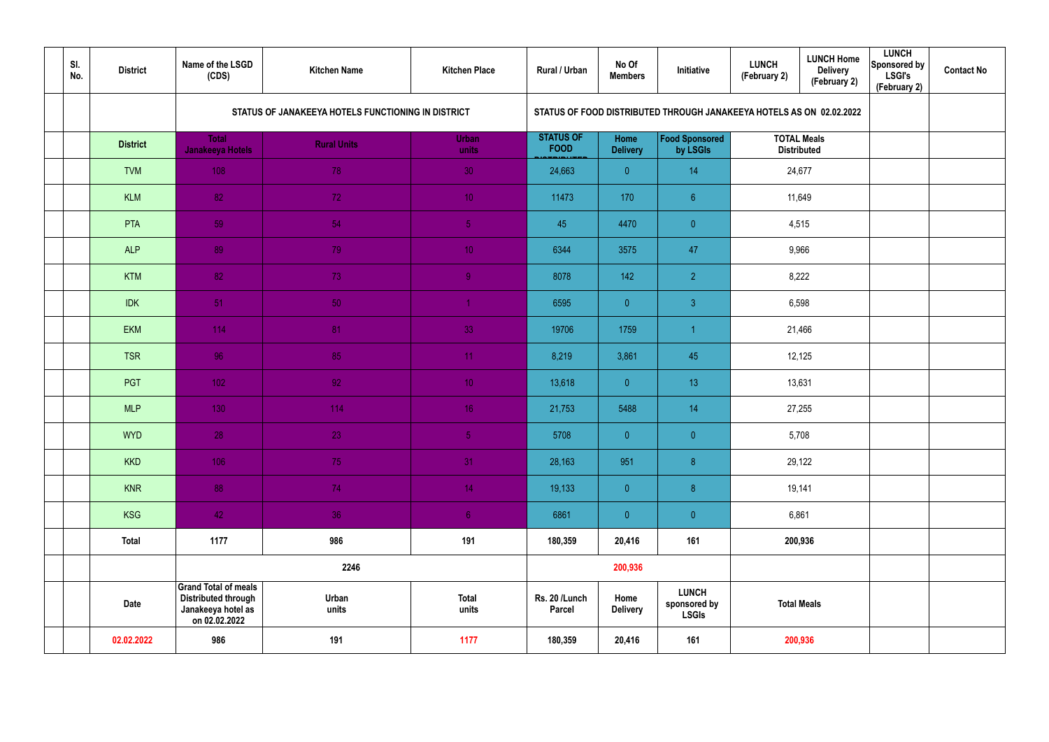| SI.<br>No. | <b>District</b> | Name of the LSGD<br>(CDS)                                                                        | <b>Kitchen Name</b>                                | <b>Kitchen Place</b>  | Rural / Urban                   | No Of<br><b>Members</b> | Initiative                                                           | <b>LUNCH</b><br>(February 2) | <b>LUNCH Home</b><br><b>Delivery</b><br>(February 2) | <b>LUNCH</b><br>Sponsored by<br><b>LSGI's</b><br>(February 2) | <b>Contact No</b> |
|------------|-----------------|--------------------------------------------------------------------------------------------------|----------------------------------------------------|-----------------------|---------------------------------|-------------------------|----------------------------------------------------------------------|------------------------------|------------------------------------------------------|---------------------------------------------------------------|-------------------|
|            |                 |                                                                                                  | STATUS OF JANAKEEYA HOTELS FUNCTIONING IN DISTRICT |                       |                                 |                         | STATUS OF FOOD DISTRIBUTED THROUGH JANAKEEYA HOTELS AS ON 02.02.2022 |                              |                                                      |                                                               |                   |
|            | <b>District</b> | <b>Total</b><br>Janakeeya Hotels                                                                 | <b>Rural Units</b>                                 | Urban<br>units        | <b>STATUS OF</b><br><b>FOOD</b> | Home<br><b>Delivery</b> | <b>Food Sponsored</b><br>by LSGIs                                    |                              | <b>TOTAL Meals</b><br><b>Distributed</b>             |                                                               |                   |
|            | <b>TVM</b>      | 108                                                                                              | 78                                                 | 30                    | 24,663                          | $\overline{0}$          | 14                                                                   | 24,677                       |                                                      |                                                               |                   |
|            | <b>KLM</b>      | 82                                                                                               | 72                                                 | 10 <sup>°</sup>       | 11473                           | 170                     | $6 \overline{6}$                                                     |                              | 11,649                                               |                                                               |                   |
|            | PTA             | 59                                                                                               | 54                                                 | 5 <sub>1</sub>        | 45                              | 4470                    | $\overline{0}$                                                       | 4,515                        |                                                      |                                                               |                   |
|            | <b>ALP</b>      | 89                                                                                               | 79                                                 | 10 <sub>1</sub>       | 6344                            | 3575                    | 47                                                                   |                              | 9,966                                                |                                                               |                   |
|            | <b>KTM</b>      | 82                                                                                               | 73                                                 | 9 <sup>°</sup>        | 8078                            | 142                     | $\overline{2}$                                                       |                              | 8,222                                                |                                                               |                   |
|            | <b>IDK</b>      | 51                                                                                               | 50                                                 |                       | 6595                            | $\overline{0}$          | $\mathbf{3}$                                                         | 6,598                        |                                                      |                                                               |                   |
|            | <b>EKM</b>      | 114                                                                                              | 81                                                 | 33                    | 19706                           | 1759                    | $\overline{1}$                                                       | 21,466                       |                                                      |                                                               |                   |
|            | <b>TSR</b>      | 96                                                                                               | 85                                                 | 11                    | 8,219                           | 3,861                   | 45                                                                   |                              | 12,125                                               |                                                               |                   |
|            | PGT             | 102 <sub>1</sub>                                                                                 | 92 <sub>1</sub>                                    | 10 <sup>°</sup>       | 13,618                          | $\overline{0}$          | 13                                                                   | 13,631                       |                                                      |                                                               |                   |
|            | <b>MLP</b>      | 130                                                                                              | 114                                                | 16 <sup>°</sup>       | 21,753                          | 5488                    | 14                                                                   | 27,255                       |                                                      |                                                               |                   |
|            | <b>WYD</b>      | 28                                                                                               | 23                                                 | 5 <sub>1</sub>        | 5708                            | $\overline{0}$          | $\overline{0}$                                                       | 5,708                        |                                                      |                                                               |                   |
|            | <b>KKD</b>      | 106                                                                                              | 75                                                 | 31                    | 28,163                          | 951                     | $\bf{8}$                                                             | 29,122                       |                                                      |                                                               |                   |
|            | <b>KNR</b>      | 88                                                                                               | 74                                                 | 14 <sup>°</sup>       | 19,133                          | $\overline{0}$          | $\boldsymbol{8}$                                                     |                              | 19,141                                               |                                                               |                   |
|            | KSG             | 42                                                                                               | 36                                                 | 6 <sup>1</sup>        | 6861                            | $\overline{0}$          | $\pmb{0}$                                                            | 6,861                        |                                                      |                                                               |                   |
|            | <b>Total</b>    | 1177                                                                                             | 986                                                | 191                   | 180,359                         | 20,416                  | 161                                                                  | 200,936                      |                                                      |                                                               |                   |
|            |                 |                                                                                                  | 2246                                               |                       |                                 | 200,936                 |                                                                      |                              |                                                      |                                                               |                   |
|            | <b>Date</b>     | <b>Grand Total of meals</b><br><b>Distributed through</b><br>Janakeeya hotel as<br>on 02.02.2022 | Urban<br>units                                     | <b>Total</b><br>units | Rs. 20 /Lunch<br>Parcel         | Home<br><b>Delivery</b> | <b>LUNCH</b><br>sponsored by<br><b>LSGIs</b>                         | <b>Total Meals</b>           |                                                      |                                                               |                   |
|            | 02.02.2022      | 986                                                                                              | 191                                                | 1177                  | 180,359                         | 20,416                  | 161                                                                  | 200,936                      |                                                      |                                                               |                   |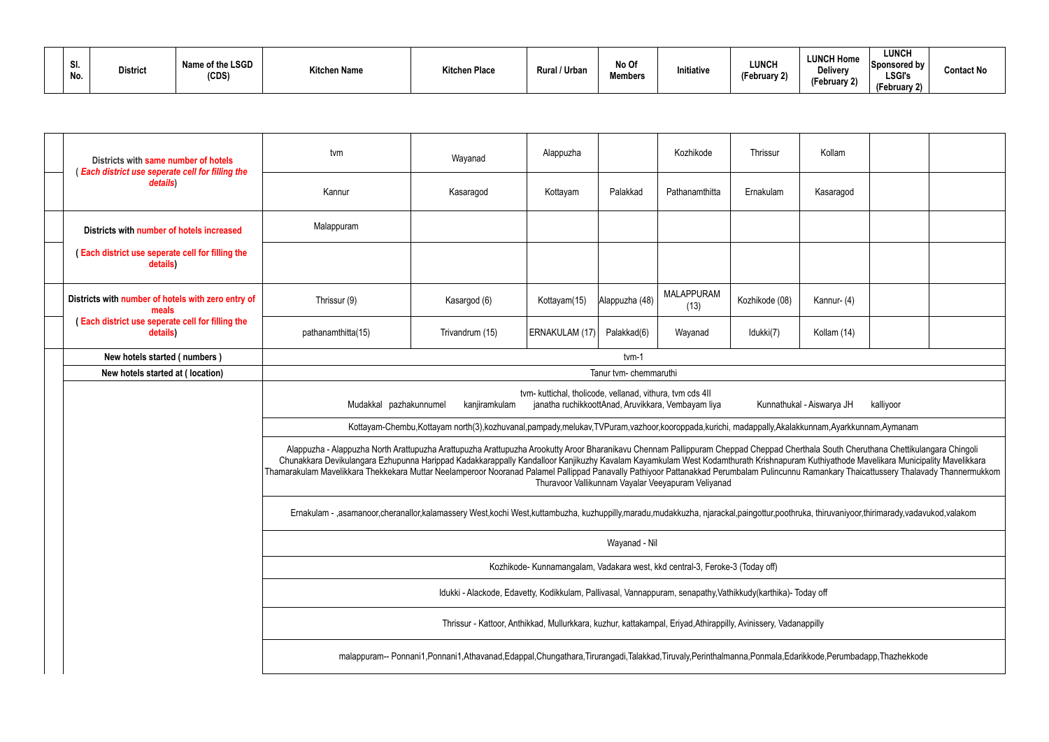| SI.<br>No. | <b>District</b> | Name of the LSGD<br>(CDS) | <b>Kitchen Name</b> | Kitchen Place | Rural / Urban | No Of<br><b>Members</b> | Initiative | <b>LUNCH</b><br>$\sim$<br>February 2) | <b>LUNCH Home</b><br>Delivery<br>$\sim$ $\sim$<br>(February 2) | <b>LUNCH</b><br>Sponsored by<br><b>LSGI's</b><br>(February 2) | <b>Contact No</b> |
|------------|-----------------|---------------------------|---------------------|---------------|---------------|-------------------------|------------|---------------------------------------|----------------------------------------------------------------|---------------------------------------------------------------|-------------------|
|------------|-----------------|---------------------------|---------------------|---------------|---------------|-------------------------|------------|---------------------------------------|----------------------------------------------------------------|---------------------------------------------------------------|-------------------|

| Districts with same number of hotels                                                                                                                                                                 | tvm                                                                                                                                                                                                                                                                                                                                                                                                                                                                                                                                                                      | Wayanad                                                                                                                                                                                | Alappuzha      |                | Kozhikode                                          | Thrissur       | Kollam      |  |  |  |  |  |
|------------------------------------------------------------------------------------------------------------------------------------------------------------------------------------------------------|--------------------------------------------------------------------------------------------------------------------------------------------------------------------------------------------------------------------------------------------------------------------------------------------------------------------------------------------------------------------------------------------------------------------------------------------------------------------------------------------------------------------------------------------------------------------------|----------------------------------------------------------------------------------------------------------------------------------------------------------------------------------------|----------------|----------------|----------------------------------------------------|----------------|-------------|--|--|--|--|--|
| (Each district use seperate cell for filling the<br>details)                                                                                                                                         | Kannur                                                                                                                                                                                                                                                                                                                                                                                                                                                                                                                                                                   | Kasaragod                                                                                                                                                                              | Kottayam       | Palakkad       | Pathanamthitta                                     | Ernakulam      | Kasaragod   |  |  |  |  |  |
| Districts with number of hotels increased                                                                                                                                                            | Malappuram                                                                                                                                                                                                                                                                                                                                                                                                                                                                                                                                                               |                                                                                                                                                                                        |                |                |                                                    |                |             |  |  |  |  |  |
| (Each district use seperate cell for filling the<br>details)                                                                                                                                         |                                                                                                                                                                                                                                                                                                                                                                                                                                                                                                                                                                          |                                                                                                                                                                                        |                |                |                                                    |                |             |  |  |  |  |  |
| Districts with number of hotels with zero entry of<br>meals                                                                                                                                          | Thrissur (9)                                                                                                                                                                                                                                                                                                                                                                                                                                                                                                                                                             | Kasargod (6)                                                                                                                                                                           | Kottayam(15)   | Alappuzha (48) | <b>MALAPPURAM</b><br>(13)                          | Kozhikode (08) | Kannur- (4) |  |  |  |  |  |
| (Each district use seperate cell for filling the<br>details)                                                                                                                                         | pathanamthitta(15)                                                                                                                                                                                                                                                                                                                                                                                                                                                                                                                                                       | Trivandrum (15)                                                                                                                                                                        | ERNAKULAM (17) | Palakkad(6)    | Wayanad                                            | Idukki(7)      | Kollam (14) |  |  |  |  |  |
| New hotels started (numbers)                                                                                                                                                                         |                                                                                                                                                                                                                                                                                                                                                                                                                                                                                                                                                                          |                                                                                                                                                                                        |                | tvm-1          |                                                    |                |             |  |  |  |  |  |
| New hotels started at (location)                                                                                                                                                                     | Tanur tvm- chemmaruthi                                                                                                                                                                                                                                                                                                                                                                                                                                                                                                                                                   |                                                                                                                                                                                        |                |                |                                                    |                |             |  |  |  |  |  |
| tvm- kuttichal, tholicode, vellanad, vithura, tvm cds 4II<br>Mudakkal pazhakunnumel<br>kanjiramkulam<br>janatha ruchikkoottAnad, Aruvikkara, Vembayam liya<br>Kunnathukal - Aiswarya JH<br>kalliyoor |                                                                                                                                                                                                                                                                                                                                                                                                                                                                                                                                                                          |                                                                                                                                                                                        |                |                |                                                    |                |             |  |  |  |  |  |
|                                                                                                                                                                                                      |                                                                                                                                                                                                                                                                                                                                                                                                                                                                                                                                                                          | Kottayam-Chembu,Kottayam north(3),kozhuvanal,pampady,melukav,TVPuram,vazhoor,kooroppada,kurichi, madappally,Akalakkunnam,Ayarkkunnam,Aymanam                                           |                |                |                                                    |                |             |  |  |  |  |  |
|                                                                                                                                                                                                      | Alappuzha - Alappuzha North Arattupuzha Arattupuzha Arattupuzha Arookutty Aroor Bharanikavu Chennam Pallippuram Cheppad Cheppad Cherthala South Cheruthana Chettikulangara Chingoli<br>Chunakkara Devikulangara Ezhupunna Harippad Kadakkarappally Kandalloor Kanjikuzhy Kavalam Kayamkulam West Kodamthurath Krishnapuram Kuthiyathode Mavelikara Municipality Mavelikkara<br>Thamarakulam Mavelikkara Thekkekara Muttar Neelamperoor Nooranad Palamel Pallippad Panavally Pathiyoor Pattanakkad Perumbalam Pulincunnu Ramankary Thaicattussery Thalavady Thannermukkom |                                                                                                                                                                                        |                |                | Thuravoor Vallikunnam Vayalar Veeyapuram Veliyanad |                |             |  |  |  |  |  |
|                                                                                                                                                                                                      |                                                                                                                                                                                                                                                                                                                                                                                                                                                                                                                                                                          | Ernakulam - ,asamanoor,cheranallor,kalamassery West,kochi West,kuttambuzha, kuzhuppilly,maradu,mudakkuzha, njarackal,paingottur,poothruka, thiruvaniyoor,thirimarady,vadavukod,valakom |                |                |                                                    |                |             |  |  |  |  |  |
|                                                                                                                                                                                                      |                                                                                                                                                                                                                                                                                                                                                                                                                                                                                                                                                                          |                                                                                                                                                                                        |                | Wayanad - Nil  |                                                    |                |             |  |  |  |  |  |
|                                                                                                                                                                                                      | Kozhikode- Kunnamangalam, Vadakara west, kkd central-3, Feroke-3 (Today off)                                                                                                                                                                                                                                                                                                                                                                                                                                                                                             |                                                                                                                                                                                        |                |                |                                                    |                |             |  |  |  |  |  |
|                                                                                                                                                                                                      |                                                                                                                                                                                                                                                                                                                                                                                                                                                                                                                                                                          | Idukki - Alackode, Edavetty, Kodikkulam, Pallivasal, Vannappuram, senapathy, Vathikkudy(karthika)- Today off                                                                           |                |                |                                                    |                |             |  |  |  |  |  |
|                                                                                                                                                                                                      |                                                                                                                                                                                                                                                                                                                                                                                                                                                                                                                                                                          | Thrissur - Kattoor, Anthikkad, Mullurkkara, kuzhur, kattakampal, Eriyad, Athirappilly, Avinissery, Vadanappilly                                                                        |                |                |                                                    |                |             |  |  |  |  |  |
|                                                                                                                                                                                                      |                                                                                                                                                                                                                                                                                                                                                                                                                                                                                                                                                                          | malappuram-- Ponnani1,Ponnani1,Athavanad,Edappal,Chungathara,Tirurangadi,Talakkad,Tiruvaly,Perinthalmanna,Ponmala,Edarikkode,Perumbadapp,Thazhekkode                                   |                |                |                                                    |                |             |  |  |  |  |  |
|                                                                                                                                                                                                      |                                                                                                                                                                                                                                                                                                                                                                                                                                                                                                                                                                          |                                                                                                                                                                                        |                |                |                                                    |                |             |  |  |  |  |  |

| Kollam                                                                                                                                                           |  |  |  |  |  |  |  |  |  |  |
|------------------------------------------------------------------------------------------------------------------------------------------------------------------|--|--|--|--|--|--|--|--|--|--|
| Kasaragod                                                                                                                                                        |  |  |  |  |  |  |  |  |  |  |
|                                                                                                                                                                  |  |  |  |  |  |  |  |  |  |  |
|                                                                                                                                                                  |  |  |  |  |  |  |  |  |  |  |
| Kannur-(4)                                                                                                                                                       |  |  |  |  |  |  |  |  |  |  |
| Kollam (14)                                                                                                                                                      |  |  |  |  |  |  |  |  |  |  |
|                                                                                                                                                                  |  |  |  |  |  |  |  |  |  |  |
|                                                                                                                                                                  |  |  |  |  |  |  |  |  |  |  |
| kal - Aiswarya JH kalliyoor                                                                                                                                      |  |  |  |  |  |  |  |  |  |  |
| akkunnam, Ayarkkunnam, Aymanam                                                                                                                                   |  |  |  |  |  |  |  |  |  |  |
| nerthala South Cheruthana Chettikulangara Chingoli<br>am Kuthiyathode Mavelikara Municipality Mavelikkara<br>nu Ramankary Thaicattussery Thalavady Thannermukkom |  |  |  |  |  |  |  |  |  |  |
| nruka, thiruvaniyoor,thirimarady,vadavukod,valakom                                                                                                               |  |  |  |  |  |  |  |  |  |  |
|                                                                                                                                                                  |  |  |  |  |  |  |  |  |  |  |
|                                                                                                                                                                  |  |  |  |  |  |  |  |  |  |  |
| Today off                                                                                                                                                        |  |  |  |  |  |  |  |  |  |  |
| anappilly                                                                                                                                                        |  |  |  |  |  |  |  |  |  |  |
| arikkode, Perumbadapp, Thazhekkode                                                                                                                               |  |  |  |  |  |  |  |  |  |  |